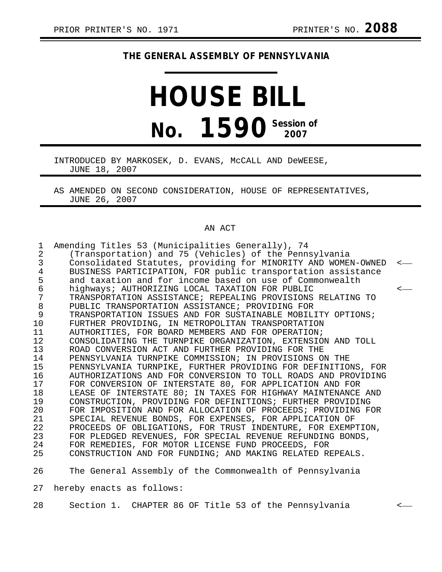## **THE GENERAL ASSEMBLY OF PENNSYLVANIA**

## **HOUSE BILL No. 1590** Session of

INTRODUCED BY MARKOSEK, D. EVANS, McCALL AND DeWEESE, JUNE 18, 2007

AS AMENDED ON SECOND CONSIDERATION, HOUSE OF REPRESENTATIVES, JUNE 26, 2007

## AN ACT

| $\mathbf{1}$<br>$\overline{2}$ | Amending Titles 53 (Municipalities Generally), 74<br>(Transportation) and 75 (Vehicles) of the Pennsylvania |              |
|--------------------------------|-------------------------------------------------------------------------------------------------------------|--------------|
| 3                              | Consolidated Statutes, providing for MINORITY AND WOMEN-OWNED                                               | $\leftarrow$ |
| 4                              | BUSINESS PARTICIPATION, FOR public transportation assistance                                                |              |
| 5                              | and taxation and for income based on use of Commonwealth                                                    |              |
| 6                              | highways; AUTHORIZING LOCAL TAXATION FOR PUBLIC                                                             | $\leftarrow$ |
| 7                              | TRANSPORTATION ASSISTANCE; REPEALING PROVISIONS RELATING TO                                                 |              |
| 8                              | PUBLIC TRANSPORTATION ASSISTANCE; PROVIDING FOR                                                             |              |
| 9                              | TRANSPORTATION ISSUES AND FOR SUSTAINABLE MOBILITY OPTIONS;                                                 |              |
| 10                             | FURTHER PROVIDING, IN METROPOLITAN TRANSPORTATION                                                           |              |
| 11                             | AUTHORITIES, FOR BOARD MEMBERS AND FOR OPERATION;                                                           |              |
| 12                             | CONSOLIDATING THE TURNPIKE ORGANIZATION, EXTENSION AND TOLL                                                 |              |
| 13                             | ROAD CONVERSION ACT AND FURTHER PROVIDING FOR THE                                                           |              |
| 14                             | PENNSYLVANIA TURNPIKE COMMISSION; IN PROVISIONS ON THE                                                      |              |
| 15                             | PENNSYLVANIA TURNPIKE, FURTHER PROVIDING FOR DEFINITIONS, FOR                                               |              |
| 16                             | AUTHORIZATIONS AND FOR CONVERSION TO TOLL ROADS AND PROVIDING                                               |              |
| 17                             | FOR CONVERSION OF INTERSTATE 80, FOR APPLICATION AND FOR                                                    |              |
| 18                             | LEASE OF INTERSTATE 80; IN TAXES FOR HIGHWAY MAINTENANCE AND                                                |              |
| 19                             | CONSTRUCTION, PROVIDING FOR DEFINITIONS; FURTHER PROVIDING                                                  |              |
| 20                             | FOR IMPOSITION AND FOR ALLOCATION OF PROCEEDS; PROVIDING FOR                                                |              |
| 21                             | SPECIAL REVENUE BONDS, FOR EXPENSES, FOR APPLICATION OF                                                     |              |
| 22                             | PROCEEDS OF OBLIGATIONS, FOR TRUST INDENTURE, FOR EXEMPTION,                                                |              |
| 23                             | FOR PLEDGED REVENUES, FOR SPECIAL REVENUE REFUNDING BONDS,                                                  |              |
| 24                             | FOR REMEDIES, FOR MOTOR LICENSE FUND PROCEEDS, FOR                                                          |              |
| 25                             | CONSTRUCTION AND FOR FUNDING; AND MAKING RELATED REPEALS.                                                   |              |
| 26                             | The General Assembly of the Commonwealth of Pennsylvania                                                    |              |
| 27                             | hereby enacts as follows:                                                                                   |              |
| 28                             | Section 1. CHAPTER 86 OF Title 53 of the Pennsylvania                                                       | $\leftarrow$ |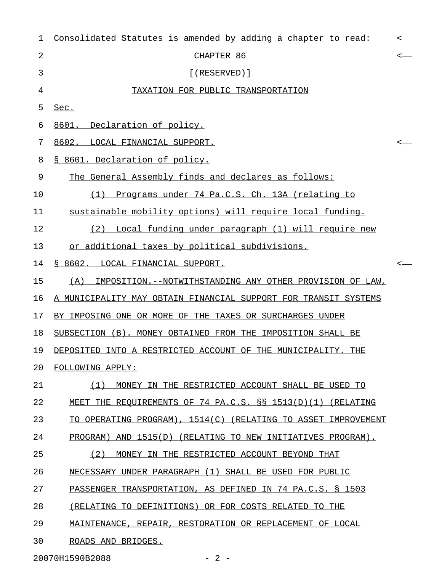| $\mathbf 1$    | Consolidated Statutes is amended by adding a chapter to read:   | $\leftarrow$ |
|----------------|-----------------------------------------------------------------|--------------|
| $\overline{2}$ | CHAPTER 86                                                      | $\leftarrow$ |
| 3              | $[$ (RESERVED)]                                                 |              |
| 4              | TAXATION FOR PUBLIC TRANSPORTATION                              |              |
| 5              | Sec.                                                            |              |
| 6              | 8601. Declaration of policy.                                    |              |
| 7              | 8602. LOCAL FINANCIAL SUPPORT.                                  | $\leftarrow$ |
| 8              | § 8601. Declaration of policy.                                  |              |
| 9              | The General Assembly finds and declares as follows:             |              |
| 10             | Programs under 74 Pa.C.S. Ch. 13A (relating to<br>(1)           |              |
| 11             | sustainable mobility options) will require local funding.       |              |
| 12             | (2) Local funding under paragraph (1) will require new          |              |
| 13             | or additional taxes by political subdivisions.                  |              |
| 14             | § 8602. LOCAL FINANCIAL SUPPORT.                                | $\leftarrow$ |
| 15             | IMPOSITION.--NOTWITHSTANDING ANY OTHER PROVISION OF LAW,<br>(A) |              |
| 16             | A MUNICIPALITY MAY OBTAIN FINANCIAL SUPPORT FOR TRANSIT SYSTEMS |              |
| 17             | BY IMPOSING ONE OR MORE OF THE TAXES OR SURCHARGES UNDER        |              |
| 18             | SUBSECTION (B). MONEY OBTAINED FROM THE IMPOSITION SHALL BE     |              |
| 19             | DEPOSITED INTO A RESTRICTED ACCOUNT OF THE MUNICIPALITY. THE    |              |
| 20             | FOLLOWING APPLY:                                                |              |
| 21             | (1)<br>MONEY IN THE RESTRICTED ACCOUNT SHALL BE USED TO         |              |
| 22             | MEET THE REQUIREMENTS OF 74 PA.C.S. §§ 1513(D)(1) (RELATING     |              |
| 23             | TO OPERATING PROGRAM), 1514(C) (RELATING TO ASSET IMPROVEMENT   |              |
| 24             | PROGRAM) AND 1515(D) (RELATING TO NEW INITIATIVES PROGRAM).     |              |
| 25             | (2)<br>MONEY IN THE RESTRICTED ACCOUNT BEYOND THAT              |              |
| 26             | NECESSARY UNDER PARAGRAPH (1) SHALL BE USED FOR PUBLIC          |              |
| 27             | PASSENGER TRANSPORTATION, AS DEFINED IN 74 PA.C.S. § 1503       |              |
| 28             | (RELATING TO DEFINITIONS) OR FOR COSTS RELATED TO THE           |              |
| 29             | MAINTENANCE, REPAIR, RESTORATION OR REPLACEMENT OF LOCAL        |              |
| 30             | ROADS AND BRIDGES.                                              |              |

20070H1590B2088 - 2 -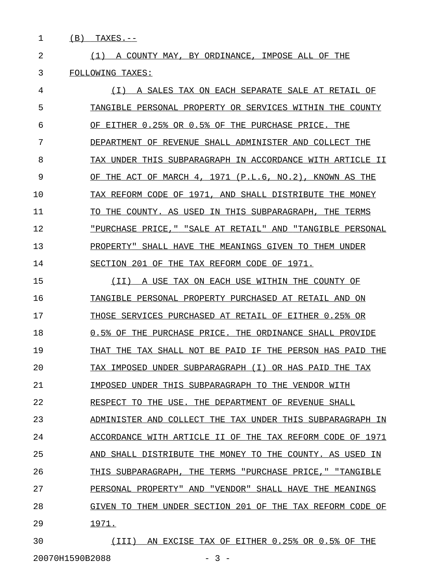1 (B) TAXES.--

2 1 1) A COUNTY MAY, BY ORDINANCE, IMPOSE ALL OF THE 3 FOLLOWING TAXES:

4 (I) A SALES TAX ON EACH SEPARATE SALE AT RETAIL OF 5 TANGIBLE PERSONAL PROPERTY OR SERVICES WITHIN THE COUNTY  $6$  OF EITHER  $0.25$ % OR  $0.5$ % OF THE PURCHASE PRICE. THE 7 DEPARTMENT OF REVENUE SHALL ADMINISTER AND COLLECT THE 8 TAX UNDER THIS SUBPARAGRAPH IN ACCORDANCE WITH ARTICLE II 9 OF THE ACT OF MARCH 4, 1971 (P.L.6, NO.2), KNOWN AS THE 10 TAX REFORM CODE OF 1971, AND SHALL DISTRIBUTE THE MONEY 11 TO THE COUNTY. AS USED IN THIS SUBPARAGRAPH, THE TERMS 12 "PURCHASE PRICE," "SALE AT RETAIL" AND "TANGIBLE PERSONAL 13 PROPERTY" SHALL HAVE THE MEANINGS GIVEN TO THEM UNDER 14 SECTION 201 OF THE TAX REFORM CODE OF 1971.

15 (II) A USE TAX ON EACH USE WITHIN THE COUNTY OF \_\_\_\_\_\_\_\_\_\_\_\_\_\_\_\_\_\_\_\_\_\_\_\_\_\_\_\_\_\_\_\_\_\_\_\_\_\_\_\_\_\_\_\_\_\_\_\_ 16 TANGIBLE PERSONAL PROPERTY PURCHASED AT RETAIL AND ON 17 THOSE SERVICES PURCHASED AT RETAIL OF EITHER 0.25% OR 18 0.5% OF THE PURCHASE PRICE. THE ORDINANCE SHALL PROVIDE 19 THAT THE TAX SHALL NOT BE PAID IF THE PERSON HAS PAID THE 20 TAX IMPOSED UNDER SUBPARAGRAPH (I) OR HAS PAID THE TAX 21 IMPOSED UNDER THIS SUBPARAGRAPH TO THE VENDOR WITH 22 RESPECT TO THE USE. THE DEPARTMENT OF REVENUE SHALL 23 ADMINISTER AND COLLECT THE TAX UNDER THIS SUBPARAGRAPH IN 24 ACCORDANCE WITH ARTICLE II OF THE TAX REFORM CODE OF 1971 25 AND SHALL DISTRIBUTE THE MONEY TO THE COUNTY. AS USED IN 26 THIS SUBPARAGRAPH, THE TERMS "PURCHASE PRICE," "TANGIBLE 27 PERSONAL PROPERTY" AND "VENDOR" SHALL HAVE THE MEANINGS 28 GIVEN TO THEM UNDER SECTION 201 OF THE TAX REFORM CODE OF 29 1971. \_\_\_\_\_

30 (III) AN EXCISE TAX OF EITHER 0.25% OR 0.5% OF THE 20070H1590B2088 - 3 -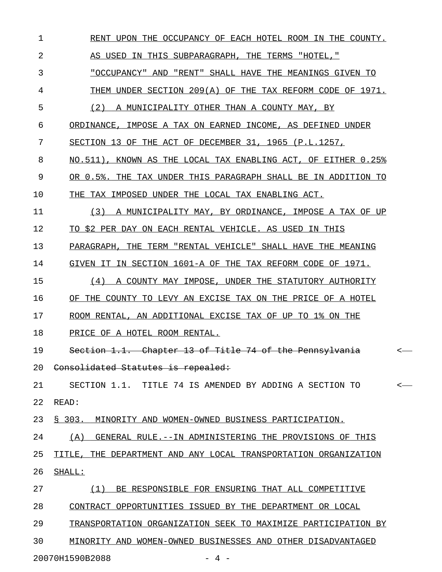| $\mathbf 1$ | RENT UPON THE OCCUPANCY OF EACH HOTEL ROOM IN THE COUNTY.          |
|-------------|--------------------------------------------------------------------|
| 2           | AS USED IN THIS SUBPARAGRAPH, THE TERMS "HOTEL,"                   |
| 3           | "OCCUPANCY" AND "RENT" SHALL HAVE THE MEANINGS GIVEN TO            |
| 4           | THEM UNDER SECTION 209(A) OF THE TAX REFORM CODE OF 1971.          |
| 5           | (2)<br>A MUNICIPALITY OTHER THAN A COUNTY MAY, BY                  |
| 6           | ORDINANCE, IMPOSE A TAX ON EARNED INCOME, AS DEFINED UNDER         |
| 7           | SECTION 13 OF THE ACT OF DECEMBER 31, 1965 (P.L.1257,              |
| 8           | NO.511), KNOWN AS THE LOCAL TAX ENABLING ACT, OF EITHER 0.25%      |
| 9           | OR 0.5%. THE TAX UNDER THIS PARAGRAPH SHALL BE IN ADDITION TO      |
| 10          | THE TAX IMPOSED UNDER THE LOCAL TAX ENABLING ACT.                  |
| 11          | (3)<br>A MUNICIPALITY MAY, BY ORDINANCE, IMPOSE A TAX OF UP        |
| 12          | TO \$2 PER DAY ON EACH RENTAL VEHICLE. AS USED IN THIS             |
| 13          | PARAGRAPH, THE TERM "RENTAL VEHICLE" SHALL HAVE THE MEANING        |
| 14          | GIVEN IT IN SECTION 1601-A OF THE TAX REFORM CODE OF 1971.         |
| 15          | A COUNTY MAY IMPOSE, UNDER THE STATUTORY AUTHORITY<br>(4)          |
| 16          | OF THE COUNTY TO LEVY AN EXCISE TAX ON THE PRICE OF A HOTEL        |
| 17          | ROOM RENTAL, AN ADDITIONAL EXCISE TAX OF UP TO 1% ON THE           |
| 18          | PRICE OF A HOTEL ROOM RENTAL.                                      |
| 19          | Section 1.1. Chapter 13 of Title 74 of the Pennsylvania<br>$\,<\,$ |
| 20          | Consolidated Statutes is repealed:                                 |
| 21          | SECTION 1.1. TITLE 74 IS AMENDED BY ADDING A SECTION TO<br>$\,<\,$ |
| 22          | READ:                                                              |
| 23          | § 303. MINORITY AND WOMEN-OWNED BUSINESS PARTICIPATION.            |
| 24          | (A) GENERAL RULE. --IN ADMINISTERING THE PROVISIONS OF THIS        |
| 25          | TITLE, THE DEPARTMENT AND ANY LOCAL TRANSPORTATION ORGANIZATION    |
| 26          | SHALL:                                                             |
| 27          | (1) BE RESPONSIBLE FOR ENSURING THAT ALL COMPETITIVE               |
| 28          | CONTRACT OPPORTUNITIES ISSUED BY THE DEPARTMENT OR LOCAL           |
| 29          | TRANSPORTATION ORGANIZATION SEEK TO MAXIMIZE PARTICIPATION BY      |
| 30          | MINORITY AND WOMEN-OWNED BUSINESSES AND OTHER DISADVANTAGED        |

20070H1590B2088 - 4 -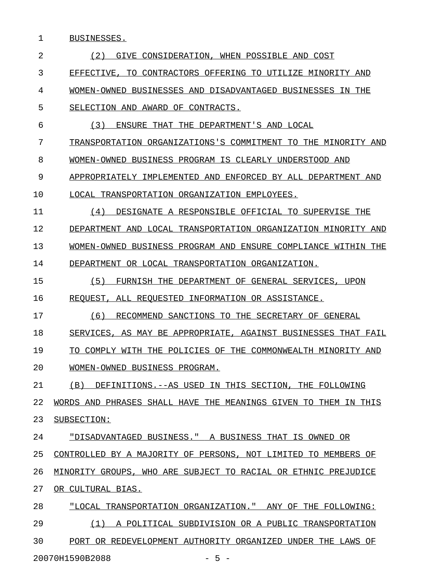1 BUSINESSES.

| $\overline{2}$ | (2)<br>GIVE<br>CONSIDERATION<br>WHEN POSSIBLE AND COST                     |
|----------------|----------------------------------------------------------------------------|
| 3              | CONTRACTORS OFFERING<br><b>EFFECTIVE</b><br>TO.<br>TO UTILIZE MINORITY AND |
| 4              | BUSINESSES AND DISADVANTAGED BUSINESSES IN THE<br>WOMEN-OWNED              |
| 5              | AWARD OF CONTRACTS.<br>SELECTION AND                                       |
| 6              | (3)<br>DEPARTMENT'S AND LOCAL<br>ENSURE<br>THAT<br>THE                     |
| 7              | TRANSPORTATION ORGANIZATIONS'S COMMITMENT<br>THE.<br>MINORITY AND<br>TO    |
| 8              | BUSINESS PROGRAM IS CLEARLY UNDERSTOOD AND<br>WOMEN-OWNED                  |
| 9              | APPROPRIATELY IMPLEMENTED AND<br>ENFORCED BY ALL DEPARTMENT AND            |
| 10             | TRANSPORTATION ORGANIZATION EMPLOYEES.<br>TJOCATL.                         |
| 11             | (4)<br>DESIGNATE A RESPONSIBLE OFFICIAL TO SUPERVISE THE                   |
| 12             | DEPARTMENT AND LOCAL TRANSPORTATION ORGANIZATION MINORITY AND              |
| 13             | BUSINESS PROGRAM AND ENSURE COMPLIANCE<br>THE<br>WOMEN-OWNED<br>WITHIN     |
| 14             | DEPARTMENT OR LOCAL TRANSPORTATION ORGANIZATION.                           |
| 15             | (5)<br>FURNISH THE<br>DEPARTMENT OF<br>GENERAL SERVICES,<br>UPON           |
| 16             | REOUEST<br>ALL REOUESTED INFORMATION OR ASSISTANCE.                        |
| 17             | (6)<br>SANCTIONS TO THE<br>RECOMMEND<br>SECRETARY OF GENERAL               |
| 18             | SERVICES,<br>AGAINST BUSINESSES THAT<br>FAIL<br>AS MAY BE<br>APPROPRIATE,  |
| 19             | POLICIES OF THE COMMONWEALTH MINORITY AND<br>TO COMPLY WITH THE            |
| 20             | WOMEN-OWNED BUSINESS PROGRAM.                                              |
| 21             | (B) DEFINITIONS. --AS USED IN THIS SECTION, THE FOLLOWING                  |
| 22             | WORDS AND PHRASES SHALL HAVE THE MEANINGS GIVEN TO THEM IN THIS            |
| 23             | SUBSECTION:                                                                |
| 24             | "DISADVANTAGED BUSINESS." A BUSINESS THAT IS OWNED OR                      |
| 25             | CONTROLLED BY A MAJORITY OF PERSONS, NOT LIMITED TO MEMBERS OF             |
| 26             | MINORITY GROUPS, WHO ARE SUBJECT TO RACIAL OR ETHNIC PREJUDICE             |
| 27             | OR CULTURAL BIAS.                                                          |
| 28             | "LOCAL TRANSPORTATION ORGANIZATION." ANY OF THE FOLLOWING:                 |
| 29             | (1) A POLITICAL SUBDIVISION OR A PUBLIC TRANSPORTATION                     |
| 30             | PORT OR REDEVELOPMENT AUTHORITY ORGANIZED UNDER THE LAWS OF                |
|                | 20070H1590B2088<br>$-5 -$                                                  |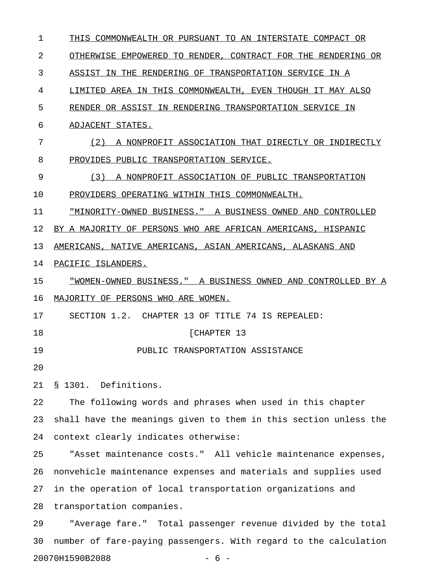1 THIS COMMONWEALTH OR PURSUANT TO AN INTERSTATE COMPACT OR 2 OTHERWISE EMPOWERED TO RENDER, CONTRACT FOR THE RENDERING OR 3 ASSIST IN THE RENDERING OF TRANSPORTATION SERVICE IN A 4 LIMITED AREA IN THIS COMMONWEALTH, EVEN THOUGH IT MAY ALSO 5 RENDER OR ASSIST IN RENDERING TRANSPORTATION SERVICE IN 6 ADJACENT STATES. 7 (2) A NONPROFIT ASSOCIATION THAT DIRECTLY OR INDIRECTLY 8 PROVIDES PUBLIC TRANSPORTATION SERVICE. 9 (3) A NONPROFIT ASSOCIATION OF PUBLIC TRANSPORTATION 10 PROVIDERS OPERATING WITHIN THIS COMMONWEALTH. 11 "MINORITY-OWNED BUSINESS." A BUSINESS OWNED AND CONTROLLED 12 BY A MAJORITY OF PERSONS WHO ARE AFRICAN AMERICANS, HISPANIC 13 AMERICANS, NATIVE AMERICANS, ASIAN AMERICANS, ALASKANS AND 14 PACIFIC ISLANDERS. 15 <u>"WOMEN-OWNED BUSINESS."</u> A BUSINESS OWNED AND CONTROLLED BY A 16 MAJORITY OF PERSONS WHO ARE WOMEN. 17 SECTION 1.2. CHAPTER 13 OF TITLE 74 IS REPEALED: 18 [CHAPTER 13] 19 PUBLIC TRANSPORTATION ASSISTANCE 20 21 § 1301. Definitions. 22 The following words and phrases when used in this chapter 23 shall have the meanings given to them in this section unless the 24 context clearly indicates otherwise: 25 "Asset maintenance costs." All vehicle maintenance expenses, 26 nonvehicle maintenance expenses and materials and supplies used 27 in the operation of local transportation organizations and 28 transportation companies. 29 "Average fare." Total passenger revenue divided by the total 30 number of fare-paying passengers. With regard to the calculation

20070H1590B2088 - 6 -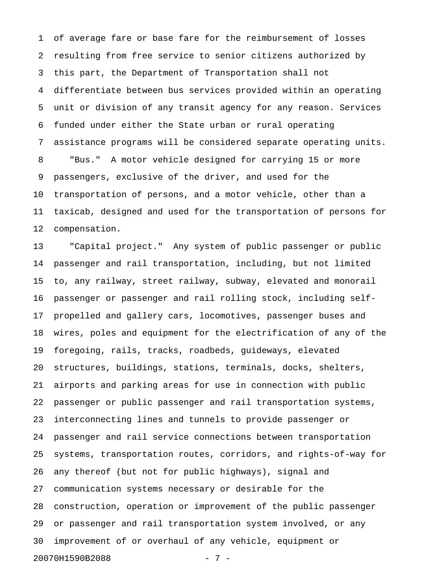1 of average fare or base fare for the reimbursement of losses 2 resulting from free service to senior citizens authorized by 3 this part, the Department of Transportation shall not 4 differentiate between bus services provided within an operating 5 unit or division of any transit agency for any reason. Services 6 funded under either the State urban or rural operating 7 assistance programs will be considered separate operating units. 8 "Bus." A motor vehicle designed for carrying 15 or more 9 passengers, exclusive of the driver, and used for the 10 transportation of persons, and a motor vehicle, other than a 11 taxicab, designed and used for the transportation of persons for 12 compensation.

13 "Capital project." Any system of public passenger or public 14 passenger and rail transportation, including, but not limited 15 to, any railway, street railway, subway, elevated and monorail 16 passenger or passenger and rail rolling stock, including self-17 propelled and gallery cars, locomotives, passenger buses and 18 wires, poles and equipment for the electrification of any of the 19 foregoing, rails, tracks, roadbeds, guideways, elevated 20 structures, buildings, stations, terminals, docks, shelters, 21 airports and parking areas for use in connection with public 22 passenger or public passenger and rail transportation systems, 23 interconnecting lines and tunnels to provide passenger or 24 passenger and rail service connections between transportation 25 systems, transportation routes, corridors, and rights-of-way for 26 any thereof (but not for public highways), signal and 27 communication systems necessary or desirable for the 28 construction, operation or improvement of the public passenger 29 or passenger and rail transportation system involved, or any 30 improvement of or overhaul of any vehicle, equipment or 20070H1590B2088 - 7 -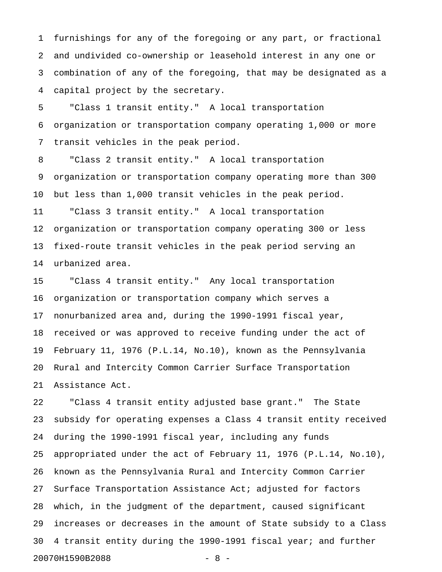1 furnishings for any of the foregoing or any part, or fractional 2 and undivided co-ownership or leasehold interest in any one or 3 combination of any of the foregoing, that may be designated as a 4 capital project by the secretary.

5 "Class 1 transit entity." A local transportation 6 organization or transportation company operating 1,000 or more 7 transit vehicles in the peak period.

8 "Class 2 transit entity." A local transportation 9 organization or transportation company operating more than 300 10 but less than 1,000 transit vehicles in the peak period. 11 "Class 3 transit entity." A local transportation 12 organization or transportation company operating 300 or less 13 fixed-route transit vehicles in the peak period serving an 14 urbanized area.

15 "Class 4 transit entity." Any local transportation 16 organization or transportation company which serves a 17 nonurbanized area and, during the 1990-1991 fiscal year, 18 received or was approved to receive funding under the act of 19 February 11, 1976 (P.L.14, No.10), known as the Pennsylvania 20 Rural and Intercity Common Carrier Surface Transportation 21 Assistance Act.

22 "Class 4 transit entity adjusted base grant." The State 23 subsidy for operating expenses a Class 4 transit entity received 24 during the 1990-1991 fiscal year, including any funds 25 appropriated under the act of February 11, 1976 (P.L.14, No.10), 26 known as the Pennsylvania Rural and Intercity Common Carrier 27 Surface Transportation Assistance Act; adjusted for factors 28 which, in the judgment of the department, caused significant 29 increases or decreases in the amount of State subsidy to a Class 30 4 transit entity during the 1990-1991 fiscal year; and further 20070H1590B2088 - 8 -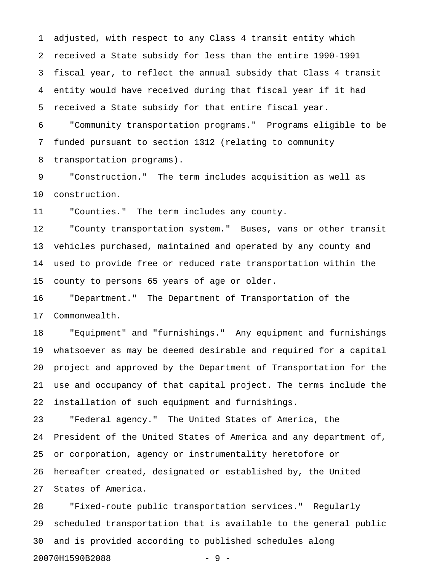1 adjusted, with respect to any Class 4 transit entity which 2 received a State subsidy for less than the entire 1990-1991 3 fiscal year, to reflect the annual subsidy that Class 4 transit 4 entity would have received during that fiscal year if it had 5 received a State subsidy for that entire fiscal year.

6 "Community transportation programs." Programs eligible to be 7 funded pursuant to section 1312 (relating to community 8 transportation programs).

9 "Construction." The term includes acquisition as well as 10 construction.

11 "Counties." The term includes any county.

12 "County transportation system." Buses, vans or other transit 13 vehicles purchased, maintained and operated by any county and 14 used to provide free or reduced rate transportation within the 15 county to persons 65 years of age or older.

16 "Department." The Department of Transportation of the 17 Commonwealth.

18 "Equipment" and "furnishings." Any equipment and furnishings 19 whatsoever as may be deemed desirable and required for a capital 20 project and approved by the Department of Transportation for the 21 use and occupancy of that capital project. The terms include the 22 installation of such equipment and furnishings.

23 "Federal agency." The United States of America, the 24 President of the United States of America and any department of, 25 or corporation, agency or instrumentality heretofore or 26 hereafter created, designated or established by, the United 27 States of America.

28 "Fixed-route public transportation services." Regularly 29 scheduled transportation that is available to the general public 30 and is provided according to published schedules along 20070H1590B2088 - 9 -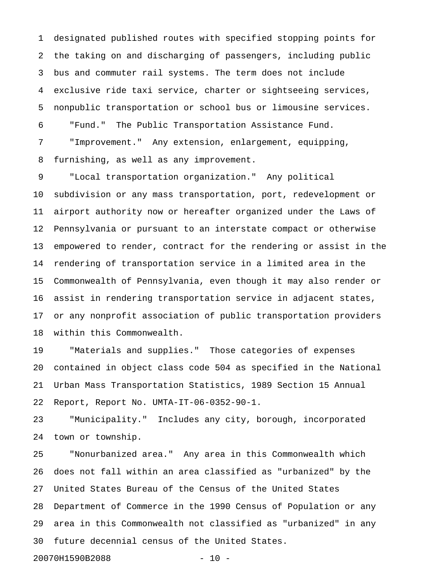1 designated published routes with specified stopping points for 2 the taking on and discharging of passengers, including public 3 bus and commuter rail systems. The term does not include 4 exclusive ride taxi service, charter or sightseeing services, 5 nonpublic transportation or school bus or limousine services. 6 "Fund." The Public Transportation Assistance Fund. 7 "Improvement." Any extension, enlargement, equipping, 8 furnishing, as well as any improvement.

9 "Local transportation organization." Any political 10 subdivision or any mass transportation, port, redevelopment or 11 airport authority now or hereafter organized under the Laws of 12 Pennsylvania or pursuant to an interstate compact or otherwise 13 empowered to render, contract for the rendering or assist in the 14 rendering of transportation service in a limited area in the 15 Commonwealth of Pennsylvania, even though it may also render or 16 assist in rendering transportation service in adjacent states, 17 or any nonprofit association of public transportation providers 18 within this Commonwealth.

19 "Materials and supplies." Those categories of expenses 20 contained in object class code 504 as specified in the National 21 Urban Mass Transportation Statistics, 1989 Section 15 Annual 22 Report, Report No. UMTA-IT-06-0352-90-1.

23 "Municipality." Includes any city, borough, incorporated 24 town or township.

25 "Nonurbanized area." Any area in this Commonwealth which 26 does not fall within an area classified as "urbanized" by the 27 United States Bureau of the Census of the United States 28 Department of Commerce in the 1990 Census of Population or any 29 area in this Commonwealth not classified as "urbanized" in any 30 future decennial census of the United States.

20070H1590B2088 - 10 -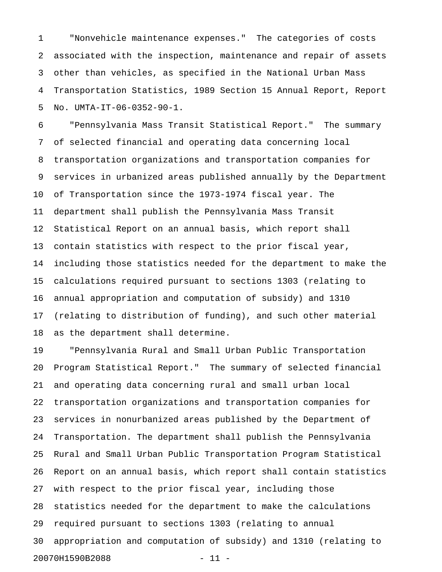1 "Nonvehicle maintenance expenses." The categories of costs 2 associated with the inspection, maintenance and repair of assets 3 other than vehicles, as specified in the National Urban Mass 4 Transportation Statistics, 1989 Section 15 Annual Report, Report 5 No. UMTA-IT-06-0352-90-1.

6 "Pennsylvania Mass Transit Statistical Report." The summary 7 of selected financial and operating data concerning local 8 transportation organizations and transportation companies for 9 services in urbanized areas published annually by the Department 10 of Transportation since the 1973-1974 fiscal year. The 11 department shall publish the Pennsylvania Mass Transit 12 Statistical Report on an annual basis, which report shall 13 contain statistics with respect to the prior fiscal year, 14 including those statistics needed for the department to make the 15 calculations required pursuant to sections 1303 (relating to 16 annual appropriation and computation of subsidy) and 1310 17 (relating to distribution of funding), and such other material 18 as the department shall determine.

19 "Pennsylvania Rural and Small Urban Public Transportation 20 Program Statistical Report." The summary of selected financial 21 and operating data concerning rural and small urban local 22 transportation organizations and transportation companies for 23 services in nonurbanized areas published by the Department of 24 Transportation. The department shall publish the Pennsylvania 25 Rural and Small Urban Public Transportation Program Statistical 26 Report on an annual basis, which report shall contain statistics 27 with respect to the prior fiscal year, including those 28 statistics needed for the department to make the calculations 29 required pursuant to sections 1303 (relating to annual 30 appropriation and computation of subsidy) and 1310 (relating to 20070H1590B2088 - 11 -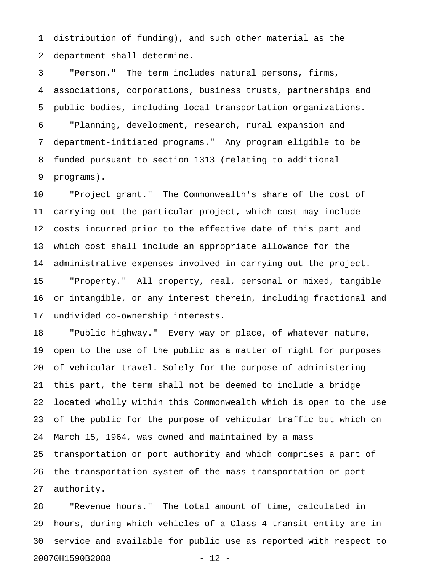1 distribution of funding), and such other material as the 2 department shall determine.

3 "Person." The term includes natural persons, firms, 4 associations, corporations, business trusts, partnerships and 5 public bodies, including local transportation organizations. 6 "Planning, development, research, rural expansion and 7 department-initiated programs." Any program eligible to be 8 funded pursuant to section 1313 (relating to additional 9 programs).

10 "Project grant." The Commonwealth's share of the cost of 11 carrying out the particular project, which cost may include 12 costs incurred prior to the effective date of this part and 13 which cost shall include an appropriate allowance for the 14 administrative expenses involved in carrying out the project. 15 "Property." All property, real, personal or mixed, tangible 16 or intangible, or any interest therein, including fractional and 17 undivided co-ownership interests.

18 "Public highway." Every way or place, of whatever nature, 19 open to the use of the public as a matter of right for purposes 20 of vehicular travel. Solely for the purpose of administering 21 this part, the term shall not be deemed to include a bridge 22 located wholly within this Commonwealth which is open to the use 23 of the public for the purpose of vehicular traffic but which on 24 March 15, 1964, was owned and maintained by a mass 25 transportation or port authority and which comprises a part of 26 the transportation system of the mass transportation or port 27 authority.

28 "Revenue hours." The total amount of time, calculated in 29 hours, during which vehicles of a Class 4 transit entity are in 30 service and available for public use as reported with respect to 20070H1590B2088 - 12 -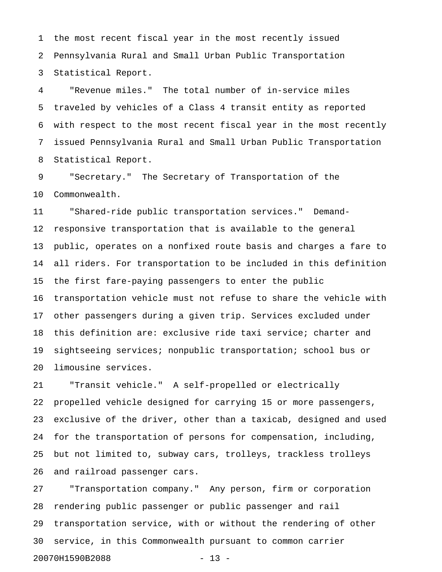1 the most recent fiscal year in the most recently issued 2 Pennsylvania Rural and Small Urban Public Transportation 3 Statistical Report.

4 "Revenue miles." The total number of in-service miles 5 traveled by vehicles of a Class 4 transit entity as reported 6 with respect to the most recent fiscal year in the most recently 7 issued Pennsylvania Rural and Small Urban Public Transportation 8 Statistical Report.

9 "Secretary." The Secretary of Transportation of the 10 Commonwealth.

11 "Shared-ride public transportation services." Demand-12 responsive transportation that is available to the general 13 public, operates on a nonfixed route basis and charges a fare to 14 all riders. For transportation to be included in this definition 15 the first fare-paying passengers to enter the public 16 transportation vehicle must not refuse to share the vehicle with 17 other passengers during a given trip. Services excluded under 18 this definition are: exclusive ride taxi service; charter and 19 sightseeing services; nonpublic transportation; school bus or 20 limousine services.

21 "Transit vehicle." A self-propelled or electrically 22 propelled vehicle designed for carrying 15 or more passengers, 23 exclusive of the driver, other than a taxicab, designed and used 24 for the transportation of persons for compensation, including, 25 but not limited to, subway cars, trolleys, trackless trolleys 26 and railroad passenger cars.

27 "Transportation company." Any person, firm or corporation 28 rendering public passenger or public passenger and rail 29 transportation service, with or without the rendering of other 30 service, in this Commonwealth pursuant to common carrier 20070H1590B2088 - 13 -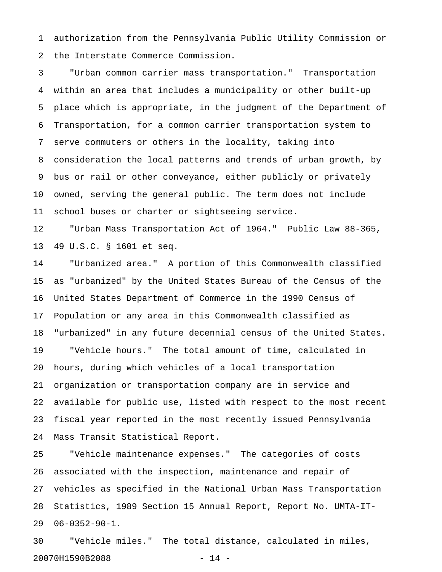1 authorization from the Pennsylvania Public Utility Commission or 2 the Interstate Commerce Commission.

3 "Urban common carrier mass transportation." Transportation 4 within an area that includes a municipality or other built-up 5 place which is appropriate, in the judgment of the Department of 6 Transportation, for a common carrier transportation system to 7 serve commuters or others in the locality, taking into 8 consideration the local patterns and trends of urban growth, by 9 bus or rail or other conveyance, either publicly or privately 10 owned, serving the general public. The term does not include 11 school buses or charter or sightseeing service.

12 "Urban Mass Transportation Act of 1964." Public Law 88-365, 13 49 U.S.C. § 1601 et seq.

14 "Urbanized area." A portion of this Commonwealth classified 15 as "urbanized" by the United States Bureau of the Census of the 16 United States Department of Commerce in the 1990 Census of 17 Population or any area in this Commonwealth classified as 18 "urbanized" in any future decennial census of the United States. 19 "Vehicle hours." The total amount of time, calculated in 20 hours, during which vehicles of a local transportation 21 organization or transportation company are in service and 22 available for public use, listed with respect to the most recent 23 fiscal year reported in the most recently issued Pennsylvania 24 Mass Transit Statistical Report.

25 "Vehicle maintenance expenses." The categories of costs 26 associated with the inspection, maintenance and repair of 27 vehicles as specified in the National Urban Mass Transportation 28 Statistics, 1989 Section 15 Annual Report, Report No. UMTA-IT-29 06-0352-90-1.

30 "Vehicle miles." The total distance, calculated in miles, 20070H1590B2088 - 14 -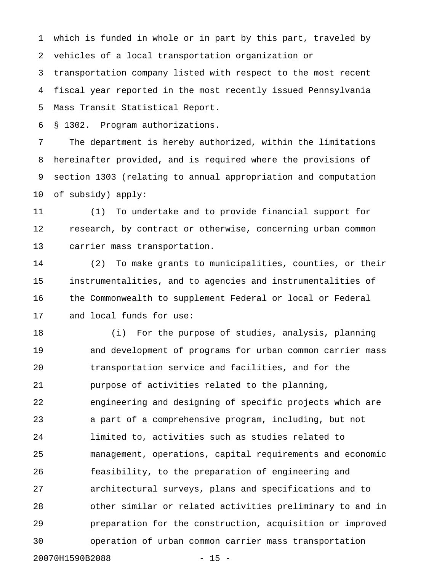1 which is funded in whole or in part by this part, traveled by 2 vehicles of a local transportation organization or

3 transportation company listed with respect to the most recent 4 fiscal year reported in the most recently issued Pennsylvania 5 Mass Transit Statistical Report.

6 § 1302. Program authorizations.

7 The department is hereby authorized, within the limitations 8 hereinafter provided, and is required where the provisions of 9 section 1303 (relating to annual appropriation and computation 10 of subsidy) apply:

11 (1) To undertake and to provide financial support for 12 research, by contract or otherwise, concerning urban common 13 carrier mass transportation.

14 (2) To make grants to municipalities, counties, or their 15 instrumentalities, and to agencies and instrumentalities of 16 the Commonwealth to supplement Federal or local or Federal 17 and local funds for use:

18 (i) For the purpose of studies, analysis, planning 19 and development of programs for urban common carrier mass 20 transportation service and facilities, and for the 21 purpose of activities related to the planning, 22 engineering and designing of specific projects which are 23 a part of a comprehensive program, including, but not 24 limited to, activities such as studies related to 25 management, operations, capital requirements and economic 26 feasibility, to the preparation of engineering and 27 architectural surveys, plans and specifications and to 28 other similar or related activities preliminary to and in 29 preparation for the construction, acquisition or improved 30 operation of urban common carrier mass transportation

20070H1590B2088 - 15 -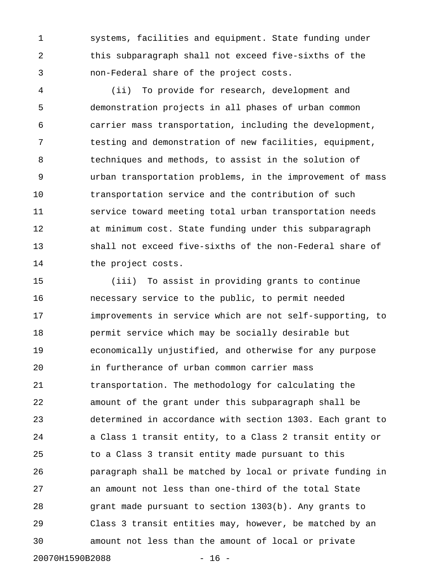1 systems, facilities and equipment. State funding under 2 this subparagraph shall not exceed five-sixths of the 3 non-Federal share of the project costs.

4 (ii) To provide for research, development and 5 demonstration projects in all phases of urban common 6 carrier mass transportation, including the development, 7 testing and demonstration of new facilities, equipment, 8 techniques and methods, to assist in the solution of 9 urban transportation problems, in the improvement of mass 10 transportation service and the contribution of such 11 service toward meeting total urban transportation needs 12 at minimum cost. State funding under this subparagraph 13 shall not exceed five-sixths of the non-Federal share of 14 the project costs.

15 (iii) To assist in providing grants to continue 16 necessary service to the public, to permit needed 17 improvements in service which are not self-supporting, to 18 permit service which may be socially desirable but 19 economically unjustified, and otherwise for any purpose 20 in furtherance of urban common carrier mass 21 transportation. The methodology for calculating the 22 amount of the grant under this subparagraph shall be 23 determined in accordance with section 1303. Each grant to 24 a Class 1 transit entity, to a Class 2 transit entity or 25 to a Class 3 transit entity made pursuant to this 26 paragraph shall be matched by local or private funding in 27 an amount not less than one-third of the total State 28 grant made pursuant to section 1303(b). Any grants to 29 Class 3 transit entities may, however, be matched by an 30 amount not less than the amount of local or private

20070H1590B2088 - 16 -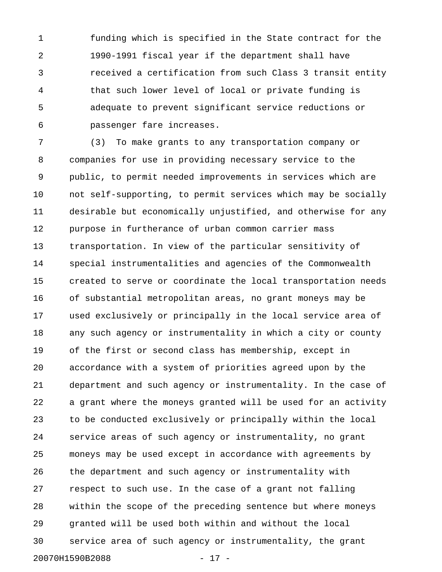1 funding which is specified in the State contract for the 2 1990-1991 fiscal year if the department shall have 3 received a certification from such Class 3 transit entity 4 that such lower level of local or private funding is 5 adequate to prevent significant service reductions or 6 passenger fare increases.

7 (3) To make grants to any transportation company or 8 companies for use in providing necessary service to the 9 public, to permit needed improvements in services which are 10 not self-supporting, to permit services which may be socially 11 desirable but economically unjustified, and otherwise for any 12 purpose in furtherance of urban common carrier mass 13 transportation. In view of the particular sensitivity of 14 special instrumentalities and agencies of the Commonwealth 15 created to serve or coordinate the local transportation needs 16 of substantial metropolitan areas, no grant moneys may be 17 used exclusively or principally in the local service area of 18 any such agency or instrumentality in which a city or county 19 of the first or second class has membership, except in 20 accordance with a system of priorities agreed upon by the 21 department and such agency or instrumentality. In the case of 22 a grant where the moneys granted will be used for an activity 23 to be conducted exclusively or principally within the local 24 service areas of such agency or instrumentality, no grant 25 moneys may be used except in accordance with agreements by 26 the department and such agency or instrumentality with 27 respect to such use. In the case of a grant not falling 28 within the scope of the preceding sentence but where moneys 29 granted will be used both within and without the local 30 service area of such agency or instrumentality, the grant 20070H1590B2088 - 17 -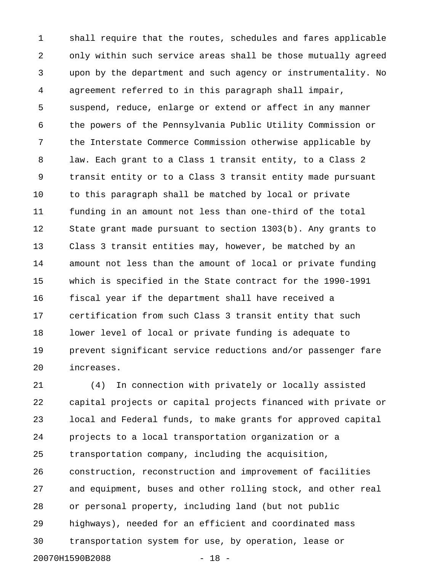1 shall require that the routes, schedules and fares applicable 2 only within such service areas shall be those mutually agreed 3 upon by the department and such agency or instrumentality. No 4 agreement referred to in this paragraph shall impair, 5 suspend, reduce, enlarge or extend or affect in any manner 6 the powers of the Pennsylvania Public Utility Commission or 7 the Interstate Commerce Commission otherwise applicable by 8 law. Each grant to a Class 1 transit entity, to a Class 2 9 transit entity or to a Class 3 transit entity made pursuant 10 to this paragraph shall be matched by local or private 11 funding in an amount not less than one-third of the total 12 State grant made pursuant to section 1303(b). Any grants to 13 Class 3 transit entities may, however, be matched by an 14 amount not less than the amount of local or private funding 15 which is specified in the State contract for the 1990-1991 16 fiscal year if the department shall have received a 17 certification from such Class 3 transit entity that such 18 lower level of local or private funding is adequate to 19 prevent significant service reductions and/or passenger fare 20 increases.

21 (4) In connection with privately or locally assisted 22 capital projects or capital projects financed with private or 23 local and Federal funds, to make grants for approved capital 24 projects to a local transportation organization or a 25 transportation company, including the acquisition, 26 construction, reconstruction and improvement of facilities 27 and equipment, buses and other rolling stock, and other real 28 or personal property, including land (but not public 29 highways), needed for an efficient and coordinated mass 30 transportation system for use, by operation, lease or 20070H1590B2088 - 18 -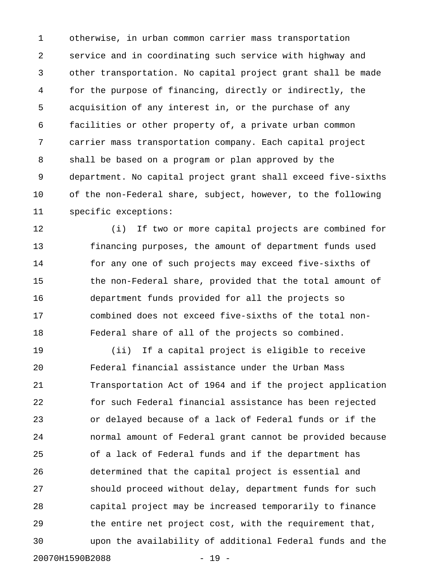1 otherwise, in urban common carrier mass transportation 2 service and in coordinating such service with highway and 3 other transportation. No capital project grant shall be made 4 for the purpose of financing, directly or indirectly, the 5 acquisition of any interest in, or the purchase of any 6 facilities or other property of, a private urban common 7 carrier mass transportation company. Each capital project 8 shall be based on a program or plan approved by the 9 department. No capital project grant shall exceed five-sixths 10 of the non-Federal share, subject, however, to the following 11 specific exceptions:

12 (i) If two or more capital projects are combined for 13 financing purposes, the amount of department funds used 14 for any one of such projects may exceed five-sixths of 15 the non-Federal share, provided that the total amount of 16 department funds provided for all the projects so 17 combined does not exceed five-sixths of the total non-18 Federal share of all of the projects so combined.

19 (ii) If a capital project is eligible to receive 20 Federal financial assistance under the Urban Mass 21 Transportation Act of 1964 and if the project application 22 for such Federal financial assistance has been rejected 23 or delayed because of a lack of Federal funds or if the 24 normal amount of Federal grant cannot be provided because 25 of a lack of Federal funds and if the department has 26 determined that the capital project is essential and 27 should proceed without delay, department funds for such 28 capital project may be increased temporarily to finance 29 the entire net project cost, with the requirement that, 30 upon the availability of additional Federal funds and the 20070H1590B2088 - 19 -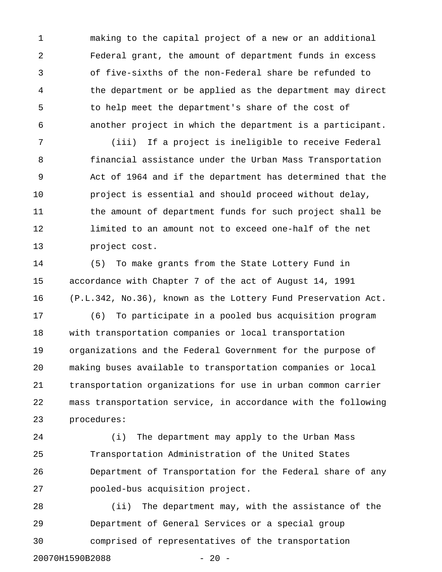1 making to the capital project of a new or an additional 2 Federal grant, the amount of department funds in excess 3 of five-sixths of the non-Federal share be refunded to 4 the department or be applied as the department may direct 5 to help meet the department's share of the cost of 6 another project in which the department is a participant.

7 (iii) If a project is ineligible to receive Federal 8 financial assistance under the Urban Mass Transportation 9 Act of 1964 and if the department has determined that the 10 project is essential and should proceed without delay, 11 the amount of department funds for such project shall be 12 limited to an amount not to exceed one-half of the net 13 project cost.

14 (5) To make grants from the State Lottery Fund in 15 accordance with Chapter 7 of the act of August 14, 1991 16 (P.L.342, No.36), known as the Lottery Fund Preservation Act.

17 (6) To participate in a pooled bus acquisition program 18 with transportation companies or local transportation 19 organizations and the Federal Government for the purpose of 20 making buses available to transportation companies or local 21 transportation organizations for use in urban common carrier 22 mass transportation service, in accordance with the following 23 procedures:

24 (i) The department may apply to the Urban Mass 25 Transportation Administration of the United States 26 Department of Transportation for the Federal share of any 27 pooled-bus acquisition project.

28 (ii) The department may, with the assistance of the 29 Department of General Services or a special group 30 comprised of representatives of the transportation 20070H1590B2088 - 20 -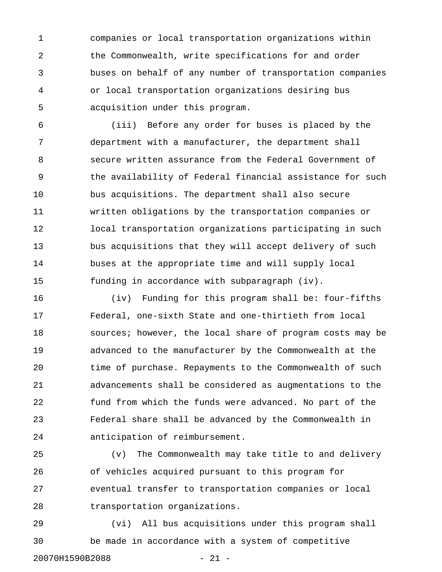1 companies or local transportation organizations within 2 the Commonwealth, write specifications for and order 3 buses on behalf of any number of transportation companies 4 or local transportation organizations desiring bus 5 acquisition under this program.

6 (iii) Before any order for buses is placed by the 7 department with a manufacturer, the department shall 8 secure written assurance from the Federal Government of 9 the availability of Federal financial assistance for such 10 bus acquisitions. The department shall also secure 11 written obligations by the transportation companies or 12 local transportation organizations participating in such 13 bus acquisitions that they will accept delivery of such 14 buses at the appropriate time and will supply local 15 funding in accordance with subparagraph (iv).

16 (iv) Funding for this program shall be: four-fifths 17 Federal, one-sixth State and one-thirtieth from local 18 sources; however, the local share of program costs may be 19 advanced to the manufacturer by the Commonwealth at the 20 time of purchase. Repayments to the Commonwealth of such 21 advancements shall be considered as augmentations to the 22 fund from which the funds were advanced. No part of the 23 Federal share shall be advanced by the Commonwealth in 24 anticipation of reimbursement.

25 (v) The Commonwealth may take title to and delivery 26 of vehicles acquired pursuant to this program for 27 eventual transfer to transportation companies or local 28 transportation organizations.

29 (vi) All bus acquisitions under this program shall 30 be made in accordance with a system of competitive 20070H1590B2088 - 21 -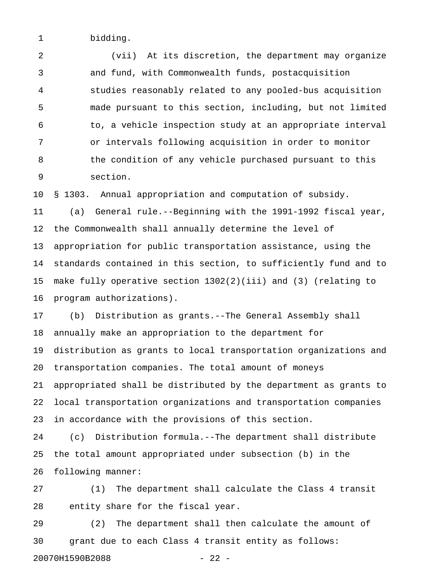1 bidding.

2 (vii) At its discretion, the department may organize 3 and fund, with Commonwealth funds, postacquisition 4 studies reasonably related to any pooled-bus acquisition 5 made pursuant to this section, including, but not limited 6 to, a vehicle inspection study at an appropriate interval 7 or intervals following acquisition in order to monitor 8 the condition of any vehicle purchased pursuant to this 9 section.

10 § 1303. Annual appropriation and computation of subsidy.

11 (a) General rule.--Beginning with the 1991-1992 fiscal year, 12 the Commonwealth shall annually determine the level of 13 appropriation for public transportation assistance, using the 14 standards contained in this section, to sufficiently fund and to 15 make fully operative section 1302(2)(iii) and (3) (relating to 16 program authorizations).

17 (b) Distribution as grants.--The General Assembly shall 18 annually make an appropriation to the department for 19 distribution as grants to local transportation organizations and 20 transportation companies. The total amount of moneys 21 appropriated shall be distributed by the department as grants to 22 local transportation organizations and transportation companies 23 in accordance with the provisions of this section.

24 (c) Distribution formula.--The department shall distribute 25 the total amount appropriated under subsection (b) in the 26 following manner:

27 (1) The department shall calculate the Class 4 transit 28 entity share for the fiscal year.

29 (2) The department shall then calculate the amount of 30 grant due to each Class 4 transit entity as follows: 20070H1590B2088 - 22 -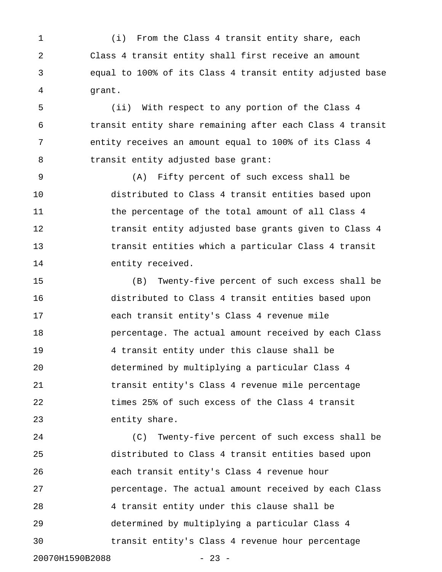1 (i) From the Class 4 transit entity share, each 2 Class 4 transit entity shall first receive an amount 3 equal to 100% of its Class 4 transit entity adjusted base 4 grant.

5 (ii) With respect to any portion of the Class 4 6 transit entity share remaining after each Class 4 transit 7 entity receives an amount equal to 100% of its Class 4 8 transit entity adjusted base grant:

9 (A) Fifty percent of such excess shall be 10 distributed to Class 4 transit entities based upon 11 the percentage of the total amount of all Class 4 12 transit entity adjusted base grants given to Class 4 13 transit entities which a particular Class 4 transit 14 entity received.

15 (B) Twenty-five percent of such excess shall be 16 distributed to Class 4 transit entities based upon 17 each transit entity's Class 4 revenue mile 18 percentage. The actual amount received by each Class 19 4 transit entity under this clause shall be 20 determined by multiplying a particular Class 4 21 transit entity's Class 4 revenue mile percentage 22 times 25% of such excess of the Class 4 transit 23 entity share.

24 (C) Twenty-five percent of such excess shall be 25 distributed to Class 4 transit entities based upon 26 each transit entity's Class 4 revenue hour 27 percentage. The actual amount received by each Class 28 4 transit entity under this clause shall be 29 determined by multiplying a particular Class 4 30 transit entity's Class 4 revenue hour percentage 20070H1590B2088 - 23 -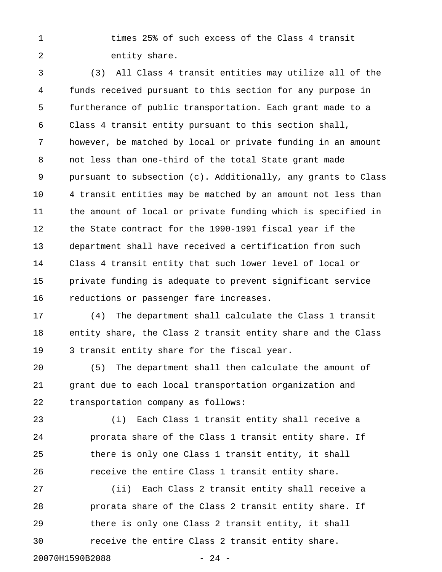1 times 25% of such excess of the Class 4 transit 2 entity share.

3 (3) All Class 4 transit entities may utilize all of the 4 funds received pursuant to this section for any purpose in 5 furtherance of public transportation. Each grant made to a 6 Class 4 transit entity pursuant to this section shall, 7 however, be matched by local or private funding in an amount 8 not less than one-third of the total State grant made 9 pursuant to subsection (c). Additionally, any grants to Class 10 4 transit entities may be matched by an amount not less than 11 the amount of local or private funding which is specified in 12 the State contract for the 1990-1991 fiscal year if the 13 department shall have received a certification from such 14 Class 4 transit entity that such lower level of local or 15 private funding is adequate to prevent significant service 16 reductions or passenger fare increases.

17 (4) The department shall calculate the Class 1 transit 18 entity share, the Class 2 transit entity share and the Class 19 3 transit entity share for the fiscal year.

20 (5) The department shall then calculate the amount of 21 grant due to each local transportation organization and 22 transportation company as follows:

23 (i) Each Class 1 transit entity shall receive a 24 prorata share of the Class 1 transit entity share. If 25 there is only one Class 1 transit entity, it shall 26 receive the entire Class 1 transit entity share.

27 (ii) Each Class 2 transit entity shall receive a 28 prorata share of the Class 2 transit entity share. If 29 there is only one Class 2 transit entity, it shall 30 receive the entire Class 2 transit entity share.

20070H1590B2088 - 24 -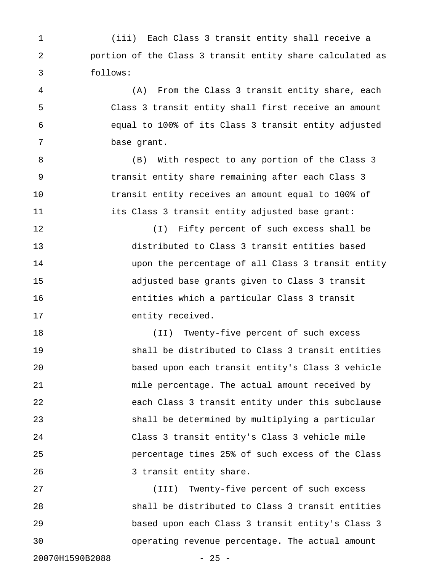1 (iii) Each Class 3 transit entity shall receive a 2 portion of the Class 3 transit entity share calculated as 3 follows:

4 (A) From the Class 3 transit entity share, each 5 Class 3 transit entity shall first receive an amount 6 equal to 100% of its Class 3 transit entity adjusted 7 base grant.

8 (B) With respect to any portion of the Class 3 9 transit entity share remaining after each Class 3 10 transit entity receives an amount equal to 100% of 11 its Class 3 transit entity adjusted base grant:

12 (I) Fifty percent of such excess shall be 13 distributed to Class 3 transit entities based 14 upon the percentage of all Class 3 transit entity 15 adjusted base grants given to Class 3 transit 16 entities which a particular Class 3 transit 17 entity received.

18 (II) Twenty-five percent of such excess 19 shall be distributed to Class 3 transit entities 20 based upon each transit entity's Class 3 vehicle 21 mile percentage. The actual amount received by 22 each Class 3 transit entity under this subclause 23 shall be determined by multiplying a particular 24 Class 3 transit entity's Class 3 vehicle mile 25 percentage times 25% of such excess of the Class 26 3 transit entity share.

27 (III) Twenty-five percent of such excess 28 shall be distributed to Class 3 transit entities 29 based upon each Class 3 transit entity's Class 3 30 operating revenue percentage. The actual amount

20070H1590B2088 - 25 -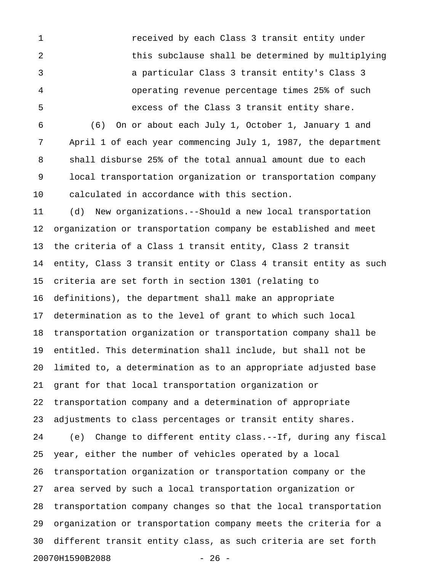1 received by each Class 3 transit entity under 2 this subclause shall be determined by multiplying 3 a particular Class 3 transit entity's Class 3 4 operating revenue percentage times 25% of such 5 excess of the Class 3 transit entity share. 6 (6) On or about each July 1, October 1, January 1 and 7 April 1 of each year commencing July 1, 1987, the department 8 shall disburse 25% of the total annual amount due to each

9 local transportation organization or transportation company 10 calculated in accordance with this section.

11 (d) New organizations.--Should a new local transportation 12 organization or transportation company be established and meet 13 the criteria of a Class 1 transit entity, Class 2 transit 14 entity, Class 3 transit entity or Class 4 transit entity as such 15 criteria are set forth in section 1301 (relating to 16 definitions), the department shall make an appropriate 17 determination as to the level of grant to which such local 18 transportation organization or transportation company shall be 19 entitled. This determination shall include, but shall not be 20 limited to, a determination as to an appropriate adjusted base 21 grant for that local transportation organization or 22 transportation company and a determination of appropriate 23 adjustments to class percentages or transit entity shares. 24 (e) Change to different entity class.--If, during any fiscal 25 year, either the number of vehicles operated by a local 26 transportation organization or transportation company or the 27 area served by such a local transportation organization or 28 transportation company changes so that the local transportation 29 organization or transportation company meets the criteria for a 30 different transit entity class, as such criteria are set forth 20070H1590B2088 - 26 -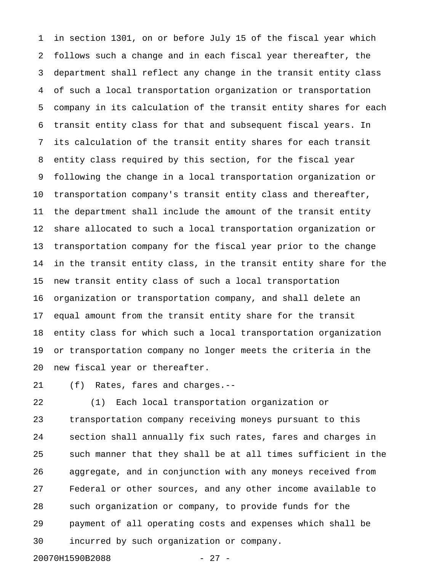1 in section 1301, on or before July 15 of the fiscal year which 2 follows such a change and in each fiscal year thereafter, the 3 department shall reflect any change in the transit entity class 4 of such a local transportation organization or transportation 5 company in its calculation of the transit entity shares for each 6 transit entity class for that and subsequent fiscal years. In 7 its calculation of the transit entity shares for each transit 8 entity class required by this section, for the fiscal year 9 following the change in a local transportation organization or 10 transportation company's transit entity class and thereafter, 11 the department shall include the amount of the transit entity 12 share allocated to such a local transportation organization or 13 transportation company for the fiscal year prior to the change 14 in the transit entity class, in the transit entity share for the 15 new transit entity class of such a local transportation 16 organization or transportation company, and shall delete an 17 equal amount from the transit entity share for the transit 18 entity class for which such a local transportation organization 19 or transportation company no longer meets the criteria in the 20 new fiscal year or thereafter.

21 (f) Rates, fares and charges.--

22 (1) Each local transportation organization or 23 transportation company receiving moneys pursuant to this 24 section shall annually fix such rates, fares and charges in 25 such manner that they shall be at all times sufficient in the 26 aggregate, and in conjunction with any moneys received from 27 Federal or other sources, and any other income available to 28 such organization or company, to provide funds for the 29 payment of all operating costs and expenses which shall be 30 incurred by such organization or company.

20070H1590B2088 - 27 -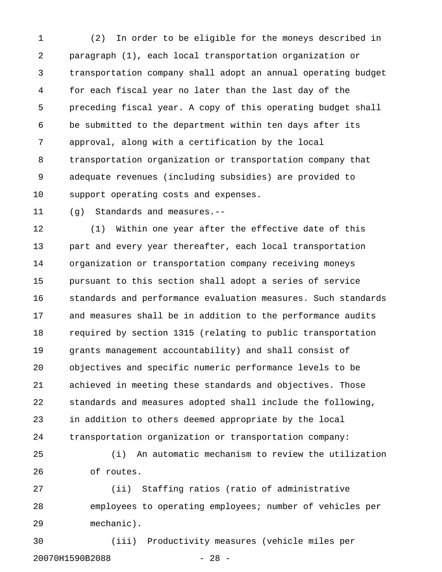1 (2) In order to be eligible for the moneys described in 2 paragraph (1), each local transportation organization or 3 transportation company shall adopt an annual operating budget 4 for each fiscal year no later than the last day of the 5 preceding fiscal year. A copy of this operating budget shall 6 be submitted to the department within ten days after its 7 approval, along with a certification by the local 8 transportation organization or transportation company that 9 adequate revenues (including subsidies) are provided to 10 support operating costs and expenses.

11 (g) Standards and measures.--

12 (1) Within one year after the effective date of this 13 part and every year thereafter, each local transportation 14 organization or transportation company receiving moneys 15 pursuant to this section shall adopt a series of service 16 standards and performance evaluation measures. Such standards 17 and measures shall be in addition to the performance audits 18 required by section 1315 (relating to public transportation 19 grants management accountability) and shall consist of 20 objectives and specific numeric performance levels to be 21 achieved in meeting these standards and objectives. Those 22 standards and measures adopted shall include the following, 23 in addition to others deemed appropriate by the local 24 transportation organization or transportation company:

25 (i) An automatic mechanism to review the utilization 26 of routes.

27 (ii) Staffing ratios (ratio of administrative 28 employees to operating employees; number of vehicles per 29 mechanic).

30 (iii) Productivity measures (vehicle miles per 20070H1590B2088 - 28 -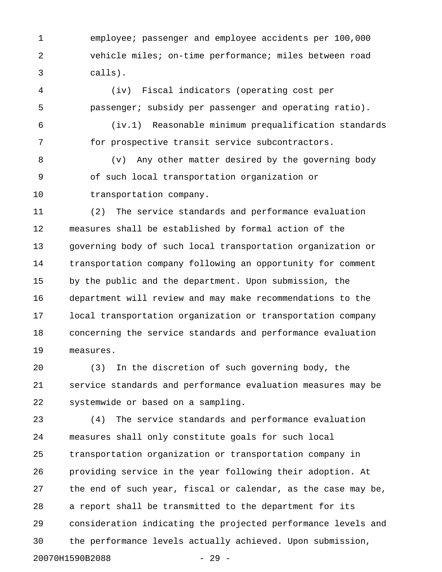1 employee; passenger and employee accidents per 100,000 2 vehicle miles; on-time performance; miles between road 3 calls).

4 (iv) Fiscal indicators (operating cost per 5 passenger; subsidy per passenger and operating ratio).

6 (iv.1) Reasonable minimum prequalification standards 7 for prospective transit service subcontractors.

8 (v) Any other matter desired by the governing body 9 of such local transportation organization or 10 transportation company.

11 (2) The service standards and performance evaluation 12 measures shall be established by formal action of the 13 governing body of such local transportation organization or 14 transportation company following an opportunity for comment 15 by the public and the department. Upon submission, the 16 department will review and may make recommendations to the 17 local transportation organization or transportation company 18 concerning the service standards and performance evaluation 19 measures.

20 (3) In the discretion of such governing body, the 21 service standards and performance evaluation measures may be 22 systemwide or based on a sampling.

23 (4) The service standards and performance evaluation 24 measures shall only constitute goals for such local 25 transportation organization or transportation company in 26 providing service in the year following their adoption. At 27 the end of such year, fiscal or calendar, as the case may be, 28 a report shall be transmitted to the department for its 29 consideration indicating the projected performance levels and 30 the performance levels actually achieved. Upon submission, 20070H1590B2088 - 29 -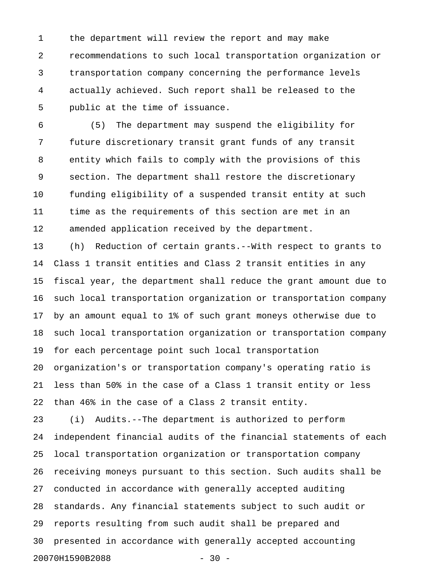1 the department will review the report and may make 2 recommendations to such local transportation organization or 3 transportation company concerning the performance levels 4 actually achieved. Such report shall be released to the 5 public at the time of issuance.

6 (5) The department may suspend the eligibility for 7 future discretionary transit grant funds of any transit 8 entity which fails to comply with the provisions of this 9 section. The department shall restore the discretionary 10 funding eligibility of a suspended transit entity at such 11 time as the requirements of this section are met in an 12 amended application received by the department.

13 (h) Reduction of certain grants.--With respect to grants to 14 Class 1 transit entities and Class 2 transit entities in any 15 fiscal year, the department shall reduce the grant amount due to 16 such local transportation organization or transportation company 17 by an amount equal to 1% of such grant moneys otherwise due to 18 such local transportation organization or transportation company 19 for each percentage point such local transportation 20 organization's or transportation company's operating ratio is 21 less than 50% in the case of a Class 1 transit entity or less 22 than 46% in the case of a Class 2 transit entity.

23 (i) Audits.--The department is authorized to perform 24 independent financial audits of the financial statements of each 25 local transportation organization or transportation company 26 receiving moneys pursuant to this section. Such audits shall be 27 conducted in accordance with generally accepted auditing 28 standards. Any financial statements subject to such audit or 29 reports resulting from such audit shall be prepared and 30 presented in accordance with generally accepted accounting 20070H1590B2088 - 30 -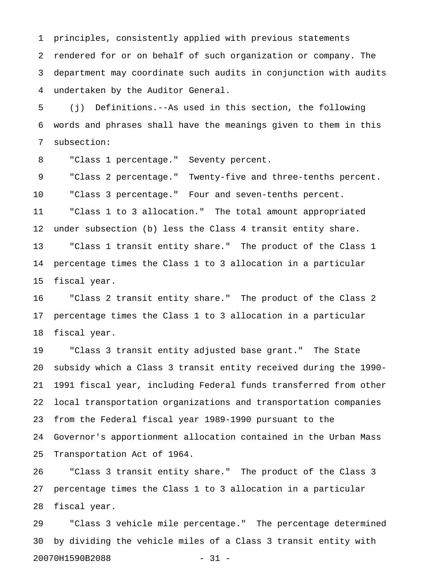1 principles, consistently applied with previous statements 2 rendered for or on behalf of such organization or company. The 3 department may coordinate such audits in conjunction with audits 4 undertaken by the Auditor General.

5 (j) Definitions.--As used in this section, the following 6 words and phrases shall have the meanings given to them in this 7 subsection:

8 "Class 1 percentage." Seventy percent.

9 "Class 2 percentage." Twenty-five and three-tenths percent. 10 "Class 3 percentage." Four and seven-tenths percent. 11 "Class 1 to 3 allocation." The total amount appropriated 12 under subsection (b) less the Class 4 transit entity share. 13 "Class 1 transit entity share." The product of the Class 1 14 percentage times the Class 1 to 3 allocation in a particular 15 fiscal year.

16 "Class 2 transit entity share." The product of the Class 2 17 percentage times the Class 1 to 3 allocation in a particular 18 fiscal year.

19 "Class 3 transit entity adjusted base grant." The State 20 subsidy which a Class 3 transit entity received during the 1990- 21 1991 fiscal year, including Federal funds transferred from other 22 local transportation organizations and transportation companies 23 from the Federal fiscal year 1989-1990 pursuant to the 24 Governor's apportionment allocation contained in the Urban Mass 25 Transportation Act of 1964.

26 "Class 3 transit entity share." The product of the Class 3 27 percentage times the Class 1 to 3 allocation in a particular 28 fiscal year.

29 "Class 3 vehicle mile percentage." The percentage determined 30 by dividing the vehicle miles of a Class 3 transit entity with 20070H1590B2088 - 31 -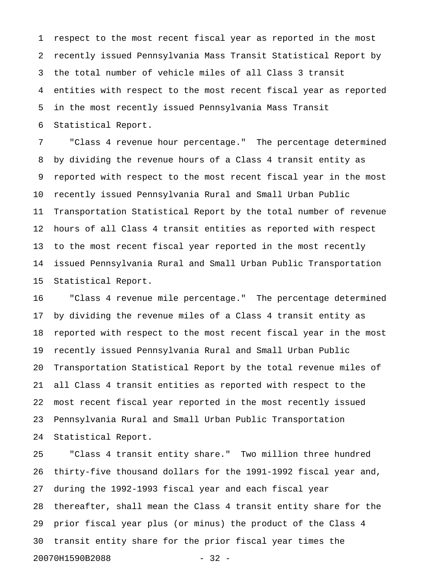1 respect to the most recent fiscal year as reported in the most 2 recently issued Pennsylvania Mass Transit Statistical Report by 3 the total number of vehicle miles of all Class 3 transit 4 entities with respect to the most recent fiscal year as reported 5 in the most recently issued Pennsylvania Mass Transit 6 Statistical Report.

7 "Class 4 revenue hour percentage." The percentage determined 8 by dividing the revenue hours of a Class 4 transit entity as 9 reported with respect to the most recent fiscal year in the most 10 recently issued Pennsylvania Rural and Small Urban Public 11 Transportation Statistical Report by the total number of revenue 12 hours of all Class 4 transit entities as reported with respect 13 to the most recent fiscal year reported in the most recently 14 issued Pennsylvania Rural and Small Urban Public Transportation 15 Statistical Report.

16 "Class 4 revenue mile percentage." The percentage determined 17 by dividing the revenue miles of a Class 4 transit entity as 18 reported with respect to the most recent fiscal year in the most 19 recently issued Pennsylvania Rural and Small Urban Public 20 Transportation Statistical Report by the total revenue miles of 21 all Class 4 transit entities as reported with respect to the 22 most recent fiscal year reported in the most recently issued 23 Pennsylvania Rural and Small Urban Public Transportation 24 Statistical Report.

25 "Class 4 transit entity share." Two million three hundred 26 thirty-five thousand dollars for the 1991-1992 fiscal year and, 27 during the 1992-1993 fiscal year and each fiscal year 28 thereafter, shall mean the Class 4 transit entity share for the 29 prior fiscal year plus (or minus) the product of the Class 4 30 transit entity share for the prior fiscal year times the 20070H1590B2088 - 32 -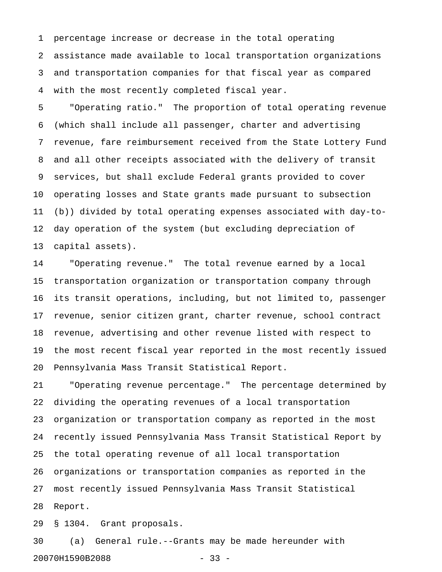1 percentage increase or decrease in the total operating 2 assistance made available to local transportation organizations 3 and transportation companies for that fiscal year as compared 4 with the most recently completed fiscal year.

5 "Operating ratio." The proportion of total operating revenue 6 (which shall include all passenger, charter and advertising 7 revenue, fare reimbursement received from the State Lottery Fund 8 and all other receipts associated with the delivery of transit 9 services, but shall exclude Federal grants provided to cover 10 operating losses and State grants made pursuant to subsection 11 (b)) divided by total operating expenses associated with day-to-12 day operation of the system (but excluding depreciation of 13 capital assets).

14 "Operating revenue." The total revenue earned by a local 15 transportation organization or transportation company through 16 its transit operations, including, but not limited to, passenger 17 revenue, senior citizen grant, charter revenue, school contract 18 revenue, advertising and other revenue listed with respect to 19 the most recent fiscal year reported in the most recently issued 20 Pennsylvania Mass Transit Statistical Report.

21 "Operating revenue percentage." The percentage determined by 22 dividing the operating revenues of a local transportation 23 organization or transportation company as reported in the most 24 recently issued Pennsylvania Mass Transit Statistical Report by 25 the total operating revenue of all local transportation 26 organizations or transportation companies as reported in the 27 most recently issued Pennsylvania Mass Transit Statistical 28 Report.

29 § 1304. Grant proposals.

30 (a) General rule.--Grants may be made hereunder with 20070H1590B2088 - 33 -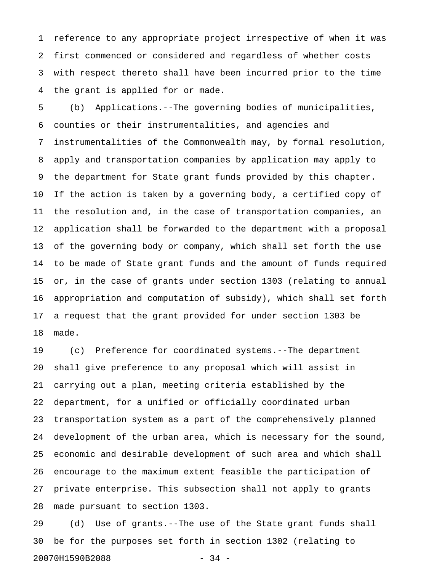1 reference to any appropriate project irrespective of when it was 2 first commenced or considered and regardless of whether costs 3 with respect thereto shall have been incurred prior to the time 4 the grant is applied for or made.

5 (b) Applications.--The governing bodies of municipalities, 6 counties or their instrumentalities, and agencies and 7 instrumentalities of the Commonwealth may, by formal resolution, 8 apply and transportation companies by application may apply to 9 the department for State grant funds provided by this chapter. 10 If the action is taken by a governing body, a certified copy of 11 the resolution and, in the case of transportation companies, an 12 application shall be forwarded to the department with a proposal 13 of the governing body or company, which shall set forth the use 14 to be made of State grant funds and the amount of funds required 15 or, in the case of grants under section 1303 (relating to annual 16 appropriation and computation of subsidy), which shall set forth 17 a request that the grant provided for under section 1303 be 18 made.

19 (c) Preference for coordinated systems.--The department 20 shall give preference to any proposal which will assist in 21 carrying out a plan, meeting criteria established by the 22 department, for a unified or officially coordinated urban 23 transportation system as a part of the comprehensively planned 24 development of the urban area, which is necessary for the sound, 25 economic and desirable development of such area and which shall 26 encourage to the maximum extent feasible the participation of 27 private enterprise. This subsection shall not apply to grants 28 made pursuant to section 1303.

29 (d) Use of grants.--The use of the State grant funds shall 30 be for the purposes set forth in section 1302 (relating to 20070H1590B2088 - 34 -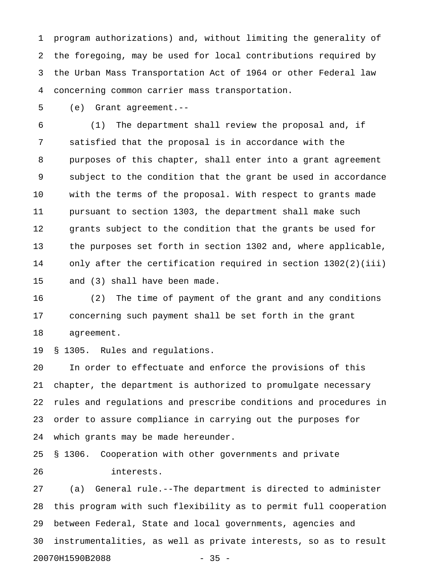1 program authorizations) and, without limiting the generality of 2 the foregoing, may be used for local contributions required by 3 the Urban Mass Transportation Act of 1964 or other Federal law 4 concerning common carrier mass transportation.

5 (e) Grant agreement.--

6 (1) The department shall review the proposal and, if 7 satisfied that the proposal is in accordance with the 8 purposes of this chapter, shall enter into a grant agreement 9 subject to the condition that the grant be used in accordance 10 with the terms of the proposal. With respect to grants made 11 pursuant to section 1303, the department shall make such 12 grants subject to the condition that the grants be used for 13 the purposes set forth in section 1302 and, where applicable, 14 only after the certification required in section 1302(2)(iii) 15 and (3) shall have been made.

16 (2) The time of payment of the grant and any conditions 17 concerning such payment shall be set forth in the grant 18 agreement.

19 § 1305. Rules and regulations.

20 In order to effectuate and enforce the provisions of this 21 chapter, the department is authorized to promulgate necessary 22 rules and regulations and prescribe conditions and procedures in 23 order to assure compliance in carrying out the purposes for 24 which grants may be made hereunder.

25 § 1306. Cooperation with other governments and private 26 interests.

27 (a) General rule.--The department is directed to administer 28 this program with such flexibility as to permit full cooperation 29 between Federal, State and local governments, agencies and 30 instrumentalities, as well as private interests, so as to result 20070H1590B2088 - 35 -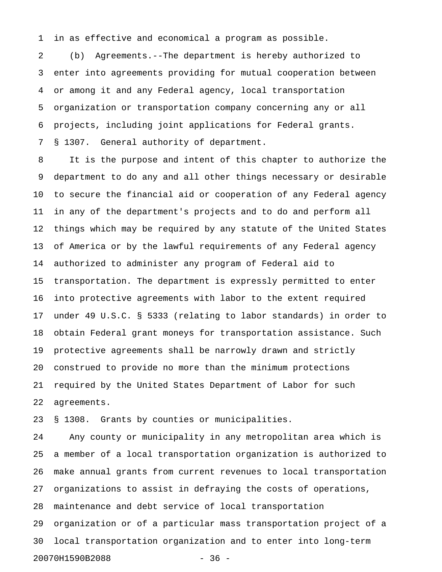1 in as effective and economical a program as possible.

2 (b) Agreements.--The department is hereby authorized to 3 enter into agreements providing for mutual cooperation between 4 or among it and any Federal agency, local transportation 5 organization or transportation company concerning any or all 6 projects, including joint applications for Federal grants. 7 § 1307. General authority of department.

8 It is the purpose and intent of this chapter to authorize the 9 department to do any and all other things necessary or desirable 10 to secure the financial aid or cooperation of any Federal agency 11 in any of the department's projects and to do and perform all 12 things which may be required by any statute of the United States 13 of America or by the lawful requirements of any Federal agency 14 authorized to administer any program of Federal aid to 15 transportation. The department is expressly permitted to enter 16 into protective agreements with labor to the extent required 17 under 49 U.S.C. § 5333 (relating to labor standards) in order to 18 obtain Federal grant moneys for transportation assistance. Such 19 protective agreements shall be narrowly drawn and strictly 20 construed to provide no more than the minimum protections 21 required by the United States Department of Labor for such 22 agreements.

23 § 1308. Grants by counties or municipalities.

24 Any county or municipality in any metropolitan area which is 25 a member of a local transportation organization is authorized to 26 make annual grants from current revenues to local transportation 27 organizations to assist in defraying the costs of operations, 28 maintenance and debt service of local transportation 29 organization or of a particular mass transportation project of a 30 local transportation organization and to enter into long-term 20070H1590B2088 - 36 -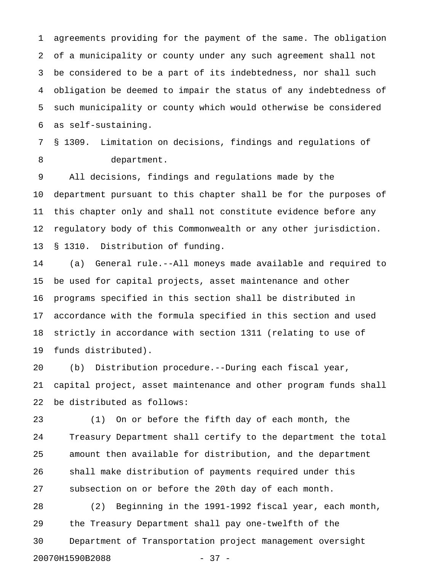1 agreements providing for the payment of the same. The obligation 2 of a municipality or county under any such agreement shall not 3 be considered to be a part of its indebtedness, nor shall such 4 obligation be deemed to impair the status of any indebtedness of 5 such municipality or county which would otherwise be considered 6 as self-sustaining.

7 § 1309. Limitation on decisions, findings and regulations of 8 department.

9 All decisions, findings and regulations made by the 10 department pursuant to this chapter shall be for the purposes of 11 this chapter only and shall not constitute evidence before any 12 regulatory body of this Commonwealth or any other jurisdiction. 13 § 1310. Distribution of funding.

14 (a) General rule.--All moneys made available and required to 15 be used for capital projects, asset maintenance and other 16 programs specified in this section shall be distributed in 17 accordance with the formula specified in this section and used 18 strictly in accordance with section 1311 (relating to use of 19 funds distributed).

20 (b) Distribution procedure.--During each fiscal year, 21 capital project, asset maintenance and other program funds shall 22 be distributed as follows:

23 (1) On or before the fifth day of each month, the 24 Treasury Department shall certify to the department the total 25 amount then available for distribution, and the department 26 shall make distribution of payments required under this 27 subsection on or before the 20th day of each month.

28 (2) Beginning in the 1991-1992 fiscal year, each month, 29 the Treasury Department shall pay one-twelfth of the 30 Department of Transportation project management oversight 20070H1590B2088 - 37 -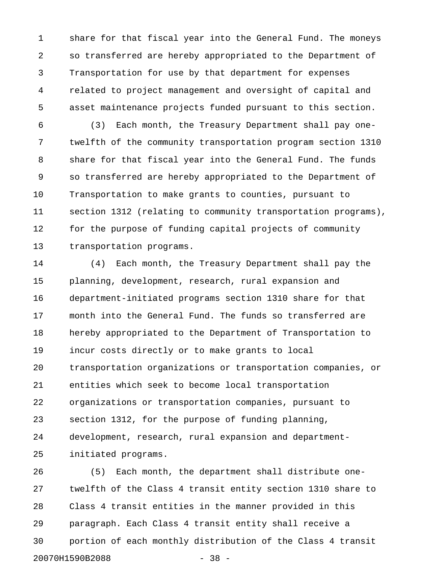1 share for that fiscal year into the General Fund. The moneys 2 so transferred are hereby appropriated to the Department of 3 Transportation for use by that department for expenses 4 related to project management and oversight of capital and 5 asset maintenance projects funded pursuant to this section.

6 (3) Each month, the Treasury Department shall pay one-7 twelfth of the community transportation program section 1310 8 share for that fiscal year into the General Fund. The funds 9 so transferred are hereby appropriated to the Department of 10 Transportation to make grants to counties, pursuant to 11 section 1312 (relating to community transportation programs), 12 for the purpose of funding capital projects of community 13 transportation programs.

14 (4) Each month, the Treasury Department shall pay the 15 planning, development, research, rural expansion and 16 department-initiated programs section 1310 share for that 17 month into the General Fund. The funds so transferred are 18 hereby appropriated to the Department of Transportation to 19 incur costs directly or to make grants to local 20 transportation organizations or transportation companies, or 21 entities which seek to become local transportation 22 organizations or transportation companies, pursuant to 23 section 1312, for the purpose of funding planning, 24 development, research, rural expansion and department-25 initiated programs.

26 (5) Each month, the department shall distribute one-27 twelfth of the Class 4 transit entity section 1310 share to 28 Class 4 transit entities in the manner provided in this 29 paragraph. Each Class 4 transit entity shall receive a 30 portion of each monthly distribution of the Class 4 transit 20070H1590B2088 - 38 -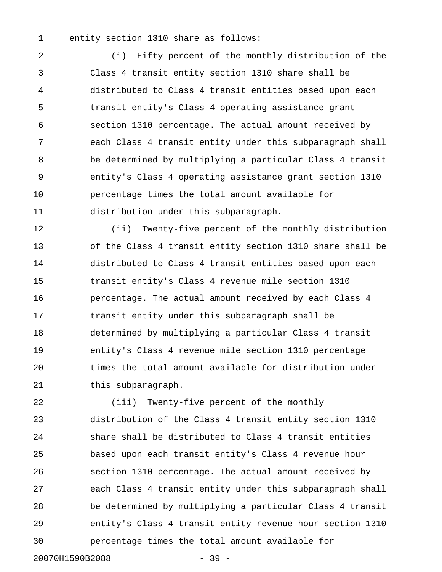1 entity section 1310 share as follows:

2 (i) Fifty percent of the monthly distribution of the 3 Class 4 transit entity section 1310 share shall be 4 distributed to Class 4 transit entities based upon each 5 transit entity's Class 4 operating assistance grant 6 section 1310 percentage. The actual amount received by 7 each Class 4 transit entity under this subparagraph shall 8 be determined by multiplying a particular Class 4 transit 9 entity's Class 4 operating assistance grant section 1310 10 percentage times the total amount available for 11 distribution under this subparagraph.

12 (ii) Twenty-five percent of the monthly distribution 13 of the Class 4 transit entity section 1310 share shall be 14 distributed to Class 4 transit entities based upon each 15 transit entity's Class 4 revenue mile section 1310 16 percentage. The actual amount received by each Class 4 17 transit entity under this subparagraph shall be 18 determined by multiplying a particular Class 4 transit 19 entity's Class 4 revenue mile section 1310 percentage 20 times the total amount available for distribution under 21 this subparagraph.

22 (iii) Twenty-five percent of the monthly 23 distribution of the Class 4 transit entity section 1310 24 share shall be distributed to Class 4 transit entities 25 based upon each transit entity's Class 4 revenue hour 26 section 1310 percentage. The actual amount received by 27 each Class 4 transit entity under this subparagraph shall 28 be determined by multiplying a particular Class 4 transit 29 entity's Class 4 transit entity revenue hour section 1310 30 percentage times the total amount available for

20070H1590B2088 - 39 -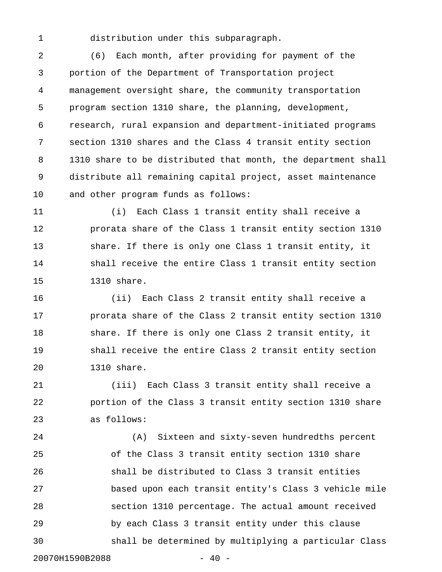1 distribution under this subparagraph.

2 (6) Each month, after providing for payment of the 3 portion of the Department of Transportation project 4 management oversight share, the community transportation 5 program section 1310 share, the planning, development, 6 research, rural expansion and department-initiated programs 7 section 1310 shares and the Class 4 transit entity section 8 1310 share to be distributed that month, the department shall 9 distribute all remaining capital project, asset maintenance 10 and other program funds as follows:

11 (i) Each Class 1 transit entity shall receive a 12 prorata share of the Class 1 transit entity section 1310 13 share. If there is only one Class 1 transit entity, it 14 shall receive the entire Class 1 transit entity section 15 1310 share.

16 (ii) Each Class 2 transit entity shall receive a 17 prorata share of the Class 2 transit entity section 1310 18 share. If there is only one Class 2 transit entity, it 19 shall receive the entire Class 2 transit entity section 20 1310 share.

21 (iii) Each Class 3 transit entity shall receive a 22 portion of the Class 3 transit entity section 1310 share 23 as follows:

24 (A) Sixteen and sixty-seven hundredths percent 25 of the Class 3 transit entity section 1310 share 26 shall be distributed to Class 3 transit entities 27 based upon each transit entity's Class 3 vehicle mile 28 section 1310 percentage. The actual amount received 29 by each Class 3 transit entity under this clause 30 shall be determined by multiplying a particular Class 20070H1590B2088 - 40 -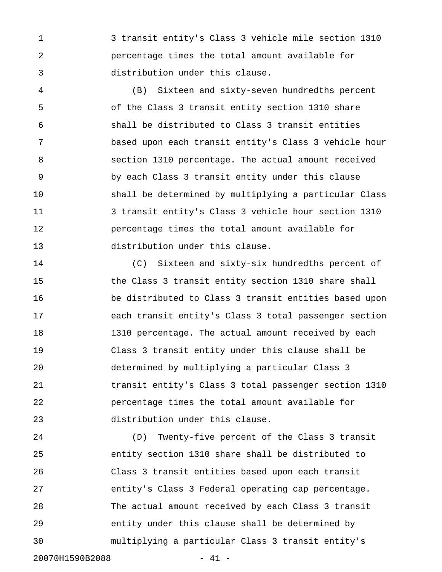1 3 transit entity's Class 3 vehicle mile section 1310 2 percentage times the total amount available for 3 distribution under this clause.

4 (B) Sixteen and sixty-seven hundredths percent 5 of the Class 3 transit entity section 1310 share 6 shall be distributed to Class 3 transit entities 7 based upon each transit entity's Class 3 vehicle hour 8 section 1310 percentage. The actual amount received 9 by each Class 3 transit entity under this clause 10 shall be determined by multiplying a particular Class 11 3 transit entity's Class 3 vehicle hour section 1310 12 percentage times the total amount available for 13 distribution under this clause.

14 (C) Sixteen and sixty-six hundredths percent of 15 the Class 3 transit entity section 1310 share shall 16 be distributed to Class 3 transit entities based upon 17 each transit entity's Class 3 total passenger section 18 1310 percentage. The actual amount received by each 19 Class 3 transit entity under this clause shall be 20 determined by multiplying a particular Class 3 21 transit entity's Class 3 total passenger section 1310 22 percentage times the total amount available for 23 distribution under this clause.

24 (D) Twenty-five percent of the Class 3 transit 25 entity section 1310 share shall be distributed to 26 Class 3 transit entities based upon each transit 27 entity's Class 3 Federal operating cap percentage. 28 The actual amount received by each Class 3 transit 29 entity under this clause shall be determined by 30 multiplying a particular Class 3 transit entity's 20070H1590B2088 - 41 -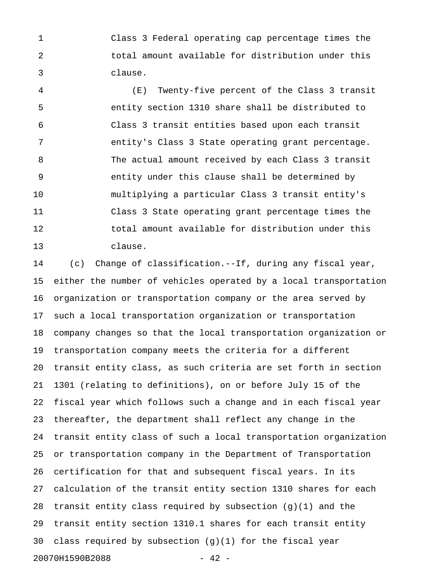1 Class 3 Federal operating cap percentage times the 2 total amount available for distribution under this 3 clause.

4 (E) Twenty-five percent of the Class 3 transit 5 entity section 1310 share shall be distributed to 6 Class 3 transit entities based upon each transit 7 entity's Class 3 State operating grant percentage. 8 The actual amount received by each Class 3 transit 9 entity under this clause shall be determined by 10 multiplying a particular Class 3 transit entity's 11 Class 3 State operating grant percentage times the 12 total amount available for distribution under this 13 clause.

14 (c) Change of classification.--If, during any fiscal year, 15 either the number of vehicles operated by a local transportation 16 organization or transportation company or the area served by 17 such a local transportation organization or transportation 18 company changes so that the local transportation organization or 19 transportation company meets the criteria for a different 20 transit entity class, as such criteria are set forth in section 21 1301 (relating to definitions), on or before July 15 of the 22 fiscal year which follows such a change and in each fiscal year 23 thereafter, the department shall reflect any change in the 24 transit entity class of such a local transportation organization 25 or transportation company in the Department of Transportation 26 certification for that and subsequent fiscal years. In its 27 calculation of the transit entity section 1310 shares for each 28 transit entity class required by subsection (g)(1) and the 29 transit entity section 1310.1 shares for each transit entity 30 class required by subsection  $(g)(1)$  for the fiscal year 20070H1590B2088 - 42 -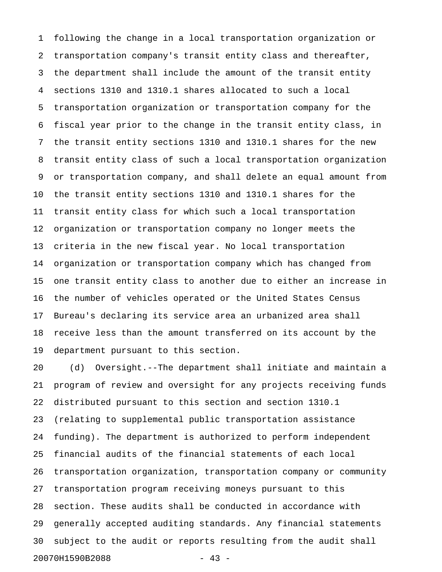1 following the change in a local transportation organization or 2 transportation company's transit entity class and thereafter, 3 the department shall include the amount of the transit entity 4 sections 1310 and 1310.1 shares allocated to such a local 5 transportation organization or transportation company for the 6 fiscal year prior to the change in the transit entity class, in 7 the transit entity sections 1310 and 1310.1 shares for the new 8 transit entity class of such a local transportation organization 9 or transportation company, and shall delete an equal amount from 10 the transit entity sections 1310 and 1310.1 shares for the 11 transit entity class for which such a local transportation 12 organization or transportation company no longer meets the 13 criteria in the new fiscal year. No local transportation 14 organization or transportation company which has changed from 15 one transit entity class to another due to either an increase in 16 the number of vehicles operated or the United States Census 17 Bureau's declaring its service area an urbanized area shall 18 receive less than the amount transferred on its account by the 19 department pursuant to this section.

20 (d) Oversight.--The department shall initiate and maintain a 21 program of review and oversight for any projects receiving funds 22 distributed pursuant to this section and section 1310.1 23 (relating to supplemental public transportation assistance 24 funding). The department is authorized to perform independent 25 financial audits of the financial statements of each local 26 transportation organization, transportation company or community 27 transportation program receiving moneys pursuant to this 28 section. These audits shall be conducted in accordance with 29 generally accepted auditing standards. Any financial statements 30 subject to the audit or reports resulting from the audit shall 20070H1590B2088 - 43 -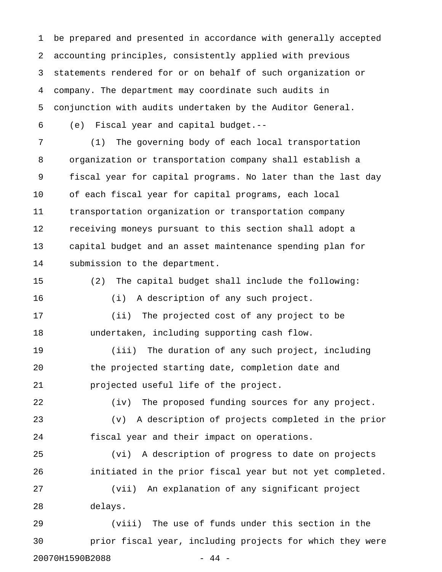1 be prepared and presented in accordance with generally accepted 2 accounting principles, consistently applied with previous 3 statements rendered for or on behalf of such organization or 4 company. The department may coordinate such audits in 5 conjunction with audits undertaken by the Auditor General. 6 (e) Fiscal year and capital budget.--

7 (1) The governing body of each local transportation 8 organization or transportation company shall establish a 9 fiscal year for capital programs. No later than the last day 10 of each fiscal year for capital programs, each local 11 transportation organization or transportation company 12 receiving moneys pursuant to this section shall adopt a 13 capital budget and an asset maintenance spending plan for 14 submission to the department.

15 (2) The capital budget shall include the following: 16 (i) A description of any such project. 17 (ii) The projected cost of any project to be 18 undertaken, including supporting cash flow. 19 (iii) The duration of any such project, including 20 the projected starting date, completion date and 21 projected useful life of the project.

22 (iv) The proposed funding sources for any project.

23 (v) A description of projects completed in the prior 24 fiscal year and their impact on operations.

25 (vi) A description of progress to date on projects 26 initiated in the prior fiscal year but not yet completed. 27 (vii) An explanation of any significant project

28 delays.

29 (viii) The use of funds under this section in the 30 prior fiscal year, including projects for which they were 20070H1590B2088 - 44 -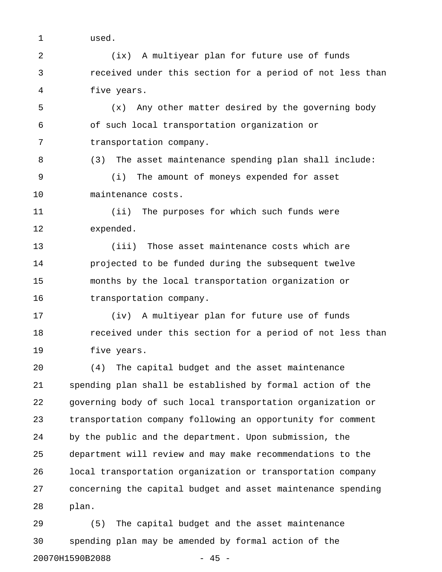1 used.

2 (ix) A multiyear plan for future use of funds 3 received under this section for a period of not less than 4 five years.

5 (x) Any other matter desired by the governing body 6 of such local transportation organization or 7 transportation company.

8 (3) The asset maintenance spending plan shall include: 9 (i) The amount of moneys expended for asset 10 maintenance costs.

11 (ii) The purposes for which such funds were 12 expended.

13 (iii) Those asset maintenance costs which are 14 projected to be funded during the subsequent twelve 15 months by the local transportation organization or 16 transportation company.

17 (iv) A multiyear plan for future use of funds 18 received under this section for a period of not less than 19 five years.

20 (4) The capital budget and the asset maintenance 21 spending plan shall be established by formal action of the 22 governing body of such local transportation organization or 23 transportation company following an opportunity for comment 24 by the public and the department. Upon submission, the 25 department will review and may make recommendations to the 26 local transportation organization or transportation company 27 concerning the capital budget and asset maintenance spending 28 plan.

29 (5) The capital budget and the asset maintenance 30 spending plan may be amended by formal action of the 20070H1590B2088 - 45 -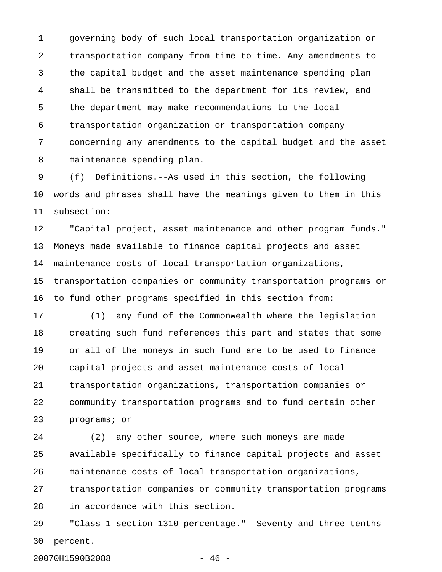1 governing body of such local transportation organization or 2 transportation company from time to time. Any amendments to 3 the capital budget and the asset maintenance spending plan 4 shall be transmitted to the department for its review, and 5 the department may make recommendations to the local 6 transportation organization or transportation company 7 concerning any amendments to the capital budget and the asset 8 maintenance spending plan.

9 (f) Definitions.--As used in this section, the following 10 words and phrases shall have the meanings given to them in this 11 subsection:

12 "Capital project, asset maintenance and other program funds." 13 Moneys made available to finance capital projects and asset 14 maintenance costs of local transportation organizations, 15 transportation companies or community transportation programs or 16 to fund other programs specified in this section from:

17 (1) any fund of the Commonwealth where the legislation 18 creating such fund references this part and states that some 19 or all of the moneys in such fund are to be used to finance 20 capital projects and asset maintenance costs of local 21 transportation organizations, transportation companies or 22 community transportation programs and to fund certain other 23 programs; or

24 (2) any other source, where such moneys are made 25 available specifically to finance capital projects and asset 26 maintenance costs of local transportation organizations, 27 transportation companies or community transportation programs 28 in accordance with this section.

29 "Class 1 section 1310 percentage." Seventy and three-tenths 30 percent.

20070H1590B2088 - 46 -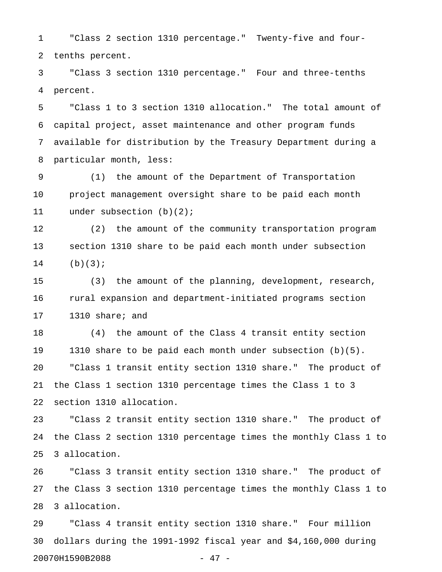1 "Class 2 section 1310 percentage." Twenty-five and four-2 tenths percent.

3 "Class 3 section 1310 percentage." Four and three-tenths 4 percent.

5 "Class 1 to 3 section 1310 allocation." The total amount of 6 capital project, asset maintenance and other program funds 7 available for distribution by the Treasury Department during a 8 particular month, less:

9 (1) the amount of the Department of Transportation 10 project management oversight share to be paid each month 11 under subsection (b)(2);

12 (2) the amount of the community transportation program 13 section 1310 share to be paid each month under subsection  $14$  (b)(3);

15 (3) the amount of the planning, development, research, 16 rural expansion and department-initiated programs section 17 1310 share; and

18 (4) the amount of the Class 4 transit entity section 19 1310 share to be paid each month under subsection (b)(5). 20 "Class 1 transit entity section 1310 share." The product of 21 the Class 1 section 1310 percentage times the Class 1 to 3 22 section 1310 allocation.

23 "Class 2 transit entity section 1310 share." The product of 24 the Class 2 section 1310 percentage times the monthly Class 1 to 25 3 allocation.

26 "Class 3 transit entity section 1310 share." The product of 27 the Class 3 section 1310 percentage times the monthly Class 1 to 28 3 allocation.

29 "Class 4 transit entity section 1310 share." Four million 30 dollars during the 1991-1992 fiscal year and \$4,160,000 during 20070H1590B2088 - 47 -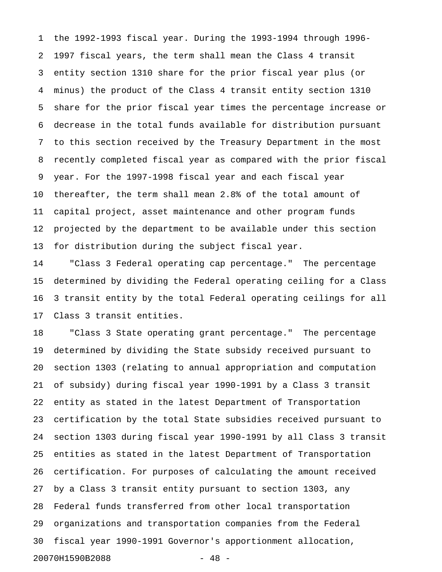1 the 1992-1993 fiscal year. During the 1993-1994 through 1996- 2 1997 fiscal years, the term shall mean the Class 4 transit 3 entity section 1310 share for the prior fiscal year plus (or 4 minus) the product of the Class 4 transit entity section 1310 5 share for the prior fiscal year times the percentage increase or 6 decrease in the total funds available for distribution pursuant 7 to this section received by the Treasury Department in the most 8 recently completed fiscal year as compared with the prior fiscal 9 year. For the 1997-1998 fiscal year and each fiscal year 10 thereafter, the term shall mean 2.8% of the total amount of 11 capital project, asset maintenance and other program funds 12 projected by the department to be available under this section 13 for distribution during the subject fiscal year.

14 "Class 3 Federal operating cap percentage." The percentage 15 determined by dividing the Federal operating ceiling for a Class 16 3 transit entity by the total Federal operating ceilings for all 17 Class 3 transit entities.

18 "Class 3 State operating grant percentage." The percentage 19 determined by dividing the State subsidy received pursuant to 20 section 1303 (relating to annual appropriation and computation 21 of subsidy) during fiscal year 1990-1991 by a Class 3 transit 22 entity as stated in the latest Department of Transportation 23 certification by the total State subsidies received pursuant to 24 section 1303 during fiscal year 1990-1991 by all Class 3 transit 25 entities as stated in the latest Department of Transportation 26 certification. For purposes of calculating the amount received 27 by a Class 3 transit entity pursuant to section 1303, any 28 Federal funds transferred from other local transportation 29 organizations and transportation companies from the Federal 30 fiscal year 1990-1991 Governor's apportionment allocation, 20070H1590B2088 - 48 -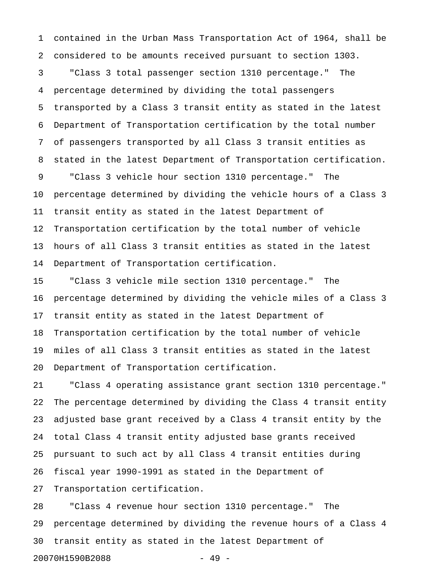1 contained in the Urban Mass Transportation Act of 1964, shall be 2 considered to be amounts received pursuant to section 1303.

3 "Class 3 total passenger section 1310 percentage." The 4 percentage determined by dividing the total passengers 5 transported by a Class 3 transit entity as stated in the latest 6 Department of Transportation certification by the total number 7 of passengers transported by all Class 3 transit entities as 8 stated in the latest Department of Transportation certification. 9 "Class 3 vehicle hour section 1310 percentage." The 10 percentage determined by dividing the vehicle hours of a Class 3 11 transit entity as stated in the latest Department of 12 Transportation certification by the total number of vehicle 13 hours of all Class 3 transit entities as stated in the latest 14 Department of Transportation certification.

15 "Class 3 vehicle mile section 1310 percentage." The 16 percentage determined by dividing the vehicle miles of a Class 3 17 transit entity as stated in the latest Department of 18 Transportation certification by the total number of vehicle 19 miles of all Class 3 transit entities as stated in the latest 20 Department of Transportation certification.

21 "Class 4 operating assistance grant section 1310 percentage." 22 The percentage determined by dividing the Class 4 transit entity 23 adjusted base grant received by a Class 4 transit entity by the 24 total Class 4 transit entity adjusted base grants received 25 pursuant to such act by all Class 4 transit entities during 26 fiscal year 1990-1991 as stated in the Department of 27 Transportation certification.

28 "Class 4 revenue hour section 1310 percentage." The 29 percentage determined by dividing the revenue hours of a Class 4 30 transit entity as stated in the latest Department of 20070H1590B2088 - 49 -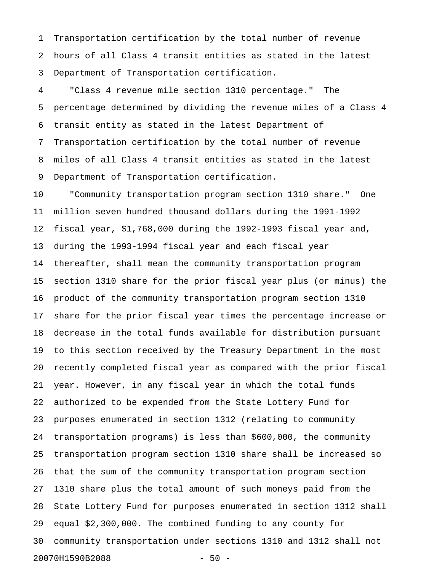1 Transportation certification by the total number of revenue 2 hours of all Class 4 transit entities as stated in the latest 3 Department of Transportation certification.

4 "Class 4 revenue mile section 1310 percentage." The 5 percentage determined by dividing the revenue miles of a Class 4 6 transit entity as stated in the latest Department of 7 Transportation certification by the total number of revenue 8 miles of all Class 4 transit entities as stated in the latest 9 Department of Transportation certification.

10 "Community transportation program section 1310 share." One 11 million seven hundred thousand dollars during the 1991-1992 12 fiscal year, \$1,768,000 during the 1992-1993 fiscal year and, 13 during the 1993-1994 fiscal year and each fiscal year 14 thereafter, shall mean the community transportation program 15 section 1310 share for the prior fiscal year plus (or minus) the 16 product of the community transportation program section 1310 17 share for the prior fiscal year times the percentage increase or 18 decrease in the total funds available for distribution pursuant 19 to this section received by the Treasury Department in the most 20 recently completed fiscal year as compared with the prior fiscal 21 year. However, in any fiscal year in which the total funds 22 authorized to be expended from the State Lottery Fund for 23 purposes enumerated in section 1312 (relating to community 24 transportation programs) is less than \$600,000, the community 25 transportation program section 1310 share shall be increased so 26 that the sum of the community transportation program section 27 1310 share plus the total amount of such moneys paid from the 28 State Lottery Fund for purposes enumerated in section 1312 shall 29 equal \$2,300,000. The combined funding to any county for 30 community transportation under sections 1310 and 1312 shall not 20070H1590B2088 - 50 -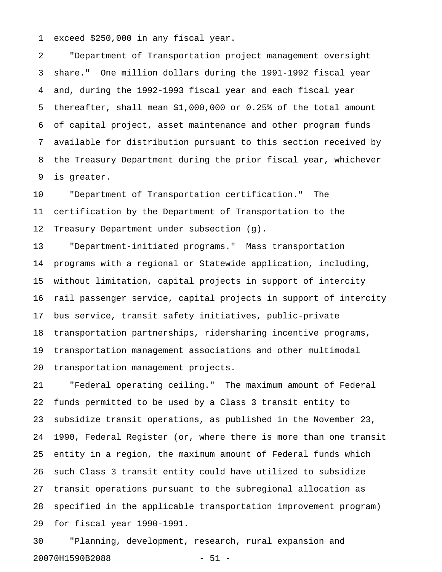1 exceed \$250,000 in any fiscal year.

2 "Department of Transportation project management oversight 3 share." One million dollars during the 1991-1992 fiscal year 4 and, during the 1992-1993 fiscal year and each fiscal year 5 thereafter, shall mean \$1,000,000 or 0.25% of the total amount 6 of capital project, asset maintenance and other program funds 7 available for distribution pursuant to this section received by 8 the Treasury Department during the prior fiscal year, whichever 9 is greater.

10 "Department of Transportation certification." The 11 certification by the Department of Transportation to the 12 Treasury Department under subsection (g).

13 "Department-initiated programs." Mass transportation 14 programs with a regional or Statewide application, including, 15 without limitation, capital projects in support of intercity 16 rail passenger service, capital projects in support of intercity 17 bus service, transit safety initiatives, public-private 18 transportation partnerships, ridersharing incentive programs, 19 transportation management associations and other multimodal 20 transportation management projects.

21 "Federal operating ceiling." The maximum amount of Federal 22 funds permitted to be used by a Class 3 transit entity to 23 subsidize transit operations, as published in the November 23, 24 1990, Federal Register (or, where there is more than one transit 25 entity in a region, the maximum amount of Federal funds which 26 such Class 3 transit entity could have utilized to subsidize 27 transit operations pursuant to the subregional allocation as 28 specified in the applicable transportation improvement program) 29 for fiscal year 1990-1991.

30 "Planning, development, research, rural expansion and 20070H1590B2088 - 51 -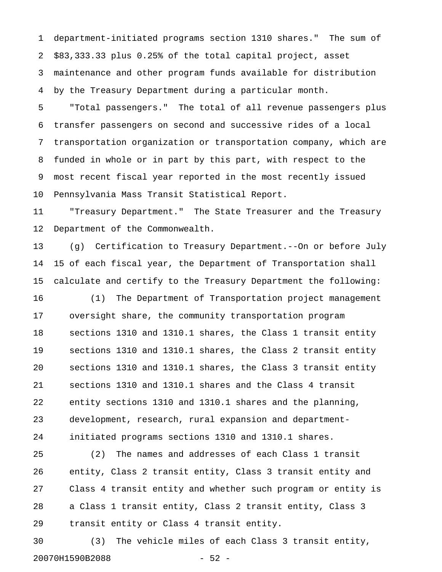1 department-initiated programs section 1310 shares." The sum of 2 \$83,333.33 plus 0.25% of the total capital project, asset 3 maintenance and other program funds available for distribution 4 by the Treasury Department during a particular month.

5 "Total passengers." The total of all revenue passengers plus 6 transfer passengers on second and successive rides of a local 7 transportation organization or transportation company, which are 8 funded in whole or in part by this part, with respect to the 9 most recent fiscal year reported in the most recently issued 10 Pennsylvania Mass Transit Statistical Report.

11 "Treasury Department." The State Treasurer and the Treasury 12 Department of the Commonwealth.

13 (g) Certification to Treasury Department.--On or before July 14 15 of each fiscal year, the Department of Transportation shall 15 calculate and certify to the Treasury Department the following:

16 (1) The Department of Transportation project management 17 oversight share, the community transportation program 18 sections 1310 and 1310.1 shares, the Class 1 transit entity 19 sections 1310 and 1310.1 shares, the Class 2 transit entity 20 sections 1310 and 1310.1 shares, the Class 3 transit entity 21 sections 1310 and 1310.1 shares and the Class 4 transit 22 entity sections 1310 and 1310.1 shares and the planning, 23 development, research, rural expansion and department-24 initiated programs sections 1310 and 1310.1 shares.

25 (2) The names and addresses of each Class 1 transit 26 entity, Class 2 transit entity, Class 3 transit entity and 27 Class 4 transit entity and whether such program or entity is 28 a Class 1 transit entity, Class 2 transit entity, Class 3 29 transit entity or Class 4 transit entity.

30 (3) The vehicle miles of each Class 3 transit entity, 20070H1590B2088 - 52 -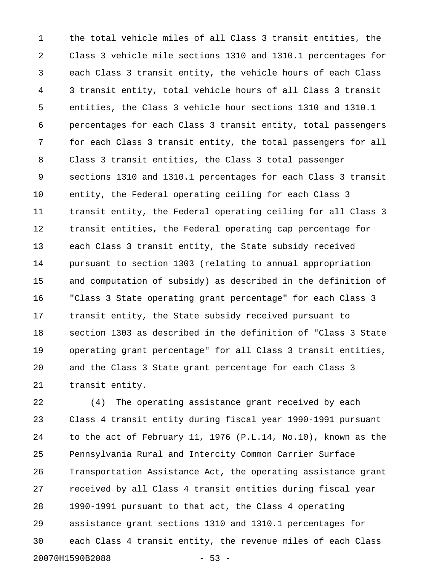1 the total vehicle miles of all Class 3 transit entities, the 2 Class 3 vehicle mile sections 1310 and 1310.1 percentages for 3 each Class 3 transit entity, the vehicle hours of each Class 4 3 transit entity, total vehicle hours of all Class 3 transit 5 entities, the Class 3 vehicle hour sections 1310 and 1310.1 6 percentages for each Class 3 transit entity, total passengers 7 for each Class 3 transit entity, the total passengers for all 8 Class 3 transit entities, the Class 3 total passenger 9 sections 1310 and 1310.1 percentages for each Class 3 transit 10 entity, the Federal operating ceiling for each Class 3 11 transit entity, the Federal operating ceiling for all Class 3 12 transit entities, the Federal operating cap percentage for 13 each Class 3 transit entity, the State subsidy received 14 pursuant to section 1303 (relating to annual appropriation 15 and computation of subsidy) as described in the definition of 16 "Class 3 State operating grant percentage" for each Class 3 17 transit entity, the State subsidy received pursuant to 18 section 1303 as described in the definition of "Class 3 State 19 operating grant percentage" for all Class 3 transit entities, 20 and the Class 3 State grant percentage for each Class 3 21 transit entity.

22 (4) The operating assistance grant received by each 23 Class 4 transit entity during fiscal year 1990-1991 pursuant 24 to the act of February 11, 1976 (P.L.14, No.10), known as the 25 Pennsylvania Rural and Intercity Common Carrier Surface 26 Transportation Assistance Act, the operating assistance grant 27 received by all Class 4 transit entities during fiscal year 28 1990-1991 pursuant to that act, the Class 4 operating 29 assistance grant sections 1310 and 1310.1 percentages for 30 each Class 4 transit entity, the revenue miles of each Class 20070H1590B2088 - 53 -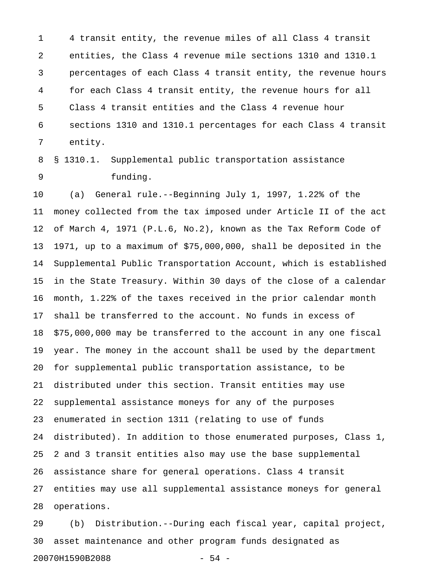1 4 transit entity, the revenue miles of all Class 4 transit 2 entities, the Class 4 revenue mile sections 1310 and 1310.1 3 percentages of each Class 4 transit entity, the revenue hours 4 for each Class 4 transit entity, the revenue hours for all 5 Class 4 transit entities and the Class 4 revenue hour 6 sections 1310 and 1310.1 percentages for each Class 4 transit 7 entity.

8 § 1310.1. Supplemental public transportation assistance 9 funding.

10 (a) General rule.--Beginning July 1, 1997, 1.22% of the 11 money collected from the tax imposed under Article II of the act 12 of March 4, 1971 (P.L.6, No.2), known as the Tax Reform Code of 13 1971, up to a maximum of \$75,000,000, shall be deposited in the 14 Supplemental Public Transportation Account, which is established 15 in the State Treasury. Within 30 days of the close of a calendar 16 month, 1.22% of the taxes received in the prior calendar month 17 shall be transferred to the account. No funds in excess of 18 \$75,000,000 may be transferred to the account in any one fiscal 19 year. The money in the account shall be used by the department 20 for supplemental public transportation assistance, to be 21 distributed under this section. Transit entities may use 22 supplemental assistance moneys for any of the purposes 23 enumerated in section 1311 (relating to use of funds 24 distributed). In addition to those enumerated purposes, Class 1, 25 2 and 3 transit entities also may use the base supplemental 26 assistance share for general operations. Class 4 transit 27 entities may use all supplemental assistance moneys for general 28 operations.

29 (b) Distribution.--During each fiscal year, capital project, 30 asset maintenance and other program funds designated as 20070H1590B2088 - 54 -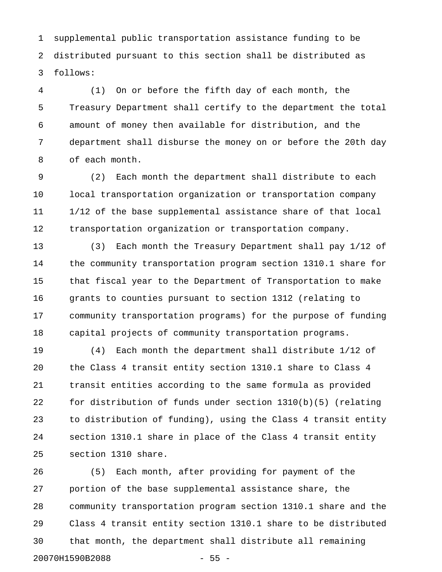1 supplemental public transportation assistance funding to be 2 distributed pursuant to this section shall be distributed as 3 follows:

4 (1) On or before the fifth day of each month, the 5 Treasury Department shall certify to the department the total 6 amount of money then available for distribution, and the 7 department shall disburse the money on or before the 20th day 8 of each month.

9 (2) Each month the department shall distribute to each 10 local transportation organization or transportation company 11 1/12 of the base supplemental assistance share of that local 12 transportation organization or transportation company.

13 (3) Each month the Treasury Department shall pay 1/12 of 14 the community transportation program section 1310.1 share for 15 that fiscal year to the Department of Transportation to make 16 grants to counties pursuant to section 1312 (relating to 17 community transportation programs) for the purpose of funding 18 capital projects of community transportation programs.

19 (4) Each month the department shall distribute 1/12 of 20 the Class 4 transit entity section 1310.1 share to Class 4 21 transit entities according to the same formula as provided 22 for distribution of funds under section 1310(b)(5) (relating 23 to distribution of funding), using the Class 4 transit entity 24 section 1310.1 share in place of the Class 4 transit entity 25 section 1310 share.

26 (5) Each month, after providing for payment of the 27 portion of the base supplemental assistance share, the 28 community transportation program section 1310.1 share and the 29 Class 4 transit entity section 1310.1 share to be distributed 30 that month, the department shall distribute all remaining 20070H1590B2088 - 55 -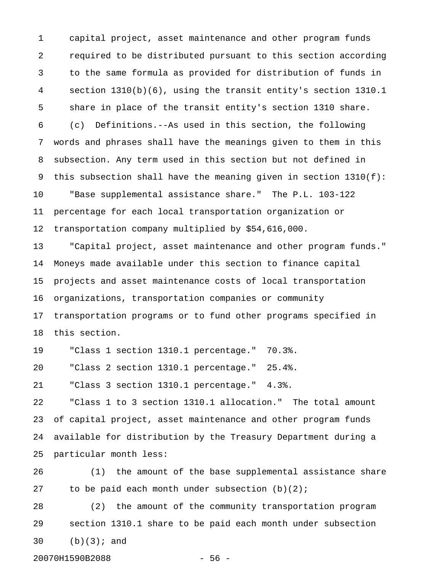1 capital project, asset maintenance and other program funds 2 required to be distributed pursuant to this section according 3 to the same formula as provided for distribution of funds in 4 section 1310(b)(6), using the transit entity's section 1310.1 5 share in place of the transit entity's section 1310 share. 6 (c) Definitions.--As used in this section, the following 7 words and phrases shall have the meanings given to them in this 8 subsection. Any term used in this section but not defined in 9 this subsection shall have the meaning given in section 1310(f): 10 "Base supplemental assistance share." The P.L. 103-122 11 percentage for each local transportation organization or 12 transportation company multiplied by \$54,616,000. 13 "Capital project, asset maintenance and other program funds." 14 Moneys made available under this section to finance capital 15 projects and asset maintenance costs of local transportation 16 organizations, transportation companies or community 17 transportation programs or to fund other programs specified in 18 this section. 19 "Class 1 section 1310.1 percentage." 70.3%. 20 "Class 2 section 1310.1 percentage." 25.4%. 21 "Class 3 section 1310.1 percentage." 4.3%. 22 "Class 1 to 3 section 1310.1 allocation." The total amount 23 of capital project, asset maintenance and other program funds 24 available for distribution by the Treasury Department during a 25 particular month less: 26 (1) the amount of the base supplemental assistance share 27 to be paid each month under subsection  $(b)(2)$ ;

28 (2) the amount of the community transportation program 29 section 1310.1 share to be paid each month under subsection 30 (b)(3); and

20070H1590B2088 - 56 -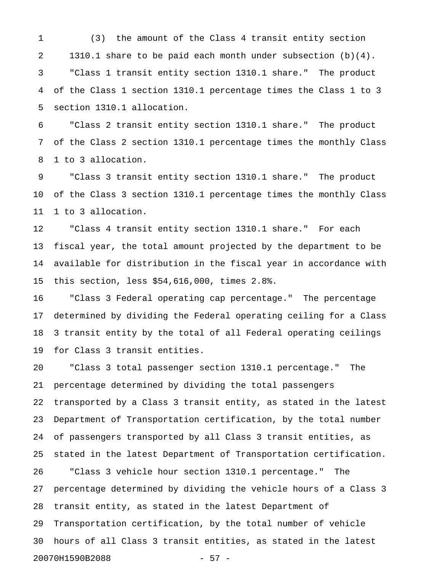1 (3) the amount of the Class 4 transit entity section 2 1310.1 share to be paid each month under subsection (b)(4). 3 "Class 1 transit entity section 1310.1 share." The product 4 of the Class 1 section 1310.1 percentage times the Class 1 to 3 5 section 1310.1 allocation.

6 "Class 2 transit entity section 1310.1 share." The product 7 of the Class 2 section 1310.1 percentage times the monthly Class 8 1 to 3 allocation.

9 "Class 3 transit entity section 1310.1 share." The product 10 of the Class 3 section 1310.1 percentage times the monthly Class 11 1 to 3 allocation.

12 "Class 4 transit entity section 1310.1 share." For each 13 fiscal year, the total amount projected by the department to be 14 available for distribution in the fiscal year in accordance with 15 this section, less \$54,616,000, times 2.8%.

16 "Class 3 Federal operating cap percentage." The percentage 17 determined by dividing the Federal operating ceiling for a Class 18 3 transit entity by the total of all Federal operating ceilings 19 for Class 3 transit entities.

20 "Class 3 total passenger section 1310.1 percentage." The 21 percentage determined by dividing the total passengers 22 transported by a Class 3 transit entity, as stated in the latest 23 Department of Transportation certification, by the total number 24 of passengers transported by all Class 3 transit entities, as 25 stated in the latest Department of Transportation certification. 26 "Class 3 vehicle hour section 1310.1 percentage." The 27 percentage determined by dividing the vehicle hours of a Class 3 28 transit entity, as stated in the latest Department of 29 Transportation certification, by the total number of vehicle 30 hours of all Class 3 transit entities, as stated in the latest 20070H1590B2088 - 57 -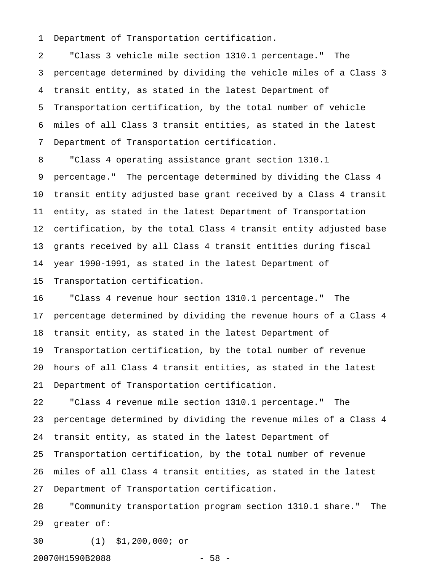1 Department of Transportation certification.

2 "Class 3 vehicle mile section 1310.1 percentage." The 3 percentage determined by dividing the vehicle miles of a Class 3 4 transit entity, as stated in the latest Department of 5 Transportation certification, by the total number of vehicle 6 miles of all Class 3 transit entities, as stated in the latest 7 Department of Transportation certification.

8 "Class 4 operating assistance grant section 1310.1 9 percentage." The percentage determined by dividing the Class 4 10 transit entity adjusted base grant received by a Class 4 transit 11 entity, as stated in the latest Department of Transportation 12 certification, by the total Class 4 transit entity adjusted base 13 grants received by all Class 4 transit entities during fiscal 14 year 1990-1991, as stated in the latest Department of 15 Transportation certification.

16 "Class 4 revenue hour section 1310.1 percentage." The 17 percentage determined by dividing the revenue hours of a Class 4 18 transit entity, as stated in the latest Department of 19 Transportation certification, by the total number of revenue 20 hours of all Class 4 transit entities, as stated in the latest 21 Department of Transportation certification.

22 "Class 4 revenue mile section 1310.1 percentage." The 23 percentage determined by dividing the revenue miles of a Class 4 24 transit entity, as stated in the latest Department of 25 Transportation certification, by the total number of revenue 26 miles of all Class 4 transit entities, as stated in the latest 27 Department of Transportation certification.

28 "Community transportation program section 1310.1 share." The 29 greater of:

30 (1) \$1,200,000; or

20070H1590B2088 - 58 -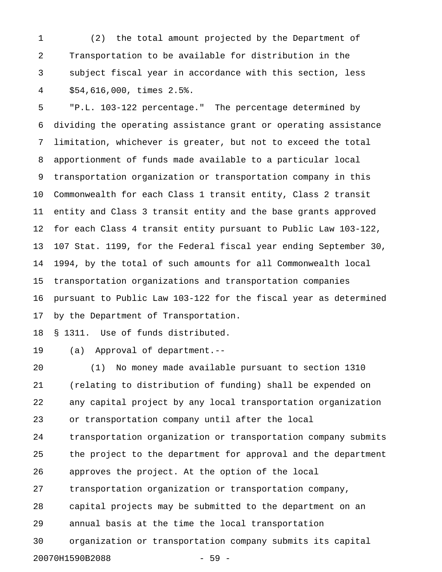1 (2) the total amount projected by the Department of 2 Transportation to be available for distribution in the 3 subject fiscal year in accordance with this section, less 4 \$54,616,000, times 2.5%.

5 "P.L. 103-122 percentage." The percentage determined by 6 dividing the operating assistance grant or operating assistance 7 limitation, whichever is greater, but not to exceed the total 8 apportionment of funds made available to a particular local 9 transportation organization or transportation company in this 10 Commonwealth for each Class 1 transit entity, Class 2 transit 11 entity and Class 3 transit entity and the base grants approved 12 for each Class 4 transit entity pursuant to Public Law 103-122, 13 107 Stat. 1199, for the Federal fiscal year ending September 30, 14 1994, by the total of such amounts for all Commonwealth local 15 transportation organizations and transportation companies 16 pursuant to Public Law 103-122 for the fiscal year as determined 17 by the Department of Transportation.

18 § 1311. Use of funds distributed.

19 (a) Approval of department.--

20 (1) No money made available pursuant to section 1310 21 (relating to distribution of funding) shall be expended on 22 any capital project by any local transportation organization 23 or transportation company until after the local 24 transportation organization or transportation company submits 25 the project to the department for approval and the department 26 approves the project. At the option of the local 27 transportation organization or transportation company, 28 capital projects may be submitted to the department on an 29 annual basis at the time the local transportation 30 organization or transportation company submits its capital 20070H1590B2088 - 59 -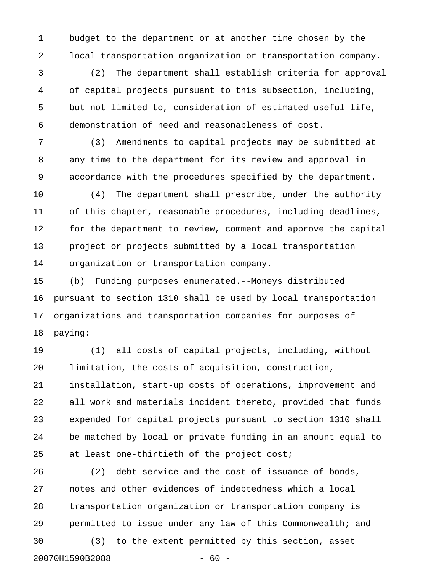1 budget to the department or at another time chosen by the 2 local transportation organization or transportation company.

3 (2) The department shall establish criteria for approval 4 of capital projects pursuant to this subsection, including, 5 but not limited to, consideration of estimated useful life, 6 demonstration of need and reasonableness of cost.

7 (3) Amendments to capital projects may be submitted at 8 any time to the department for its review and approval in 9 accordance with the procedures specified by the department.

10 (4) The department shall prescribe, under the authority 11 of this chapter, reasonable procedures, including deadlines, 12 for the department to review, comment and approve the capital 13 project or projects submitted by a local transportation 14 organization or transportation company.

15 (b) Funding purposes enumerated.--Moneys distributed 16 pursuant to section 1310 shall be used by local transportation 17 organizations and transportation companies for purposes of 18 paying:

19 (1) all costs of capital projects, including, without 20 limitation, the costs of acquisition, construction, 21 installation, start-up costs of operations, improvement and 22 all work and materials incident thereto, provided that funds 23 expended for capital projects pursuant to section 1310 shall 24 be matched by local or private funding in an amount equal to 25 at least one-thirtieth of the project cost;

26 (2) debt service and the cost of issuance of bonds, 27 notes and other evidences of indebtedness which a local 28 transportation organization or transportation company is 29 permitted to issue under any law of this Commonwealth; and 30 (3) to the extent permitted by this section, asset 20070H1590B2088 - 60 -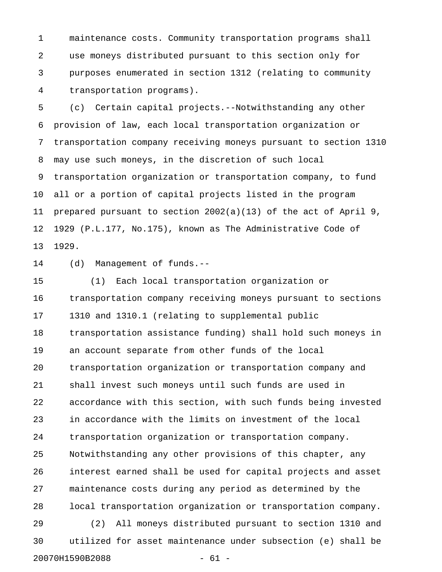1 maintenance costs. Community transportation programs shall 2 use moneys distributed pursuant to this section only for 3 purposes enumerated in section 1312 (relating to community 4 transportation programs).

5 (c) Certain capital projects.--Notwithstanding any other 6 provision of law, each local transportation organization or 7 transportation company receiving moneys pursuant to section 1310 8 may use such moneys, in the discretion of such local 9 transportation organization or transportation company, to fund 10 all or a portion of capital projects listed in the program 11 prepared pursuant to section 2002(a)(13) of the act of April 9, 12 1929 (P.L.177, No.175), known as The Administrative Code of 13 1929.

14 (d) Management of funds.--

15 (1) Each local transportation organization or 16 transportation company receiving moneys pursuant to sections 17 1310 and 1310.1 (relating to supplemental public 18 transportation assistance funding) shall hold such moneys in 19 an account separate from other funds of the local 20 transportation organization or transportation company and 21 shall invest such moneys until such funds are used in 22 accordance with this section, with such funds being invested 23 in accordance with the limits on investment of the local 24 transportation organization or transportation company. 25 Notwithstanding any other provisions of this chapter, any 26 interest earned shall be used for capital projects and asset 27 maintenance costs during any period as determined by the 28 local transportation organization or transportation company. 29 (2) All moneys distributed pursuant to section 1310 and 30 utilized for asset maintenance under subsection (e) shall be

20070H1590B2088 - 61 -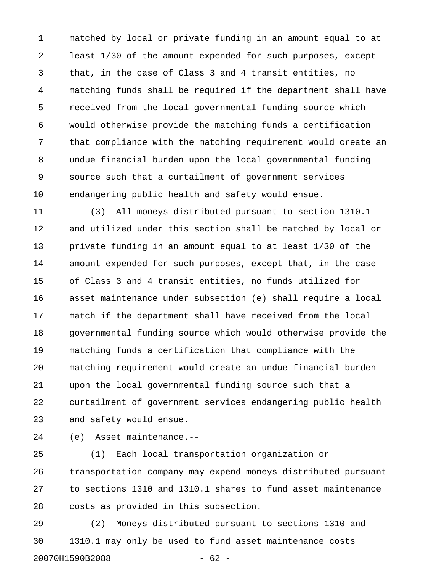1 matched by local or private funding in an amount equal to at 2 least 1/30 of the amount expended for such purposes, except 3 that, in the case of Class 3 and 4 transit entities, no 4 matching funds shall be required if the department shall have 5 received from the local governmental funding source which 6 would otherwise provide the matching funds a certification 7 that compliance with the matching requirement would create an 8 undue financial burden upon the local governmental funding 9 source such that a curtailment of government services 10 endangering public health and safety would ensue.

11 (3) All moneys distributed pursuant to section 1310.1 12 and utilized under this section shall be matched by local or 13 private funding in an amount equal to at least 1/30 of the 14 amount expended for such purposes, except that, in the case 15 of Class 3 and 4 transit entities, no funds utilized for 16 asset maintenance under subsection (e) shall require a local 17 match if the department shall have received from the local 18 governmental funding source which would otherwise provide the 19 matching funds a certification that compliance with the 20 matching requirement would create an undue financial burden 21 upon the local governmental funding source such that a 22 curtailment of government services endangering public health 23 and safety would ensue.

24 (e) Asset maintenance.--

25 (1) Each local transportation organization or 26 transportation company may expend moneys distributed pursuant 27 to sections 1310 and 1310.1 shares to fund asset maintenance 28 costs as provided in this subsection.

29 (2) Moneys distributed pursuant to sections 1310 and 30 1310.1 may only be used to fund asset maintenance costs 20070H1590B2088 - 62 -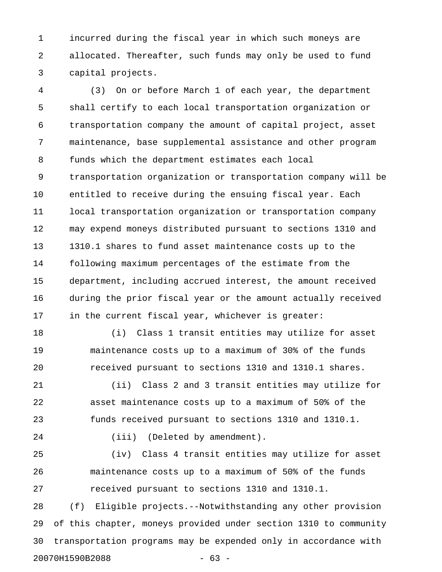1 incurred during the fiscal year in which such moneys are 2 allocated. Thereafter, such funds may only be used to fund 3 capital projects.

4 (3) On or before March 1 of each year, the department 5 shall certify to each local transportation organization or 6 transportation company the amount of capital project, asset 7 maintenance, base supplemental assistance and other program 8 funds which the department estimates each local 9 transportation organization or transportation company will be 10 entitled to receive during the ensuing fiscal year. Each 11 local transportation organization or transportation company 12 may expend moneys distributed pursuant to sections 1310 and 13 1310.1 shares to fund asset maintenance costs up to the 14 following maximum percentages of the estimate from the 15 department, including accrued interest, the amount received 16 during the prior fiscal year or the amount actually received 17 in the current fiscal year, whichever is greater:

18 (i) Class 1 transit entities may utilize for asset 19 maintenance costs up to a maximum of 30% of the funds 20 received pursuant to sections 1310 and 1310.1 shares.

21 (ii) Class 2 and 3 transit entities may utilize for 22 asset maintenance costs up to a maximum of 50% of the 23 funds received pursuant to sections 1310 and 1310.1.

24 (iii) (Deleted by amendment).

25 (iv) Class 4 transit entities may utilize for asset 26 maintenance costs up to a maximum of 50% of the funds 27 received pursuant to sections 1310 and 1310.1.

28 (f) Eligible projects.--Notwithstanding any other provision 29 of this chapter, moneys provided under section 1310 to community 30 transportation programs may be expended only in accordance with 20070H1590B2088 - 63 -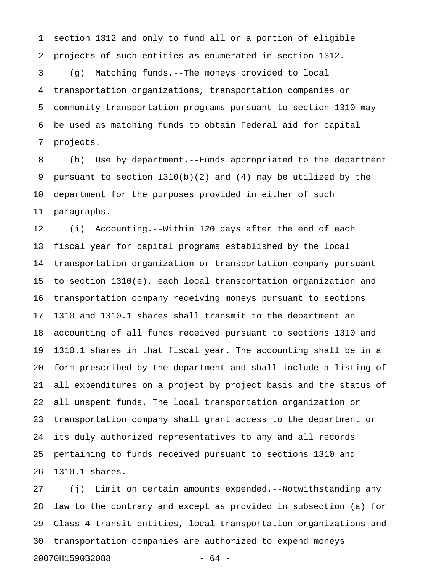1 section 1312 and only to fund all or a portion of eligible 2 projects of such entities as enumerated in section 1312.

3 (g) Matching funds.--The moneys provided to local 4 transportation organizations, transportation companies or 5 community transportation programs pursuant to section 1310 may 6 be used as matching funds to obtain Federal aid for capital 7 projects.

8 (h) Use by department.--Funds appropriated to the department 9 pursuant to section 1310(b)(2) and (4) may be utilized by the 10 department for the purposes provided in either of such 11 paragraphs.

12 (i) Accounting.--Within 120 days after the end of each 13 fiscal year for capital programs established by the local 14 transportation organization or transportation company pursuant 15 to section 1310(e), each local transportation organization and 16 transportation company receiving moneys pursuant to sections 17 1310 and 1310.1 shares shall transmit to the department an 18 accounting of all funds received pursuant to sections 1310 and 19 1310.1 shares in that fiscal year. The accounting shall be in a 20 form prescribed by the department and shall include a listing of 21 all expenditures on a project by project basis and the status of 22 all unspent funds. The local transportation organization or 23 transportation company shall grant access to the department or 24 its duly authorized representatives to any and all records 25 pertaining to funds received pursuant to sections 1310 and 26 1310.1 shares.

27 (j) Limit on certain amounts expended.--Notwithstanding any 28 law to the contrary and except as provided in subsection (a) for 29 Class 4 transit entities, local transportation organizations and 30 transportation companies are authorized to expend moneys 20070H1590B2088 - 64 -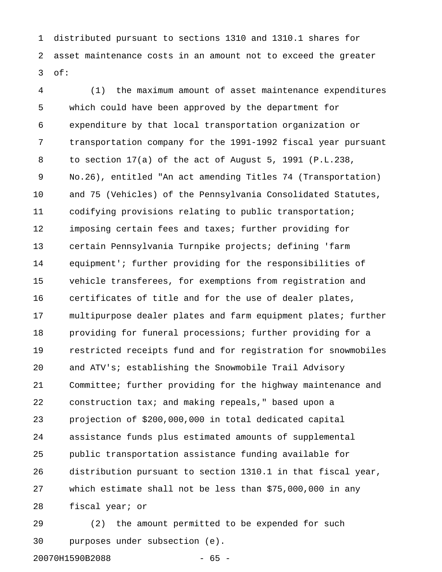1 distributed pursuant to sections 1310 and 1310.1 shares for 2 asset maintenance costs in an amount not to exceed the greater 3 of:

4 (1) the maximum amount of asset maintenance expenditures 5 which could have been approved by the department for 6 expenditure by that local transportation organization or 7 transportation company for the 1991-1992 fiscal year pursuant 8 to section 17(a) of the act of August 5, 1991 (P.L.238, 9 No.26), entitled "An act amending Titles 74 (Transportation) 10 and 75 (Vehicles) of the Pennsylvania Consolidated Statutes, 11 codifying provisions relating to public transportation; 12 imposing certain fees and taxes; further providing for 13 certain Pennsylvania Turnpike projects; defining 'farm 14 equipment'; further providing for the responsibilities of 15 vehicle transferees, for exemptions from registration and 16 certificates of title and for the use of dealer plates, 17 multipurpose dealer plates and farm equipment plates; further 18 providing for funeral processions; further providing for a 19 restricted receipts fund and for registration for snowmobiles 20 and ATV's; establishing the Snowmobile Trail Advisory 21 Committee; further providing for the highway maintenance and 22 construction tax; and making repeals," based upon a 23 projection of \$200,000,000 in total dedicated capital 24 assistance funds plus estimated amounts of supplemental 25 public transportation assistance funding available for 26 distribution pursuant to section 1310.1 in that fiscal year, 27 which estimate shall not be less than \$75,000,000 in any 28 fiscal year; or

29 (2) the amount permitted to be expended for such 30 purposes under subsection (e).

20070H1590B2088 - 65 -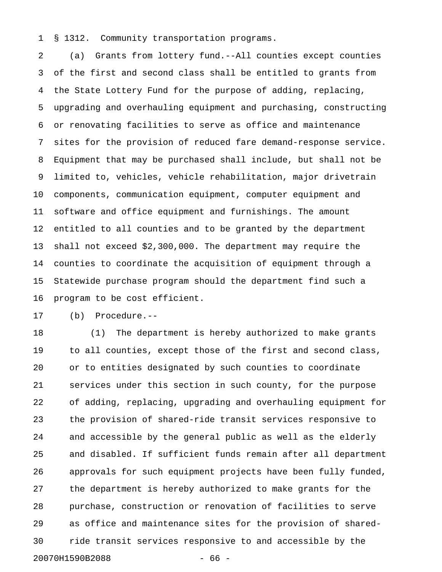1 § 1312. Community transportation programs.

2 (a) Grants from lottery fund.--All counties except counties 3 of the first and second class shall be entitled to grants from 4 the State Lottery Fund for the purpose of adding, replacing, 5 upgrading and overhauling equipment and purchasing, constructing 6 or renovating facilities to serve as office and maintenance 7 sites for the provision of reduced fare demand-response service. 8 Equipment that may be purchased shall include, but shall not be 9 limited to, vehicles, vehicle rehabilitation, major drivetrain 10 components, communication equipment, computer equipment and 11 software and office equipment and furnishings. The amount 12 entitled to all counties and to be granted by the department 13 shall not exceed \$2,300,000. The department may require the 14 counties to coordinate the acquisition of equipment through a 15 Statewide purchase program should the department find such a 16 program to be cost efficient.

17 (b) Procedure.--

18 (1) The department is hereby authorized to make grants 19 to all counties, except those of the first and second class, 20 or to entities designated by such counties to coordinate 21 services under this section in such county, for the purpose 22 of adding, replacing, upgrading and overhauling equipment for 23 the provision of shared-ride transit services responsive to 24 and accessible by the general public as well as the elderly 25 and disabled. If sufficient funds remain after all department 26 approvals for such equipment projects have been fully funded, 27 the department is hereby authorized to make grants for the 28 purchase, construction or renovation of facilities to serve 29 as office and maintenance sites for the provision of shared-30 ride transit services responsive to and accessible by the 20070H1590B2088 - 66 -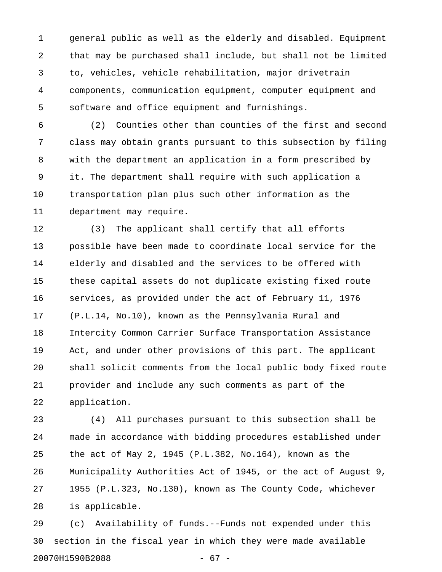1 general public as well as the elderly and disabled. Equipment 2 that may be purchased shall include, but shall not be limited 3 to, vehicles, vehicle rehabilitation, major drivetrain 4 components, communication equipment, computer equipment and 5 software and office equipment and furnishings.

6 (2) Counties other than counties of the first and second 7 class may obtain grants pursuant to this subsection by filing 8 with the department an application in a form prescribed by 9 it. The department shall require with such application a 10 transportation plan plus such other information as the 11 department may require.

12 (3) The applicant shall certify that all efforts 13 possible have been made to coordinate local service for the 14 elderly and disabled and the services to be offered with 15 these capital assets do not duplicate existing fixed route 16 services, as provided under the act of February 11, 1976 17 (P.L.14, No.10), known as the Pennsylvania Rural and 18 Intercity Common Carrier Surface Transportation Assistance 19 Act, and under other provisions of this part. The applicant 20 shall solicit comments from the local public body fixed route 21 provider and include any such comments as part of the 22 application.

23 (4) All purchases pursuant to this subsection shall be 24 made in accordance with bidding procedures established under 25 the act of May 2, 1945 (P.L.382, No.164), known as the 26 Municipality Authorities Act of 1945, or the act of August 9, 27 1955 (P.L.323, No.130), known as The County Code, whichever 28 is applicable.

29 (c) Availability of funds.--Funds not expended under this 30 section in the fiscal year in which they were made available 20070H1590B2088 - 67 -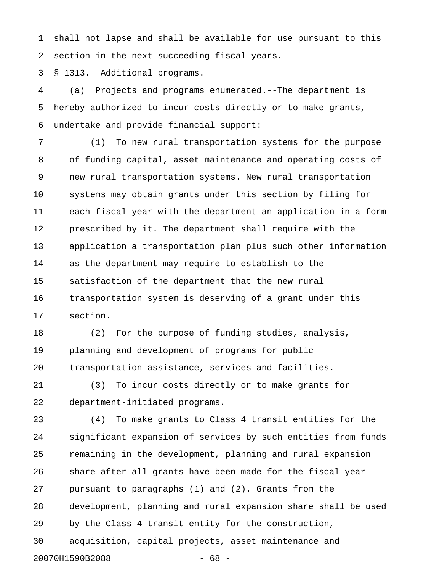1 shall not lapse and shall be available for use pursuant to this 2 section in the next succeeding fiscal years.

3 § 1313. Additional programs.

4 (a) Projects and programs enumerated.--The department is 5 hereby authorized to incur costs directly or to make grants, 6 undertake and provide financial support:

7 (1) To new rural transportation systems for the purpose 8 of funding capital, asset maintenance and operating costs of 9 new rural transportation systems. New rural transportation 10 systems may obtain grants under this section by filing for 11 each fiscal year with the department an application in a form 12 prescribed by it. The department shall require with the 13 application a transportation plan plus such other information 14 as the department may require to establish to the 15 satisfaction of the department that the new rural 16 transportation system is deserving of a grant under this 17 section.

18 (2) For the purpose of funding studies, analysis, 19 planning and development of programs for public 20 transportation assistance, services and facilities.

21 (3) To incur costs directly or to make grants for 22 department-initiated programs.

23 (4) To make grants to Class 4 transit entities for the 24 significant expansion of services by such entities from funds 25 remaining in the development, planning and rural expansion 26 share after all grants have been made for the fiscal year 27 pursuant to paragraphs (1) and (2). Grants from the 28 development, planning and rural expansion share shall be used 29 by the Class 4 transit entity for the construction, 30 acquisition, capital projects, asset maintenance and 20070H1590B2088 - 68 -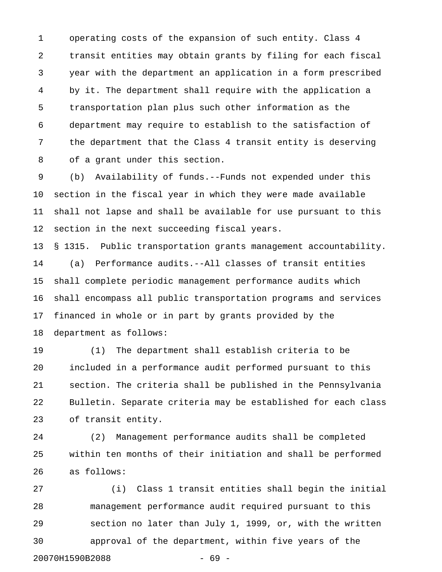1 operating costs of the expansion of such entity. Class 4 2 transit entities may obtain grants by filing for each fiscal 3 year with the department an application in a form prescribed 4 by it. The department shall require with the application a 5 transportation plan plus such other information as the 6 department may require to establish to the satisfaction of 7 the department that the Class 4 transit entity is deserving 8 of a grant under this section.

9 (b) Availability of funds.--Funds not expended under this 10 section in the fiscal year in which they were made available 11 shall not lapse and shall be available for use pursuant to this 12 section in the next succeeding fiscal years.

13 § 1315. Public transportation grants management accountability. 14 (a) Performance audits.--All classes of transit entities 15 shall complete periodic management performance audits which 16 shall encompass all public transportation programs and services 17 financed in whole or in part by grants provided by the 18 department as follows:

19 (1) The department shall establish criteria to be 20 included in a performance audit performed pursuant to this 21 section. The criteria shall be published in the Pennsylvania 22 Bulletin. Separate criteria may be established for each class 23 of transit entity.

24 (2) Management performance audits shall be completed 25 within ten months of their initiation and shall be performed 26 as follows:

27 (i) Class 1 transit entities shall begin the initial 28 management performance audit required pursuant to this 29 section no later than July 1, 1999, or, with the written 30 approval of the department, within five years of the 20070H1590B2088 - 69 -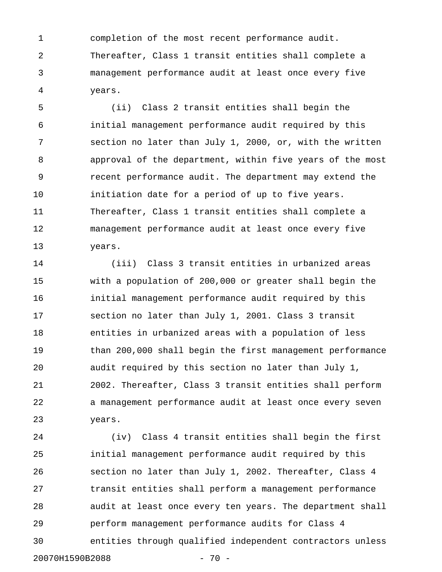1 completion of the most recent performance audit. 2 Thereafter, Class 1 transit entities shall complete a 3 management performance audit at least once every five 4 years.

5 (ii) Class 2 transit entities shall begin the 6 initial management performance audit required by this 7 section no later than July 1, 2000, or, with the written 8 approval of the department, within five years of the most 9 recent performance audit. The department may extend the 10 **initiation date for a period of up to five years.** 11 Thereafter, Class 1 transit entities shall complete a 12 management performance audit at least once every five 13 years.

14 (iii) Class 3 transit entities in urbanized areas 15 with a population of 200,000 or greater shall begin the 16 initial management performance audit required by this 17 section no later than July 1, 2001. Class 3 transit 18 entities in urbanized areas with a population of less 19 than 200,000 shall begin the first management performance 20 audit required by this section no later than July 1, 21 2002. Thereafter, Class 3 transit entities shall perform 22 a management performance audit at least once every seven 23 years.

24 (iv) Class 4 transit entities shall begin the first 25 initial management performance audit required by this 26 section no later than July 1, 2002. Thereafter, Class 4 27 transit entities shall perform a management performance 28 audit at least once every ten years. The department shall 29 perform management performance audits for Class 4 30 entities through qualified independent contractors unless 20070H1590B2088 - 70 -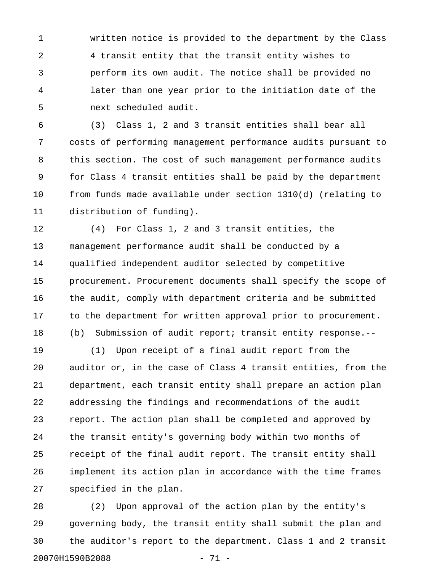1 written notice is provided to the department by the Class 2 4 transit entity that the transit entity wishes to 3 perform its own audit. The notice shall be provided no 4 later than one year prior to the initiation date of the 5 next scheduled audit.

6 (3) Class 1, 2 and 3 transit entities shall bear all 7 costs of performing management performance audits pursuant to 8 this section. The cost of such management performance audits 9 for Class 4 transit entities shall be paid by the department 10 from funds made available under section 1310(d) (relating to 11 distribution of funding).

12 (4) For Class 1, 2 and 3 transit entities, the 13 management performance audit shall be conducted by a 14 qualified independent auditor selected by competitive 15 procurement. Procurement documents shall specify the scope of 16 the audit, comply with department criteria and be submitted 17 to the department for written approval prior to procurement. 18 (b) Submission of audit report; transit entity response.--

19 (1) Upon receipt of a final audit report from the 20 auditor or, in the case of Class 4 transit entities, from the 21 department, each transit entity shall prepare an action plan 22 addressing the findings and recommendations of the audit 23 report. The action plan shall be completed and approved by 24 the transit entity's governing body within two months of 25 receipt of the final audit report. The transit entity shall 26 implement its action plan in accordance with the time frames 27 specified in the plan.

28 (2) Upon approval of the action plan by the entity's 29 governing body, the transit entity shall submit the plan and 30 the auditor's report to the department. Class 1 and 2 transit 20070H1590B2088 - 71 -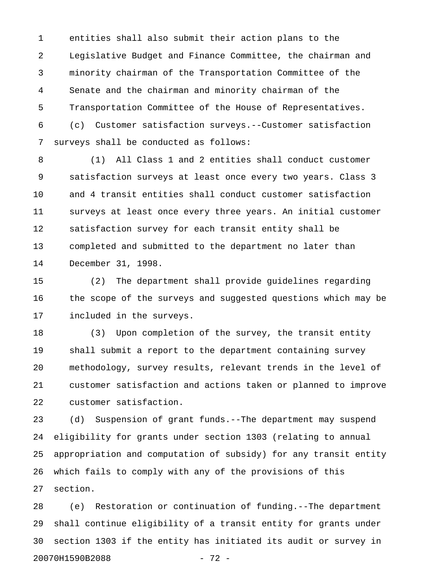1 entities shall also submit their action plans to the 2 Legislative Budget and Finance Committee, the chairman and 3 minority chairman of the Transportation Committee of the 4 Senate and the chairman and minority chairman of the 5 Transportation Committee of the House of Representatives. 6 (c) Customer satisfaction surveys.--Customer satisfaction 7 surveys shall be conducted as follows:

8 (1) All Class 1 and 2 entities shall conduct customer 9 satisfaction surveys at least once every two years. Class 3 10 and 4 transit entities shall conduct customer satisfaction 11 surveys at least once every three years. An initial customer 12 satisfaction survey for each transit entity shall be 13 completed and submitted to the department no later than 14 December 31, 1998.

15 (2) The department shall provide guidelines regarding 16 the scope of the surveys and suggested questions which may be 17 included in the surveys.

18 (3) Upon completion of the survey, the transit entity 19 shall submit a report to the department containing survey 20 methodology, survey results, relevant trends in the level of 21 customer satisfaction and actions taken or planned to improve 22 customer satisfaction.

23 (d) Suspension of grant funds.--The department may suspend 24 eligibility for grants under section 1303 (relating to annual 25 appropriation and computation of subsidy) for any transit entity 26 which fails to comply with any of the provisions of this 27 section.

28 (e) Restoration or continuation of funding.--The department 29 shall continue eligibility of a transit entity for grants under 30 section 1303 if the entity has initiated its audit or survey in 20070H1590B2088 - 72 -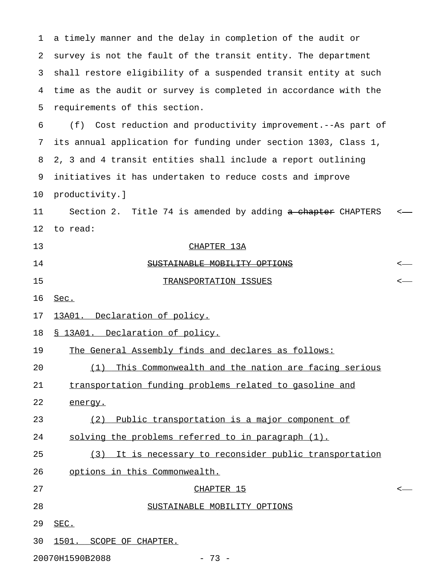1 a timely manner and the delay in completion of the audit or 2 survey is not the fault of the transit entity. The department 3 shall restore eligibility of a suspended transit entity at such 4 time as the audit or survey is completed in accordance with the 5 requirements of this section. 6 (f) Cost reduction and productivity improvement.--As part of 7 its annual application for funding under section 1303, Class 1, 8 2, 3 and 4 transit entities shall include a report outlining 9 initiatives it has undertaken to reduce costs and improve 10 productivity.] 11 Section 2. Title 74 is amended by adding a chapter CHAPTERS <-12 to read: 13 CHAPTER 13A 14 SUSTAINABLE MOBILITY OPTIONS <-15 TRANSPORTATION ISSUES <— 16 Sec. \_\_\_\_ 17 13A01. Declaration of policy. 18 § 13A01. Declaration of policy. 19 The General Assembly finds and declares as follows: 20 (1) This Commonwealth and the nation are facing serious 21 transportation funding problems related to gasoline and 22 energy. 23 (2) Public transportation is a major component of 24 solving the problems referred to in paragraph (1). 25 (3) It is necessary to reconsider public transportation 26 options in this Commonwealth.  $27$  chapter 15  $\leftarrow$ 28 SUSTAINABLE MOBILITY OPTIONS \_\_\_\_\_\_\_\_\_\_\_\_\_\_\_\_\_\_\_\_\_\_\_\_\_\_\_\_ 29 SEC. \_\_\_\_ 30 1501. SCOPE OF CHAPTER.

20070H1590B2088 - 73 -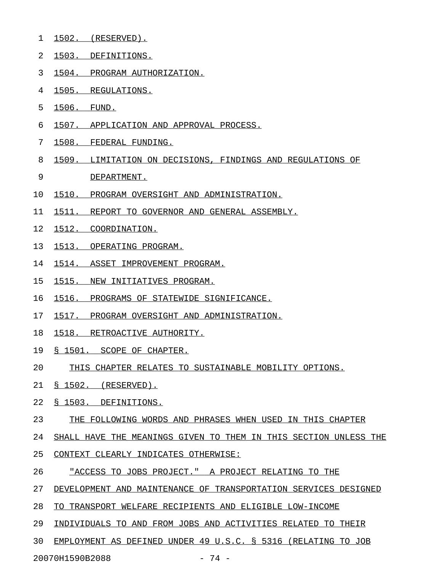- 1 1502. (RESERVED).
- 2 1503. DEFINITIONS.
- 3 1504. PROGRAM AUTHORIZATION.
- 4 1505. REGULATIONS.
- 5 1506. FUND.
- 6 1507. APPLICATION AND APPROVAL PROCESS.
- 7 1508. FEDERAL FUNDING.
- 8 1509. LIMITATION ON DECISIONS, FINDINGS AND REGULATIONS OF
- 9 DEPARTMENT.
- 10 1510. PROGRAM OVERSIGHT AND ADMINISTRATION.
- 11 1511. REPORT TO GOVERNOR AND GENERAL ASSEMBLY.
- 12 1512. COORDINATION.
- 13 1513. OPERATING PROGRAM.
- 14 1514. ASSET IMPROVEMENT PROGRAM.
- 15 1515. NEW INITIATIVES PROGRAM.
- 16 1516. PROGRAMS OF STATEWIDE SIGNIFICANCE.
- 17 1517. PROGRAM OVERSIGHT AND ADMINISTRATION.
- 18 1518. RETROACTIVE AUTHORITY.
- 19 § 1501. SCOPE OF CHAPTER.
- 20 THIS CHAPTER RELATES TO SUSTAINABLE MOBILITY OPTIONS.
- 21 § 1502. (RESERVED).
- 22 § 1503. DEFINITIONS.
- 23 THE FOLLOWING WORDS AND PHRASES WHEN USED IN THIS CHAPTER
- 24 SHALL HAVE THE MEANINGS GIVEN TO THEM IN THIS SECTION UNLESS THE
- 25 CONTEXT CLEARLY INDICATES OTHERWISE:
- 26 TACCESS TO JOBS PROJECT. " A PROJECT RELATING TO THE
- 27 DEVELOPMENT AND MAINTENANCE OF TRANSPORTATION SERVICES DESIGNED
- 28 TO TRANSPORT WELFARE RECIPIENTS AND ELIGIBLE LOW-INCOME
- 29 INDIVIDUALS TO AND FROM JOBS AND ACTIVITIES RELATED TO THEIR
- 30 EMPLOYMENT AS DEFINED UNDER 49 U.S.C. § 5316 (RELATING TO JOB

20070H1590B2088 - 74 -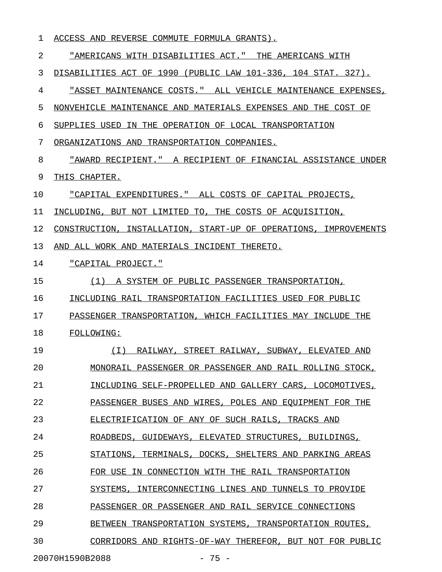1 ACCESS AND REVERSE COMMUTE FORMULA GRANTS).

2 "AMERICANS WITH DISABILITIES ACT." THE AMERICANS WITH 3 DISABILITIES ACT OF 1990 (PUBLIC LAW 101-336, 104 STAT. 327). 4 "ASSET MAINTENANCE COSTS." ALL VEHICLE MAINTENANCE EXPENSES, 5 NONVEHICLE MAINTENANCE AND MATERIALS EXPENSES AND THE COST OF 6 SUPPLIES USED IN THE OPERATION OF LOCAL TRANSPORTATION 7 ORGANIZATIONS AND TRANSPORTATION COMPANIES. 8 "AWARD RECIPIENT." A RECIPIENT OF FINANCIAL ASSISTANCE UNDER 9 THIS CHAPTER. 10 "CAPITAL EXPENDITURES." ALL COSTS OF CAPITAL PROJECTS, 11 INCLUDING, BUT NOT LIMITED TO, THE COSTS OF ACQUISITION, 12 CONSTRUCTION, INSTALLATION, START-UP OF OPERATIONS, IMPROVEMENTS 13 AND ALL WORK AND MATERIALS INCIDENT THERETO. 14 "CAPITAL PROJECT." 15 (1) A SYSTEM OF PUBLIC PASSENGER TRANSPORTATION, 16 INCLUDING RAIL TRANSPORTATION FACILITIES USED FOR PUBLIC 17 PASSENGER TRANSPORTATION, WHICH FACILITIES MAY INCLUDE THE 18 FOLLOWING: 19 (I) RAILWAY, STREET RAILWAY, SUBWAY, ELEVATED AND \_\_\_\_\_\_\_\_\_\_\_\_\_\_\_\_\_\_\_\_\_\_\_\_\_\_\_\_\_\_\_\_\_\_\_\_\_\_\_\_\_\_\_\_\_\_\_\_\_\_ 20 MONORAIL PASSENGER OR PASSENGER AND RAIL ROLLING STOCK, 21 INCLUDING SELF-PROPELLED AND GALLERY CARS, LOCOMOTIVES, 22 PASSENGER BUSES AND WIRES, POLES AND EQUIPMENT FOR THE 23 ELECTRIFICATION OF ANY OF SUCH RAILS, TRACKS AND 24 ROADBEDS, GUIDEWAYS, ELEVATED STRUCTURES, BUILDINGS, 25 STATIONS, TERMINALS, DOCKS, SHELTERS AND PARKING AREAS 26 FOR USE IN CONNECTION WITH THE RAIL TRANSPORTATION 27 SYSTEMS, INTERCONNECTING LINES AND TUNNELS TO PROVIDE 28 PASSENGER OR PASSENGER AND RAIL SERVICE CONNECTIONS 29 BETWEEN TRANSPORTATION SYSTEMS, TRANSPORTATION ROUTES, 30 CORRIDORS AND RIGHTS-OF-WAY THEREFOR, BUT NOT FOR PUBLIC

20070H1590B2088 - 75 -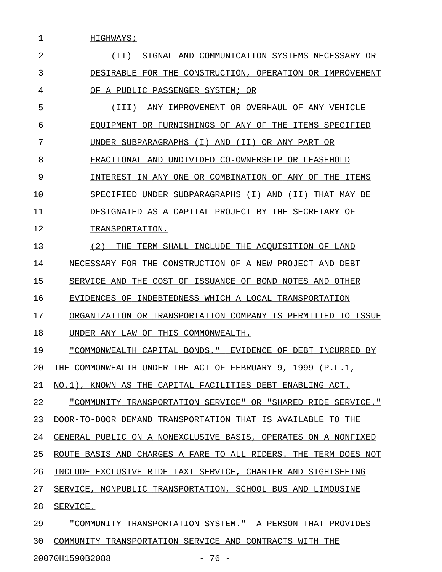1 HIGHWAYS; 2 1I) SIGNAL AND COMMUNICATION SYSTEMS NECESSARY OR 3 DESIRABLE FOR THE CONSTRUCTION, OPERATION OR IMPROVEMENT 4 OF A PUBLIC PASSENGER SYSTEM; OR 5 (III) ANY IMPROVEMENT OR OVERHAUL OF ANY VEHICLE \_\_\_\_\_\_\_\_\_\_\_\_\_\_\_\_\_\_\_\_\_\_\_\_\_\_\_\_\_\_\_\_\_\_\_\_\_\_\_\_\_\_\_\_\_\_\_\_\_ 6 FOUIPMENT OR FURNISHINGS OF ANY OF THE ITEMS SPECIFIED 7 UNDER SUBPARAGRAPHS (I) AND (II) OR ANY PART OR 8 FRACTIONAL AND UNDIVIDED CO-OWNERSHIP OR LEASEHOLD 9 INTEREST IN ANY ONE OR COMBINATION OF ANY OF THE ITEMS 10 SPECIFIED UNDER SUBPARAGRAPHS (I) AND (II) THAT MAY BE 11 DESIGNATED AS A CAPITAL PROJECT BY THE SECRETARY OF 12 TRANSPORTATION. 13 (2) THE TERM SHALL INCLUDE THE ACQUISITION OF LAND 14 NECESSARY FOR THE CONSTRUCTION OF A NEW PROJECT AND DEBT 15 SERVICE AND THE COST OF ISSUANCE OF BOND NOTES AND OTHER 16 EVIDENCES OF INDEBTEDNESS WHICH A LOCAL TRANSPORTATION 17 ORGANIZATION OR TRANSPORTATION COMPANY IS PERMITTED TO ISSUE 18 UNDER ANY LAW OF THIS COMMONWEALTH. 19 <u>"COMMONWEALTH CAPITAL BONDS."</u> EVIDENCE OF DEBT INCURRED BY 20 THE COMMONWEALTH UNDER THE ACT OF FEBRUARY 9, 1999 (P.L.1, 21 NO.1), KNOWN AS THE CAPITAL FACILITIES DEBT ENABLING ACT. 22 "COMMUNITY TRANSPORTATION SERVICE" OR "SHARED RIDE SERVICE."

23 DOOR-TO-DOOR DEMAND TRANSPORTATION THAT IS AVAILABLE TO THE

24 GENERAL PUBLIC ON A NONEXCLUSIVE BASIS, OPERATES ON A NONFIXED

25 ROUTE BASIS AND CHARGES A FARE TO ALL RIDERS. THE TERM DOES NOT

26 INCLUDE EXCLUSIVE RIDE TAXI SERVICE, CHARTER AND SIGHTSEEING

27 SERVICE, NONPUBLIC TRANSPORTATION, SCHOOL BUS AND LIMOUSINE

28 SERVICE.

29 "COMMUNITY TRANSPORTATION SYSTEM." A PERSON THAT PROVIDES 30 COMMUNITY TRANSPORTATION SERVICE AND CONTRACTS WITH THE

20070H1590B2088 - 76 -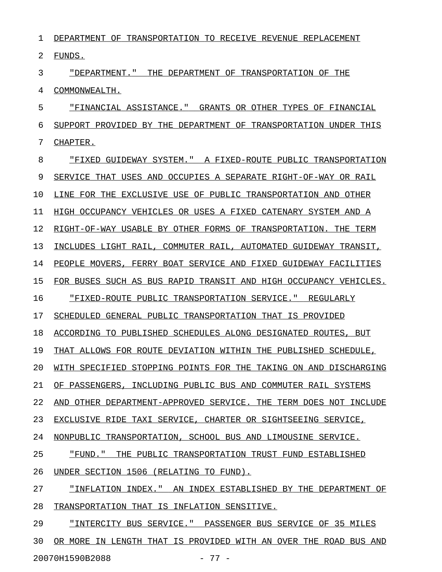1 DEPARTMENT OF TRANSPORTATION TO RECEIVE REVENUE REPLACEMENT 2 FUNDS.

3 "DEPARTMENT." THE DEPARTMENT OF TRANSPORTATION OF THE 4 COMMONWEALTH.

5 FINANCIAL ASSISTANCE." GRANTS OR OTHER TYPES OF FINANCIAL 6 SUPPORT PROVIDED BY THE DEPARTMENT OF TRANSPORTATION UNDER THIS 7 CHAPTER.

8 FIXED GUIDEWAY SYSTEM." A FIXED-ROUTE PUBLIC TRANSPORTATION 9 SERVICE THAT USES AND OCCUPIES A SEPARATE RIGHT-OF-WAY OR RAIL 10 LINE FOR THE EXCLUSIVE USE OF PUBLIC TRANSPORTATION AND OTHER 11 HIGH OCCUPANCY VEHICLES OR USES A FIXED CATENARY SYSTEM AND A 12 RIGHT-OF-WAY USABLE BY OTHER FORMS OF TRANSPORTATION. THE TERM 13 INCLUDES LIGHT RAIL, COMMUTER RAIL, AUTOMATED GUIDEWAY TRANSIT, 14 PEOPLE MOVERS, FERRY BOAT SERVICE AND FIXED GUIDEWAY FACILITIES 15 FOR BUSES SUCH AS BUS RAPID TRANSIT AND HIGH OCCUPANCY VEHICLES. 16 FIXED-ROUTE PUBLIC TRANSPORTATION SERVICE." REGULARLY 17 SCHEDULED GENERAL PUBLIC TRANSPORTATION THAT IS PROVIDED 18 ACCORDING TO PUBLISHED SCHEDULES ALONG DESIGNATED ROUTES, BUT 19 THAT ALLOWS FOR ROUTE DEVIATION WITHIN THE PUBLISHED SCHEDULE, 20 WITH SPECIFIED STOPPING POINTS FOR THE TAKING ON AND DISCHARGING 21 OF PASSENGERS, INCLUDING PUBLIC BUS AND COMMUTER RAIL SYSTEMS 22 AND OTHER DEPARTMENT-APPROVED SERVICE. THE TERM DOES NOT INCLUDE 23 EXCLUSIVE RIDE TAXI SERVICE, CHARTER OR SIGHTSEEING SERVICE, 24 NONPUBLIC TRANSPORTATION, SCHOOL BUS AND LIMOUSINE SERVICE. 25 "FUND." THE PUBLIC TRANSPORTATION TRUST FUND ESTABLISHED 26 UNDER SECTION 1506 (RELATING TO FUND). 27 "INFLATION INDEX." AN INDEX ESTABLISHED BY THE DEPARTMENT OF 28 TRANSPORTATION THAT IS INFLATION SENSITIVE. 29 "INTERCITY BUS SERVICE." PASSENGER BUS SERVICE OF 35 MILES

30 OR MORE IN LENGTH THAT IS PROVIDED WITH AN OVER THE ROAD BUS AND 20070H1590B2088 - 77 -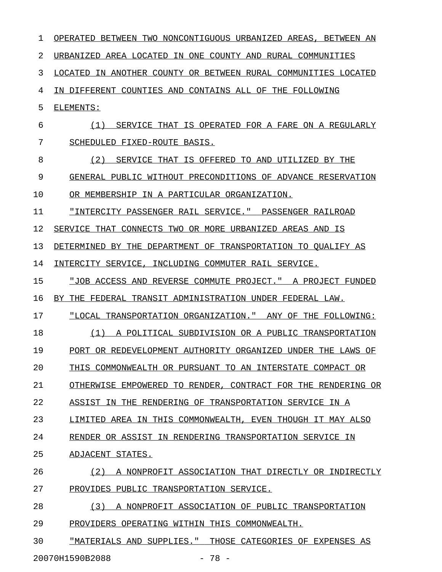| 1  | TWO NONCONTIGUOUS URBANIZED AREAS,<br>BETWEEN AN<br>OPERATED BETWEEN  |
|----|-----------------------------------------------------------------------|
| 2  | URBANIZED<br>AREA LOCATED<br>IN ONE COUNTY AND RURAL COMMUNITIES      |
| 3  | LOCATED<br>TN.<br>ANOTHER COUNTY OR BETWEEN RURAL COMMUNITIES LOCATED |
| 4  | IN DIFFERENT COUNTIES AND CONTAINS ALL OF THE<br>FOLLOWING            |
| 5  | ELEMENTS:                                                             |
| 6  | (1)<br>SERVICE THAT<br>IS OPERATED FOR A FARE ON A REGULARLY          |
| 7  | SCHEDULED FIXED-ROUTE BASIS.                                          |
| 8  | (2)<br>SERVICE THAT<br>IS OFFERED<br>TO.<br>AND<br>UTILIZED<br>BY THE |
| 9  | GENERAL PUBLIC WITHOUT PRECONDITIONS OF ADVANCE RESERVATION           |
| 10 | OR MEMBERSHIP IN A PARTICULAR ORGANIZATION.                           |
| 11 | "INTERCITY PASSENGER RAIL SERVICE." PASSENGER RAILROAD                |
| 12 | SERVICE THAT CONNECTS TWO OR MORE URBANIZED AREAS AND<br>IS           |
| 13 | DETERMINED<br>BY THE<br>DEPARTMENT OF TRANSPORTATION TO OUALIFY AS    |
| 14 | INTERCITY SERVICE,<br>INCLUDING COMMUTER RAIL SERVICE.                |
| 15 | "JOB ACCESS AND REVERSE COMMUTE PROJECT."<br>A PROJECT FUNDED         |
| 16 | FEDERAL TRANSIT ADMINISTRATION UNDER FEDERAL LAW.<br>BY.<br>THE       |
| 17 | "LOCAL TRANSPORTATION ORGANIZATION."<br>ANY OF<br>THE FOLLOWING:      |
| 18 | A POLITICAL SUBDIVISION OR A PUBLIC TRANSPORTATION<br>(1)             |
| 19 | PORT OR REDEVELOPMENT AUTHORITY ORGANIZED UNDER THE<br>LAWS OF        |
| 20 | THIS COMMONWEALTH OR PURSUANT TO AN INTERSTATE COMPACT OR             |
| 21 | OTHERWISE EMPOWERED TO RENDER, CONTRACT FOR THE RENDERING OR          |
| 22 | ASSIST IN THE RENDERING OF TRANSPORTATION SERVICE IN A                |
| 23 | LIMITED AREA IN THIS COMMONWEALTH, EVEN THOUGH IT MAY ALSO            |
| 24 | RENDER OR ASSIST IN RENDERING TRANSPORTATION SERVICE IN               |
| 25 | ADJACENT STATES.                                                      |
| 26 | A NONPROFIT ASSOCIATION THAT DIRECTLY OR INDIRECTLY<br>(2)            |
| 27 | PROVIDES PUBLIC TRANSPORTATION SERVICE.                               |
| 28 | (3)<br>A NONPROFIT ASSOCIATION OF PUBLIC TRANSPORTATION               |
| 29 | PROVIDERS OPERATING WITHIN THIS COMMONWEALTH.                         |
| 30 | "MATERIALS AND SUPPLIES." THOSE CATEGORIES OF EXPENSES AS             |
|    | 20070H1590B2088<br>$-78 -$                                            |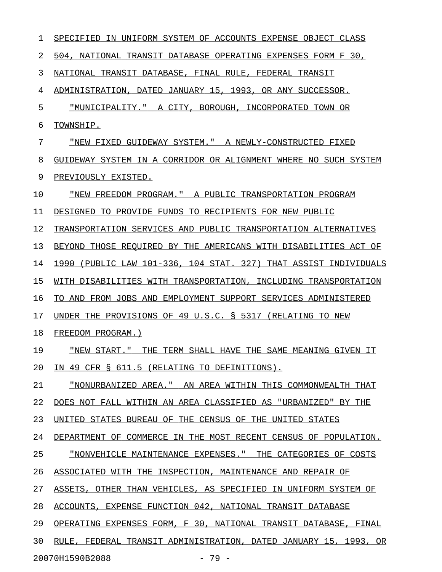| 1  | IN UNIFORM SYSTEM OF ACCOUNTS EXPENSE OBJECT CLASS<br>SPECIFIED     |
|----|---------------------------------------------------------------------|
| 2  | 504, NATIONAL TRANSIT DATABASE OPERATING EXPENSES FORM F 30,        |
| 3  | NATIONAL TRANSIT DATABASE, FINAL RULE, FEDERAL TRANSIT              |
| 4  | ADMINISTRATION, DATED JANUARY 15, 1993, OR ANY SUCCESSOR.           |
| 5  | "MUNICIPALITY." A CITY, BOROUGH, INCORPORATED TOWN OR               |
| 6  | TOWNSHIP.                                                           |
| 7  | "NEW FIXED GUIDEWAY SYSTEM." A NEWLY-CONSTRUCTED FIXED              |
| 8  | GUIDEWAY SYSTEM IN A CORRIDOR OR ALIGNMENT WHERE NO SUCH SYSTEM     |
| 9  | PREVIOUSLY EXISTED.                                                 |
| 10 | "NEW FREEDOM PROGRAM." A PUBLIC TRANSPORTATION PROGRAM              |
| 11 | TO PROVIDE FUNDS TO RECIPIENTS FOR NEW PUBLIC<br>DESIGNED           |
| 12 | TRANSPORTATION SERVICES AND PUBLIC TRANSPORTATION ALTERNATIVES      |
| 13 | BEYOND THOSE REQUIRED BY THE AMERICANS WITH DISABILITIES ACT OF     |
| 14 | (PUBLIC LAW 101-336, 104 STAT. 327) THAT ASSIST INDIVIDUALS<br>1990 |
| 15 | WITH DISABILITIES WITH TRANSPORTATION, INCLUDING TRANSPORTATION     |
| 16 | AND FROM JOBS AND EMPLOYMENT SUPPORT SERVICES ADMINISTERED<br>TO.   |
| 17 | UNDER THE PROVISIONS OF 49 U.S.C. § 5317 (RELATING TO NEW           |
| 18 | FREEDOM PROGRAM.)                                                   |
| 19 | "NEW START."<br>THE TERM SHALL HAVE THE SAME MEANING GIVEN IT       |
| 20 | IN 49 CFR § 611.5 (RELATING TO DEFINITIONS).                        |
| 21 | "NONURBANIZED AREA." AN AREA WITHIN THIS COMMONWEALTH THAT          |
| 22 | DOES NOT FALL WITHIN AN AREA CLASSIFIED AS "URBANIZED" BY THE       |
| 23 | UNITED STATES BUREAU OF THE CENSUS OF THE UNITED STATES             |
| 24 | DEPARTMENT OF COMMERCE IN THE MOST RECENT CENSUS OF POPULATION.     |
| 25 | "NONVEHICLE MAINTENANCE EXPENSES." THE CATEGORIES OF COSTS          |
| 26 | ASSOCIATED WITH THE INSPECTION, MAINTENANCE AND REPAIR OF           |
| 27 | ASSETS, OTHER THAN VEHICLES, AS SPECIFIED IN UNIFORM SYSTEM OF      |
| 28 | ACCOUNTS, EXPENSE FUNCTION 042, NATIONAL TRANSIT DATABASE           |
| 29 | OPERATING EXPENSES FORM, F 30, NATIONAL TRANSIT DATABASE, FINAL     |
| 30 | RULE, FEDERAL TRANSIT ADMINISTRATION, DATED JANUARY 15, 1993, OR    |
|    | 20070H1590B2088<br>$-79-$                                           |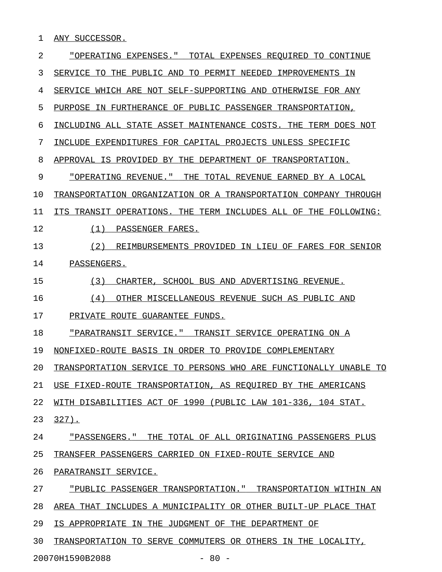1 ANY SUCCESSOR.

| 2  | "OPERATING EXPENSES." TOTAL EXPENSES REOUIRED TO CONTINUE        |
|----|------------------------------------------------------------------|
| 3  | SERVICE TO THE PUBLIC AND TO PERMIT NEEDED IMPROVEMENTS IN       |
| 4  | SERVICE WHICH ARE NOT SELF-SUPPORTING AND OTHERWISE FOR ANY      |
| 5  | PURPOSE IN FURTHERANCE OF PUBLIC PASSENGER TRANSPORTATION,       |
| 6  | INCLUDING ALL STATE ASSET MAINTENANCE COSTS. THE TERM DOES NOT   |
| 7  | INCLUDE EXPENDITURES FOR CAPITAL PROJECTS UNLESS SPECIFIC        |
| 8  | APPROVAL IS PROVIDED BY THE DEPARTMENT OF TRANSPORTATION.        |
| 9  | "OPERATING REVENUE." THE TOTAL REVENUE EARNED BY A LOCAL         |
| 10 | TRANSPORTATION ORGANIZATION OR A TRANSPORTATION COMPANY THROUGH  |
| 11 | ITS TRANSIT OPERATIONS. THE TERM INCLUDES ALL OF THE FOLLOWING:  |
| 12 | (1) PASSENGER FARES.                                             |
| 13 | (2)<br>REIMBURSEMENTS PROVIDED IN LIEU OF FARES FOR SENIOR       |
| 14 | PASSENGERS.                                                      |
| 15 | (3)<br>CHARTER, SCHOOL BUS AND ADVERTISING REVENUE.              |
| 16 | OTHER MISCELLANEOUS REVENUE SUCH AS PUBLIC AND<br>(4)            |
| 17 | PRIVATE ROUTE GUARANTEE FUNDS.                                   |
| 18 | "PARATRANSIT SERVICE." TRANSIT SERVICE OPERATING ON A            |
| 19 | NONFIXED-ROUTE BASIS IN ORDER TO PROVIDE COMPLEMENTARY           |
| 20 | TRANSPORTATION SERVICE TO PERSONS WHO ARE FUNCTIONALLY UNABLE TO |
| 21 | USE FIXED-ROUTE TRANSPORTATION, AS REQUIRED BY THE AMERICANS     |
| 22 | WITH DISABILITIES ACT OF 1990 (PUBLIC LAW 101-336, 104 STAT.     |
| 23 | $327$ .                                                          |
| 24 | "PASSENGERS." THE TOTAL OF ALL ORIGINATING PASSENGERS PLUS       |
| 25 | TRANSFER PASSENGERS CARRIED ON FIXED-ROUTE SERVICE AND           |
| 26 | PARATRANSIT SERVICE.                                             |
| 27 | "PUBLIC PASSENGER TRANSPORTATION." TRANSPORTATION WITHIN AN      |
| 28 | AREA THAT INCLUDES A MUNICIPALITY OR OTHER BUILT-UP PLACE THAT   |
| 29 | IS APPROPRIATE IN THE JUDGMENT OF THE DEPARTMENT OF              |
| 30 | TRANSPORTATION TO SERVE COMMUTERS OR OTHERS IN THE LOCALITY,     |
|    |                                                                  |

20070H1590B2088 - 80 -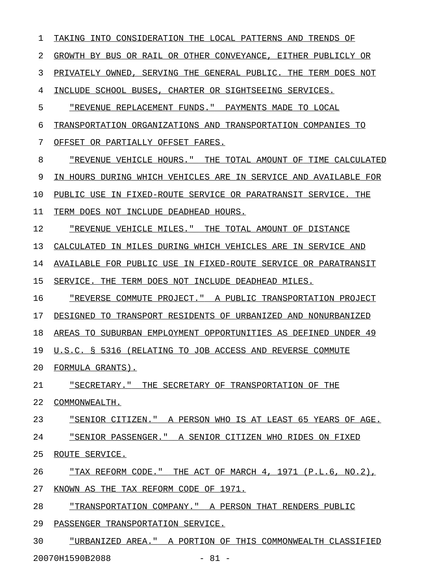1 TAKING INTO CONSIDERATION THE LOCAL PATTERNS AND TRENDS OF 2 GROWTH BY BUS OR RAIL OR OTHER CONVEYANCE, EITHER PUBLICLY OR 3 PRIVATELY OWNED, SERVING THE GENERAL PUBLIC. THE TERM DOES NOT 4 INCLUDE SCHOOL BUSES, CHARTER OR SIGHTSEEING SERVICES. 5 "REVENUE REPLACEMENT FUNDS." PAYMENTS MADE TO LOCAL 6 TRANSPORTATION ORGANIZATIONS AND TRANSPORTATION COMPANIES TO 7 OFFSET OR PARTIALLY OFFSET FARES. 8 TREVENUE VEHICLE HOURS." THE TOTAL AMOUNT OF TIME CALCULATED 9 IN HOURS DURING WHICH VEHICLES ARE IN SERVICE AND AVAILABLE FOR 10 PUBLIC USE IN FIXED-ROUTE SERVICE OR PARATRANSIT SERVICE. THE 11 TERM DOES NOT INCLUDE DEADHEAD HOURS. 12 **"REVENUE VEHICLE MILES."** THE TOTAL AMOUNT OF DISTANCE 13 CALCULATED IN MILES DURING WHICH VEHICLES ARE IN SERVICE AND 14 AVAILABLE FOR PUBLIC USE IN FIXED-ROUTE SERVICE OR PARATRANSIT 15 SERVICE. THE TERM DOES NOT INCLUDE DEADHEAD MILES. 16 "REVERSE COMMUTE PROJECT." A PUBLIC TRANSPORTATION PROJECT 17 DESIGNED TO TRANSPORT RESIDENTS OF URBANIZED AND NONURBANIZED 18 AREAS TO SUBURBAN EMPLOYMENT OPPORTUNITIES AS DEFINED UNDER 49 19 U.S.C. § 5316 (RELATING TO JOB ACCESS AND REVERSE COMMUTE 20 FORMULA GRANTS). 21 "SECRETARY." THE SECRETARY OF TRANSPORTATION OF THE \_\_\_\_\_\_\_\_\_\_\_\_\_\_\_\_\_\_\_\_\_\_\_\_\_\_\_\_\_\_\_\_\_\_\_\_\_\_\_\_\_\_\_\_\_\_\_\_\_\_\_\_ 22 COMMONWEALTH. 23 TERIOR CITIZEN." A PERSON WHO IS AT LEAST 65 YEARS OF AGE. 24 "SENIOR PASSENGER." A SENIOR CITIZEN WHO RIDES ON FIXED 25 ROUTE SERVICE. 26 THAX REFORM CODE." THE ACT OF MARCH 4, 1971 (P.L.6, NO.2), 27 KNOWN AS THE TAX REFORM CODE OF 1971. 28 "TRANSPORTATION COMPANY." A PERSON THAT RENDERS PUBLIC 29 PASSENGER TRANSPORTATION SERVICE. 30 "URBANIZED AREA." A PORTION OF THIS COMMONWEALTH CLASSIFIED

20070H1590B2088 - 81 -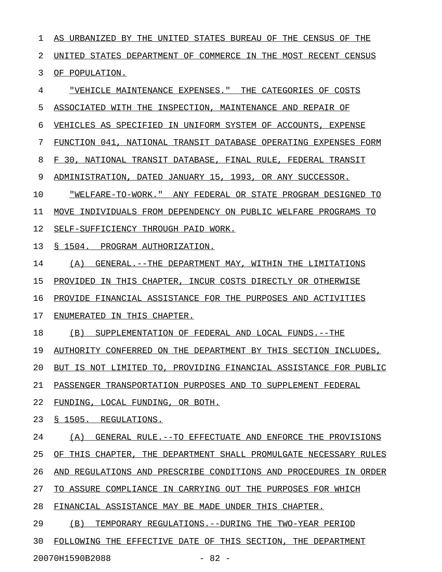1 AS URBANIZED BY THE UNITED STATES BUREAU OF THE CENSUS OF THE 2 UNITED STATES DEPARTMENT OF COMMERCE IN THE MOST RECENT CENSUS 3 OF POPULATION. 4 "VEHICLE MAINTENANCE EXPENSES." THE CATEGORIES OF COSTS \_\_\_\_\_\_\_\_\_\_\_\_\_\_\_\_\_\_\_\_\_\_\_\_\_\_\_\_\_\_\_\_\_\_\_\_\_\_\_\_\_\_\_\_\_\_\_\_\_\_\_\_\_\_\_\_ 5 ASSOCIATED WITH THE INSPECTION, MAINTENANCE AND REPAIR OF 6 VEHICLES AS SPECIFIED IN UNIFORM SYSTEM OF ACCOUNTS, EXPENSE 7 FUNCTION 041, NATIONAL TRANSIT DATABASE OPERATING EXPENSES FORM 8 F 30, NATIONAL TRANSIT DATABASE, FINAL RULE, FEDERAL TRANSIT 9 ADMINISTRATION, DATED JANUARY 15, 1993, OR ANY SUCCESSOR. 10 "WELFARE-TO-WORK." ANY FEDERAL OR STATE PROGRAM DESIGNED TO 11 MOVE INDIVIDUALS FROM DEPENDENCY ON PUBLIC WELFARE PROGRAMS TO 12 SELF-SUFFICIENCY THROUGH PAID WORK. 13 § 1504. PROGRAM AUTHORIZATION. 14 (A) GENERAL.--THE DEPARTMENT MAY, WITHIN THE LIMITATIONS 15 PROVIDED IN THIS CHAPTER, INCUR COSTS DIRECTLY OR OTHERWISE 16 PROVIDE FINANCIAL ASSISTANCE FOR THE PURPOSES AND ACTIVITIES 17 ENUMERATED IN THIS CHAPTER.

18 (B) SUPPLEMENTATION OF FEDERAL AND LOCAL FUNDS.--THE

19 AUTHORITY CONFERRED ON THE DEPARTMENT BY THIS SECTION INCLUDES,

20 BUT IS NOT LIMITED TO, PROVIDING FINANCIAL ASSISTANCE FOR PUBLIC

21 PASSENGER TRANSPORTATION PURPOSES AND TO SUPPLEMENT FEDERAL

22 FUNDING, LOCAL FUNDING, OR BOTH.

23 § 1505. REGULATIONS.

24 (A) GENERAL RULE.--TO EFFECTUATE AND ENFORCE THE PROVISIONS

25 OF THIS CHAPTER, THE DEPARTMENT SHALL PROMULGATE NECESSARY RULES

26 AND REGULATIONS AND PRESCRIBE CONDITIONS AND PROCEDURES IN ORDER

27 TO ASSURE COMPLIANCE IN CARRYING OUT THE PURPOSES FOR WHICH

28 FINANCIAL ASSISTANCE MAY BE MADE UNDER THIS CHAPTER.

29 (B) TEMPORARY REGULATIONS.--DURING THE TWO-YEAR PERIOD

30 FOLLOWING THE EFFECTIVE DATE OF THIS SECTION, THE DEPARTMENT

20070H1590B2088 - 82 -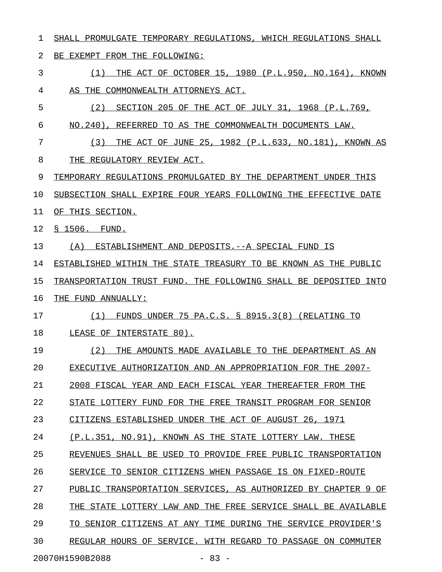1 SHALL PROMULGATE TEMPORARY REGULATIONS, WHICH REGULATIONS SHALL 2 BE EXEMPT FROM THE FOLLOWING: 3 6 (1) THE ACT OF OCTOBER 15, 1980 (P.L.950, NO.164), KNOWN 4 AS THE COMMONWEALTH ATTORNEYS ACT. 5 (2) SECTION 205 OF THE ACT OF JULY 31, 1968 (P.L.769, 6 NO.240), REFERRED TO AS THE COMMONWEALTH DOCUMENTS LAW. 7 (3) THE ACT OF JUNE 25, 1982 (P.L.633, NO.181), KNOWN AS 8 THE REGULATORY REVIEW ACT. 9 TEMPORARY REGULATIONS PROMULGATED BY THE DEPARTMENT UNDER THIS 10 SUBSECTION SHALL EXPIRE FOUR YEARS FOLLOWING THE EFFECTIVE DATE 11 OF THIS SECTION. 12 § 1506. FUND. 13 (A) ESTABLISHMENT AND DEPOSITS. -- A SPECIAL FUND IS 14 ESTABLISHED WITHIN THE STATE TREASURY TO BE KNOWN AS THE PUBLIC 15 TRANSPORTATION TRUST FUND. THE FOLLOWING SHALL BE DEPOSITED INTO 16 THE FUND ANNUALLY: 17 (1) FUNDS UNDER 75 PA.C.S. § 8915.3(8) (RELATING TO 18 LEASE OF INTERSTATE 80). 19 (2) THE AMOUNTS MADE AVAILABLE TO THE DEPARTMENT AS AN 20 EXECUTIVE AUTHORIZATION AND AN APPROPRIATION FOR THE 2007-21 2008 FISCAL YEAR AND EACH FISCAL YEAR THEREAFTER FROM THE 22 STATE LOTTERY FUND FOR THE FREE TRANSIT PROGRAM FOR SENIOR 23 CITIZENS ESTABLISHED UNDER THE ACT OF AUGUST 26, 1971 24 (P.L.351, NO.91), KNOWN AS THE STATE LOTTERY LAW. THESE 25 REVENUES SHALL BE USED TO PROVIDE FREE PUBLIC TRANSPORTATION 26 SERVICE TO SENIOR CITIZENS WHEN PASSAGE IS ON FIXED-ROUTE 27 PUBLIC TRANSPORTATION SERVICES, AS AUTHORIZED BY CHAPTER 9 OF 28 THE STATE LOTTERY LAW AND THE FREE SERVICE SHALL BE AVAILABLE 29 TO SENIOR CITIZENS AT ANY TIME DURING THE SERVICE PROVIDER'S 30 REGULAR HOURS OF SERVICE. WITH REGARD TO PASSAGE ON COMMUTER

20070H1590B2088 - 83 -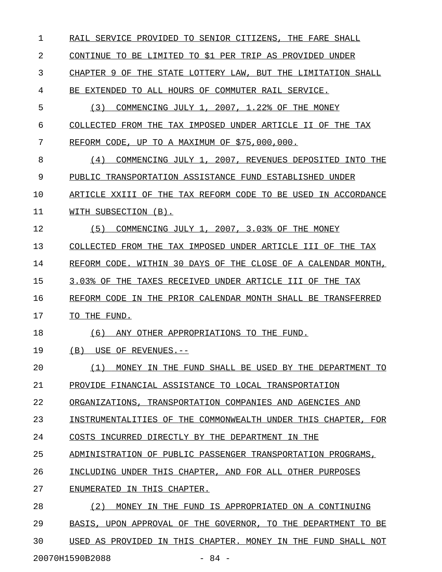| 1  | RAIL SERVICE PROVIDED TO SENIOR CITIZENS. THE FARE SHALL         |
|----|------------------------------------------------------------------|
| 2  | CONTINUE TO BE LIMITED TO \$1 PER TRIP AS PROVIDED UNDER         |
| 3  | CHAPTER 9 OF THE STATE LOTTERY LAW, BUT THE LIMITATION SHALL     |
| 4  | BE EXTENDED TO ALL HOURS OF COMMUTER RAIL SERVICE.               |
| 5  | COMMENCING JULY 1, 2007, 1.22% OF THE MONEY<br>(3)               |
| 6  | COLLECTED FROM THE TAX IMPOSED UNDER ARTICLE II OF THE TAX       |
| 7  | REFORM CODE, UP TO A MAXIMUM OF \$75,000,000.                    |
| 8  | COMMENCING JULY 1, 2007, REVENUES DEPOSITED INTO THE<br>(4)      |
| 9  | PUBLIC TRANSPORTATION ASSISTANCE FUND ESTABLISHED UNDER          |
| 10 | ARTICLE XXIII OF THE TAX REFORM CODE TO BE USED IN ACCORDANCE    |
| 11 | WITH SUBSECTION (B).                                             |
| 12 | (5)<br>COMMENCING JULY 1, 2007, 3.03% OF THE MONEY               |
| 13 | COLLECTED FROM THE TAX IMPOSED UNDER ARTICLE III OF THE TAX      |
| 14 | WITHIN 30 DAYS OF THE CLOSE OF A CALENDAR MONTH,<br>REFORM CODE. |
| 15 | 3.03% OF THE TAXES RECEIVED UNDER ARTICLE III OF THE TAX         |
| 16 | REFORM CODE IN THE PRIOR CALENDAR MONTH SHALL BE TRANSFERRED     |
| 17 | TO THE FUND.                                                     |
| 18 | (6)<br>ANY OTHER APPROPRIATIONS TO THE FUND.                     |
| 19 | (B)<br>USE OF REVENUES.--                                        |
| 20 | (1)<br>MONEY IN THE FUND SHALL BE USED BY THE DEPARTMENT TO      |
| 21 | PROVIDE FINANCIAL ASSISTANCE TO LOCAL TRANSPORTATION             |
| 22 | ORGANIZATIONS, TRANSPORTATION COMPANIES AND AGENCIES AND         |
| 23 | INSTRUMENTALITIES OF THE COMMONWEALTH UNDER THIS CHAPTER, FOR    |
| 24 | COSTS INCURRED DIRECTLY BY THE DEPARTMENT IN THE                 |
| 25 | ADMINISTRATION OF PUBLIC PASSENGER TRANSPORTATION PROGRAMS,      |
| 26 | INCLUDING UNDER THIS CHAPTER, AND FOR ALL OTHER PURPOSES         |
| 27 | ENUMERATED IN THIS CHAPTER.                                      |
| 28 | (2)<br>MONEY IN THE FUND IS APPROPRIATED ON A CONTINUING         |
| 29 | BASIS, UPON APPROVAL OF THE GOVERNOR, TO THE DEPARTMENT TO BE    |
| 30 | USED AS PROVIDED IN THIS CHAPTER. MONEY IN THE FUND SHALL NOT    |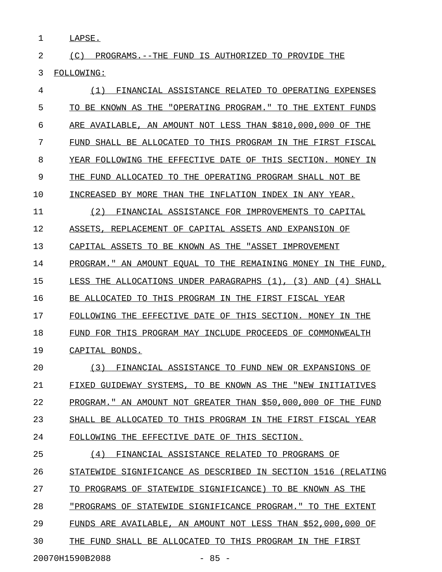1 LAPSE.

2 (C) PROGRAMS.--THE FUND IS AUTHORIZED TO PROVIDE THE 3 FOLLOWING:

| 4  | (1)<br>FINANCIAL ASSISTANCE RELATED TO OPERATING EXPENSES     |
|----|---------------------------------------------------------------|
| 5  | TO BE KNOWN AS THE "OPERATING PROGRAM." TO THE EXTENT FUNDS   |
| 6  | ARE AVAILABLE, AN AMOUNT NOT LESS THAN \$810,000,000 OF THE   |
| 7  | FUND SHALL BE ALLOCATED TO THIS PROGRAM IN THE FIRST FISCAL   |
| 8  | YEAR FOLLOWING THE EFFECTIVE DATE OF THIS SECTION. MONEY IN   |
| 9  | THE FUND ALLOCATED TO THE OPERATING PROGRAM SHALL NOT BE      |
| 10 | INCREASED BY MORE THAN THE INFLATION INDEX IN ANY YEAR.       |
| 11 | FINANCIAL ASSISTANCE FOR IMPROVEMENTS TO CAPITAL<br>(2)       |
| 12 | ASSETS, REPLACEMENT OF CAPITAL ASSETS AND EXPANSION OF        |
| 13 | CAPITAL ASSETS TO BE KNOWN AS THE "ASSET IMPROVEMENT          |
| 14 | PROGRAM." AN AMOUNT EQUAL TO THE REMAINING MONEY IN THE FUND, |
| 15 | LESS THE ALLOCATIONS UNDER PARAGRAPHS (1), (3) AND (4) SHALL  |
| 16 | BE ALLOCATED TO THIS PROGRAM IN THE FIRST FISCAL YEAR         |
| 17 | FOLLOWING THE EFFECTIVE DATE OF THIS SECTION. MONEY IN THE    |
| 18 | FUND FOR THIS PROGRAM MAY INCLUDE PROCEEDS OF COMMONWEALTH    |
| 19 | CAPITAL BONDS.                                                |
| 20 | (3)<br>FINANCIAL ASSISTANCE TO FUND NEW OR EXPANSIONS OF      |
| 21 | FIXED GUIDEWAY SYSTEMS, TO BE KNOWN AS THE "NEW INITIATIVES   |
| 22 | PROGRAM." AN AMOUNT NOT GREATER THAN \$50,000,000 OF THE FUND |
| 23 | SHALL BE ALLOCATED TO THIS PROGRAM IN THE FIRST FISCAL YEAR   |
| 24 | FOLLOWING THE EFFECTIVE DATE OF THIS SECTION.                 |
| 25 | FINANCIAL ASSISTANCE RELATED TO PROGRAMS OF<br>(4)            |
| 26 | STATEWIDE SIGNIFICANCE AS DESCRIBED IN SECTION 1516 (RELATING |
| 27 | TO PROGRAMS OF STATEWIDE SIGNIFICANCE) TO BE KNOWN AS THE     |
| 28 | "PROGRAMS OF STATEWIDE SIGNIFICANCE PROGRAM." TO THE EXTENT   |
| 29 | FUNDS ARE AVAILABLE, AN AMOUNT NOT LESS THAN \$52,000,000 OF  |
| 30 | THE FUND SHALL BE ALLOCATED TO THIS PROGRAM IN THE FIRST      |
|    |                                                               |

20070H1590B2088 - 85 -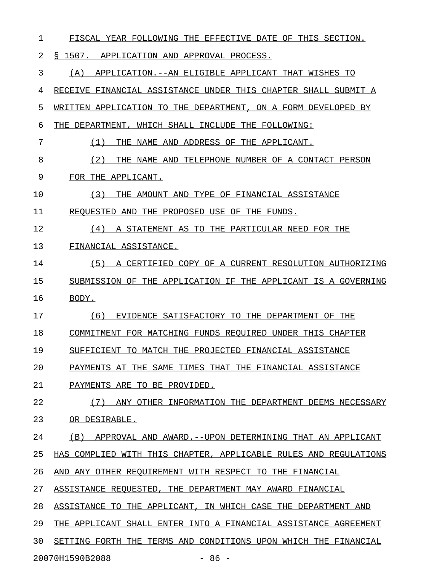1 FISCAL YEAR FOLLOWING THE EFFECTIVE DATE OF THIS SECTION. 2 § 1507. APPLICATION AND APPROVAL PROCESS. 3 (A) APPLICATION.--AN ELIGIBLE APPLICANT THAT WISHES TO 4 RECEIVE FINANCIAL ASSISTANCE UNDER THIS CHAPTER SHALL SUBMIT A 5 WRITTEN APPLICATION TO THE DEPARTMENT, ON A FORM DEVELOPED BY 6 THE DEPARTMENT, WHICH SHALL INCLUDE THE FOLLOWING: 7 (1) THE NAME AND ADDRESS OF THE APPLICANT. 8 (2) THE NAME AND TELEPHONE NUMBER OF A CONTACT PERSON \_\_\_\_\_\_\_\_\_\_\_\_\_\_\_\_\_\_\_\_\_\_\_\_\_\_\_\_\_\_\_\_\_\_\_\_\_\_\_\_\_\_\_\_\_\_\_\_\_\_\_\_\_\_ 9 FOR THE APPLICANT. 10 (3) THE AMOUNT AND TYPE OF FINANCIAL ASSISTANCE 11 REQUESTED AND THE PROPOSED USE OF THE FUNDS. 12 (4) A STATEMENT AS TO THE PARTICULAR NEED FOR THE 13 FINANCIAL ASSISTANCE. 14 (5) A CERTIFIED COPY OF A CURRENT RESOLUTION AUTHORIZING \_\_\_\_\_\_\_\_\_\_\_\_\_\_\_\_\_\_\_\_\_\_\_\_\_\_\_\_\_\_\_\_\_\_\_\_\_\_\_\_\_\_\_\_\_\_\_\_\_\_\_\_\_\_\_\_\_ 15 SUBMISSION OF THE APPLICATION IF THE APPLICANT IS A GOVERNING 16 BODY. 17 (6) EVIDENCE SATISFACTORY TO THE DEPARTMENT OF THE 18 COMMITMENT FOR MATCHING FUNDS REQUIRED UNDER THIS CHAPTER 19 SUFFICIENT TO MATCH THE PROJECTED FINANCIAL ASSISTANCE 20 PAYMENTS AT THE SAME TIMES THAT THE FINANCIAL ASSISTANCE 21 PAYMENTS ARE TO BE PROVIDED. 22 (7) ANY OTHER INFORMATION THE DEPARTMENT DEEMS NECESSARY \_\_\_\_\_\_\_\_\_\_\_\_\_\_\_\_\_\_\_\_\_\_\_\_\_\_\_\_\_\_\_\_\_\_\_\_\_\_\_\_\_\_\_\_\_\_\_\_\_\_\_\_\_\_\_\_\_ 23 OR DESIRABLE. 24 (B) APPROVAL AND AWARD. -- UPON DETERMINING THAT AN APPLICANT 25 HAS COMPLIED WITH THIS CHAPTER, APPLICABLE RULES AND REGULATIONS 26 AND ANY OTHER REQUIREMENT WITH RESPECT TO THE FINANCIAL 27 ASSISTANCE REQUESTED, THE DEPARTMENT MAY AWARD FINANCIAL 28 ASSISTANCE TO THE APPLICANT, IN WHICH CASE THE DEPARTMENT AND 29 THE APPLICANT SHALL ENTER INTO A FINANCIAL ASSISTANCE AGREEMENT 30 SETTING FORTH THE TERMS AND CONDITIONS UPON WHICH THE FINANCIAL

20070H1590B2088 - 86 -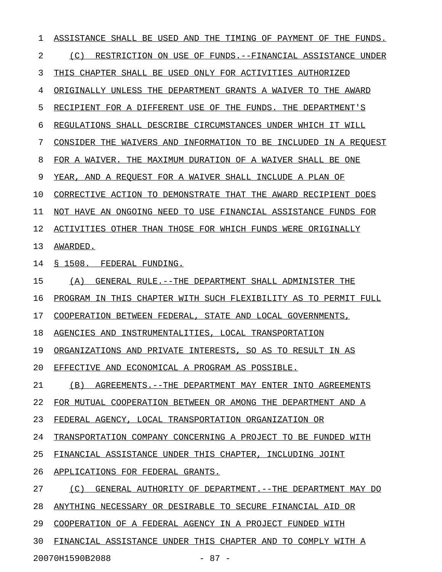1 ASSISTANCE SHALL BE USED AND THE TIMING OF PAYMENT OF THE FUNDS. 2 (C) RESTRICTION ON USE OF FUNDS.--FINANCIAL ASSISTANCE UNDER 3 THIS CHAPTER SHALL BE USED ONLY FOR ACTIVITIES AUTHORIZED 4 ORIGINALLY UNLESS THE DEPARTMENT GRANTS A WAIVER TO THE AWARD 5 RECIPIENT FOR A DIFFERENT USE OF THE FUNDS. THE DEPARTMENT'S 6 REGULATIONS SHALL DESCRIBE CIRCUMSTANCES UNDER WHICH IT WILL 7 CONSIDER THE WAIVERS AND INFORMATION TO BE INCLUDED IN A REQUEST 8 FOR A WAIVER. THE MAXIMUM DURATION OF A WAIVER SHALL BE ONE 9 YEAR, AND A REQUEST FOR A WAIVER SHALL INCLUDE A PLAN OF 10 CORRECTIVE ACTION TO DEMONSTRATE THAT THE AWARD RECIPIENT DOES 11 NOT HAVE AN ONGOING NEED TO USE FINANCIAL ASSISTANCE FUNDS FOR 12 ACTIVITIES OTHER THAN THOSE FOR WHICH FUNDS WERE ORIGINALLY 13 AWARDED. 14 § 1508. FEDERAL FUNDING. 15 (A) GENERAL RULE.--THE DEPARTMENT SHALL ADMINISTER THE 16 PROGRAM IN THIS CHAPTER WITH SUCH FLEXIBILITY AS TO PERMIT FULL 17 COOPERATION BETWEEN FEDERAL, STATE AND LOCAL GOVERNMENTS, 18 AGENCIES AND INSTRUMENTALITIES, LOCAL TRANSPORTATION 19 ORGANIZATIONS AND PRIVATE INTERESTS, SO AS TO RESULT IN AS 20 EFFECTIVE AND ECONOMICAL A PROGRAM AS POSSIBLE. 21 (B) AGREEMENTS. --THE DEPARTMENT MAY ENTER INTO AGREEMENTS 22 FOR MUTUAL COOPERATION BETWEEN OR AMONG THE DEPARTMENT AND A 23 FEDERAL AGENCY, LOCAL TRANSPORTATION ORGANIZATION OR 24 TRANSPORTATION COMPANY CONCERNING A PROJECT TO BE FUNDED WITH 25 FINANCIAL ASSISTANCE UNDER THIS CHAPTER, INCLUDING JOINT 26 APPLICATIONS FOR FEDERAL GRANTS. 27 (C) GENERAL AUTHORITY OF DEPARTMENT.--THE DEPARTMENT MAY DO 28 ANYTHING NECESSARY OR DESIRABLE TO SECURE FINANCIAL AID OR 29 COOPERATION OF A FEDERAL AGENCY IN A PROJECT FUNDED WITH 30 FINANCIAL ASSISTANCE UNDER THIS CHAPTER AND TO COMPLY WITH A

20070H1590B2088 - 87 -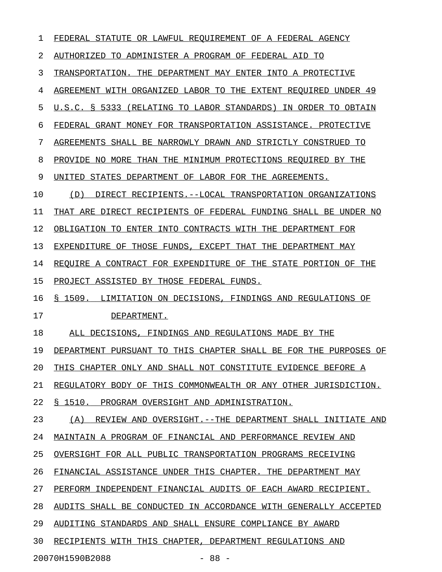| 1  | FEDERAL STATUTE OR LAWFUL REQUIREMENT OF A FEDERAL AGENCY         |
|----|-------------------------------------------------------------------|
| 2  | AUTHORIZED TO ADMINISTER A PROGRAM OF FEDERAL AID TO              |
| 3  | TRANSPORTATION. THE DEPARTMENT MAY ENTER INTO A PROTECTIVE        |
| 4  | AGREEMENT WITH ORGANIZED LABOR TO THE EXTENT REQUIRED UNDER 49    |
| 5  | U.S.C. § 5333 (RELATING TO LABOR STANDARDS) IN ORDER TO OBTAIN    |
| 6  | FEDERAL GRANT MONEY FOR TRANSPORTATION ASSISTANCE. PROTECTIVE     |
| 7  | AGREEMENTS SHALL BE NARROWLY DRAWN AND STRICTLY CONSTRUED TO      |
| 8  | PROVIDE NO MORE THAN THE MINIMUM PROTECTIONS REQUIRED BY THE      |
| 9  | UNITED STATES DEPARTMENT OF LABOR FOR THE AGREEMENTS.             |
| 10 | DIRECT RECIPIENTS.--LOCAL TRANSPORTATION ORGANIZATIONS<br>(D)     |
| 11 | THAT ARE DIRECT RECIPIENTS OF FEDERAL FUNDING SHALL BE UNDER NO   |
| 12 | OBLIGATION TO ENTER INTO CONTRACTS WITH THE DEPARTMENT FOR        |
| 13 | EXPENDITURE OF THOSE FUNDS, EXCEPT THAT THE DEPARTMENT MAY        |
| 14 | REOUIRE A CONTRACT FOR EXPENDITURE OF THE STATE PORTION OF THE    |
| 15 | PROJECT ASSISTED BY THOSE FEDERAL FUNDS.                          |
| 16 | § 1509. LIMITATION ON DECISIONS, FINDINGS AND REGULATIONS OF      |
| 17 | DEPARTMENT.                                                       |
| 18 | ALL DECISIONS, FINDINGS AND REGULATIONS MADE BY THE               |
| 19 | DEPARTMENT PURSUANT TO THIS CHAPTER SHALL BE FOR THE PURPOSES OF  |
| 20 | THIS CHAPTER ONLY AND SHALL NOT CONSTITUTE EVIDENCE BEFORE A      |
| 21 | REGULATORY BODY OF THIS COMMONWEALTH OR ANY OTHER JURISDICTION.   |
| 22 | § 1510. PROGRAM OVERSIGHT AND ADMINISTRATION.                     |
| 23 | REVIEW AND OVERSIGHT. -- THE DEPARTMENT SHALL INITIATE AND<br>(A) |
| 24 | MAINTAIN A PROGRAM OF FINANCIAL AND PERFORMANCE REVIEW AND        |
| 25 | OVERSIGHT FOR ALL PUBLIC TRANSPORTATION PROGRAMS RECEIVING        |
| 26 | FINANCIAL ASSISTANCE UNDER THIS CHAPTER. THE DEPARTMENT MAY       |
| 27 | PERFORM INDEPENDENT FINANCIAL AUDITS OF EACH AWARD RECIPIENT.     |
| 28 | AUDITS SHALL BE CONDUCTED IN ACCORDANCE WITH GENERALLY ACCEPTED   |
| 29 | AUDITING STANDARDS AND SHALL ENSURE COMPLIANCE BY AWARD           |
| 30 | RECIPIENTS WITH THIS CHAPTER, DEPARTMENT REGULATIONS AND          |
|    | 20070H1590B2088<br>$-88 -$                                        |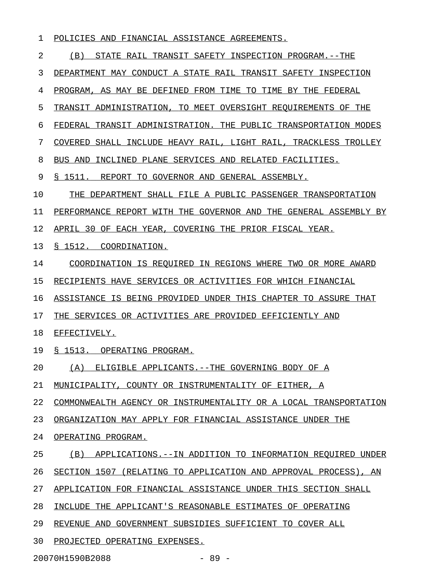## 1 POLICIES AND FINANCIAL ASSISTANCE AGREEMENTS.

2 (B) STATE RAIL TRANSIT SAFETY INSPECTION PROGRAM.--THE 3 DEPARTMENT MAY CONDUCT A STATE RAIL TRANSIT SAFETY INSPECTION 4 PROGRAM, AS MAY BE DEFINED FROM TIME TO TIME BY THE FEDERAL 5 TRANSIT ADMINISTRATION, TO MEET OVERSIGHT REQUIREMENTS OF THE 6 FEDERAL TRANSIT ADMINISTRATION. THE PUBLIC TRANSPORTATION MODES 7 COVERED SHALL INCLUDE HEAVY RAIL, LIGHT RAIL, TRACKLESS TROLLEY 8 BUS AND INCLINED PLANE SERVICES AND RELATED FACILITIES. 9 § 1511. REPORT TO GOVERNOR AND GENERAL ASSEMBLY. 10 THE DEPARTMENT SHALL FILE A PUBLIC PASSENGER TRANSPORTATION 11 PERFORMANCE REPORT WITH THE GOVERNOR AND THE GENERAL ASSEMBLY BY 12 APRIL 30 OF EACH YEAR, COVERING THE PRIOR FISCAL YEAR. 13 <u>§ 1512. COORDINATION.</u> 14 COORDINATION IS REQUIRED IN REGIONS WHERE TWO OR MORE AWARD 15 RECIPIENTS HAVE SERVICES OR ACTIVITIES FOR WHICH FINANCIAL 16 ASSISTANCE IS BEING PROVIDED UNDER THIS CHAPTER TO ASSURE THAT 17 THE SERVICES OR ACTIVITIES ARE PROVIDED EFFICIENTLY AND 18 EFFECTIVELY. 19 § 1513. OPERATING PROGRAM. 20 (A) ELIGIBLE APPLICANTS.--THE GOVERNING BODY OF A 21 MUNICIPALITY, COUNTY OR INSTRUMENTALITY OF EITHER, A 22 COMMONWEALTH AGENCY OR INSTRUMENTALITY OR A LOCAL TRANSPORTATION 23 ORGANIZATION MAY APPLY FOR FINANCIAL ASSISTANCE UNDER THE 24 OPERATING PROGRAM. 25 (B) APPLICATIONS.--IN ADDITION TO INFORMATION REQUIRED UNDER 26 SECTION 1507 (RELATING TO APPLICATION AND APPROVAL PROCESS), AN 27 APPLICATION FOR FINANCIAL ASSISTANCE UNDER THIS SECTION SHALL 28 INCLUDE THE APPLICANT'S REASONABLE ESTIMATES OF OPERATING 29 REVENUE AND GOVERNMENT SUBSIDIES SUFFICIENT TO COVER ALL 30 PROJECTED OPERATING EXPENSES.

20070H1590B2088 - 89 -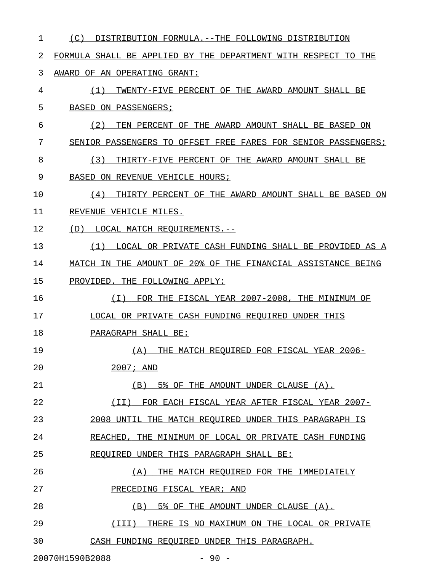| $\mathbf 1$ | (C)<br>DISTRIBUTION FORMULA.--THE FOLLOWING DISTRIBUTION       |
|-------------|----------------------------------------------------------------|
| 2           | FORMULA SHALL BE APPLIED BY THE DEPARTMENT WITH RESPECT TO THE |
| 3           | AWARD OF AN OPERATING GRANT:                                   |
| 4           | (1)<br>TWENTY-FIVE PERCENT OF THE AWARD AMOUNT SHALL BE        |
| 5           | BASED ON PASSENGERS;                                           |
| 6           | TEN PERCENT OF THE AWARD AMOUNT SHALL BE BASED ON<br>(2)       |
| 7           | SENIOR PASSENGERS TO OFFSET FREE FARES FOR SENIOR PASSENGERS;  |
| 8           | (3)<br>THIRTY-FIVE PERCENT OF THE AWARD AMOUNT SHALL BE        |
| 9           | BASED ON REVENUE VEHICLE HOURS;                                |
| 10          | THIRTY PERCENT OF THE AWARD AMOUNT SHALL BE BASED ON<br>(4)    |
| 11          | REVENUE VEHICLE MILES.                                         |
| 12          | (D)<br>LOCAL MATCH REOUIREMENTS.--                             |
| 13          | LOCAL OR PRIVATE CASH FUNDING SHALL BE PROVIDED AS A<br>(1)    |
| 14          | MATCH IN THE AMOUNT OF 20% OF THE FINANCIAL ASSISTANCE BEING   |
| 15          | PROVIDED. THE FOLLOWING APPLY:                                 |
| 16          | FOR THE FISCAL YEAR 2007-2008, THE MINIMUM OF<br>(T)           |
| 17          | LOCAL OR PRIVATE CASH FUNDING REQUIRED UNDER THIS              |
| 18          | PARAGRAPH SHALL BE:                                            |
| 19          | THE MATCH REQUIRED FOR FISCAL YEAR 2006-<br>(A)                |
| 20          | $2007;$ AND                                                    |
| 21          | (B) 5% OF THE AMOUNT UNDER CLAUSE (A).                         |
| 22          | (II) FOR EACH FISCAL YEAR AFTER FISCAL YEAR 2007-              |
| 23          | 2008 UNTIL THE MATCH REQUIRED UNDER THIS PARAGRAPH IS          |
| 24          | REACHED, THE MINIMUM OF LOCAL OR PRIVATE CASH FUNDING          |
| 25          | REQUIRED UNDER THIS PARAGRAPH SHALL BE:                        |
| 26          | THE MATCH REQUIRED FOR THE IMMEDIATELY<br>(A)                  |
| 27          | PRECEDING FISCAL YEAR; AND                                     |
| 28          | (B) 5% OF THE AMOUNT UNDER CLAUSE (A).                         |
| 29          | (III)<br>THERE IS NO MAXIMUM ON THE LOCAL OR PRIVATE           |
| 30          | CASH FUNDING REQUIRED UNDER THIS PARAGRAPH.                    |
|             | 20070H1590B2088<br>$-90 -$                                     |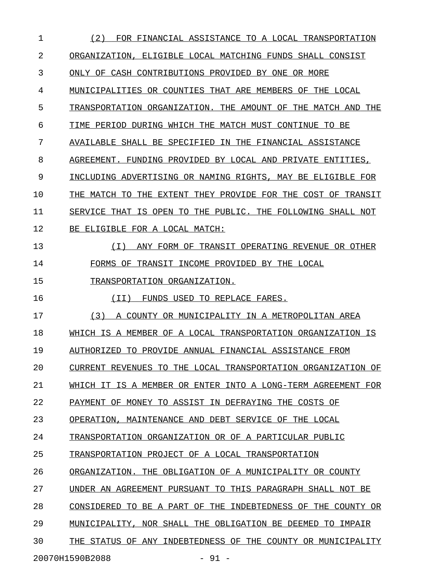| $\mathbf{1}$ | (2)<br>FOR FINANCIAL ASSISTANCE TO A LOCAL TRANSPORTATION       |
|--------------|-----------------------------------------------------------------|
| 2            | ORGANIZATION, ELIGIBLE LOCAL MATCHING FUNDS SHALL CONSIST       |
| 3            | ONLY OF CASH CONTRIBUTIONS PROVIDED BY ONE OR MORE              |
| 4            | MUNICIPALITIES OR COUNTIES THAT ARE MEMBERS OF THE LOCAL        |
| 5            | TRANSPORTATION ORGANIZATION. THE AMOUNT OF THE MATCH AND THE    |
| 6            | TIME PERIOD DURING WHICH THE MATCH MUST CONTINUE TO BE          |
| 7            | AVAILABLE SHALL BE SPECIFIED IN THE FINANCIAL ASSISTANCE        |
| 8            | AGREEMENT. FUNDING PROVIDED BY LOCAL AND PRIVATE ENTITIES,      |
| 9            | INCLUDING ADVERTISING OR NAMING RIGHTS, MAY BE ELIGIBLE FOR     |
| 10           | THE MATCH TO THE EXTENT THEY PROVIDE FOR THE COST OF TRANSIT    |
| 11           | SERVICE THAT IS OPEN TO THE PUBLIC. THE FOLLOWING SHALL NOT     |
| 12           | BE ELIGIBLE FOR A LOCAL MATCH:                                  |
| 13           | (I) ANY FORM OF TRANSIT OPERATING REVENUE OR OTHER              |
| 14           | FORMS OF TRANSIT INCOME PROVIDED BY THE LOCAL                   |
| 15           | TRANSPORTATION ORGANIZATION.                                    |
| 16           | FUNDS USED TO REPLACE FARES.<br>(II)                            |
| 17           | (3) A COUNTY OR MUNICIPALITY IN A METROPOLITAN AREA             |
| 18           | WHICH IS A MEMBER OF A LOCAL TRANSPORTATION ORGANIZATION IS     |
| 19           | AUTHORIZED TO PROVIDE ANNUAL FINANCIAL ASSISTANCE FROM          |
| 20           | CURRENT REVENUES TO THE LOCAL TRANSPORTATION ORGANIZATION OF    |
| 21           | WHICH IT IS A MEMBER OR ENTER INTO A LONG-TERM AGREEMENT FOR    |
| 22           | PAYMENT OF MONEY TO ASSIST IN DEFRAYING THE COSTS OF            |
| 23           |                                                                 |
|              | OPERATION, MAINTENANCE AND DEBT SERVICE OF THE LOCAL            |
| 24           | TRANSPORTATION ORGANIZATION OR OF A PARTICULAR PUBLIC           |
| 25           | TRANSPORTATION PROJECT OF A LOCAL TRANSPORTATION                |
| 26           | ORGANIZATION. THE OBLIGATION OF A MUNICIPALITY OR COUNTY        |
| 27           | UNDER AN AGREEMENT PURSUANT TO<br>THIS PARAGRAPH SHALL NOT BE   |
| 28           | CONSIDERED TO BE A PART OF THE<br>INDEBTEDNESS OF THE COUNTY OR |
| 29           | MUNICIPALITY, NOR SHALL THE OBLIGATION BE DEEMED TO IMPAIR      |
| 30           | THE STATUS OF ANY INDEBTEDNESS OF THE COUNTY OR MUNICIPALITY    |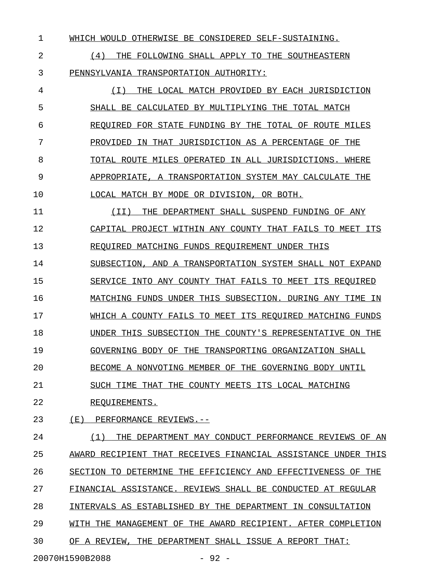1 WHICH WOULD OTHERWISE BE CONSIDERED SELF-SUSTAINING.

2  $(4)$  THE FOLLOWING SHALL APPLY TO THE SOUTHEASTERN 3 PENNSYLVANIA TRANSPORTATION AUTHORITY:

4 (I) THE LOCAL MATCH PROVIDED BY EACH JURISDICTION \_\_\_\_\_\_\_\_\_\_\_\_\_\_\_\_\_\_\_\_\_\_\_\_\_\_\_\_\_\_\_\_\_\_\_\_\_\_\_\_\_\_\_\_\_\_\_\_\_\_ 5 SHALL BE CALCULATED BY MULTIPLYING THE TOTAL MATCH 6 REQUIRED FOR STATE FUNDING BY THE TOTAL OF ROUTE MILES 7 PROVIDED IN THAT JURISDICTION AS A PERCENTAGE OF THE 8 TOTAL ROUTE MILES OPERATED IN ALL JURISDICTIONS. WHERE 9 APPROPRIATE, A TRANSPORTATION SYSTEM MAY CALCULATE THE 10 LOCAL MATCH BY MODE OR DIVISION, OR BOTH.

11 (II) THE DEPARTMENT SHALL SUSPEND FUNDING OF ANY 12 CAPITAL PROJECT WITHIN ANY COUNTY THAT FAILS TO MEET ITS 13 REQUIRED MATCHING FUNDS REQUIREMENT UNDER THIS

14 SUBSECTION, AND A TRANSPORTATION SYSTEM SHALL NOT EXPAND

15 SERVICE INTO ANY COUNTY THAT FAILS TO MEET ITS REQUIRED

16 MATCHING FUNDS UNDER THIS SUBSECTION. DURING ANY TIME IN

17 WHICH A COUNTY FAILS TO MEET ITS REQUIRED MATCHING FUNDS

18 UNDER THIS SUBSECTION THE COUNTY'S REPRESENTATIVE ON THE

19 GOVERNING BODY OF THE TRANSPORTING ORGANIZATION SHALL

20 BECOME A NONVOTING MEMBER OF THE GOVERNING BODY UNTIL

21 SUCH TIME THAT THE COUNTY MEETS ITS LOCAL MATCHING

22 REQUIREMENTS.

23 (E) PERFORMANCE REVIEWS.--

24 (1) THE DEPARTMENT MAY CONDUCT PERFORMANCE REVIEWS OF AN 25 AWARD RECIPIENT THAT RECEIVES FINANCIAL ASSISTANCE UNDER THIS 26 SECTION TO DETERMINE THE EFFICIENCY AND EFFECTIVENESS OF THE 27 FINANCIAL ASSISTANCE. REVIEWS SHALL BE CONDUCTED AT REGULAR 28 INTERVALS AS ESTABLISHED BY THE DEPARTMENT IN CONSULTATION 29 WITH THE MANAGEMENT OF THE AWARD RECIPIENT. AFTER COMPLETION 30 OF A REVIEW, THE DEPARTMENT SHALL ISSUE A REPORT THAT:

20070H1590B2088 - 92 -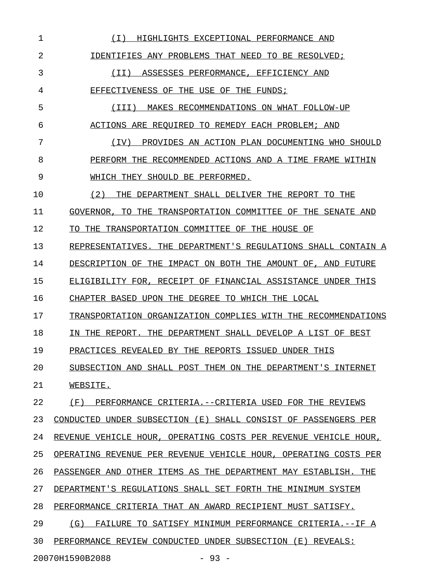| 1  | ( I )<br>HIGHLIGHTS EXCEPTIONAL PERFORMANCE AND                 |
|----|-----------------------------------------------------------------|
| 2  | IDENTIFIES ANY PROBLEMS THAT NEED TO BE RESOLVED;               |
| 3  | (II) ASSESSES PERFORMANCE, EFFICIENCY AND                       |
| 4  | EFFECTIVENESS OF THE USE OF THE FUNDS;                          |
| 5  | MAKES RECOMMENDATIONS ON WHAT FOLLOW-UP<br>( I I I )            |
| 6  | ACTIONS ARE REQUIRED TO REMEDY EACH PROBLEM; AND                |
| 7  | PROVIDES AN ACTION PLAN DOCUMENTING WHO SHOULD<br>(IV)          |
| 8  | PERFORM THE RECOMMENDED ACTIONS AND A TIME FRAME WITHIN         |
| 9  | WHICH THEY SHOULD BE PERFORMED.                                 |
| 10 | (2)<br>THE DEPARTMENT SHALL DELIVER THE REPORT TO THE           |
| 11 | GOVERNOR, TO THE TRANSPORTATION COMMITTEE OF THE SENATE AND     |
| 12 | TO THE TRANSPORTATION COMMITTEE OF THE HOUSE OF                 |
| 13 | REPRESENTATIVES. THE DEPARTMENT'S REGULATIONS SHALL CONTAIN A   |
| 14 | DESCRIPTION OF THE IMPACT ON BOTH THE AMOUNT OF, AND FUTURE     |
| 15 | ELIGIBILITY FOR, RECEIPT OF FINANCIAL ASSISTANCE UNDER THIS     |
| 16 | CHAPTER BASED UPON THE DEGREE TO WHICH THE LOCAL                |
| 17 | TRANSPORTATION ORGANIZATION COMPLIES WITH THE RECOMMENDATIONS   |
| 18 | IN THE REPORT. THE DEPARTMENT SHALL DEVELOP A LIST OF BEST      |
| 19 | PRACTICES REVEALED BY THE REPORTS ISSUED UNDER THIS             |
| 20 | SUBSECTION AND SHALL POST THEM ON THE DEPARTMENT'S INTERNET     |
| 21 | WEBSITE.                                                        |
| 22 | (F)<br>PERFORMANCE CRITERIA.--CRITERIA USED FOR THE REVIEWS     |
| 23 | CONDUCTED UNDER SUBSECTION (E) SHALL CONSIST OF PASSENGERS PER  |
| 24 | REVENUE VEHICLE HOUR, OPERATING COSTS PER REVENUE VEHICLE HOUR, |
| 25 | OPERATING REVENUE PER REVENUE VEHICLE HOUR, OPERATING COSTS PER |
| 26 | PASSENGER AND OTHER ITEMS AS THE DEPARTMENT MAY ESTABLISH. THE  |
| 27 | DEPARTMENT'S REGULATIONS SHALL SET FORTH THE MINIMUM SYSTEM     |
| 28 | PERFORMANCE CRITERIA THAT AN AWARD RECIPIENT MUST SATISFY.      |
| 29 | (G)<br>FAILURE TO SATISFY MINIMUM PERFORMANCE CRITERIA.--IF A   |
| 30 | PERFORMANCE REVIEW CONDUCTED UNDER SUBSECTION (E) REVEALS:      |
|    | 20070H1590B2088<br>$-93 -$                                      |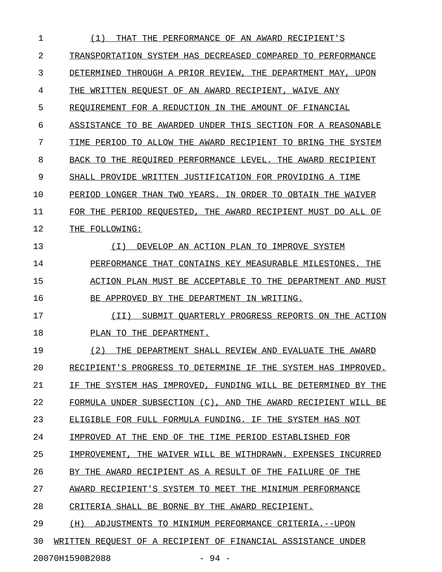| 1  | THE PERFORMANCE OF AN AWARD RECIPIENT'S<br>(1)<br>THAT          |
|----|-----------------------------------------------------------------|
| 2  | TRANSPORTATION SYSTEM HAS DECREASED COMPARED TO PERFORMANCE     |
| 3  | DETERMINED THROUGH A PRIOR REVIEW, THE DEPARTMENT MAY, UPON     |
| 4  | THE WRITTEN REQUEST OF AN AWARD RECIPIENT, WAIVE ANY            |
| 5  | REQUIREMENT FOR A REDUCTION IN THE AMOUNT OF FINANCIAL          |
| 6  | ASSISTANCE TO BE AWARDED UNDER THIS SECTION FOR A REASONABLE    |
| 7  | TIME PERIOD TO ALLOW THE AWARD RECIPIENT TO BRING THE SYSTEM    |
| 8  | BACK TO THE REQUIRED PERFORMANCE LEVEL. THE AWARD RECIPIENT     |
| 9  | SHALL PROVIDE WRITTEN JUSTIFICATION FOR PROVIDING A TIME        |
| 10 | PERIOD LONGER THAN TWO YEARS. IN ORDER TO OBTAIN THE WAIVER     |
| 11 | FOR THE PERIOD REOUESTED, THE AWARD RECIPIENT MUST DO ALL OF    |
| 12 | THE FOLLOWING:                                                  |
| 13 | DEVELOP AN ACTION PLAN TO IMPROVE SYSTEM<br>(T)                 |
| 14 | PERFORMANCE THAT CONTAINS KEY MEASURABLE MILESTONES. THE        |
| 15 | ACTION PLAN MUST BE ACCEPTABLE TO THE DEPARTMENT AND MUST       |
| 16 | BE APPROVED BY THE DEPARTMENT IN WRITING.                       |
| 17 | (II)<br>SUBMIT QUARTERLY PROGRESS REPORTS ON THE ACTION         |
| 18 | PLAN TO THE DEPARTMENT.                                         |
| 19 | (2)<br>THE DEPARTMENT SHALL REVIEW AND EVALUATE THE AWARD       |
| 20 | RECIPIENT'S PROGRESS TO DETERMINE IF THE SYSTEM HAS IMPROVED.   |
| 21 | IF THE SYSTEM HAS IMPROVED, FUNDING WILL BE DETERMINED BY THE   |
| 22 | FORMULA UNDER SUBSECTION (C), AND THE AWARD RECIPIENT WILL BE   |
| 23 | ELIGIBLE FOR FULL FORMULA FUNDING. IF THE SYSTEM HAS NOT        |
| 24 | IMPROVED AT THE END OF THE TIME PERIOD ESTABLISHED FOR          |
| 25 | THE WAIVER WILL BE WITHDRAWN. EXPENSES INCURRED<br>IMPROVEMENT. |
| 26 | BY THE AWARD RECIPIENT AS A RESULT OF THE FAILURE OF THE        |
| 27 | AWARD RECIPIENT'S SYSTEM TO MEET THE MINIMUM PERFORMANCE        |
| 28 | CRITERIA SHALL BE BORNE BY THE AWARD RECIPIENT.                 |
| 29 | (H)<br>ADJUSTMENTS TO MINIMUM PERFORMANCE CRITERIA.--UPON       |
| 30 | WRITTEN REQUEST OF A RECIPIENT OF FINANCIAL ASSISTANCE UNDER    |

20070H1590B2088 - 94 -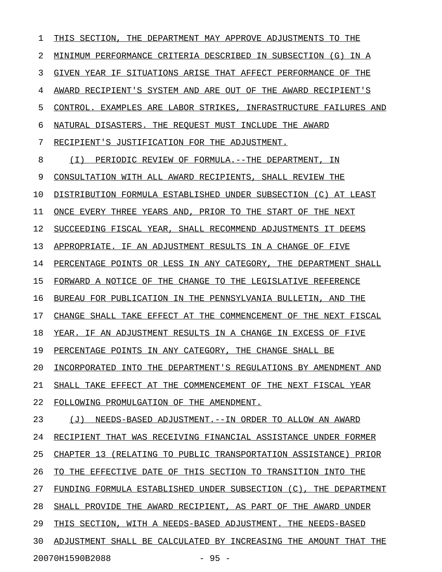1 THIS SECTION, THE DEPARTMENT MAY APPROVE ADJUSTMENTS TO THE 2 MINIMUM PERFORMANCE CRITERIA DESCRIBED IN SUBSECTION (G) IN A 3 GIVEN YEAR IF SITUATIONS ARISE THAT AFFECT PERFORMANCE OF THE 4 AWARD RECIPIENT'S SYSTEM AND ARE OUT OF THE AWARD RECIPIENT'S 5 CONTROL. EXAMPLES ARE LABOR STRIKES, INFRASTRUCTURE FAILURES AND 6 NATURAL DISASTERS. THE REQUEST MUST INCLUDE THE AWARD 7 RECIPIENT'S JUSTIFICATION FOR THE ADJUSTMENT. 8 (I) PERIODIC REVIEW OF FORMULA.--THE DEPARTMENT, IN 9 CONSULTATION WITH ALL AWARD RECIPIENTS, SHALL REVIEW THE 10 DISTRIBUTION FORMULA ESTABLISHED UNDER SUBSECTION (C) AT LEAST 11 ONCE EVERY THREE YEARS AND, PRIOR TO THE START OF THE NEXT 12 SUCCEEDING FISCAL YEAR, SHALL RECOMMEND ADJUSTMENTS IT DEEMS 13 APPROPRIATE. IF AN ADJUSTMENT RESULTS IN A CHANGE OF FIVE 14 PERCENTAGE POINTS OR LESS IN ANY CATEGORY, THE DEPARTMENT SHALL 15 FORWARD A NOTICE OF THE CHANGE TO THE LEGISLATIVE REFERENCE 16 BUREAU FOR PUBLICATION IN THE PENNSYLVANIA BULLETIN, AND THE 17 CHANGE SHALL TAKE EFFECT AT THE COMMENCEMENT OF THE NEXT FISCAL 18 YEAR. IF AN ADJUSTMENT RESULTS IN A CHANGE IN EXCESS OF FIVE 19 PERCENTAGE POINTS IN ANY CATEGORY, THE CHANGE SHALL BE 20 INCORPORATED INTO THE DEPARTMENT'S REGULATIONS BY AMENDMENT AND 21 SHALL TAKE EFFECT AT THE COMMENCEMENT OF THE NEXT FISCAL YEAR 22 FOLLOWING PROMULGATION OF THE AMENDMENT. 23 (J) NEEDS-BASED ADJUSTMENT.--IN ORDER TO ALLOW AN AWARD 24 RECIPIENT THAT WAS RECEIVING FINANCIAL ASSISTANCE UNDER FORMER 25 CHAPTER 13 (RELATING TO PUBLIC TRANSPORTATION ASSISTANCE) PRIOR 26 TO THE EFFECTIVE DATE OF THIS SECTION TO TRANSITION INTO THE 27 FUNDING FORMULA ESTABLISHED UNDER SUBSECTION (C), THE DEPARTMENT 28 SHALL PROVIDE THE AWARD RECIPIENT, AS PART OF THE AWARD UNDER 29 THIS SECTION, WITH A NEEDS-BASED ADJUSTMENT. THE NEEDS-BASED 30 ADJUSTMENT SHALL BE CALCULATED BY INCREASING THE AMOUNT THAT THE 20070H1590B2088 - 95 -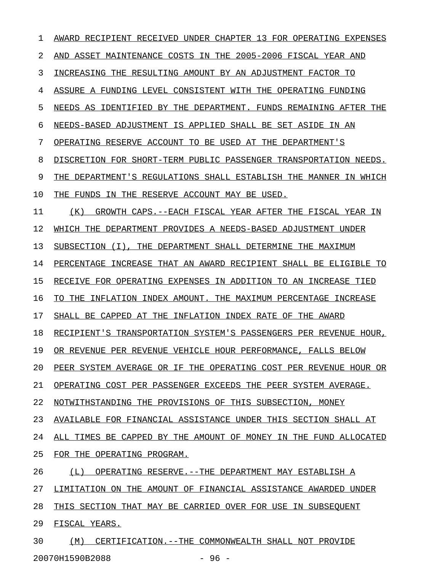| 1  | AWARD RECIPIENT RECEIVED UNDER CHAPTER 13 FOR OPERATING EXPENSES |
|----|------------------------------------------------------------------|
| 2  | ASSET MAINTENANCE COSTS IN THE 2005-2006 FISCAL YEAR AND<br>AND  |
| 3  | INCREASING THE RESULTING AMOUNT BY AN ADJUSTMENT FACTOR TO       |
| 4  | ASSURE A FUNDING LEVEL CONSISTENT WITH THE OPERATING FUNDING     |
| 5  | NEEDS AS IDENTIFIED BY THE DEPARTMENT. FUNDS REMAINING AFTER THE |
| 6  | NEEDS-BASED ADJUSTMENT IS APPLIED SHALL BE SET ASIDE IN AN       |
| 7  | OPERATING RESERVE ACCOUNT TO BE USED AT THE DEPARTMENT'S         |
| 8  | DISCRETION FOR SHORT-TERM PUBLIC PASSENGER TRANSPORTATION NEEDS. |
| 9  | THE DEPARTMENT'S REGULATIONS SHALL ESTABLISH THE MANNER IN WHICH |
| 10 | FUNDS IN THE RESERVE ACCOUNT MAY BE USED.<br>THE.                |
| 11 | (K)<br>GROWTH CAPS. -- EACH FISCAL YEAR AFTER THE FISCAL YEAR IN |
| 12 | WHICH THE DEPARTMENT PROVIDES A NEEDS-BASED ADJUSTMENT UNDER     |
| 13 | SUBSECTION (I), THE DEPARTMENT SHALL DETERMINE THE MAXIMUM       |
| 14 | PERCENTAGE INCREASE THAT AN AWARD RECIPIENT SHALL BE ELIGIBLE TO |
| 15 | RECEIVE FOR OPERATING EXPENSES IN ADDITION TO AN INCREASE TIED   |
| 16 | TO THE INFLATION INDEX AMOUNT. THE MAXIMUM PERCENTAGE INCREASE   |
| 17 | SHALL BE CAPPED AT THE INFLATION INDEX RATE OF THE AWARD         |
| 18 | RECIPIENT'S TRANSPORTATION SYSTEM'S PASSENGERS PER REVENUE HOUR, |
| 19 | OR REVENUE PER REVENUE VEHICLE HOUR PERFORMANCE, FALLS BELOW     |
| 20 | PEER SYSTEM AVERAGE OR IF THE OPERATING COST PER REVENUE HOUR OR |
| 21 | OPERATING COST PER PASSENGER EXCEEDS THE PEER SYSTEM AVERAGE.    |
| 22 | NOTWITHSTANDING THE PROVISIONS OF THIS SUBSECTION, MONEY         |
| 23 | AVAILABLE FOR FINANCIAL ASSISTANCE UNDER THIS SECTION SHALL AT   |
| 24 | ALL TIMES BE CAPPED BY THE AMOUNT OF MONEY IN THE FUND ALLOCATED |
| 25 | FOR THE OPERATING PROGRAM.                                       |
| 26 | (L) OPERATING RESERVE.--THE DEPARTMENT MAY ESTABLISH A           |
| 27 | LIMITATION ON THE AMOUNT OF FINANCIAL ASSISTANCE AWARDED UNDER   |
| 28 | THIS SECTION THAT MAY BE CARRIED OVER FOR USE IN SUBSEQUENT      |
| 29 | FISCAL YEARS.                                                    |
| 30 | (M) CERTIFICATION. --THE COMMONWEALTH SHALL NOT PROVIDE          |

20070H1590B2088 - 96 -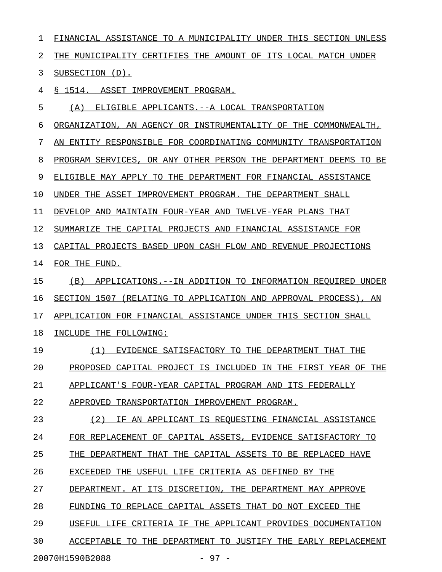1 FINANCIAL ASSISTANCE TO A MUNICIPALITY UNDER THIS SECTION UNLESS 2 THE MUNICIPALITY CERTIFIES THE AMOUNT OF ITS LOCAL MATCH UNDER 3 SUBSECTION (D). 4 § 1514. ASSET IMPROVEMENT PROGRAM. 5 (A) ELIGIBLE APPLICANTS.--A LOCAL TRANSPORTATION 6 ORGANIZATION, AN AGENCY OR INSTRUMENTALITY OF THE COMMONWEALTH, 7 AN ENTITY RESPONSIBLE FOR COORDINATING COMMUNITY TRANSPORTATION 8 PROGRAM SERVICES, OR ANY OTHER PERSON THE DEPARTMENT DEEMS TO BE 9 ELIGIBLE MAY APPLY TO THE DEPARTMENT FOR FINANCIAL ASSISTANCE 10 UNDER THE ASSET IMPROVEMENT PROGRAM. THE DEPARTMENT SHALL 11 DEVELOP AND MAINTAIN FOUR-YEAR AND TWELVE-YEAR PLANS THAT 12 SUMMARIZE THE CAPITAL PROJECTS AND FINANCIAL ASSISTANCE FOR 13 CAPITAL PROJECTS BASED UPON CASH FLOW AND REVENUE PROJECTIONS 14 FOR THE FUND. 15 (B) APPLICATIONS.--IN ADDITION TO INFORMATION REQUIRED UNDER 16 SECTION 1507 (RELATING TO APPLICATION AND APPROVAL PROCESS), AN 17 APPLICATION FOR FINANCIAL ASSISTANCE UNDER THIS SECTION SHALL 18 INCLUDE THE FOLLOWING: 19 (1) EVIDENCE SATISFACTORY TO THE DEPARTMENT THAT THE \_\_\_\_\_\_\_\_\_\_\_\_\_\_\_\_\_\_\_\_\_\_\_\_\_\_\_\_\_\_\_\_\_\_\_\_\_\_\_\_\_\_\_\_\_\_\_\_\_\_\_\_\_ 20 PROPOSED CAPITAL PROJECT IS INCLUDED IN THE FIRST YEAR OF THE 21 APPLICANT'S FOUR-YEAR CAPITAL PROGRAM AND ITS FEDERALLY 22 APPROVED TRANSPORTATION IMPROVEMENT PROGRAM. 23 (2) IF AN APPLICANT IS REQUESTING FINANCIAL ASSISTANCE 24 FOR REPLACEMENT OF CAPITAL ASSETS, EVIDENCE SATISFACTORY TO 25 THE DEPARTMENT THAT THE CAPITAL ASSETS TO BE REPLACED HAVE 26 EXCEEDED THE USEFUL LIFE CRITERIA AS DEFINED BY THE 27 DEPARTMENT. AT ITS DISCRETION, THE DEPARTMENT MAY APPROVE 28 FUNDING TO REPLACE CAPITAL ASSETS THAT DO NOT EXCEED THE 29 USEFUL LIFE CRITERIA IF THE APPLICANT PROVIDES DOCUMENTATION 30 ACCEPTABLE TO THE DEPARTMENT TO JUSTIFY THE EARLY REPLACEMENT

20070H1590B2088 - 97 -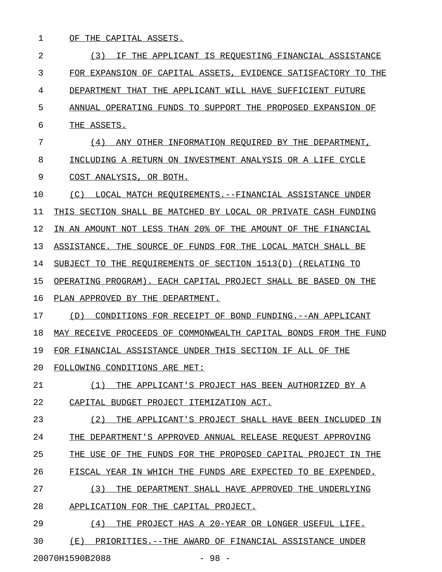1 OF THE CAPITAL ASSETS.

2 13) IF THE APPLICANT IS REQUESTING FINANCIAL ASSISTANCE 3 FOR EXPANSION OF CAPITAL ASSETS, EVIDENCE SATISFACTORY TO THE 4 DEPARTMENT THAT THE APPLICANT WILL HAVE SUFFICIENT FUTURE 5 ANNUAL OPERATING FUNDS TO SUPPORT THE PROPOSED EXPANSION OF 6 THE ASSETS. 7 (4) ANY OTHER INFORMATION REQUIRED BY THE DEPARTMENT, 8 INCLUDING A RETURN ON INVESTMENT ANALYSIS OR A LIFE CYCLE 9 COST ANALYSIS, OR BOTH. 10 (C) LOCAL MATCH REQUIREMENTS.--FINANCIAL ASSISTANCE UNDER 11 THIS SECTION SHALL BE MATCHED BY LOCAL OR PRIVATE CASH FUNDING 12 IN AN AMOUNT NOT LESS THAN 20% OF THE AMOUNT OF THE FINANCIAL 13 ASSISTANCE. THE SOURCE OF FUNDS FOR THE LOCAL MATCH SHALL BE 14 SUBJECT TO THE REQUIREMENTS OF SECTION 1513(D) (RELATING TO 15 OPERATING PROGRAM). EACH CAPITAL PROJECT SHALL BE BASED ON THE 16 PLAN APPROVED BY THE DEPARTMENT. 17 (D) CONDITIONS FOR RECEIPT OF BOND FUNDING.--AN APPLICANT 18 MAY RECEIVE PROCEEDS OF COMMONWEALTH CAPITAL BONDS FROM THE FUND 19 FOR FINANCIAL ASSISTANCE UNDER THIS SECTION IF ALL OF THE 20 FOLLOWING CONDITIONS ARE MET: 21 (1) THE APPLICANT'S PROJECT HAS BEEN AUTHORIZED BY A 22 CAPITAL BUDGET PROJECT ITEMIZATION ACT. 23 (2) THE APPLICANT'S PROJECT SHALL HAVE BEEN INCLUDED IN 24 THE DEPARTMENT'S APPROVED ANNUAL RELEASE REQUEST APPROVING 25 THE USE OF THE FUNDS FOR THE PROPOSED CAPITAL PROJECT IN THE 26 FISCAL YEAR IN WHICH THE FUNDS ARE EXPECTED TO BE EXPENDED. 27 (3) THE DEPARTMENT SHALL HAVE APPROVED THE UNDERLYING 28 APPLICATION FOR THE CAPITAL PROJECT. 29 (4) THE PROJECT HAS A 20-YEAR OR LONGER USEFUL LIFE. 30 (E) PRIORITIES.--THE AWARD OF FINANCIAL ASSISTANCE UNDER

20070H1590B2088 - 98 -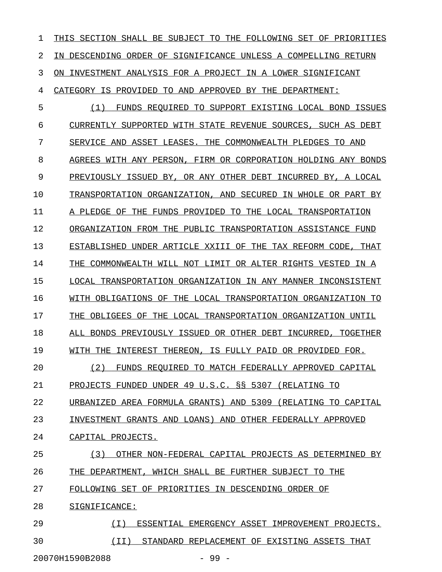1 THIS SECTION SHALL BE SUBJECT TO THE FOLLOWING SET OF PRIORITIES 2 IN DESCENDING ORDER OF SIGNIFICANCE UNLESS A COMPELLING RETURN 3 ON INVESTMENT ANALYSIS FOR A PROJECT IN A LOWER SIGNIFICANT 4 CATEGORY IS PROVIDED TO AND APPROVED BY THE DEPARTMENT: 5 (1) FUNDS REQUIRED TO SUPPORT EXISTING LOCAL BOND ISSUES 6 CURRENTLY SUPPORTED WITH STATE REVENUE SOURCES, SUCH AS DEBT 7 SERVICE AND ASSET LEASES. THE COMMONWEALTH PLEDGES TO AND 8 AGREES WITH ANY PERSON, FIRM OR CORPORATION HOLDING ANY BONDS 9 PREVIOUSLY ISSUED BY, OR ANY OTHER DEBT INCURRED BY, A LOCAL 10 TRANSPORTATION ORGANIZATION, AND SECURED IN WHOLE OR PART BY 11 A PLEDGE OF THE FUNDS PROVIDED TO THE LOCAL TRANSPORTATION 12 ORGANIZATION FROM THE PUBLIC TRANSPORTATION ASSISTANCE FUND 13 ESTABLISHED UNDER ARTICLE XXIII OF THE TAX REFORM CODE, THAT 14 THE COMMONWEALTH WILL NOT LIMIT OR ALTER RIGHTS VESTED IN A 15 LOCAL TRANSPORTATION ORGANIZATION IN ANY MANNER INCONSISTENT 16 WITH OBLIGATIONS OF THE LOCAL TRANSPORTATION ORGANIZATION TO 17 THE OBLIGEES OF THE LOCAL TRANSPORTATION ORGANIZATION UNTIL 18 ALL BONDS PREVIOUSLY ISSUED OR OTHER DEBT INCURRED, TOGETHER 19 WITH THE INTEREST THEREON, IS FULLY PAID OR PROVIDED FOR. 20 (2) FUNDS REQUIRED TO MATCH FEDERALLY APPROVED CAPITAL 21 PROJECTS FUNDED UNDER 49 U.S.C. §§ 5307 (RELATING TO 22 URBANIZED AREA FORMULA GRANTS) AND 5309 (RELATING TO CAPITAL 23 INVESTMENT GRANTS AND LOANS) AND OTHER FEDERALLY APPROVED 24 CAPITAL PROJECTS. 25 (3) OTHER NON-FEDERAL CAPITAL PROJECTS AS DETERMINED BY 26 THE DEPARTMENT, WHICH SHALL BE FURTHER SUBJECT TO THE 27 FOLLOWING SET OF PRIORITIES IN DESCENDING ORDER OF 28 SIGNIFICANCE: 29  $(1)$  ESSENTIAL EMERGENCY ASSET IMPROVEMENT PROJECTS. 30  $(II)$  STANDARD REPLACEMENT OF EXISTING ASSETS THAT 20070H1590B2088 - 99 -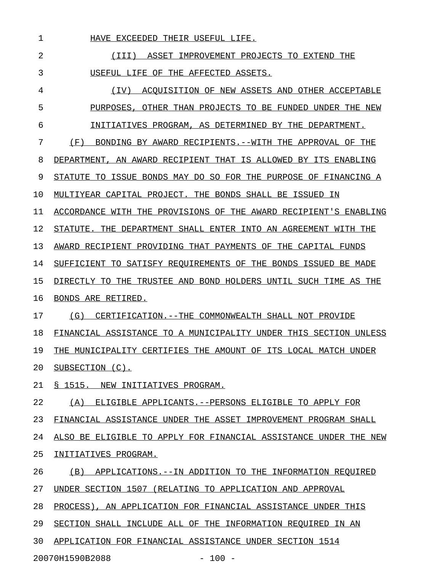1 HAVE EXCEEDED THEIR USEFUL LIFE.

2 1III) ASSET IMPROVEMENT PROJECTS TO EXTEND THE 3 USEFUL LIFE OF THE AFFECTED ASSETS.

4 (IV) ACQUISITION OF NEW ASSETS AND OTHER ACCEPTABLE 5 PURPOSES, OTHER THAN PROJECTS TO BE FUNDED UNDER THE NEW 6 INITIATIVES PROGRAM, AS DETERMINED BY THE DEPARTMENT.

7 (F) BONDING BY AWARD RECIPIENTS.--WITH THE APPROVAL OF THE

8 DEPARTMENT, AN AWARD RECIPIENT THAT IS ALLOWED BY ITS ENABLING

9 STATUTE TO ISSUE BONDS MAY DO SO FOR THE PURPOSE OF FINANCING A

10 MULTIYEAR CAPITAL PROJECT. THE BONDS SHALL BE ISSUED IN

11 ACCORDANCE WITH THE PROVISIONS OF THE AWARD RECIPIENT'S ENABLING

12 STATUTE. THE DEPARTMENT SHALL ENTER INTO AN AGREEMENT WITH THE

13 AWARD RECIPIENT PROVIDING THAT PAYMENTS OF THE CAPITAL FUNDS

14 SUFFICIENT TO SATISFY REQUIREMENTS OF THE BONDS ISSUED BE MADE

15 DIRECTLY TO THE TRUSTEE AND BOND HOLDERS UNTIL SUCH TIME AS THE

16 BONDS ARE RETIRED.

17 (G) CERTIFICATION.--THE COMMONWEALTH SHALL NOT PROVIDE 18 FINANCIAL ASSISTANCE TO A MUNICIPALITY UNDER THIS SECTION UNLESS 19 THE MUNICIPALITY CERTIFIES THE AMOUNT OF ITS LOCAL MATCH UNDER 20 SUBSECTION (C).

21 § 1515. NEW INITIATIVES PROGRAM.

22 (A) ELIGIBLE APPLICANTS.--PERSONS ELIGIBLE TO APPLY FOR 23 FINANCIAL ASSISTANCE UNDER THE ASSET IMPROVEMENT PROGRAM SHALL 24 ALSO BE ELIGIBLE TO APPLY FOR FINANCIAL ASSISTANCE UNDER THE NEW 25 INITIATIVES PROGRAM. 26 (B) APPLICATIONS.--IN ADDITION TO THE INFORMATION REQUIRED

27 UNDER SECTION 1507 (RELATING TO APPLICATION AND APPROVAL

28 PROCESS), AN APPLICATION FOR FINANCIAL ASSISTANCE UNDER THIS

29 SECTION SHALL INCLUDE ALL OF THE INFORMATION REQUIRED IN AN

30 APPLICATION FOR FINANCIAL ASSISTANCE UNDER SECTION 1514

20070H1590B2088 - 100 -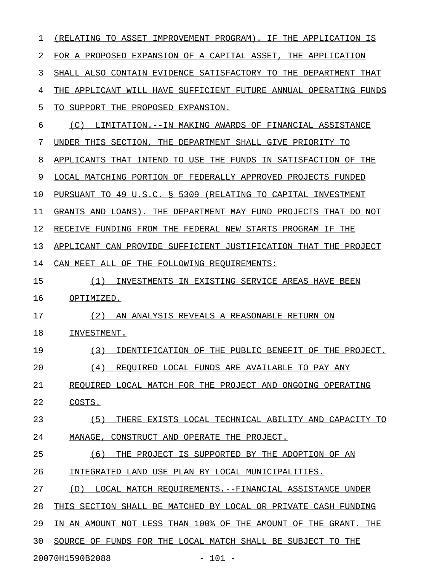| 1  | (RELATING TO ASSET IMPROVEMENT PROGRAM). IF THE APPLICATION IS   |
|----|------------------------------------------------------------------|
| 2  | FOR A PROPOSED EXPANSION OF A CAPITAL ASSET, THE APPLICATION     |
| 3  | SHALL ALSO CONTAIN EVIDENCE SATISFACTORY TO THE DEPARTMENT THAT  |
| 4  | THE APPLICANT WILL HAVE SUFFICIENT FUTURE ANNUAL OPERATING FUNDS |
| 5  | TO SUPPORT THE PROPOSED EXPANSION.                               |
| 6  | (C)<br>LIMITATION.--IN MAKING AWARDS OF FINANCIAL ASSISTANCE     |
| 7  | UNDER THIS SECTION, THE DEPARTMENT SHALL GIVE PRIORITY TO        |
| 8  | APPLICANTS THAT INTEND TO USE THE FUNDS IN SATISFACTION OF THE   |
| 9  | LOCAL MATCHING PORTION OF FEDERALLY APPROVED PROJECTS FUNDED     |
| 10 | PURSUANT TO 49 U.S.C. § 5309 (RELATING TO CAPITAL INVESTMENT     |
| 11 | GRANTS AND LOANS). THE DEPARTMENT MAY FUND PROJECTS THAT DO NOT  |
| 12 | RECEIVE FUNDING FROM THE FEDERAL NEW STARTS PROGRAM IF THE       |
| 13 | APPLICANT CAN PROVIDE SUFFICIENT JUSTIFICATION THAT THE PROJECT  |
| 14 | CAN MEET ALL OF THE FOLLOWING REOUIREMENTS:                      |
| 15 | INVESTMENTS IN EXISTING SERVICE AREAS HAVE BEEN<br>(1)           |
| 16 | OPTIMIZED.                                                       |
| 17 | (2)<br>AN ANALYSIS REVEALS A REASONABLE RETURN ON                |
| 18 | INVESTMENT.                                                      |
| 19 | (3)<br>IDENTIFICATION OF THE PUBLIC BENEFIT OF THE PROJECT.      |
| 20 | (4)<br>REQUIRED LOCAL FUNDS ARE AVAILABLE TO PAY ANY             |
| 21 | REQUIRED LOCAL MATCH FOR THE PROJECT AND ONGOING OPERATING       |
| 22 | COSTS.                                                           |
| 23 | (5)<br>THERE EXISTS LOCAL TECHNICAL ABILITY AND CAPACITY TO      |
| 24 | MANAGE, CONSTRUCT AND OPERATE THE PROJECT.                       |
| 25 | THE PROJECT IS SUPPORTED BY THE ADOPTION OF AN<br>(6)            |
| 26 | INTEGRATED LAND USE PLAN BY LOCAL MUNICIPALITIES.                |
| 27 | LOCAL MATCH REQUIREMENTS. --FINANCIAL ASSISTANCE UNDER<br>(D)    |
| 28 | THIS SECTION SHALL BE MATCHED BY LOCAL OR PRIVATE CASH FUNDING   |
| 29 | IN AN AMOUNT NOT LESS THAN 100% OF THE AMOUNT OF THE GRANT. THE  |
| 30 | SOURCE OF FUNDS FOR THE LOCAL MATCH SHALL BE SUBJECT TO THE      |
|    | 20070H1590B2088<br>$-101 -$                                      |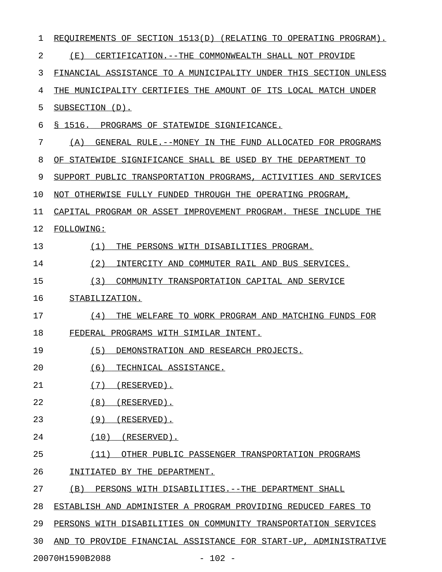| 1  | REQUIREMENTS OF SECTION 1513(D) (RELATING TO OPERATING PROGRAM). |
|----|------------------------------------------------------------------|
| 2  | (E)<br>CERTIFICATION. -- THE COMMONWEALTH SHALL NOT PROVIDE      |
| 3  | FINANCIAL ASSISTANCE TO A MUNICIPALITY UNDER THIS SECTION UNLESS |
| 4  | THE MUNICIPALITY CERTIFIES THE AMOUNT OF ITS LOCAL MATCH UNDER   |
| 5  | SUBSECTION (D).                                                  |
| 6  | § 1516. PROGRAMS OF STATEWIDE SIGNIFICANCE.                      |
| 7  | GENERAL RULE. -- MONEY IN THE FUND ALLOCATED FOR PROGRAMS<br>(A) |
| 8  | OF STATEWIDE SIGNIFICANCE SHALL BE USED BY THE DEPARTMENT TO     |
| 9  | SUPPORT PUBLIC TRANSPORTATION PROGRAMS, ACTIVITIES AND SERVICES  |
| 10 | NOT OTHERWISE FULLY FUNDED THROUGH THE OPERATING PROGRAM,        |
| 11 | CAPITAL PROGRAM OR ASSET IMPROVEMENT PROGRAM. THESE INCLUDE THE  |
| 12 | <b>FOLLOWING:</b>                                                |
| 13 | (1)<br>THE PERSONS WITH DISABILITIES PROGRAM.                    |
| 14 | (2)<br>INTERCITY AND COMMUTER RAIL AND BUS SERVICES.             |
| 15 | (3)<br>COMMUNITY TRANSPORTATION CAPITAL AND SERVICE              |
| 16 | STABILIZATION.                                                   |
| 17 | (4)<br>THE WELFARE TO WORK PROGRAM AND MATCHING FUNDS FOR        |
| 18 | FEDERAL PROGRAMS WITH SIMILAR INTENT.                            |
| 19 | (5)<br>DEMONSTRATION AND RESEARCH PROJECTS.                      |
| 20 | (6)<br>TECHNICAL ASSISTANCE.                                     |
| 21 | (7)<br>(RESERVED).                                               |
| 22 | (8)<br>(RESERVED).                                               |
| 23 | (9)<br>(RESERVED).                                               |
| 24 | (10)<br>$(RESERVED)$ .                                           |
| 25 | (11)<br>OTHER PUBLIC PASSENGER TRANSPORTATION PROGRAMS           |
| 26 | INITIATED BY THE DEPARTMENT.                                     |
| 27 | PERSONS WITH DISABILITIES. -- THE DEPARTMENT SHALL<br>(B)        |
| 28 | ESTABLISH AND ADMINISTER A PROGRAM PROVIDING REDUCED FARES TO    |
| 29 | PERSONS WITH DISABILITIES ON COMMUNITY TRANSPORTATION SERVICES   |
| 30 | AND TO PROVIDE FINANCIAL ASSISTANCE FOR START-UP, ADMINISTRATIVE |
|    | 20070H1590B2088<br>$-102 -$                                      |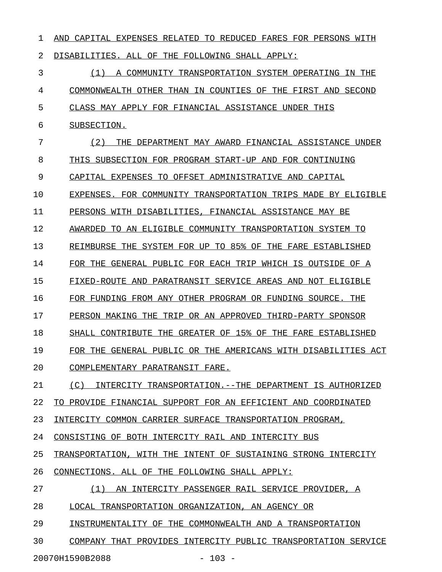1 AND CAPITAL EXPENSES RELATED TO REDUCED FARES FOR PERSONS WITH 2 DISABILITIES. ALL OF THE FOLLOWING SHALL APPLY: 3 (1) A COMMUNITY TRANSPORTATION SYSTEM OPERATING IN THE 4 COMMONWEALTH OTHER THAN IN COUNTIES OF THE FIRST AND SECOND 5 CLASS MAY APPLY FOR FINANCIAL ASSISTANCE UNDER THIS 6 SUBSECTION. 7 (2) THE DEPARTMENT MAY AWARD FINANCIAL ASSISTANCE UNDER 8 THIS SUBSECTION FOR PROGRAM START-UP AND FOR CONTINUING 9 CAPITAL EXPENSES TO OFFSET ADMINISTRATIVE AND CAPITAL 10 EXPENSES. FOR COMMUNITY TRANSPORTATION TRIPS MADE BY ELIGIBLE 11 PERSONS WITH DISABILITIES, FINANCIAL ASSISTANCE MAY BE 12 AWARDED TO AN ELIGIBLE COMMUNITY TRANSPORTATION SYSTEM TO 13 REIMBURSE THE SYSTEM FOR UP TO 85% OF THE FARE ESTABLISHED 14 FOR THE GENERAL PUBLIC FOR EACH TRIP WHICH IS OUTSIDE OF A 15 FIXED-ROUTE AND PARATRANSIT SERVICE AREAS AND NOT ELIGIBLE 16 FOR FUNDING FROM ANY OTHER PROGRAM OR FUNDING SOURCE. THE 17 PERSON MAKING THE TRIP OR AN APPROVED THIRD-PARTY SPONSOR 18 SHALL CONTRIBUTE THE GREATER OF 15% OF THE FARE ESTABLISHED 19 FOR THE GENERAL PUBLIC OR THE AMERICANS WITH DISABILITIES ACT 20 COMPLEMENTARY PARATRANSIT FARE. 21 (C) INTERCITY TRANSPORTATION.--THE DEPARTMENT IS AUTHORIZED 22 TO PROVIDE FINANCIAL SUPPORT FOR AN EFFICIENT AND COORDINATED 23 INTERCITY COMMON CARRIER SURFACE TRANSPORTATION PROGRAM, 24 CONSISTING OF BOTH INTERCITY RAIL AND INTERCITY BUS 25 TRANSPORTATION, WITH THE INTENT OF SUSTAINING STRONG INTERCITY 26 CONNECTIONS. ALL OF THE FOLLOWING SHALL APPLY: 27 (1) AN INTERCITY PASSENGER RAIL SERVICE PROVIDER, A 28 LOCAL TRANSPORTATION ORGANIZATION, AN AGENCY OR 29 INSTRUMENTALITY OF THE COMMONWEALTH AND A TRANSPORTATION 30 COMPANY THAT PROVIDES INTERCITY PUBLIC TRANSPORTATION SERVICE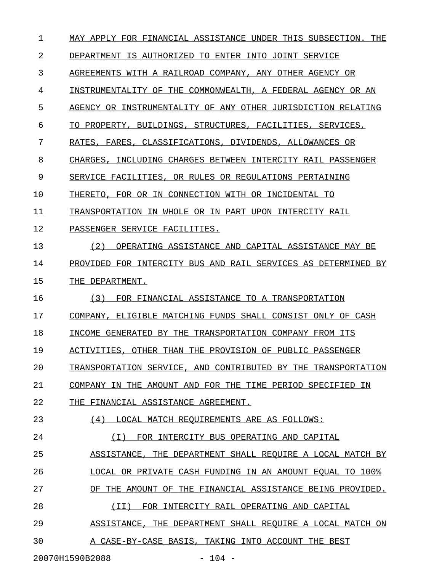1 MAY APPLY FOR FINANCIAL ASSISTANCE UNDER THIS SUBSECTION. THE 2 DEPARTMENT IS AUTHORIZED TO ENTER INTO JOINT SERVICE 3 AGREEMENTS WITH A RAILROAD COMPANY, ANY OTHER AGENCY OR 4 INSTRUMENTALITY OF THE COMMONWEALTH, A FEDERAL AGENCY OR AN 5 AGENCY OR INSTRUMENTALITY OF ANY OTHER JURISDICTION RELATING 6 TO PROPERTY, BUILDINGS, STRUCTURES, FACILITIES, SERVICES, 7 RATES, FARES, CLASSIFICATIONS, DIVIDENDS, ALLOWANCES OR 8 CHARGES, INCLUDING CHARGES BETWEEN INTERCITY RAIL PASSENGER 9 SERVICE FACILITIES, OR RULES OR REGULATIONS PERTAINING 10 THERETO, FOR OR IN CONNECTION WITH OR INCIDENTAL TO 11 TRANSPORTATION IN WHOLE OR IN PART UPON INTERCITY RAIL 12 PASSENGER SERVICE FACILITIES. 13 (2) OPERATING ASSISTANCE AND CAPITAL ASSISTANCE MAY BE 14 PROVIDED FOR INTERCITY BUS AND RAIL SERVICES AS DETERMINED BY 15 THE DEPARTMENT. 16 (3) FOR FINANCIAL ASSISTANCE TO A TRANSPORTATION 17 COMPANY, ELIGIBLE MATCHING FUNDS SHALL CONSIST ONLY OF CASH 18 INCOME GENERATED BY THE TRANSPORTATION COMPANY FROM ITS 19 ACTIVITIES, OTHER THAN THE PROVISION OF PUBLIC PASSENGER 20 TRANSPORTATION SERVICE, AND CONTRIBUTED BY THE TRANSPORTATION 21 COMPANY IN THE AMOUNT AND FOR THE TIME PERIOD SPECIFIED IN 22 THE FINANCIAL ASSISTANCE AGREEMENT. 23 (4) LOCAL MATCH REQUIREMENTS ARE AS FOLLOWS: 24 (I) FOR INTERCITY BUS OPERATING AND CAPITAL 25 ASSISTANCE, THE DEPARTMENT SHALL REQUIRE A LOCAL MATCH BY 26 LOCAL OR PRIVATE CASH FUNDING IN AN AMOUNT EQUAL TO 100% 27 OF THE AMOUNT OF THE FINANCIAL ASSISTANCE BEING PROVIDED. 28 (II) FOR INTERCITY RAIL OPERATING AND CAPITAL \_\_\_\_\_\_\_\_\_\_\_\_\_\_\_\_\_\_\_\_\_\_\_\_\_\_\_\_\_\_\_\_\_\_\_\_\_\_\_\_\_\_\_\_\_\_ 29 ASSISTANCE, THE DEPARTMENT SHALL REQUIRE A LOCAL MATCH ON 30 A CASE-BY-CASE BASIS, TAKING INTO ACCOUNT THE BEST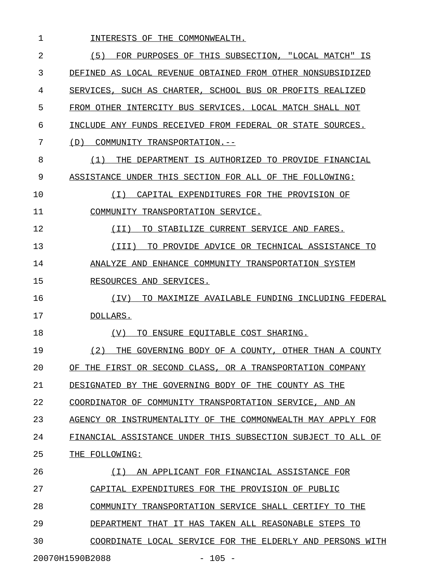| 1  | INTERESTS OF THE COMMONWEALTH.                               |
|----|--------------------------------------------------------------|
| 2  | (5)<br>FOR PURPOSES OF THIS SUBSECTION, "LOCAL MATCH" IS     |
| 3  | DEFINED AS LOCAL REVENUE OBTAINED FROM OTHER NONSUBSIDIZED   |
| 4  | SERVICES, SUCH AS CHARTER, SCHOOL BUS OR PROFITS REALIZED    |
| 5  | FROM OTHER INTERCITY BUS SERVICES. LOCAL MATCH SHALL NOT     |
| 6  | INCLUDE ANY FUNDS RECEIVED FROM FEDERAL OR STATE SOURCES.    |
| 7  | COMMUNITY TRANSPORTATION.--<br>(D)                           |
| 8  | THE DEPARTMENT IS AUTHORIZED TO PROVIDE FINANCIAL<br>(1)     |
| 9  | ASSISTANCE UNDER THIS SECTION FOR ALL OF THE FOLLOWING:      |
| 10 | CAPITAL EXPENDITURES FOR THE PROVISION OF<br>( I )           |
| 11 | COMMUNITY TRANSPORTATION SERVICE.                            |
| 12 | TO STABILIZE CURRENT SERVICE AND FARES.<br>(TI)              |
| 13 | TO PROVIDE ADVICE OR TECHNICAL ASSISTANCE TO<br>(III)        |
| 14 | ANALYZE AND ENHANCE COMMUNITY TRANSPORTATION SYSTEM          |
| 15 | RESOURCES AND SERVICES.                                      |
| 16 | TO MAXIMIZE AVAILABLE FUNDING INCLUDING FEDERAL<br>(IV)      |
| 17 | DOLLARS.                                                     |
| 18 | TO ENSURE EQUITABLE COST SHARING.<br>(V)                     |
| 19 | (2)<br>THE GOVERNING BODY OF A COUNTY, OTHER THAN A COUNTY   |
| 20 | OF THE FIRST OR SECOND CLASS, OR A TRANSPORTATION COMPANY    |
| 21 | DESIGNATED BY THE GOVERNING BODY OF THE COUNTY AS THE        |
| 22 | COORDINATOR OF COMMUNITY TRANSPORTATION SERVICE, AND AN      |
| 23 | AGENCY OR INSTRUMENTALITY OF THE COMMONWEALTH MAY APPLY FOR  |
| 24 | FINANCIAL ASSISTANCE UNDER THIS SUBSECTION SUBJECT TO ALL OF |
| 25 | THE FOLLOWING:                                               |
| 26 | (I) AN APPLICANT FOR FINANCIAL ASSISTANCE FOR                |
| 27 | CAPITAL EXPENDITURES FOR THE PROVISION OF PUBLIC             |
| 28 | COMMUNITY TRANSPORTATION SERVICE SHALL CERTIFY TO THE        |
| 29 | DEPARTMENT THAT IT HAS TAKEN ALL REASONABLE STEPS TO         |
| 30 | COORDINATE LOCAL SERVICE FOR THE ELDERLY AND PERSONS WITH    |
|    |                                                              |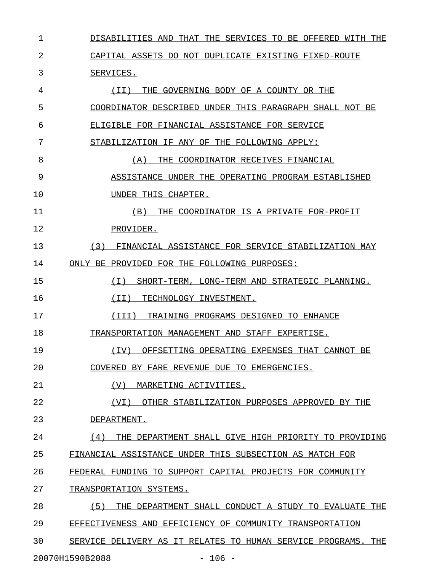1 DISABILITIES AND THAT THE SERVICES TO BE OFFERED WITH THE 2 CAPITAL ASSETS DO NOT DUPLICATE EXISTING FIXED-ROUTE 3 SERVICES. 4  $(II)$  THE GOVERNING BODY OF A COUNTY OR THE 5 COORDINATOR DESCRIBED UNDER THIS PARAGRAPH SHALL NOT BE 6 ELIGIBLE FOR FINANCIAL ASSISTANCE FOR SERVICE 7 STABILIZATION IF ANY OF THE FOLLOWING APPLY: 8 (A) THE COORDINATOR RECEIVES FINANCIAL 9 ASSISTANCE UNDER THE OPERATING PROGRAM ESTABLISHED 10 UNDER THIS CHAPTER. 11 (B) THE COORDINATOR IS A PRIVATE FOR-PROFIT 12 PROVIDER. 13 (3) FINANCIAL ASSISTANCE FOR SERVICE STABILIZATION MAY 14 ONLY BE PROVIDED FOR THE FOLLOWING PURPOSES: 15 (I) SHORT-TERM, LONG-TERM AND STRATEGIC PLANNING. \_\_\_\_\_\_\_\_\_\_\_\_\_\_\_\_\_\_\_\_\_\_\_\_\_\_\_\_\_\_\_\_\_\_\_\_\_\_\_\_\_\_\_\_\_\_\_\_\_\_ 16 (II) TECHNOLOGY INVESTMENT. 17 (III) TRAINING PROGRAMS DESIGNED TO ENHANCE 18 TRANSPORTATION MANAGEMENT AND STAFF EXPERTISE. 19 (IV) OFFSETTING OPERATING EXPENSES THAT CANNOT BE \_\_\_\_\_\_\_\_\_\_\_\_\_\_\_\_\_\_\_\_\_\_\_\_\_\_\_\_\_\_\_\_\_\_\_\_\_\_\_\_\_\_\_\_\_\_\_\_\_\_ 20 COVERED BY FARE REVENUE DUE TO EMERGENCIES. 21 (V) MARKETING ACTIVITIES. 22 (VI) OTHER STABILIZATION PURPOSES APPROVED BY THE 23 DEPARTMENT. 24  $(4)$  THE DEPARTMENT SHALL GIVE HIGH PRIORITY TO PROVIDING 25 FINANCIAL ASSISTANCE UNDER THIS SUBSECTION AS MATCH FOR 26 FEDERAL FUNDING TO SUPPORT CAPITAL PROJECTS FOR COMMUNITY 27 TRANSPORTATION SYSTEMS. 28 (5) THE DEPARTMENT SHALL CONDUCT A STUDY TO EVALUATE THE 29 EFFECTIVENESS AND EFFICIENCY OF COMMUNITY TRANSPORTATION 30 SERVICE DELIVERY AS IT RELATES TO HUMAN SERVICE PROGRAMS. THE

20070H1590B2088 - 106 -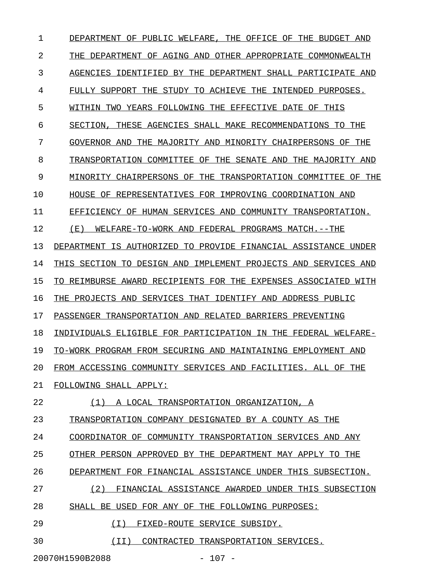1 DEPARTMENT OF PUBLIC WELFARE, THE OFFICE OF THE BUDGET AND 2 THE DEPARTMENT OF AGING AND OTHER APPROPRIATE COMMONWEALTH 3 AGENCIES IDENTIFIED BY THE DEPARTMENT SHALL PARTICIPATE AND 4 FULLY SUPPORT THE STUDY TO ACHIEVE THE INTENDED PURPOSES. 5 WITHIN TWO YEARS FOLLOWING THE EFFECTIVE DATE OF THIS 6 SECTION, THESE AGENCIES SHALL MAKE RECOMMENDATIONS TO THE 7 GOVERNOR AND THE MAJORITY AND MINORITY CHAIRPERSONS OF THE 8 TRANSPORTATION COMMITTEE OF THE SENATE AND THE MAJORITY AND 9 MINORITY CHAIRPERSONS OF THE TRANSPORTATION COMMITTEE OF THE 10 HOUSE OF REPRESENTATIVES FOR IMPROVING COORDINATION AND 11 EFFICIENCY OF HUMAN SERVICES AND COMMUNITY TRANSPORTATION. 12 (E) WELFARE-TO-WORK AND FEDERAL PROGRAMS MATCH.--THE 13 DEPARTMENT IS AUTHORIZED TO PROVIDE FINANCIAL ASSISTANCE UNDER 14 THIS SECTION TO DESIGN AND IMPLEMENT PROJECTS AND SERVICES AND 15 TO REIMBURSE AWARD RECIPIENTS FOR THE EXPENSES ASSOCIATED WITH 16 THE PROJECTS AND SERVICES THAT IDENTIFY AND ADDRESS PUBLIC 17 PASSENGER TRANSPORTATION AND RELATED BARRIERS PREVENTING 18 INDIVIDUALS ELIGIBLE FOR PARTICIPATION IN THE FEDERAL WELFARE-19 TO-WORK PROGRAM FROM SECURING AND MAINTAINING EMPLOYMENT AND 20 FROM ACCESSING COMMUNITY SERVICES AND FACILITIES. ALL OF THE 21 FOLLOWING SHALL APPLY: 22 (1) A LOCAL TRANSPORTATION ORGANIZATION, A 23 TRANSPORTATION COMPANY DESIGNATED BY A COUNTY AS THE 24 COORDINATOR OF COMMUNITY TRANSPORTATION SERVICES AND ANY 25 OTHER PERSON APPROVED BY THE DEPARTMENT MAY APPLY TO THE 26 DEPARTMENT FOR FINANCIAL ASSISTANCE UNDER THIS SUBSECTION. 27 (2) FINANCIAL ASSISTANCE AWARDED UNDER THIS SUBSECTION 28 SHALL BE USED FOR ANY OF THE FOLLOWING PURPOSES: 29 (I) FIXED-ROUTE SERVICE SUBSIDY. 30 (II) CONTRACTED TRANSPORTATION SERVICES.

20070H1590B2088 - 107 -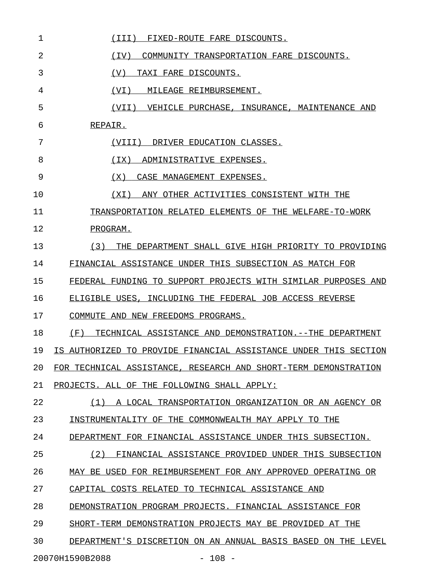| 1  | (III)<br>FIXED-ROUTE FARE DISCOUNTS.                             |
|----|------------------------------------------------------------------|
| 2  | (TV)<br>COMMUNITY TRANSPORTATION FARE DISCOUNTS.                 |
| 3  | (V)<br>TAXI FARE DISCOUNTS.                                      |
| 4  | (VI)<br>MILEAGE REIMBURSEMENT.                                   |
| 5  | (VII) VEHICLE PURCHASE, INSURANCE, MAINTENANCE AND               |
| 6  | REPAIR.                                                          |
| 7  | (VIII) DRIVER EDUCATION CLASSES.                                 |
| 8  | (TX)<br>ADMINISTRATIVE EXPENSES.                                 |
| 9  | (X)<br>CASE MANAGEMENT EXPENSES.                                 |
| 10 | ANY OTHER ACTIVITIES CONSISTENT WITH THE<br>(XI)                 |
| 11 | TRANSPORTATION RELATED ELEMENTS OF THE WELFARE-TO-WORK           |
| 12 | PROGRAM.                                                         |
| 13 | THE DEPARTMENT SHALL GIVE HIGH PRIORITY TO PROVIDING<br>(3)      |
| 14 | FINANCIAL ASSISTANCE UNDER THIS SUBSECTION AS MATCH FOR          |
| 15 | FEDERAL FUNDING TO SUPPORT PROJECTS WITH SIMILAR PURPOSES AND    |
| 16 | ELIGIBLE USES, INCLUDING THE FEDERAL JOB ACCESS REVERSE          |
| 17 | COMMUTE AND NEW FREEDOMS PROGRAMS.                               |
| 18 | (F)<br>TECHNICAL ASSISTANCE AND DEMONSTRATION.--THE DEPARTMENT   |
| 19 | IS AUTHORIZED TO PROVIDE FINANCIAL ASSISTANCE UNDER THIS SECTION |
| 20 | FOR TECHNICAL ASSISTANCE, RESEARCH AND SHORT-TERM DEMONSTRATION  |
| 21 | PROJECTS. ALL OF THE FOLLOWING SHALL APPLY:                      |
| 22 | (1) A LOCAL TRANSPORTATION ORGANIZATION OR AN AGENCY OR          |
| 23 | INSTRUMENTALITY OF THE COMMONWEALTH MAY APPLY TO THE             |
| 24 | DEPARTMENT FOR FINANCIAL ASSISTANCE UNDER THIS SUBSECTION.       |
| 25 | (2) FINANCIAL ASSISTANCE PROVIDED UNDER THIS SUBSECTION          |
| 26 | MAY BE USED FOR REIMBURSEMENT FOR ANY APPROVED OPERATING OR      |
| 27 | CAPITAL COSTS RELATED TO TECHNICAL ASSISTANCE AND                |
| 28 | DEMONSTRATION PROGRAM PROJECTS. FINANCIAL ASSISTANCE FOR         |
| 29 | SHORT-TERM DEMONSTRATION PROJECTS MAY BE PROVIDED AT THE         |
| 30 | DEPARTMENT'S DISCRETION ON AN ANNUAL BASIS BASED ON THE LEVEL    |
|    |                                                                  |

20070H1590B2088 - 108 -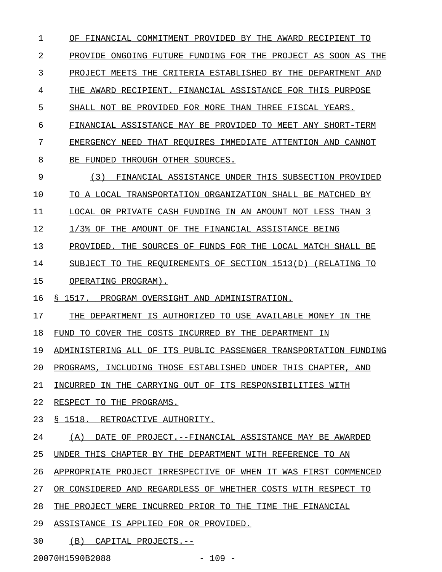1 OF FINANCIAL COMMITMENT PROVIDED BY THE AWARD RECIPIENT TO 2 PROVIDE ONGOING FUTURE FUNDING FOR THE PROJECT AS SOON AS THE 3 PROJECT MEETS THE CRITERIA ESTABLISHED BY THE DEPARTMENT AND 4 THE AWARD RECIPIENT. FINANCIAL ASSISTANCE FOR THIS PURPOSE 5 SHALL NOT BE PROVIDED FOR MORE THAN THREE FISCAL YEARS. 6 FINANCIAL ASSISTANCE MAY BE PROVIDED TO MEET ANY SHORT-TERM 7 EMERGENCY NEED THAT REQUIRES IMMEDIATE ATTENTION AND CANNOT 8 BE FUNDED THROUGH OTHER SOURCES. 9 (3) FINANCIAL ASSISTANCE UNDER THIS SUBSECTION PROVIDED 10 TO A LOCAL TRANSPORTATION ORGANIZATION SHALL BE MATCHED BY 11 LOCAL OR PRIVATE CASH FUNDING IN AN AMOUNT NOT LESS THAN 3 12 1/3% OF THE AMOUNT OF THE FINANCIAL ASSISTANCE BEING 13 PROVIDED. THE SOURCES OF FUNDS FOR THE LOCAL MATCH SHALL BE 14 SUBJECT TO THE REQUIREMENTS OF SECTION 1513(D) (RELATING TO 15 OPERATING PROGRAM). 16 § 1517. PROGRAM OVERSIGHT AND ADMINISTRATION. 17 THE DEPARTMENT IS AUTHORIZED TO USE AVAILABLE MONEY IN THE 18 FUND TO COVER THE COSTS INCURRED BY THE DEPARTMENT IN 19 ADMINISTERING ALL OF ITS PUBLIC PASSENGER TRANSPORTATION FUNDING 20 PROGRAMS, INCLUDING THOSE ESTABLISHED UNDER THIS CHAPTER, AND 21 INCURRED IN THE CARRYING OUT OF ITS RESPONSIBILITIES WITH 22 RESPECT TO THE PROGRAMS. 23 § 1518. RETROACTIVE AUTHORITY. 24 (A) DATE OF PROJECT. --FINANCIAL ASSISTANCE MAY BE AWARDED 25 UNDER THIS CHAPTER BY THE DEPARTMENT WITH REFERENCE TO AN 26 APPROPRIATE PROJECT IRRESPECTIVE OF WHEN IT WAS FIRST COMMENCED 27 OR CONSIDERED AND REGARDLESS OF WHETHER COSTS WITH RESPECT TO 28 THE PROJECT WERE INCURRED PRIOR TO THE TIME THE FINANCIAL 29 ASSISTANCE IS APPLIED FOR OR PROVIDED. 30 (B) CAPITAL PROJECTS.--

20070H1590B2088 - 109 -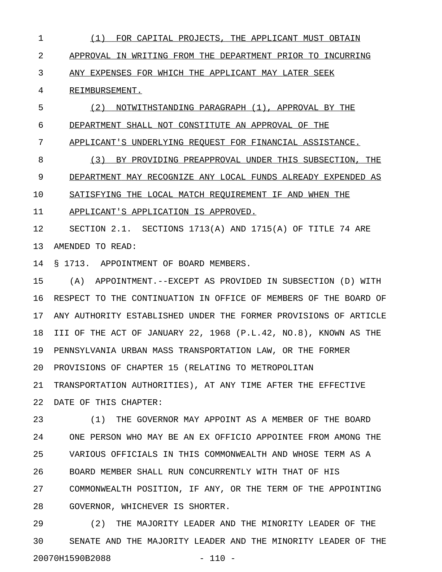1 (1) FOR CAPITAL PROJECTS, THE APPLICANT MUST OBTAIN \_\_\_\_\_\_\_\_\_\_\_\_\_\_\_\_\_\_\_\_\_\_\_\_\_\_\_\_\_\_\_\_\_\_\_\_\_\_\_\_\_\_\_\_\_\_\_\_\_\_\_\_ 2 APPROVAL IN WRITING FROM THE DEPARTMENT PRIOR TO INCURRING 3 ANY EXPENSES FOR WHICH THE APPLICANT MAY LATER SEEK 4 REIMBURSEMENT. 5 (2) NOTWITHSTANDING PARAGRAPH (1), APPROVAL BY THE

6 DEPARTMENT SHALL NOT CONSTITUTE AN APPROVAL OF THE

7 APPLICANT'S UNDERLYING REQUEST FOR FINANCIAL ASSISTANCE.

8 (3) BY PROVIDING PREAPPROVAL UNDER THIS SUBSECTION, THE 9 DEPARTMENT MAY RECOGNIZE ANY LOCAL FUNDS ALREADY EXPENDED AS

10 SATISFYING THE LOCAL MATCH REQUIREMENT IF AND WHEN THE

11 APPLICANT'S APPLICATION IS APPROVED.

12 SECTION 2.1. SECTIONS 1713(A) AND 1715(A) OF TITLE 74 ARE 13 AMENDED TO READ:

14 § 1713. APPOINTMENT OF BOARD MEMBERS.

15 (A) APPOINTMENT.--EXCEPT AS PROVIDED IN SUBSECTION (D) WITH 16 RESPECT TO THE CONTINUATION IN OFFICE OF MEMBERS OF THE BOARD OF 17 ANY AUTHORITY ESTABLISHED UNDER THE FORMER PROVISIONS OF ARTICLE 18 III OF THE ACT OF JANUARY 22, 1968 (P.L.42, NO.8), KNOWN AS THE 19 PENNSYLVANIA URBAN MASS TRANSPORTATION LAW, OR THE FORMER 20 PROVISIONS OF CHAPTER 15 (RELATING TO METROPOLITAN 21 TRANSPORTATION AUTHORITIES), AT ANY TIME AFTER THE EFFECTIVE 22 DATE OF THIS CHAPTER:

23 (1) THE GOVERNOR MAY APPOINT AS A MEMBER OF THE BOARD 24 ONE PERSON WHO MAY BE AN EX OFFICIO APPOINTEE FROM AMONG THE 25 VARIOUS OFFICIALS IN THIS COMMONWEALTH AND WHOSE TERM AS A 26 BOARD MEMBER SHALL RUN CONCURRENTLY WITH THAT OF HIS 27 COMMONWEALTH POSITION, IF ANY, OR THE TERM OF THE APPOINTING 28 GOVERNOR, WHICHEVER IS SHORTER.

29 (2) THE MAJORITY LEADER AND THE MINORITY LEADER OF THE 30 SENATE AND THE MAJORITY LEADER AND THE MINORITY LEADER OF THE 20070H1590B2088 - 110 -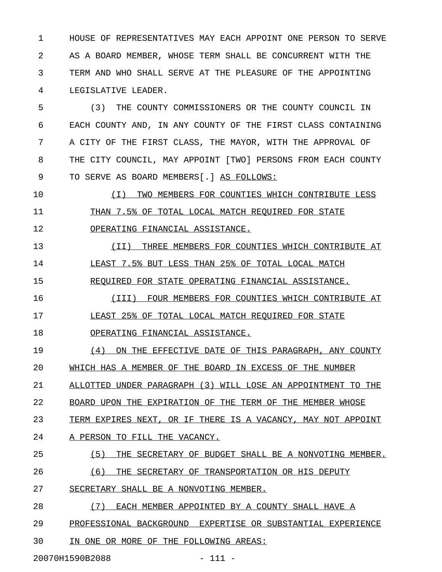1 HOUSE OF REPRESENTATIVES MAY EACH APPOINT ONE PERSON TO SERVE 2 AS A BOARD MEMBER, WHOSE TERM SHALL BE CONCURRENT WITH THE 3 TERM AND WHO SHALL SERVE AT THE PLEASURE OF THE APPOINTING 4 LEGISLATIVE LEADER.

5 (3) THE COUNTY COMMISSIONERS OR THE COUNTY COUNCIL IN 6 EACH COUNTY AND, IN ANY COUNTY OF THE FIRST CLASS CONTAINING 7 A CITY OF THE FIRST CLASS, THE MAYOR, WITH THE APPROVAL OF 8 THE CITY COUNCIL, MAY APPOINT [TWO] PERSONS FROM EACH COUNTY 9 TO SERVE AS BOARD MEMBERS[.] AS FOLLOWS:

10 (I) TWO MEMBERS FOR COUNTIES WHICH CONTRIBUTE LESS \_\_\_\_\_\_\_\_\_\_\_\_\_\_\_\_\_\_\_\_\_\_\_\_\_\_\_\_\_\_\_\_\_\_\_\_\_\_\_\_\_\_\_\_\_\_\_\_\_\_\_ 11 THAN 7.5% OF TOTAL LOCAL MATCH REQUIRED FOR STATE 12 OPERATING FINANCIAL ASSISTANCE.

13 (II) THREE MEMBERS FOR COUNTIES WHICH CONTRIBUTE AT 14 LEAST 7.5% BUT LESS THAN 25% OF TOTAL LOCAL MATCH 15 REQUIRED FOR STATE OPERATING FINANCIAL ASSISTANCE.

16 (III) FOUR MEMBERS FOR COUNTIES WHICH CONTRIBUTE AT \_\_\_\_\_\_\_\_\_\_\_\_\_\_\_\_\_\_\_\_\_\_\_\_\_\_\_\_\_\_\_\_\_\_\_\_\_\_\_\_\_\_\_\_\_\_\_\_\_\_\_\_ 17 LEAST 25% OF TOTAL LOCAL MATCH REQUIRED FOR STATE

18 OPERATING FINANCIAL ASSISTANCE.

19 (4) ON THE EFFECTIVE DATE OF THIS PARAGRAPH, ANY COUNTY 20 WHICH HAS A MEMBER OF THE BOARD IN EXCESS OF THE NUMBER 21 ALLOTTED UNDER PARAGRAPH (3) WILL LOSE AN APPOINTMENT TO THE

22 BOARD UPON THE EXPIRATION OF THE TERM OF THE MEMBER WHOSE

23 TERM EXPIRES NEXT, OR IF THERE IS A VACANCY, MAY NOT APPOINT

24 A PERSON TO FILL THE VACANCY.

## 25 (5) THE SECRETARY OF BUDGET SHALL BE A NONVOTING MEMBER.

26  $(6)$  THE SECRETARY OF TRANSPORTATION OR HIS DEPUTY

27 SECRETARY SHALL BE A NONVOTING MEMBER.

28 (7) EACH MEMBER APPOINTED BY A COUNTY SHALL HAVE A

29 PROFESSIONAL BACKGROUND EXPERTISE OR SUBSTANTIAL EXPERIENCE

30 IN ONE OR MORE OF THE FOLLOWING AREAS:

20070H1590B2088 - 111 -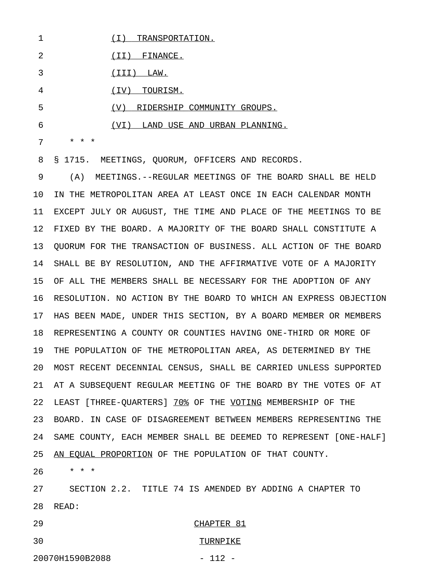1 (I) TRANSPORTATION.

2 <u>(II)</u> FINANCE.

3 (III) LAW.

4  $(IV)$  TOURISM.

5 (V) RIDERSHIP COMMUNITY GROUPS.

6 (VI) LAND USE AND URBAN PLANNING.

7 \* \* \*

8 § 1715. MEETINGS, QUORUM, OFFICERS AND RECORDS.

9 (A) MEETINGS.--REGULAR MEETINGS OF THE BOARD SHALL BE HELD 10 IN THE METROPOLITAN AREA AT LEAST ONCE IN EACH CALENDAR MONTH 11 EXCEPT JULY OR AUGUST, THE TIME AND PLACE OF THE MEETINGS TO BE 12 FIXED BY THE BOARD. A MAJORITY OF THE BOARD SHALL CONSTITUTE A 13 QUORUM FOR THE TRANSACTION OF BUSINESS. ALL ACTION OF THE BOARD 14 SHALL BE BY RESOLUTION, AND THE AFFIRMATIVE VOTE OF A MAJORITY 15 OF ALL THE MEMBERS SHALL BE NECESSARY FOR THE ADOPTION OF ANY 16 RESOLUTION. NO ACTION BY THE BOARD TO WHICH AN EXPRESS OBJECTION 17 HAS BEEN MADE, UNDER THIS SECTION, BY A BOARD MEMBER OR MEMBERS 18 REPRESENTING A COUNTY OR COUNTIES HAVING ONE-THIRD OR MORE OF 19 THE POPULATION OF THE METROPOLITAN AREA, AS DETERMINED BY THE 20 MOST RECENT DECENNIAL CENSUS, SHALL BE CARRIED UNLESS SUPPORTED 21 AT A SUBSEQUENT REGULAR MEETING OF THE BOARD BY THE VOTES OF AT 22 LEAST [THREE-QUARTERS] 70% OF THE VOTING MEMBERSHIP OF THE 23 BOARD. IN CASE OF DISAGREEMENT BETWEEN MEMBERS REPRESENTING THE 24 SAME COUNTY, EACH MEMBER SHALL BE DEEMED TO REPRESENT [ONE-HALF] 25 AN EQUAL PROPORTION OF THE POPULATION OF THAT COUNTY.

26 \* \* \*

27 SECTION 2.2. TITLE 74 IS AMENDED BY ADDING A CHAPTER TO 28 READ:

29 CHAPTER 81

## 30 TURNPIKE

20070H1590B2088 - 112 -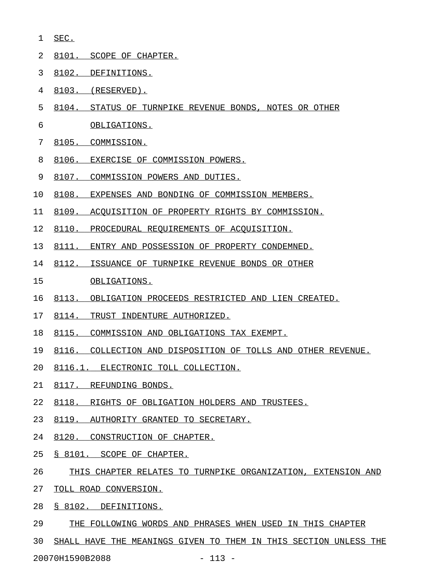- 1 SEC. \_\_\_\_
- 2 8101. SCOPE OF CHAPTER.
- 3 8102. DEFINITIONS.
- 4 8103. (RESERVED).
- 5 8104. STATUS OF TURNPIKE REVENUE BONDS, NOTES OR OTHER
- 6 OBLIGATIONS.
- 7 8105. COMMISSION.
- 8 8106. EXERCISE OF COMMISSION POWERS.
- 9 8107. COMMISSION POWERS AND DUTIES.
- 10 8108. EXPENSES AND BONDING OF COMMISSION MEMBERS.
- 11 8109. ACOUISITION OF PROPERTY RIGHTS BY COMMISSION.
- 12 8110. PROCEDURAL REQUIREMENTS OF ACQUISITION.
- 13 8111. ENTRY AND POSSESSION OF PROPERTY CONDEMNED.
- 14 8112. ISSUANCE OF TURNPIKE REVENUE BONDS OR OTHER
- 15 OBLIGATIONS.
- 16 8113. OBLIGATION PROCEEDS RESTRICTED AND LIEN CREATED.
- 17 8114. TRUST INDENTURE AUTHORIZED.
- 18 8115. COMMISSION AND OBLIGATIONS TAX EXEMPT.
- 19 8116. COLLECTION AND DISPOSITION OF TOLLS AND OTHER REVENUE.
- 20 8116.1. ELECTRONIC TOLL COLLECTION.
- 21 8117. REFUNDING BONDS.
- 22 8118. RIGHTS OF OBLIGATION HOLDERS AND TRUSTEES.
- 23 8119. AUTHORITY GRANTED TO SECRETARY.
- 24 8120. CONSTRUCTION OF CHAPTER.
- 25 § 8101. SCOPE OF CHAPTER.
- 26 THIS CHAPTER RELATES TO TURNPIKE ORGANIZATION, EXTENSION AND
- 27 TOLL ROAD CONVERSION.
- 28 § 8102. DEFINITIONS.
- 29 THE FOLLOWING WORDS AND PHRASES WHEN USED IN THIS CHAPTER
- 30 SHALL HAVE THE MEANINGS GIVEN TO THEM IN THIS SECTION UNLESS THE

20070H1590B2088 - 113 -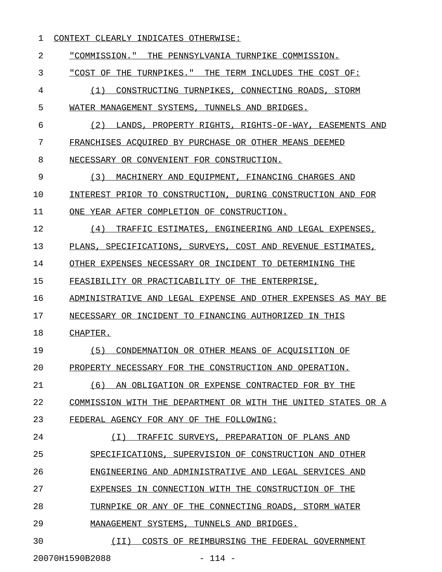## 1 CONTEXT CLEARLY INDICATES OTHERWISE:

2 "COMMISSION." THE PENNSYLVANIA TURNPIKE COMMISSION. 3 "COST OF THE TURNPIKES." THE TERM INCLUDES THE COST OF: \_\_\_\_\_\_\_\_\_\_\_\_\_\_\_\_\_\_\_\_\_\_\_\_\_\_\_\_\_\_\_\_\_\_\_\_\_\_\_\_\_\_\_\_\_\_\_\_\_\_\_\_\_\_\_\_ 4 (1) CONSTRUCTING TURNPIKES, CONNECTING ROADS, STORM 5 WATER MANAGEMENT SYSTEMS, TUNNELS AND BRIDGES. 6 (2) LANDS, PROPERTY RIGHTS, RIGHTS-OF-WAY, EASEMENTS AND 7 FRANCHISES ACOUIRED BY PURCHASE OR OTHER MEANS DEEMED 8 NECESSARY OR CONVENIENT FOR CONSTRUCTION. 9 (3) MACHINERY AND EQUIPMENT, FINANCING CHARGES AND 10 INTEREST PRIOR TO CONSTRUCTION, DURING CONSTRUCTION AND FOR 11 ONE YEAR AFTER COMPLETION OF CONSTRUCTION. 12 (4) TRAFFIC ESTIMATES, ENGINEERING AND LEGAL EXPENSES, 13 PLANS, SPECIFICATIONS, SURVEYS, COST AND REVENUE ESTIMATES, 14 OTHER EXPENSES NECESSARY OR INCIDENT TO DETERMINING THE 15 FEASIBILITY OR PRACTICABILITY OF THE ENTERPRISE, 16 ADMINISTRATIVE AND LEGAL EXPENSE AND OTHER EXPENSES AS MAY BE 17 NECESSARY OR INCIDENT TO FINANCING AUTHORIZED IN THIS 18 CHAPTER. 19 (5) CONDEMNATION OR OTHER MEANS OF ACOUISITION OF 20 PROPERTY NECESSARY FOR THE CONSTRUCTION AND OPERATION. 21 (6) AN OBLIGATION OR EXPENSE CONTRACTED FOR BY THE 22 COMMISSION WITH THE DEPARTMENT OR WITH THE UNITED STATES OR A 23 FEDERAL AGENCY FOR ANY OF THE FOLLOWING: 24 (I) TRAFFIC SURVEYS, PREPARATION OF PLANS AND \_\_\_\_\_\_\_\_\_\_\_\_\_\_\_\_\_\_\_\_\_\_\_\_\_\_\_\_\_\_\_\_\_\_\_\_\_\_\_\_\_\_\_\_\_\_ 25 SPECIFICATIONS, SUPERVISION OF CONSTRUCTION AND OTHER 26 ENGINEERING AND ADMINISTRATIVE AND LEGAL SERVICES AND 27 EXPENSES IN CONNECTION WITH THE CONSTRUCTION OF THE 28 TURNPIKE OR ANY OF THE CONNECTING ROADS, STORM WATER 29 MANAGEMENT SYSTEMS, TUNNELS AND BRIDGES. 30  $(II)$  COSTS OF REIMBURSING THE FEDERAL GOVERNMENT 20070H1590B2088 - 114 -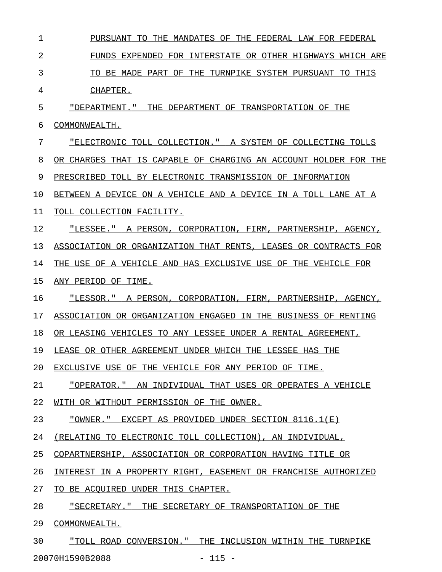| 1  | PURSUANT TO<br>THE MANDATES OF THE FEDERAL LAW FOR FEDERAL       |
|----|------------------------------------------------------------------|
| 2  | FUNDS EXPENDED FOR INTERSTATE OR OTHER HIGHWAYS WHICH ARE        |
| 3  | TO BE MADE PART OF THE TURNPIKE SYSTEM PURSUANT TO THIS          |
| 4  | CHAPTER.                                                         |
| 5  | "DEPARTMENT." THE DEPARTMENT OF TRANSPORTATION OF THE            |
| 6  | COMMONWEALTH.                                                    |
| 7  | "ELECTRONIC TOLL COLLECTION." A SYSTEM OF COLLECTING TOLLS       |
| 8  | OR CHARGES THAT IS CAPABLE OF CHARGING AN ACCOUNT HOLDER FOR THE |
| 9  | PRESCRIBED TOLL BY ELECTRONIC TRANSMISSION OF INFORMATION        |
| 10 | BETWEEN A DEVICE ON A VEHICLE AND A DEVICE IN A TOLL LANE AT A   |
| 11 | TOLL COLLECTION FACILITY.                                        |
| 12 | "LESSEE." A PERSON, CORPORATION, FIRM, PARTNERSHIP, AGENCY,      |
| 13 | ASSOCIATION OR ORGANIZATION THAT RENTS, LEASES OR CONTRACTS FOR  |
| 14 | THE USE OF A VEHICLE AND HAS EXCLUSIVE USE OF THE VEHICLE FOR    |
| 15 | ANY PERIOD OF TIME.                                              |
| 16 | "LESSOR." A PERSON, CORPORATION, FIRM, PARTNERSHIP, AGENCY,      |
| 17 | ASSOCIATION OR ORGANIZATION ENGAGED IN THE BUSINESS OF RENTING   |
| 18 | OR LEASING VEHICLES TO ANY LESSEE UNDER A RENTAL AGREEMENT,      |
| 19 | LEASE OR OTHER AGREEMENT UNDER WHICH THE LESSEE HAS THE          |
| 20 | EXCLUSIVE USE OF THE VEHICLE FOR ANY PERIOD OF TIME.             |
| 21 | "OPERATOR." AN INDIVIDUAL THAT USES OR OPERATES A VEHICLE        |
| 22 | WITH OR WITHOUT PERMISSION OF THE OWNER.                         |
| 23 | "OWNER." EXCEPT AS PROVIDED UNDER SECTION 8116.1(E)              |
| 24 | (RELATING TO ELECTRONIC TOLL COLLECTION), AN INDIVIDUAL,         |
| 25 | COPARTNERSHIP, ASSOCIATION OR CORPORATION HAVING TITLE OR        |
| 26 | INTEREST IN A PROPERTY RIGHT, EASEMENT OR FRANCHISE AUTHORIZED   |
| 27 | TO BE ACQUIRED UNDER THIS CHAPTER.                               |
| 28 | "SECRETARY." THE SECRETARY OF TRANSPORTATION OF THE              |
| 29 | COMMONWEALTH.                                                    |
|    |                                                                  |

30 "TOLL ROAD CONVERSION." THE INCLUSION WITHIN THE TURNPIKE 20070H1590B2088 - 115 -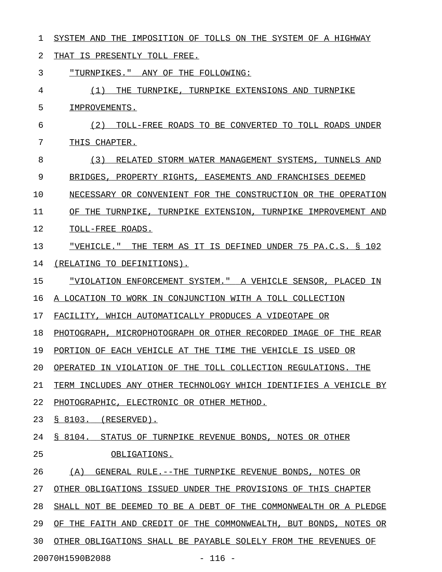1 SYSTEM AND THE IMPOSITION OF TOLLS ON THE SYSTEM OF A HIGHWAY 2 THAT IS PRESENTLY TOLL FREE. 3 "TURNPIKES." ANY OF THE FOLLOWING: 4 (1) THE TURNPIKE, TURNPIKE EXTENSIONS AND TURNPIKE 5 IMPROVEMENTS. 6  $(2)$  TOLL-FREE ROADS TO BE CONVERTED TO TOLL ROADS UNDER 7 THIS CHAPTER. 8 (3) RELATED STORM WATER MANAGEMENT SYSTEMS, TUNNELS AND 9 BRIDGES, PROPERTY RIGHTS, EASEMENTS AND FRANCHISES DEEMED 10 NECESSARY OR CONVENIENT FOR THE CONSTRUCTION OR THE OPERATION 11 OF THE TURNPIKE, TURNPIKE EXTENSION, TURNPIKE IMPROVEMENT AND 12 TOLL-FREE ROADS. 13 "VEHICLE." THE TERM AS IT IS DEFINED UNDER 75 PA.C.S. § 102 \_\_\_\_\_\_\_\_\_\_\_\_\_\_\_\_\_\_\_\_\_\_\_\_\_\_\_\_\_\_\_\_\_\_\_\_\_\_\_\_\_\_\_\_\_\_\_\_\_\_\_\_\_\_\_\_\_\_\_\_ 14 (RELATING TO DEFINITIONS). 15 "VIOLATION ENFORCEMENT SYSTEM." A VEHICLE SENSOR, PLACED IN 16 A LOCATION TO WORK IN CONJUNCTION WITH A TOLL COLLECTION 17 FACILITY, WHICH AUTOMATICALLY PRODUCES A VIDEOTAPE OR 18 PHOTOGRAPH, MICROPHOTOGRAPH OR OTHER RECORDED IMAGE OF THE REAR 19 PORTION OF EACH VEHICLE AT THE TIME THE VEHICLE IS USED OR 20 OPERATED IN VIOLATION OF THE TOLL COLLECTION REGULATIONS. THE 21 TERM INCLUDES ANY OTHER TECHNOLOGY WHICH IDENTIFIES A VEHICLE BY 22 PHOTOGRAPHIC, ELECTRONIC OR OTHER METHOD. 23 § 8103. (RESERVED). 24 § 8104. STATUS OF TURNPIKE REVENUE BONDS, NOTES OR OTHER 25 OBLIGATIONS. 26 (A) GENERAL RULE.--THE TURNPIKE REVENUE BONDS, NOTES OR 27 OTHER OBLIGATIONS ISSUED UNDER THE PROVISIONS OF THIS CHAPTER 28 SHALL NOT BE DEEMED TO BE A DEBT OF THE COMMONWEALTH OR A PLEDGE 29 OF THE FAITH AND CREDIT OF THE COMMONWEALTH, BUT BONDS, NOTES OR 30 OTHER OBLIGATIONS SHALL BE PAYABLE SOLELY FROM THE REVENUES OF

20070H1590B2088 - 116 -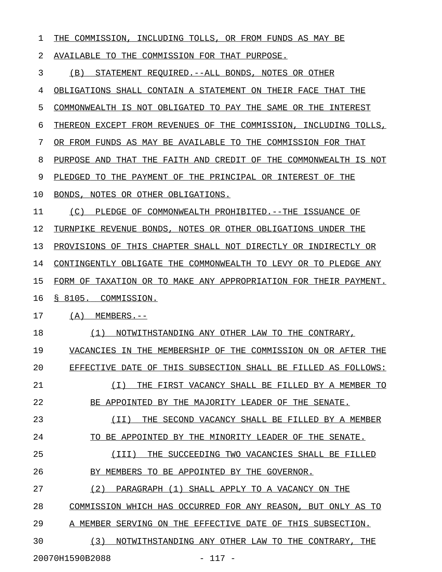| 1  | THE COMMISSION, INCLUDING TOLLS, OR FROM FUNDS AS MAY BE         |
|----|------------------------------------------------------------------|
| 2  | AVAILABLE TO THE COMMISSION FOR THAT PURPOSE.                    |
| 3  | (B)<br>STATEMENT REQUIRED. --ALL BONDS, NOTES OR OTHER           |
| 4  | OBLIGATIONS SHALL CONTAIN A STATEMENT ON THEIR FACE THAT THE     |
| 5  | COMMONWEALTH IS NOT OBLIGATED TO PAY THE SAME OR THE INTEREST    |
| 6  | THEREON EXCEPT FROM REVENUES OF THE COMMISSION, INCLUDING TOLLS, |
| 7  | OR FROM FUNDS AS MAY BE AVAILABLE TO THE COMMISSION FOR THAT     |
| 8  | PURPOSE AND THAT THE FAITH AND CREDIT OF THE COMMONWEALTH IS NOT |
| 9  | PLEDGED TO THE PAYMENT OF THE PRINCIPAL OR INTEREST OF THE       |
| 10 | BONDS, NOTES OR OTHER OBLIGATIONS.                               |
| 11 | (C)<br>PLEDGE OF COMMONWEALTH PROHIBITED. --THE ISSUANCE OF      |
| 12 | TURNPIKE REVENUE BONDS, NOTES OR OTHER OBLIGATIONS UNDER THE     |
| 13 | PROVISIONS OF THIS CHAPTER SHALL NOT DIRECTLY OR INDIRECTLY OR   |
| 14 | CONTINGENTLY OBLIGATE THE COMMONWEALTH TO LEVY OR TO PLEDGE ANY  |
| 15 | FORM OF TAXATION OR TO MAKE ANY APPROPRIATION FOR THEIR PAYMENT. |
| 16 | § 8105. COMMISSION.                                              |
| 17 | $(A)$ MEMBERS.--                                                 |
| 18 | NOTWITHSTANDING ANY OTHER LAW TO THE CONTRARY,<br>(1)            |
| 19 | VACANCIES IN THE MEMBERSHIP OF THE COMMISSION ON OR AFTER THE    |
| 20 | EFFECTIVE DATE OF THIS SUBSECTION SHALL BE FILLED AS FOLLOWS:    |
| 21 | THE FIRST VACANCY SHALL BE FILLED BY A MEMBER TO<br>( I )        |
| 22 | BE APPOINTED BY THE MAJORITY LEADER OF THE SENATE.               |
| 23 | (II)<br>THE SECOND VACANCY SHALL BE FILLED BY A MEMBER           |
| 24 | TO BE APPOINTED BY THE MINORITY LEADER OF THE SENATE.            |
| 25 | (III)<br>THE SUCCEEDING TWO VACANCIES SHALL BE FILLED            |
| 26 | BY MEMBERS TO BE APPOINTED BY THE GOVERNOR.                      |
| 27 | (2)<br>PARAGRAPH (1) SHALL APPLY TO A VACANCY ON THE             |
| 28 | COMMISSION WHICH HAS OCCURRED FOR ANY REASON, BUT ONLY AS TO     |
| 29 | A MEMBER SERVING ON THE EFFECTIVE DATE OF THIS SUBSECTION.       |
| 30 | (3)<br>NOTWITHSTANDING ANY OTHER LAW TO THE CONTRARY, THE        |
|    |                                                                  |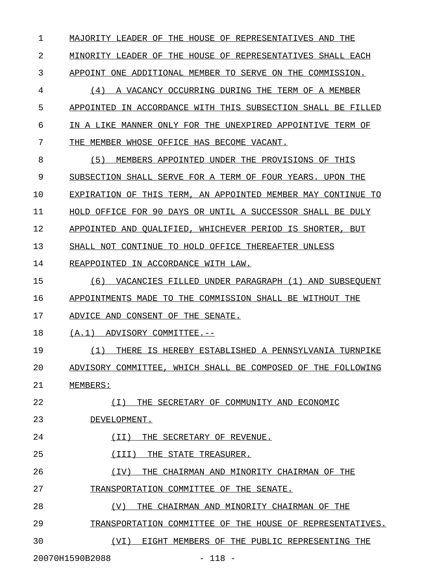1 MAJORITY LEADER OF THE HOUSE OF REPRESENTATIVES AND THE 2 MINORITY LEADER OF THE HOUSE OF REPRESENTATIVES SHALL EACH 3 APPOINT ONE ADDITIONAL MEMBER TO SERVE ON THE COMMISSION.

4 (4) A VACANCY OCCURRING DURING THE TERM OF A MEMBER \_\_\_\_\_\_\_\_\_\_\_\_\_\_\_\_\_\_\_\_\_\_\_\_\_\_\_\_\_\_\_\_\_\_\_\_\_\_\_\_\_\_\_\_\_\_\_\_\_\_\_\_ 5 APPOINTED IN ACCORDANCE WITH THIS SUBSECTION SHALL BE FILLED 6 IN A LIKE MANNER ONLY FOR THE UNEXPIRED APPOINTIVE TERM OF 7 THE MEMBER WHOSE OFFICE HAS BECOME VACANT.

8 (5) MEMBERS APPOINTED UNDER THE PROVISIONS OF THIS 9 SUBSECTION SHALL SERVE FOR A TERM OF FOUR YEARS. UPON THE 10 EXPIRATION OF THIS TERM, AN APPOINTED MEMBER MAY CONTINUE TO 11 HOLD OFFICE FOR 90 DAYS OR UNTIL A SUCCESSOR SHALL BE DULY 12 APPOINTED AND QUALIFIED, WHICHEVER PERIOD IS SHORTER, BUT

13 SHALL NOT CONTINUE TO HOLD OFFICE THEREAFTER UNLESS

14 REAPPOINTED IN ACCORDANCE WITH LAW.

15 (6) VACANCIES FILLED UNDER PARAGRAPH (1) AND SUBSEQUENT 16 APPOINTMENTS MADE TO THE COMMISSION SHALL BE WITHOUT THE

17 ADVICE AND CONSENT OF THE SENATE.

18 (A.1) ADVISORY COMMITTEE.--

19 (1) THERE IS HEREBY ESTABLISHED A PENNSYLVANIA TURNPIKE 20 ADVISORY COMMITTEE, WHICH SHALL BE COMPOSED OF THE FOLLOWING 21 MEMBERS:

22 (I) THE SECRETARY OF COMMUNITY AND ECONOMIC \_\_\_\_\_\_\_\_\_\_\_\_\_\_\_\_\_\_\_\_\_\_\_\_\_\_\_\_\_\_\_\_\_\_\_\_\_\_\_\_\_\_\_\_

23 DEVELOPMENT.

24 (II) THE SECRETARY OF REVENUE.

25 (III) THE STATE TREASURER.

26 (IV) THE CHAIRMAN AND MINORITY CHAIRMAN OF THE

27 TRANSPORTATION COMMITTEE OF THE SENATE.

28 (V) THE CHAIRMAN AND MINORITY CHAIRMAN OF THE \_\_\_\_\_\_\_\_\_\_\_\_\_\_\_\_\_\_\_\_\_\_\_\_\_\_\_\_\_\_\_\_\_\_\_\_\_\_\_\_\_\_\_\_\_\_

29 TRANSPORTATION COMMITTEE OF THE HOUSE OF REPRESENTATIVES.

30 (VI) EIGHT MEMBERS OF THE PUBLIC REPRESENTING THE

20070H1590B2088 - 118 -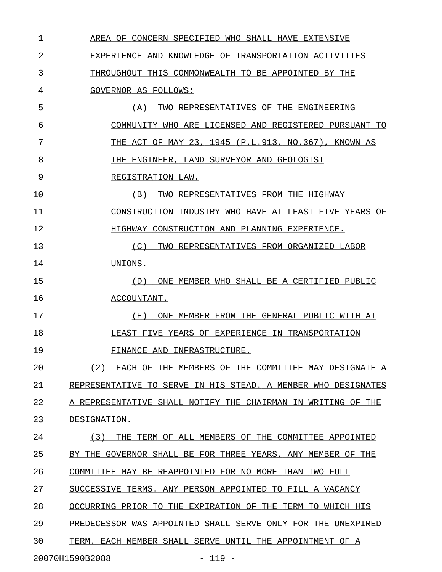1 AREA OF CONCERN SPECIFIED WHO SHALL HAVE EXTENSIVE \_\_\_\_\_\_\_\_\_\_\_\_\_\_\_\_\_\_\_\_\_\_\_\_\_\_\_\_\_\_\_\_\_\_\_\_\_\_\_\_\_\_\_\_\_\_\_\_\_\_ 2 EXPERIENCE AND KNOWLEDGE OF TRANSPORTATION ACTIVITIES 3 THROUGHOUT THIS COMMONWEALTH TO BE APPOINTED BY THE 4 GOVERNOR AS FOLLOWS: 5 (A) TWO REPRESENTATIVES OF THE ENGINEERING 6 COMMUNITY WHO ARE LICENSED AND REGISTERED PURSUANT TO 7 THE ACT OF MAY 23, 1945 (P.L.913, NO.367), KNOWN AS 8 THE ENGINEER, LAND SURVEYOR AND GEOLOGIST 9 REGISTRATION LAW. 10 (B) TWO REPRESENTATIVES FROM THE HIGHWAY \_\_\_\_\_\_\_\_\_\_\_\_\_\_\_\_\_\_\_\_\_\_\_\_\_\_\_\_\_\_\_\_\_\_\_\_\_\_\_\_\_ 11 CONSTRUCTION INDUSTRY WHO HAVE AT LEAST FIVE YEARS OF 12 **HIGHWAY CONSTRUCTION AND PLANNING EXPERIENCE.** 13 13 (C) TWO REPRESENTATIVES FROM ORGANIZED LABOR 14 UNIONS. 15 (D) ONE MEMBER WHO SHALL BE A CERTIFIED PUBLIC 16 ACCOUNTANT. 17 (E) ONE MEMBER FROM THE GENERAL PUBLIC WITH AT 18 LEAST FIVE YEARS OF EXPERIENCE IN TRANSPORTATION 19 FINANCE AND INFRASTRUCTURE. 20 (2) EACH OF THE MEMBERS OF THE COMMITTEE MAY DESIGNATE A \_\_\_\_\_\_\_\_\_\_\_\_\_\_\_\_\_\_\_\_\_\_\_\_\_\_\_\_\_\_\_\_\_\_\_\_\_\_\_\_\_\_\_\_\_\_\_\_\_\_\_\_\_\_\_\_\_ 21 REPRESENTATIVE TO SERVE IN HIS STEAD. A MEMBER WHO DESIGNATES 22 A REPRESENTATIVE SHALL NOTIFY THE CHAIRMAN IN WRITING OF THE 23 DESIGNATION. 24 (3) THE TERM OF ALL MEMBERS OF THE COMMITTEE APPOINTED 25 BY THE GOVERNOR SHALL BE FOR THREE YEARS. ANY MEMBER OF THE 26 COMMITTEE MAY BE REAPPOINTED FOR NO MORE THAN TWO FULL 27 SUCCESSIVE TERMS. ANY PERSON APPOINTED TO FILL A VACANCY 28 OCCURRING PRIOR TO THE EXPIRATION OF THE TERM TO WHICH HIS 29 PREDECESSOR WAS APPOINTED SHALL SERVE ONLY FOR THE UNEXPIRED 30 TERM. EACH MEMBER SHALL SERVE UNTIL THE APPOINTMENT OF A 20070H1590B2088 - 119 -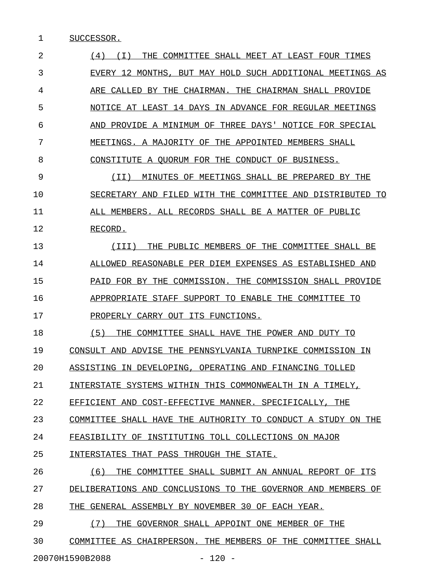1 SUCCESSOR.

2 (4) (I) THE COMMITTEE SHALL MEET AT LEAST FOUR TIMES \_\_\_\_\_\_\_\_\_\_\_\_\_\_\_\_\_\_\_\_\_\_\_\_\_\_\_\_\_\_\_\_\_\_\_\_\_\_\_\_\_\_\_\_\_\_\_\_\_\_\_\_\_\_ 3 EVERY 12 MONTHS, BUT MAY HOLD SUCH ADDITIONAL MEETINGS AS 4 ARE CALLED BY THE CHAIRMAN. THE CHAIRMAN SHALL PROVIDE 5 NOTICE AT LEAST 14 DAYS IN ADVANCE FOR REGULAR MEETINGS 6 AND PROVIDE A MINIMUM OF THREE DAYS' NOTICE FOR SPECIAL 7 MEETINGS. A MAJORITY OF THE APPOINTED MEMBERS SHALL 8 CONSTITUTE A QUORUM FOR THE CONDUCT OF BUSINESS. 9 (II) MINUTES OF MEETINGS SHALL BE PREPARED BY THE \_\_\_\_\_\_\_\_\_\_\_\_\_\_\_\_\_\_\_\_\_\_\_\_\_\_\_\_\_\_\_\_\_\_\_\_\_\_\_\_\_\_\_\_\_\_\_\_\_\_ 10 SECRETARY AND FILED WITH THE COMMITTEE AND DISTRIBUTED TO 11 ALL MEMBERS. ALL RECORDS SHALL BE A MATTER OF PUBLIC 12 RECORD. 13 (III) THE PUBLIC MEMBERS OF THE COMMITTEE SHALL BE 14 ALLOWED REASONABLE PER DIEM EXPENSES AS ESTABLISHED AND 15 PAID FOR BY THE COMMISSION. THE COMMISSION SHALL PROVIDE 16 APPROPRIATE STAFF SUPPORT TO ENABLE THE COMMITTEE TO 17 PROPERLY CARRY OUT ITS FUNCTIONS. 18 (5) THE COMMITTEE SHALL HAVE THE POWER AND DUTY TO 19 CONSULT AND ADVISE THE PENNSYLVANIA TURNPIKE COMMISSION IN 20 ASSISTING IN DEVELOPING, OPERATING AND FINANCING TOLLED 21 INTERSTATE SYSTEMS WITHIN THIS COMMONWEALTH IN A TIMELY, 22 EFFICIENT AND COST-EFFECTIVE MANNER. SPECIFICALLY, THE 23 COMMITTEE SHALL HAVE THE AUTHORITY TO CONDUCT A STUDY ON THE 24 FEASIBILITY OF INSTITUTING TOLL COLLECTIONS ON MAJOR 25 INTERSTATES THAT PASS THROUGH THE STATE. 26  $(6)$  THE COMMITTEE SHALL SUBMIT AN ANNUAL REPORT OF ITS 27 DELIBERATIONS AND CONCLUSIONS TO THE GOVERNOR AND MEMBERS OF 28 THE GENERAL ASSEMBLY BY NOVEMBER 30 OF EACH YEAR. 29 (7) THE GOVERNOR SHALL APPOINT ONE MEMBER OF THE 30 COMMITTEE AS CHAIRPERSON. THE MEMBERS OF THE COMMITTEE SHALL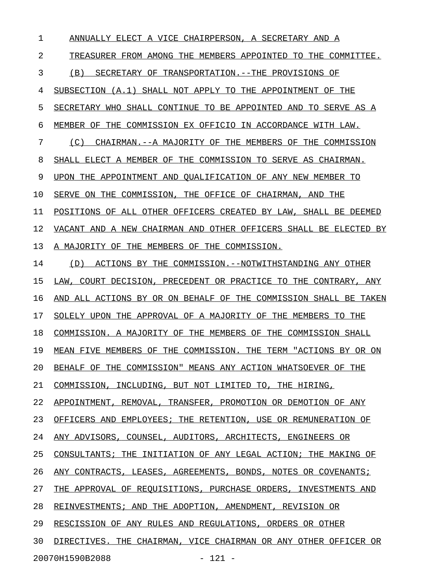1 ANNUALLY ELECT A VICE CHAIRPERSON, A SECRETARY AND A 2 TREASURER FROM AMONG THE MEMBERS APPOINTED TO THE COMMITTEE. 3 (B) SECRETARY OF TRANSPORTATION. --THE PROVISIONS OF 4 SUBSECTION (A.1) SHALL NOT APPLY TO THE APPOINTMENT OF THE 5 SECRETARY WHO SHALL CONTINUE TO BE APPOINTED AND TO SERVE AS A 6 MEMBER OF THE COMMISSION EX OFFICIO IN ACCORDANCE WITH LAW. 7 (C) CHAIRMAN.--A MAJORITY OF THE MEMBERS OF THE COMMISSION 8 SHALL ELECT A MEMBER OF THE COMMISSION TO SERVE AS CHAIRMAN. 9 UPON THE APPOINTMENT AND QUALIFICATION OF ANY NEW MEMBER TO 10 SERVE ON THE COMMISSION, THE OFFICE OF CHAIRMAN, AND THE 11 POSITIONS OF ALL OTHER OFFICERS CREATED BY LAW, SHALL BE DEEMED 12 VACANT AND A NEW CHAIRMAN AND OTHER OFFICERS SHALL BE ELECTED BY 13 A MAJORITY OF THE MEMBERS OF THE COMMISSION. 14 (D) ACTIONS BY THE COMMISSION.--NOTWITHSTANDING ANY OTHER 15 LAW, COURT DECISION, PRECEDENT OR PRACTICE TO THE CONTRARY, ANY 16 AND ALL ACTIONS BY OR ON BEHALF OF THE COMMISSION SHALL BE TAKEN 17 SOLELY UPON THE APPROVAL OF A MAJORITY OF THE MEMBERS TO THE 18 COMMISSION. A MAJORITY OF THE MEMBERS OF THE COMMISSION SHALL 19 MEAN FIVE MEMBERS OF THE COMMISSION. THE TERM "ACTIONS BY OR ON 20 BEHALF OF THE COMMISSION" MEANS ANY ACTION WHATSOEVER OF THE 21 COMMISSION, INCLUDING, BUT NOT LIMITED TO, THE HIRING, 22 APPOINTMENT, REMOVAL, TRANSFER, PROMOTION OR DEMOTION OF ANY 23 OFFICERS AND EMPLOYEES; THE RETENTION, USE OR REMUNERATION OF 24 ANY ADVISORS, COUNSEL, AUDITORS, ARCHITECTS, ENGINEERS OR 25 CONSULTANTS; THE INITIATION OF ANY LEGAL ACTION; THE MAKING OF 26 ANY CONTRACTS, LEASES, AGREEMENTS, BONDS, NOTES OR COVENANTS; 27 THE APPROVAL OF REQUISITIONS, PURCHASE ORDERS, INVESTMENTS AND 28 REINVESTMENTS; AND THE ADOPTION, AMENDMENT, REVISION OR 29 RESCISSION OF ANY RULES AND REGULATIONS, ORDERS OR OTHER 30 DIRECTIVES. THE CHAIRMAN, VICE CHAIRMAN OR ANY OTHER OFFICER OR

20070H1590B2088 - 121 -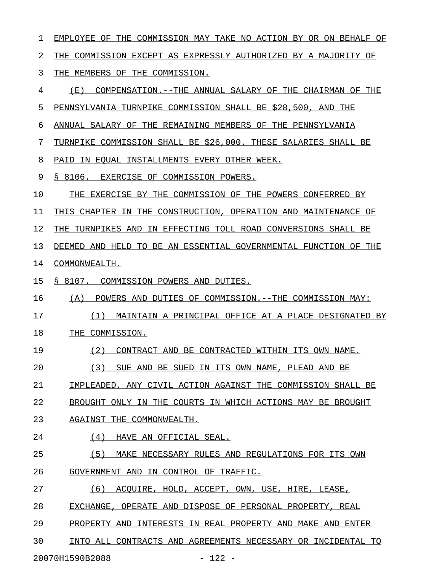1 EMPLOYEE OF THE COMMISSION MAY TAKE NO ACTION BY OR ON BEHALF OF 2 THE COMMISSION EXCEPT AS EXPRESSLY AUTHORIZED BY A MAJORITY OF 3 THE MEMBERS OF THE COMMISSION. 4 (E) COMPENSATION.--THE ANNUAL SALARY OF THE CHAIRMAN OF THE 5 PENNSYLVANIA TURNPIKE COMMISSION SHALL BE \$28,500, AND THE 6 ANNUAL SALARY OF THE REMAINING MEMBERS OF THE PENNSYLVANIA 7 TURNPIKE COMMISSION SHALL BE \$26,000. THESE SALARIES SHALL BE 8 PAID IN EQUAL INSTALLMENTS EVERY OTHER WEEK. 9 § 8106. EXERCISE OF COMMISSION POWERS. 10 THE EXERCISE BY THE COMMISSION OF THE POWERS CONFERRED BY 11 THIS CHAPTER IN THE CONSTRUCTION, OPERATION AND MAINTENANCE OF 12 THE TURNPIKES AND IN EFFECTING TOLL ROAD CONVERSIONS SHALL BE 13 DEEMED AND HELD TO BE AN ESSENTIAL GOVERNMENTAL FUNCTION OF THE 14 COMMONWEALTH. 15 § 8107. COMMISSION POWERS AND DUTIES. 16 (A) POWERS AND DUTIES OF COMMISSION.--THE COMMISSION MAY: 17 (1) MAINTAIN A PRINCIPAL OFFICE AT A PLACE DESIGNATED BY 18 THE COMMISSION. 19 (2) CONTRACT AND BE CONTRACTED WITHIN ITS OWN NAME. 20 (3) SUE AND BE SUED IN ITS OWN NAME, PLEAD AND BE 21 IMPLEADED. ANY CIVIL ACTION AGAINST THE COMMISSION SHALL BE 22 BROUGHT ONLY IN THE COURTS IN WHICH ACTIONS MAY BE BROUGHT 23 AGAINST THE COMMONWEALTH. 24 (4) HAVE AN OFFICIAL SEAL. 25 (5) MAKE NECESSARY RULES AND REGULATIONS FOR ITS OWN 26 GOVERNMENT AND IN CONTROL OF TRAFFIC. 27 (6) ACOUIRE, HOLD, ACCEPT, OWN, USE, HIRE, LEASE, 28 EXCHANGE, OPERATE AND DISPOSE OF PERSONAL PROPERTY, REAL 29 PROPERTY AND INTERESTS IN REAL PROPERTY AND MAKE AND ENTER 30 INTO ALL CONTRACTS AND AGREEMENTS NECESSARY OR INCIDENTAL TO \_\_\_\_\_\_\_\_\_\_\_\_\_\_\_\_\_\_\_\_\_\_\_\_\_\_\_\_\_\_\_\_\_\_\_\_\_\_\_\_\_\_\_\_\_\_\_\_\_\_\_\_\_\_\_\_\_\_\_\_

20070H1590B2088 - 122 -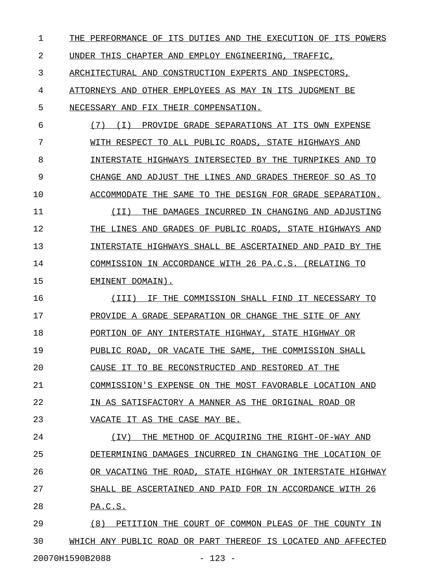| 1  | THE PERFORMANCE OF ITS DUTIES AND THE EXECUTION OF ITS POWERS |
|----|---------------------------------------------------------------|
| 2  | UNDER THIS CHAPTER AND EMPLOY ENGINEERING, TRAFFIC,           |
| 3  | ARCHITECTURAL AND CONSTRUCTION EXPERTS AND INSPECTORS,        |
| 4  | ATTORNEYS AND OTHER EMPLOYEES AS MAY IN ITS JUDGMENT BE       |
| 5  | NECESSARY AND FIX THEIR COMPENSATION.                         |
| 6  | (7)<br>PROVIDE GRADE SEPARATIONS AT ITS OWN EXPENSE<br>(T)    |
| 7  | WITH RESPECT TO ALL PUBLIC ROADS, STATE HIGHWAYS AND          |
| 8  | INTERSTATE HIGHWAYS INTERSECTED BY THE TURNPIKES AND TO       |
| 9  | CHANGE AND ADJUST THE LINES AND GRADES THEREOF SO AS TO       |
| 10 | ACCOMMODATE THE SAME TO THE DESIGN FOR GRADE SEPARATION.      |
| 11 | (II)<br>THE DAMAGES INCURRED IN CHANGING AND ADJUSTING        |
| 12 | THE LINES AND GRADES OF PUBLIC ROADS, STATE HIGHWAYS AND      |
| 13 | INTERSTATE HIGHWAYS SHALL BE ASCERTAINED AND PAID BY THE      |
| 14 | COMMISSION IN ACCORDANCE WITH 26 PA.C.S. (RELATING TO         |
| 15 | EMINENT DOMAIN).                                              |
| 16 | (III)<br>IF THE COMMISSION SHALL FIND IT NECESSARY TO         |
| 17 | PROVIDE A GRADE SEPARATION OR CHANGE THE SITE OF ANY          |
| 18 | PORTION OF ANY INTERSTATE HIGHWAY, STATE HIGHWAY OR           |
| 19 | PUBLIC ROAD, OR VACATE THE SAME, THE COMMISSION SHALL         |
| 20 | CAUSE IT TO BE RECONSTRUCTED AND RESTORED AT THE              |
| 21 | COMMISSION'S EXPENSE ON THE MOST FAVORABLE LOCATION AND       |
| 22 | IN AS SATISFACTORY A MANNER AS THE ORIGINAL ROAD OR           |
| 23 | VACATE IT AS THE CASE MAY BE.                                 |
| 24 | ( TV )<br>THE METHOD OF ACOUIRING THE RIGHT-OF-WAY AND        |
| 25 | DETERMINING DAMAGES INCURRED IN CHANGING THE LOCATION OF      |
| 26 | OR VACATING THE ROAD, STATE HIGHWAY OR INTERSTATE HIGHWAY     |
| 27 | SHALL BE ASCERTAINED AND PAID FOR IN ACCORDANCE WITH 26       |
| 28 | PA.C.S.                                                       |
| 29 | (8)<br>PETITION THE COURT OF COMMON PLEAS OF THE COUNTY IN    |
| 30 | WHICH ANY PUBLIC ROAD OR PART THEREOF IS LOCATED AND AFFECTED |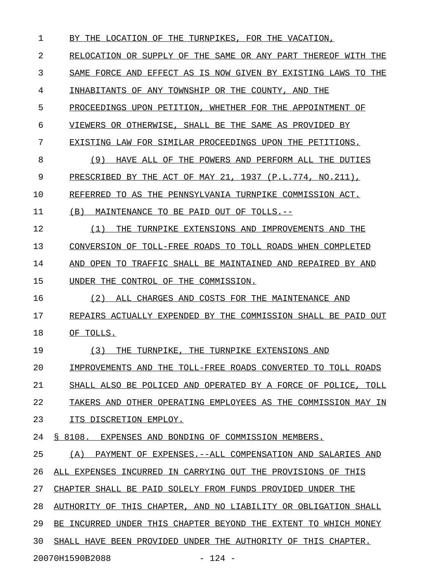1 BY THE LOCATION OF THE TURNPIKES, FOR THE VACATION, 2 RELOCATION OR SUPPLY OF THE SAME OR ANY PART THEREOF WITH THE 3 SAME FORCE AND EFFECT AS IS NOW GIVEN BY EXISTING LAWS TO THE 4 INHABITANTS OF ANY TOWNSHIP OR THE COUNTY, AND THE 5 PROCEEDINGS UPON PETITION, WHETHER FOR THE APPOINTMENT OF 6 VIEWERS OR OTHERWISE, SHALL BE THE SAME AS PROVIDED BY 7 EXISTING LAW FOR SIMILAR PROCEEDINGS UPON THE PETITIONS. 8 (9) HAVE ALL OF THE POWERS AND PERFORM ALL THE DUTIES 9 PRESCRIBED BY THE ACT OF MAY 21, 1937 (P.L.774, NO.211), 10 REFERRED TO AS THE PENNSYLVANIA TURNPIKE COMMISSION ACT. 11 (B) MAINTENANCE TO BE PAID OUT OF TOLLS.--12 (1) THE TURNPIKE EXTENSIONS AND IMPROVEMENTS AND THE \_\_\_\_\_\_\_\_\_\_\_\_\_\_\_\_\_\_\_\_\_\_\_\_\_\_\_\_\_\_\_\_\_\_\_\_\_\_\_\_\_\_\_\_\_\_\_\_\_\_\_\_\_ 13 CONVERSION OF TOLL-FREE ROADS TO TOLL ROADS WHEN COMPLETED 14 AND OPEN TO TRAFFIC SHALL BE MAINTAINED AND REPAIRED BY AND 15 UNDER THE CONTROL OF THE COMMISSION. 16 (2) ALL CHARGES AND COSTS FOR THE MAINTENANCE AND 17 REPAIRS ACTUALLY EXPENDED BY THE COMMISSION SHALL BE PAID OUT 18 OF TOLLS. 19 (3) THE TURNPIKE, THE TURNPIKE EXTENSIONS AND 20 IMPROVEMENTS AND THE TOLL-FREE ROADS CONVERTED TO TOLL ROADS 21 SHALL ALSO BE POLICED AND OPERATED BY A FORCE OF POLICE, TOLL 22 TAKERS AND OTHER OPERATING EMPLOYEES AS THE COMMISSION MAY IN 23 ITS DISCRETION EMPLOY. 24 § 8108. EXPENSES AND BONDING OF COMMISSION MEMBERS. 25 (A) PAYMENT OF EXPENSES.--ALL COMPENSATION AND SALARIES AND 26 ALL EXPENSES INCURRED IN CARRYING OUT THE PROVISIONS OF THIS 27 CHAPTER SHALL BE PAID SOLELY FROM FUNDS PROVIDED UNDER THE 28 AUTHORITY OF THIS CHAPTER, AND NO LIABILITY OR OBLIGATION SHALL 29 BE INCURRED UNDER THIS CHAPTER BEYOND THE EXTENT TO WHICH MONEY 30 SHALL HAVE BEEN PROVIDED UNDER THE AUTHORITY OF THIS CHAPTER. 20070H1590B2088 - 124 -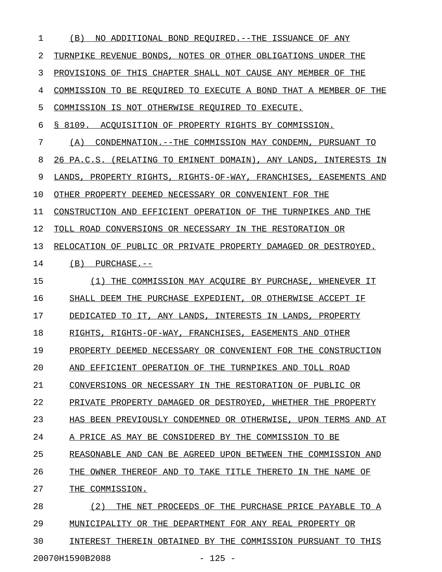| $\mathbf 1$ | (B)<br>NO ADDITIONAL BOND REQUIRED. -- THE ISSUANCE OF ANY          |
|-------------|---------------------------------------------------------------------|
| 2           | TURNPIKE REVENUE BONDS, NOTES OR OTHER OBLIGATIONS UNDER THE        |
| 3           | PROVISIONS OF THIS CHAPTER SHALL NOT CAUSE ANY MEMBER OF THE        |
| 4           | COMMISSION TO BE REQUIRED TO EXECUTE A BOND THAT A MEMBER OF THE    |
| 5           | COMMISSION IS NOT OTHERWISE REQUIRED TO EXECUTE.                    |
| 6           | S 8109.<br>ACOUISITION OF PROPERTY RIGHTS BY COMMISSION.            |
| 7           | CONDEMNATION.--THE COMMISSION MAY CONDEMN, PURSUANT TO<br>(A)       |
| 8           | 26 PA.C.S. (RELATING TO EMINENT DOMAIN), ANY LANDS,<br>INTERESTS IN |
| 9           | LANDS, PROPERTY RIGHTS, RIGHTS-OF-WAY, FRANCHISES, EASEMENTS AND    |
| 10          | OTHER PROPERTY DEEMED NECESSARY OR CONVENIENT FOR THE               |
| 11          | CONSTRUCTION AND EFFICIENT OPERATION OF THE TURNPIKES AND THE       |
| 12          | TOLL ROAD CONVERSIONS OR NECESSARY IN THE RESTORATION OR            |
| 13          | RELOCATION OF PUBLIC OR PRIVATE PROPERTY DAMAGED OR DESTROYED.      |
| 14          | (B)<br>PURCHASE.--                                                  |
| 15          | THE COMMISSION MAY ACOUIRE BY PURCHASE, WHENEVER IT<br>(1)          |
| 16          | SHALL DEEM THE PURCHASE EXPEDIENT, OR OTHERWISE ACCEPT IF           |
| 17          | DEDICATED TO IT, ANY LANDS, INTERESTS IN LANDS, PROPERTY            |
| 18          | RIGHTS, RIGHTS-OF-WAY, FRANCHISES, EASEMENTS AND OTHER              |
| 19          | PROPERTY DEEMED NECESSARY OR CONVENIENT FOR THE CONSTRUCTION        |
| 20          | AND EFFICIENT OPERATION OF THE TURNPIKES AND TOLL ROAD              |
| 21          | CONVERSIONS OR NECESSARY IN THE RESTORATION OF PUBLIC OR            |
| 22          | PRIVATE PROPERTY DAMAGED OR DESTROYED, WHETHER THE PROPERTY         |
| 23          | HAS BEEN PREVIOUSLY CONDEMNED OR OTHERWISE, UPON TERMS AND AT       |
| 24          | A PRICE AS MAY BE CONSIDERED BY THE COMMISSION TO BE                |
| 25          | REASONABLE AND CAN BE AGREED UPON BETWEEN THE COMMISSION AND        |
| 26          | THE OWNER THEREOF AND TO TAKE TITLE THERETO IN THE NAME OF          |
| 27          | THE COMMISSION.                                                     |
| 28          | (2)<br>THE NET PROCEEDS OF THE PURCHASE PRICE PAYABLE TO A          |
| 29          | MUNICIPALITY OR THE DEPARTMENT FOR ANY REAL PROPERTY OR             |
| 30          | INTEREST THEREIN OBTAINED BY THE COMMISSION PURSUANT TO THIS        |
|             | 20070H1590B2088<br>$-125 -$                                         |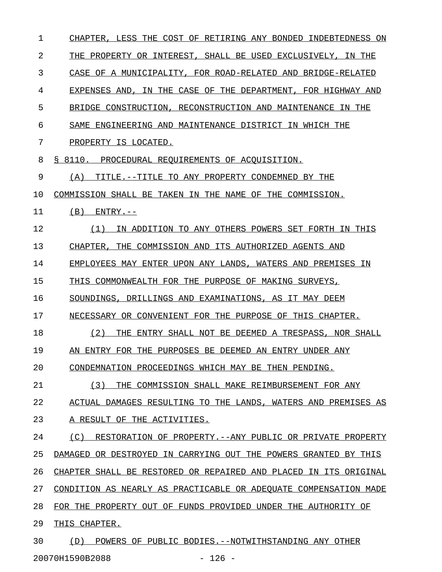| 1  | CHAPTER, LESS THE COST OF RETIRING ANY BONDED INDEBTEDNESS ON     |
|----|-------------------------------------------------------------------|
| 2  | THE PROPERTY OR INTEREST, SHALL BE USED EXCLUSIVELY, IN THE       |
| 3  | CASE OF A MUNICIPALITY, FOR ROAD-RELATED AND BRIDGE-RELATED       |
| 4  | EXPENSES AND, IN THE CASE OF THE DEPARTMENT, FOR HIGHWAY AND      |
| 5  | BRIDGE CONSTRUCTION, RECONSTRUCTION AND MAINTENANCE IN THE        |
| 6  | SAME ENGINEERING AND MAINTENANCE DISTRICT IN WHICH THE            |
| 7  | PROPERTY IS LOCATED.                                              |
| 8  | S 8110.<br>PROCEDURAL REQUIREMENTS OF ACQUISITION.                |
| 9  | TITLE.--TITLE TO ANY PROPERTY CONDEMNED BY THE<br>(A)             |
| 10 | COMMISSION SHALL BE TAKEN IN THE NAME OF THE COMMISSION.          |
| 11 | (B)<br>$ENTRY. --$                                                |
| 12 | (1)<br>IN ADDITION TO ANY OTHERS POWERS SET FORTH IN THIS         |
| 13 | CHAPTER, THE COMMISSION AND ITS AUTHORIZED AGENTS AND             |
| 14 | EMPLOYEES MAY ENTER UPON ANY LANDS, WATERS AND PREMISES IN        |
| 15 | THIS COMMONWEALTH FOR THE PURPOSE OF MAKING SURVEYS,              |
| 16 | SOUNDINGS, DRILLINGS AND EXAMINATIONS, AS IT MAY DEEM             |
| 17 | NECESSARY OR CONVENIENT FOR THE PURPOSE OF THIS CHAPTER.          |
| 18 | (2)<br>THE ENTRY SHALL NOT BE DEEMED A TRESPASS, NOR SHALL        |
| 19 | AN ENTRY FOR THE PURPOSES BE DEEMED AN ENTRY UNDER ANY            |
| 20 | CONDEMNATION PROCEEDINGS WHICH MAY BE THEN PENDING.               |
| 21 | (3)<br>THE COMMISSION SHALL MAKE REIMBURSEMENT FOR ANY            |
| 22 | ACTUAL DAMAGES RESULTING TO THE LANDS, WATERS AND PREMISES AS     |
| 23 | A RESULT OF THE ACTIVITIES.                                       |
| 24 | RESTORATION OF PROPERTY. -- ANY PUBLIC OR PRIVATE PROPERTY<br>(C) |
| 25 | DAMAGED OR DESTROYED IN CARRYING OUT THE POWERS GRANTED BY THIS   |
| 26 | CHAPTER SHALL BE RESTORED OR REPAIRED AND PLACED IN ITS ORIGINAL  |
| 27 | CONDITION AS NEARLY AS PRACTICABLE OR ADEQUATE COMPENSATION MADE  |
| 28 | FOR THE PROPERTY OUT OF FUNDS PROVIDED UNDER THE AUTHORITY OF     |
| 29 | THIS CHAPTER.                                                     |
| 30 | POWERS OF PUBLIC BODIES. -- NOTWITHSTANDING ANY OTHER<br>(D)      |
|    | 20070H1590B2088<br>$-126 -$                                       |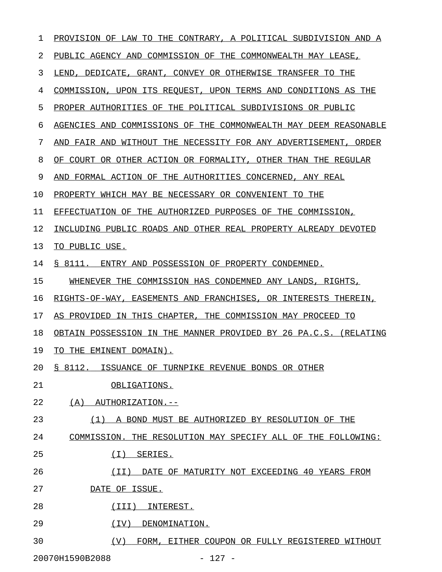| 1  | PROVISION OF LAW TO THE CONTRARY, A POLITICAL SUBDIVISION AND A  |
|----|------------------------------------------------------------------|
| 2  | PUBLIC AGENCY AND COMMISSION OF THE COMMONWEALTH MAY LEASE,      |
| 3  | LEND, DEDICATE, GRANT, CONVEY OR OTHERWISE TRANSFER TO THE       |
| 4  | COMMISSION, UPON ITS REQUEST, UPON TERMS AND CONDITIONS AS THE   |
| 5  | PROPER AUTHORITIES OF THE POLITICAL SUBDIVISIONS OR PUBLIC       |
| 6  | AGENCIES AND COMMISSIONS OF THE COMMONWEALTH MAY DEEM REASONABLE |
| 7  | AND FAIR AND WITHOUT THE NECESSITY FOR ANY ADVERTISEMENT, ORDER  |
| 8  | OF COURT OR OTHER ACTION OR FORMALITY, OTHER THAN THE REGULAR    |
| 9  | AND FORMAL ACTION OF THE AUTHORITIES CONCERNED, ANY REAL         |
| 10 | PROPERTY WHICH MAY BE NECESSARY OR CONVENIENT TO THE             |
| 11 | EFFECTUATION OF THE AUTHORIZED PURPOSES OF THE COMMISSION,       |
| 12 | INCLUDING PUBLIC ROADS AND OTHER REAL PROPERTY ALREADY DEVOTED   |
| 13 | TO PUBLIC USE.                                                   |
| 14 | \$ 8111.<br>ENTRY AND POSSESSION OF PROPERTY CONDEMNED.          |
| 15 | WHENEVER THE COMMISSION HAS CONDEMNED ANY LANDS, RIGHTS,         |
| 16 | RIGHTS-OF-WAY, EASEMENTS AND FRANCHISES, OR INTERESTS THEREIN,   |
| 17 | AS PROVIDED IN THIS CHAPTER, THE COMMISSION MAY PROCEED TO       |
| 18 | OBTAIN POSSESSION IN THE MANNER PROVIDED BY 26 PA.C.S. (RELATING |
| 19 | TO THE EMINENT DOMAIN).                                          |
| 20 | § 8112. ISSUANCE OF TURNPIKE REVENUE BONDS OR OTHER              |
| 21 | OBLIGATIONS.                                                     |
| 22 | (A)<br>AUTHORIZATION.--                                          |
| 23 | (1) A BOND MUST BE AUTHORIZED BY RESOLUTION OF THE               |
| 24 | COMMISSION. THE RESOLUTION MAY SPECIFY ALL OF THE FOLLOWING:     |
| 25 | ( I )<br>SERIES.                                                 |
| 26 | DATE OF MATURITY NOT EXCEEDING 40 YEARS FROM<br>(II)             |
| 27 | DATE OF ISSUE.                                                   |
| 28 | (III)<br>INTEREST.                                               |
| 29 | (IV)<br>DENOMINATION.                                            |
| 30 | (V)<br>FORM, EITHER COUPON OR FULLY REGISTERED WITHOUT           |
|    | $-127 -$<br>20070H1590B2088                                      |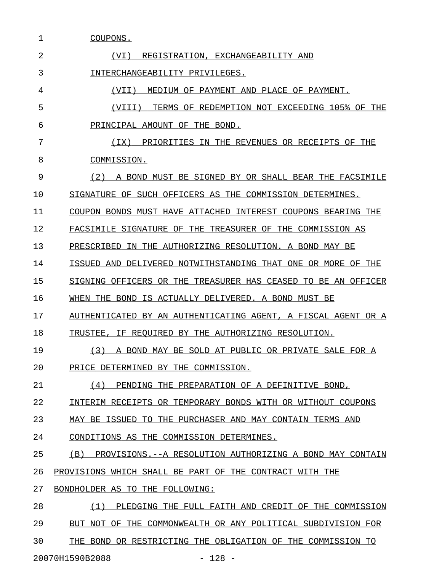| 1  | COUPONS.                                                              |
|----|-----------------------------------------------------------------------|
| 2  | (VI)<br>REGISTRATION, EXCHANGEABILITY AND                             |
| 3  | INTERCHANGEABILITY PRIVILEGES.                                        |
| 4  | (VII)<br>MEDIUM OF<br>PAYMENT AND PLACE OF PAYMENT.                   |
| 5  | REDEMPTION NOT EXCEEDING 105% OF THE<br>(VIII)<br>TERMS<br>OF.        |
| 6  | PRINCIPAL AMOUNT<br>OF<br>THE BOND.                                   |
| 7  | (TX)<br>PRIORITIES IN THE REVENUES OR RECEIPTS OF THE                 |
| 8  | COMMISSION.                                                           |
| 9  | (2)<br>A BOND MUST BE SIGNED BY OR SHALL BEAR THE FACSIMILE           |
| 10 | SIGNATURE OF SUCH OFFICERS AS THE<br>COMMISSION DETERMINES.           |
| 11 | COUPON BONDS MUST HAVE ATTACHED<br>INTEREST COUPONS BEARING THE       |
| 12 | FACSIMILE SIGNATURE OF<br>THE.<br>TREASURER OF THE COMMISSION AS      |
| 13 | THE AUTHORIZING RESOLUTION. A BOND MAY BE<br>PRESCRIBED<br>TN.        |
| 14 | DELIVERED NOTWITHSTANDING THAT ONE OR MORE<br>THE<br>ISSUED AND<br>OF |
| 15 | SIGNING OFFICERS OR THE TREASURER HAS CEASED<br>TO BE AN OFFICER      |
| 16 | IS ACTUALLY DELIVERED. A BOND<br>WHEN THE<br>BOND<br>MUST BE          |
| 17 | AUTHENTICATED BY AN AUTHENTICATING AGENT, A<br>FISCAL AGENT OR A      |
| 18 | REOUIRED BY THE AUTHORIZING RESOLUTION.<br>TRUSTEE<br>ΙF.             |
| 19 | (3)<br>A BOND MAY BE SOLD AT PUBLIC OR PRIVATE SALE FOR A             |
| 20 | PRICE DETERMINED BY THE COMMISSION.                                   |
| 21 | (4) PENDING THE PREPARATION OF A DEFINITIVE BOND,                     |
| 22 | INTERIM RECEIPTS OR TEMPORARY BONDS WITH OR WITHOUT COUPONS           |
| 23 | MAY BE ISSUED TO THE PURCHASER AND MAY CONTAIN TERMS AND              |
| 24 | CONDITIONS AS THE COMMISSION DETERMINES.                              |
| 25 | (B) PROVISIONS.--A RESOLUTION AUTHORIZING A BOND MAY CONTAIN          |
| 26 | PROVISIONS WHICH SHALL BE PART OF THE CONTRACT WITH THE               |
| 27 | BONDHOLDER AS TO THE FOLLOWING:                                       |
| 28 | (1) PLEDGING THE FULL FAITH AND CREDIT OF THE COMMISSION              |
| 29 | BUT NOT OF THE COMMONWEALTH OR ANY POLITICAL SUBDIVISION FOR          |
| 30 | THE BOND OR RESTRICTING THE OBLIGATION OF THE COMMISSION TO           |
|    |                                                                       |

20070H1590B2088 - 128 -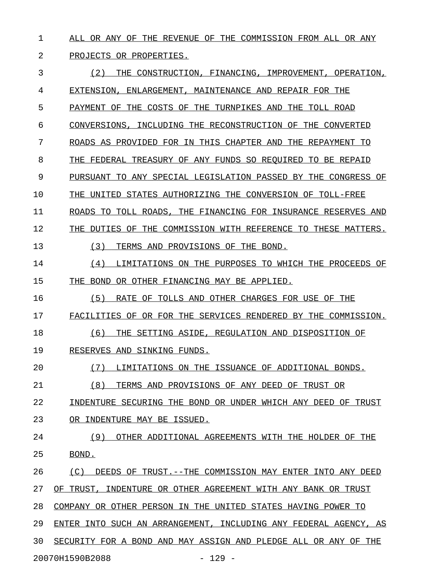1 ALL OR ANY OF THE REVENUE OF THE COMMISSION FROM ALL OR ANY

## 2 PROJECTS OR PROPERTIES.

3 (2) THE CONSTRUCTION, FINANCING, IMPROVEMENT, OPERATION, 4 EXTENSION, ENLARGEMENT, MAINTENANCE AND REPAIR FOR THE 5 PAYMENT OF THE COSTS OF THE TURNPIKES AND THE TOLL ROAD 6 CONVERSIONS, INCLUDING THE RECONSTRUCTION OF THE CONVERTED 7 ROADS AS PROVIDED FOR IN THIS CHAPTER AND THE REPAYMENT TO 8 THE FEDERAL TREASURY OF ANY FUNDS SO REOUIRED TO BE REPAID 9 PURSUANT TO ANY SPECIAL LEGISLATION PASSED BY THE CONGRESS OF 10 THE UNITED STATES AUTHORIZING THE CONVERSION OF TOLL-FREE 11 ROADS TO TOLL ROADS, THE FINANCING FOR INSURANCE RESERVES AND 12 THE DUTIES OF THE COMMISSION WITH REFERENCE TO THESE MATTERS. 13 (3) TERMS AND PROVISIONS OF THE BOND. 14 (4) LIMITATIONS ON THE PURPOSES TO WHICH THE PROCEEDS OF \_\_\_\_\_\_\_\_\_\_\_\_\_\_\_\_\_\_\_\_\_\_\_\_\_\_\_\_\_\_\_\_\_\_\_\_\_\_\_\_\_\_\_\_\_\_\_\_\_\_\_\_\_\_\_\_\_ 15 THE BOND OR OTHER FINANCING MAY BE APPLIED. 16 (5) RATE OF TOLLS AND OTHER CHARGES FOR USE OF THE 17 FACILITIES OF OR FOR THE SERVICES RENDERED BY THE COMMISSION. 18 (6) THE SETTING ASIDE, REGULATION AND DISPOSITION OF 19 RESERVES AND SINKING FUNDS. 20 (7) LIMITATIONS ON THE ISSUANCE OF ADDITIONAL BONDS. 21 (8) TERMS AND PROVISIONS OF ANY DEED OF TRUST OR 22 INDENTURE SECURING THE BOND OR UNDER WHICH ANY DEED OF TRUST 23 OR INDENTURE MAY BE ISSUED. 24 (9) OTHER ADDITIONAL AGREEMENTS WITH THE HOLDER OF THE 25 BOND. 26 (C) DEEDS OF TRUST. --THE COMMISSION MAY ENTER INTO ANY DEED 27 OF TRUST, INDENTURE OR OTHER AGREEMENT WITH ANY BANK OR TRUST 28 COMPANY OR OTHER PERSON IN THE UNITED STATES HAVING POWER TO 29 ENTER INTO SUCH AN ARRANGEMENT, INCLUDING ANY FEDERAL AGENCY, AS 30 SECURITY FOR A BOND AND MAY ASSIGN AND PLEDGE ALL OR ANY OF THE 20070H1590B2088 - 129 -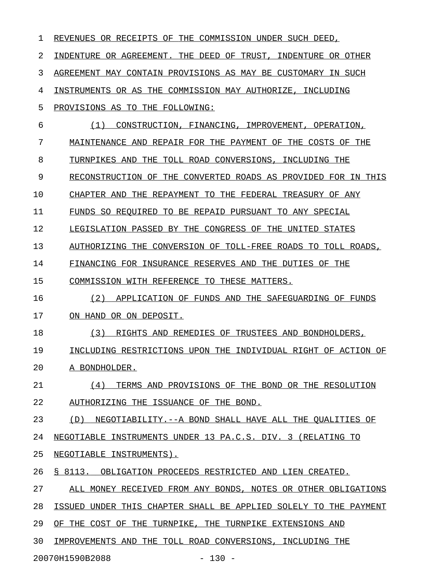| 1  | REVENUES OR RECEIPTS OF THE COMMISSION UNDER SUCH DEED,              |
|----|----------------------------------------------------------------------|
| 2  | INDENTURE OR AGREEMENT. THE DEED OF TRUST,<br>INDENTURE OR OTHER     |
| 3  | AGREEMENT MAY CONTAIN PROVISIONS AS MAY BE CUSTOMARY IN SUCH         |
| 4  | INSTRUMENTS OR AS THE COMMISSION MAY AUTHORIZE, INCLUDING            |
| 5  | PROVISIONS AS TO THE FOLLOWING:                                      |
| 6  | (1)<br>CONSTRUCTION, FINANCING, IMPROVEMENT,<br>OPERATION,           |
| 7  | MAINTENANCE AND REPAIR FOR THE PAYMENT OF THE COSTS OF THE           |
| 8  | TOLL ROAD CONVERSIONS,<br>TURNPIKES AND<br>THE.<br>INCLUDING THE     |
| 9  | RECONSTRUCTION OF<br>THE<br>CONVERTED ROADS AS PROVIDED FOR IN THIS  |
| 10 | THE REPAYMENT TO THE FEDERAL TREASURY OF ANY<br>CHAPTER AND          |
| 11 | FUNDS SO REOUIRED TO BE REPAID PURSUANT TO ANY SPECIAL               |
| 12 | LEGISLATION PASSED BY THE CONGRESS OF THE<br>UNITED<br><b>STATES</b> |
| 13 | AUTHORIZING THE CONVERSION OF TOLL-FREE ROADS TO<br>TOLL ROADS,      |
| 14 | FINANCING FOR INSURANCE RESERVES AND THE DUTIES OF THE               |
| 15 | COMMISSION WITH REFERENCE TO THESE MATTERS.                          |
| 16 | (2)<br>APPLICATION OF FUNDS AND THE SAFEGUARDING OF FUNDS            |
| 17 | ON HAND OR ON DEPOSIT.                                               |
| 18 | (3)<br>RIGHTS AND REMEDIES OF TRUSTEES AND BONDHOLDERS,              |
| 19 | INCLUDING RESTRICTIONS UPON THE INDIVIDUAL RIGHT OF ACTION OF        |
| 20 | A BONDHOLDER.                                                        |
| 21 | TERMS AND PROVISIONS OF THE BOND OR THE RESOLUTION<br>(4)            |
| 22 | AUTHORIZING THE ISSUANCE OF THE BOND.                                |
| 23 | NEGOTIABILITY.--A BOND SHALL HAVE ALL THE QUALITIES OF<br>(D)        |
| 24 | NEGOTIABLE INSTRUMENTS UNDER 13 PA.C.S. DIV. 3 (RELATING TO          |
| 25 | NEGOTIABLE INSTRUMENTS).                                             |
| 26 | § 8113. OBLIGATION PROCEEDS RESTRICTED AND LIEN CREATED.             |
| 27 | ALL MONEY RECEIVED FROM ANY BONDS, NOTES OR OTHER OBLIGATIONS        |
| 28 | ISSUED UNDER THIS CHAPTER SHALL BE APPLIED SOLELY TO THE PAYMENT     |
| 29 | OF THE COST OF THE TURNPIKE, THE TURNPIKE EXTENSIONS AND             |
| 30 | IMPROVEMENTS AND THE TOLL ROAD CONVERSIONS, INCLUDING THE            |
|    | 20070H1590B2088<br>$-130 -$                                          |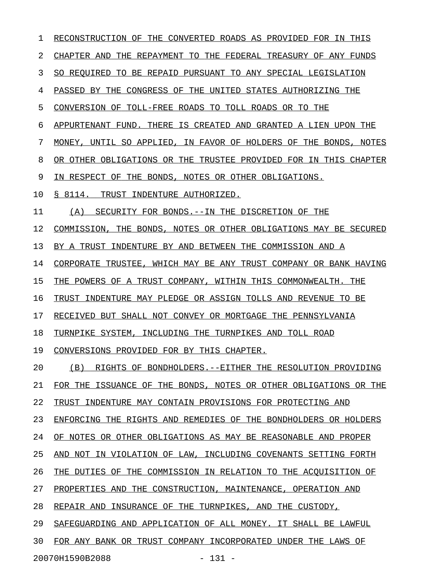| 1  | RECONSTRUCTION OF THE CONVERTED ROADS AS PROVIDED FOR IN THIS    |
|----|------------------------------------------------------------------|
| 2  | CHAPTER AND THE REPAYMENT TO THE FEDERAL TREASURY OF ANY FUNDS   |
| 3  | SO REQUIRED TO BE REPAID PURSUANT TO ANY SPECIAL LEGISLATION     |
| 4  | PASSED BY THE CONGRESS OF THE UNITED STATES AUTHORIZING THE      |
| 5  | CONVERSION OF TOLL-FREE ROADS TO TOLL ROADS OR TO THE            |
| 6  | APPURTENANT FUND. THERE IS CREATED AND GRANTED A LIEN UPON THE   |
| 7  | MONEY, UNTIL SO APPLIED, IN FAVOR OF HOLDERS OF THE BONDS, NOTES |
| 8  | OR OTHER OBLIGATIONS OR THE TRUSTEE PROVIDED FOR IN THIS CHAPTER |
| 9  | IN RESPECT OF THE BONDS, NOTES OR OTHER OBLIGATIONS.             |
| 10 | § 8114. TRUST INDENTURE AUTHORIZED.                              |
| 11 | SECURITY FOR BONDS. -- IN THE DISCRETION OF THE<br>(A)           |
| 12 | COMMISSION, THE BONDS, NOTES OR OTHER OBLIGATIONS MAY BE SECURED |
| 13 | BY A TRUST INDENTURE BY AND BETWEEN THE COMMISSION AND A         |
| 14 | CORPORATE TRUSTEE, WHICH MAY BE ANY TRUST COMPANY OR BANK HAVING |
| 15 | THE POWERS OF A TRUST COMPANY, WITHIN THIS COMMONWEALTH. THE     |
| 16 | TRUST INDENTURE MAY PLEDGE OR ASSIGN TOLLS AND REVENUE TO BE     |
| 17 | RECEIVED BUT SHALL NOT CONVEY OR MORTGAGE THE PENNSYLVANIA       |
| 18 | TURNPIKE SYSTEM, INCLUDING THE TURNPIKES AND TOLL ROAD           |
| 19 | CONVERSIONS PROVIDED FOR BY THIS CHAPTER.                        |
| 20 | (B) RIGHTS OF BONDHOLDERS. -- EITHER THE RESOLUTION PROVIDING    |
| 21 | FOR THE ISSUANCE OF THE BONDS, NOTES OR OTHER OBLIGATIONS OR THE |
| 22 | TRUST INDENTURE MAY CONTAIN PROVISIONS FOR PROTECTING AND        |
| 23 | ENFORCING THE RIGHTS AND REMEDIES OF THE BONDHOLDERS OR HOLDERS  |
| 24 | OF NOTES OR OTHER OBLIGATIONS AS MAY BE REASONABLE AND PROPER    |
| 25 | AND NOT IN VIOLATION OF LAW, INCLUDING COVENANTS SETTING FORTH   |
| 26 | THE DUTIES OF THE COMMISSION IN RELATION TO THE ACQUISITION OF   |
| 27 | PROPERTIES AND THE CONSTRUCTION, MAINTENANCE, OPERATION AND      |
| 28 | REPAIR AND INSURANCE OF THE TURNPIKES, AND THE CUSTODY,          |
| 29 | SAFEGUARDING AND APPLICATION OF ALL MONEY. IT SHALL BE LAWFUL    |
| 30 | FOR ANY BANK OR TRUST COMPANY INCORPORATED UNDER THE LAWS OF     |
|    | 20070H1590B2088<br>$-131 -$                                      |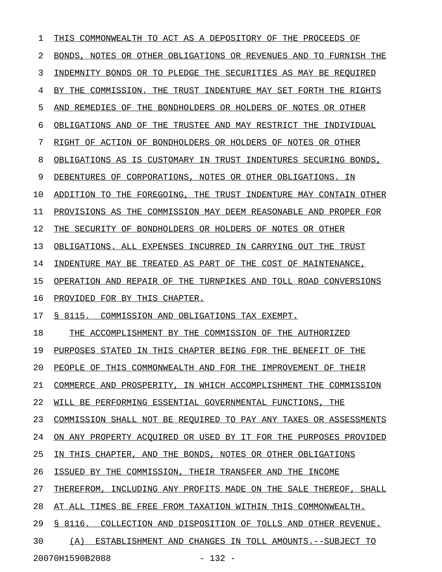| T  | THIS COMMONWEALTH TO ACT AS A DEPOSITORY OF THE PROCEEDS OF      |
|----|------------------------------------------------------------------|
| 2  | BONDS, NOTES OR OTHER OBLIGATIONS OR REVENUES AND TO FURNISH THE |
| 3  | INDEMNITY BONDS OR TO PLEDGE THE SECURITIES AS MAY BE REQUIRED   |
| 4  | BY THE COMMISSION. THE TRUST INDENTURE MAY SET FORTH THE RIGHTS  |
| 5  | AND REMEDIES OF THE BONDHOLDERS OR HOLDERS OF NOTES OR OTHER     |
| 6  | OBLIGATIONS AND OF THE TRUSTEE AND MAY RESTRICT THE INDIVIDUAL   |
| 7  | RIGHT OF ACTION OF BONDHOLDERS OR HOLDERS OF NOTES OR OTHER      |
| 8  | OBLIGATIONS AS IS CUSTOMARY IN TRUST INDENTURES SECURING BONDS,  |
| 9  | DEBENTURES OF CORPORATIONS, NOTES OR OTHER OBLIGATIONS. IN       |
| 10 | ADDITION TO THE FOREGOING, THE TRUST INDENTURE MAY CONTAIN OTHER |
| 11 | PROVISIONS AS THE COMMISSION MAY DEEM REASONABLE AND PROPER FOR  |
| 12 | THE SECURITY OF BONDHOLDERS OR HOLDERS OF NOTES OR OTHER         |
| 13 | OBLIGATIONS. ALL EXPENSES INCURRED IN CARRYING OUT THE TRUST     |
| 14 | INDENTURE MAY BE TREATED AS PART OF THE COST OF MAINTENANCE,     |
| 15 | OPERATION AND REPAIR OF THE TURNPIKES AND TOLL ROAD CONVERSIONS  |
| 16 | PROVIDED FOR BY THIS CHAPTER.                                    |
| 17 | S 8115. COMMISSION AND OBLIGATIONS TAX EXEMPT.                   |
| 18 | THE ACCOMPLISHMENT BY THE COMMISSION OF THE AUTHORIZED           |
| 19 | PURPOSES STATED IN THIS CHAPTER BEING FOR THE BENEFIT OF THE     |
| 20 | PEOPLE OF THIS COMMONWEALTH AND FOR THE IMPROVEMENT OF THEIR     |
| 21 | COMMERCE AND PROSPERITY, IN WHICH ACCOMPLISHMENT THE COMMISSION  |
| 22 | WILL BE PERFORMING ESSENTIAL GOVERNMENTAL FUNCTIONS, THE         |
| 23 | COMMISSION SHALL NOT BE REQUIRED TO PAY ANY TAXES OR ASSESSMENTS |
| 24 | ON ANY PROPERTY ACOUIRED OR USED BY IT FOR THE PURPOSES PROVIDED |
| 25 | IN THIS CHAPTER, AND THE BONDS, NOTES OR OTHER OBLIGATIONS       |
| 26 | ISSUED BY THE COMMISSION, THEIR TRANSFER AND THE INCOME          |
| 27 | THEREFROM, INCLUDING ANY PROFITS MADE ON THE SALE THEREOF, SHALL |
| 28 | AT ALL TIMES BE FREE FROM TAXATION WITHIN THIS COMMONWEALTH.     |
| 29 | § 8116. COLLECTION AND DISPOSITION OF TOLLS AND OTHER REVENUE.   |
| 30 | (A) ESTABLISHMENT AND CHANGES IN TOLL AMOUNTS.--SUBJECT TO       |
|    |                                                                  |

20070H1590B2088 - 132 -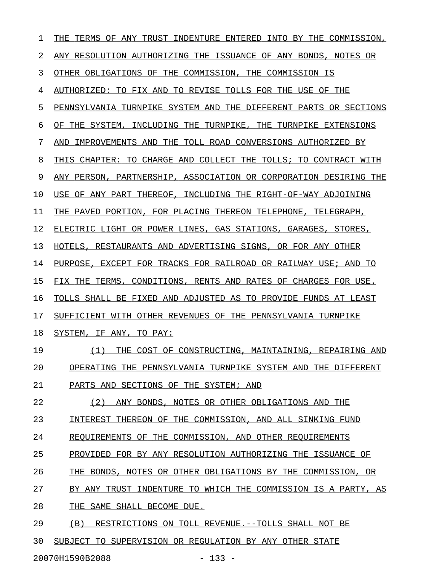| $\mathbf 1$ | INTO BY THE COMMISSION,<br>THE<br>TERMS OF ANY TRUST<br>INDENTURE<br>ENTERED |
|-------------|------------------------------------------------------------------------------|
| 2           | ANY RESOLUTION AUTHORIZING THE ISSUANCE OF ANY BONDS, NOTES OR               |
| 3           | OTHER OBLIGATIONS OF THE COMMISSION,<br>THE COMMISSION IS                    |
| 4           | TO REVISE TOLLS FOR THE USE OF<br>AUTHORIZED: TO FIX AND<br>THE              |
| 5           | PENNSYLVANIA TURNPIKE SYSTEM AND<br>THE DIFFERENT PARTS OR SECTIONS          |
| 6           | THE SYSTEM, INCLUDING THE<br>TURNPIKE,<br>THE TURNPIKE EXTENSIONS<br>OF      |
| 7           | IMPROVEMENTS AND THE<br>TOLL ROAD CONVERSIONS AUTHORIZED BY<br>AND           |
| 8           | THIS CHAPTER: TO CHARGE AND COLLECT THE TOLLS; TO CONTRACT WITH              |
| 9           | PARTNERSHIP, ASSOCIATION OR CORPORATION DESIRING THE<br>ANY PERSON,          |
| 10          | INCLUDING THE RIGHT-OF-WAY ADJOINING<br>USE<br>OF ANY PART THEREOF,          |
| 11          | PAVED PORTION, FOR PLACING THEREON TELEPHONE, TELEGRAPH,<br>THE              |
| 12          | ELECTRIC LIGHT OR POWER LINES, GAS STATIONS, GARAGES,<br>STORES,             |
| 13          | RESTAURANTS AND ADVERTISING SIGNS, OR FOR ANY OTHER<br>HOTELS,               |
| 14          | EXCEPT FOR TRACKS FOR RAILROAD OR RAILWAY USE; AND TO<br>PURPOSE,            |
| 15          | CONDITIONS, RENTS AND RATES OF CHARGES FOR USE.<br>FIX THE<br>TERMS.         |
| 16          | TOLLS SHALL BE FIXED AND ADJUSTED AS TO PROVIDE FUNDS AT LEAST               |
| 17          | WITH OTHER REVENUES OF THE PENNSYLVANIA TURNPIKE<br>SUFFICIENT               |
| 18          | SYSTEM, IF<br>ANY ,<br>TO PAY:                                               |
| 19          | (1)<br>COST OF CONSTRUCTING, MAINTAINING, REPAIRING AND<br>THE               |
| 20          | OPERATING THE PENNSYLVANIA TURNPIKE SYSTEM AND THE DIFFERENT                 |
| 21          | PARTS AND SECTIONS OF THE SYSTEM; AND                                        |
| 22          | (2)<br>ANY BONDS, NOTES OR OTHER OBLIGATIONS AND THE                         |
| 23          | INTEREST THEREON OF THE COMMISSION, AND ALL SINKING FUND                     |
| 24          | REQUIREMENTS OF THE COMMISSION, AND OTHER REQUIREMENTS                       |
| 25          | PROVIDED FOR BY ANY RESOLUTION AUTHORIZING THE ISSUANCE OF                   |
| 26          | THE BONDS, NOTES OR OTHER OBLIGATIONS BY THE COMMISSION, OR                  |
| 27          | BY ANY TRUST INDENTURE TO WHICH THE COMMISSION IS A PARTY, AS                |
| 28          | THE SAME SHALL BECOME DUE.                                                   |
| 29          | (B)<br>RESTRICTIONS ON TOLL REVENUE.--TOLLS SHALL NOT BE                     |
| 30          | SUBJECT TO SUPERVISION OR REGULATION BY ANY OTHER STATE                      |

20070H1590B2088 - 133 -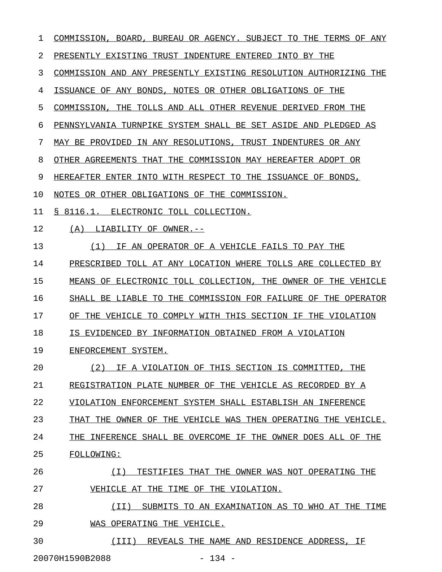| 1  | <b>BOARD</b><br>BUREAU OR AGENCY. SUBJECT<br>TO<br>TERMS<br>OF<br>COMMISSION,<br>THE<br>ANY |
|----|---------------------------------------------------------------------------------------------|
| 2  | PRESENTLY EXISTING TRUST INDENTURE ENTERED<br>INTO BY THE                                   |
| 3  | COMMISSION AND ANY PRESENTLY EXISTING RESOLUTION AUTHORIZING THE                            |
| 4  | ISSUANCE OF<br>ANY BONDS, NOTES OR OTHER OBLIGATIONS OF<br>THE                              |
| 5  | TOLLS AND ALL OTHER REVENUE DERIVED<br>COMMISSION,<br>THE<br>FROM THE                       |
| 6  | PENNSYLVANIA TURNPIKE SYSTEM SHALL BE SET ASIDE AND<br>PLEDGED AS                           |
| 7  | MAY BE PROVIDED<br>IN ANY RESOLUTIONS,<br>TRUST<br>INDENTURES OR ANY                        |
| 8  | THE COMMISSION MAY HEREAFTER ADOPT OR<br>OTHER AGREEMENTS THAT                              |
| 9  | HEREAFTER ENTER INTO WITH RESPECT TO THE ISSUANCE OF BONDS,                                 |
| 10 | NOTES OR OTHER OBLIGATIONS OF THE COMMISSION.                                               |
| 11 | \$8116.1.<br>ELECTRONIC TOLL COLLECTION.                                                    |
| 12 | (A)<br>LIABILITY OF OWNER.--                                                                |
| 13 | AN OPERATOR OF A VEHICLE FAILS TO PAY THE<br>(1)<br>TF.                                     |
| 14 | PRESCRIBED TOLL AT ANY LOCATION WHERE TOLLS ARE COLLECTED BY                                |
| 15 | MEANS OF<br>ELECTRONIC TOLL COLLECTION,<br>THE OWNER OF THE VEHICLE                         |
| 16 | THE COMMISSION FOR FAILURE OF<br>SHALL BE<br>LIABLE<br>TO.<br>THE<br>OPERATOR               |
| 17 | THE VEHICLE TO COMPLY WITH THIS SECTION IF THE VIOLATION<br>ΟF                              |
| 18 | IS EVIDENCED BY INFORMATION OBTAINED FROM A VIOLATION                                       |
| 19 | ENFORCEMENT SYSTEM.                                                                         |
| 20 | (2)<br>IF A VIOLATION OF THIS SECTION IS COMMITTED, THE                                     |
| 21 | REGISTRATION PLATE NUMBER OF THE VEHICLE AS RECORDED BY A                                   |
| 22 | VIOLATION ENFORCEMENT SYSTEM SHALL ESTABLISH AN INFERENCE                                   |
| 23 | THAT THE OWNER OF THE VEHICLE WAS THEN OPERATING THE VEHICLE.                               |
| 24 | THE INFERENCE SHALL BE OVERCOME IF THE OWNER DOES ALL OF THE                                |
| 25 | FOLLOWING:                                                                                  |
| 26 | (T)<br>TESTIFIES THAT THE OWNER WAS NOT OPERATING THE                                       |
| 27 | VEHICLE AT THE TIME OF THE VIOLATION.                                                       |
| 28 | (II)<br>SUBMITS TO AN EXAMINATION AS TO WHO AT THE TIME                                     |
| 29 | WAS OPERATING THE VEHICLE.                                                                  |
| 30 | (III) REVEALS THE NAME AND RESIDENCE ADDRESS, IF                                            |
|    |                                                                                             |

20070H1590B2088 - 134 -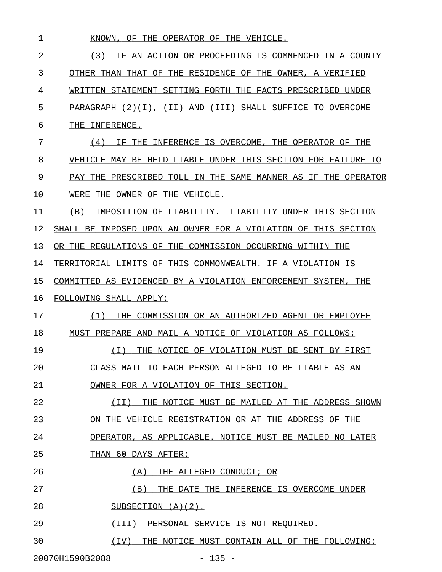1 KNOWN, OF THE OPERATOR OF THE VEHICLE. 2 (3) IF AN ACTION OR PROCEEDING IS COMMENCED IN A COUNTY 3 OTHER THAN THAT OF THE RESIDENCE OF THE OWNER, A VERIFIED 4 WRITTEN STATEMENT SETTING FORTH THE FACTS PRESCRIBED UNDER 5 PARAGRAPH (2)(I), (II) AND (III) SHALL SUFFICE TO OVERCOME 6 THE INFERENCE. 7 (4) IF THE INFERENCE IS OVERCOME, THE OPERATOR OF THE 8 VEHICLE MAY BE HELD LIABLE UNDER THIS SECTION FOR FAILURE TO 9 PAY THE PRESCRIBED TOLL IN THE SAME MANNER AS IF THE OPERATOR 10 WERE THE OWNER OF THE VEHICLE. 11 (B) IMPOSITION OF LIABILITY.--LIABILITY UNDER THIS SECTION 12 SHALL BE IMPOSED UPON AN OWNER FOR A VIOLATION OF THIS SECTION 13 OR THE REGULATIONS OF THE COMMISSION OCCURRING WITHIN THE 14 TERRITORIAL LIMITS OF THIS COMMONWEALTH. IF A VIOLATION IS 15 COMMITTED AS EVIDENCED BY A VIOLATION ENFORCEMENT SYSTEM, THE 16 FOLLOWING SHALL APPLY: 17 (1) THE COMMISSION OR AN AUTHORIZED AGENT OR EMPLOYEE 18 MUST PREPARE AND MAIL A NOTICE OF VIOLATION AS FOLLOWS: 19 (I) THE NOTICE OF VIOLATION MUST BE SENT BY FIRST \_\_\_\_\_\_\_\_\_\_\_\_\_\_\_\_\_\_\_\_\_\_\_\_\_\_\_\_\_\_\_\_\_\_\_\_\_\_\_\_\_\_\_\_\_\_\_\_\_\_ 20 CLASS MAIL TO EACH PERSON ALLEGED TO BE LIABLE AS AN 21 OWNER FOR A VIOLATION OF THIS SECTION. 22 (II) THE NOTICE MUST BE MAILED AT THE ADDRESS SHOWN \_\_\_\_\_\_\_\_\_\_\_\_\_\_\_\_\_\_\_\_\_\_\_\_\_\_\_\_\_\_\_\_\_\_\_\_\_\_\_\_\_\_\_\_\_\_\_\_\_\_\_\_ 23 ON THE VEHICLE REGISTRATION OR AT THE ADDRESS OF THE 24 OPERATOR, AS APPLICABLE. NOTICE MUST BE MAILED NO LATER 25 THAN 60 DAYS AFTER: 26 (A) THE ALLEGED CONDUCT; OR 27 (B) THE DATE THE INFERENCE IS OVERCOME UNDER \_\_\_\_\_\_\_\_\_\_\_\_\_\_\_\_\_\_\_\_\_\_\_\_\_\_\_\_\_\_\_\_\_\_\_\_\_\_\_\_\_\_\_\_\_ 28 SUBSECTION (A)(2). 29 (III) PERSONAL SERVICE IS NOT REQUIRED. 30  $(IV)$  THE NOTICE MUST CONTAIN ALL OF THE FOLLOWING: 20070H1590B2088 - 135 -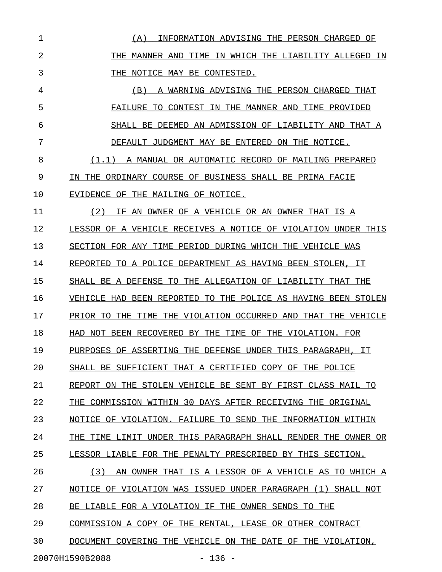1 (A) INFORMATION ADVISING THE PERSON CHARGED OF \_\_\_\_\_\_\_\_\_\_\_\_\_\_\_\_\_\_\_\_\_\_\_\_\_\_\_\_\_\_\_\_\_\_\_\_\_\_\_\_\_\_\_\_\_\_\_ 2 THE MANNER AND TIME IN WHICH THE LIABILITY ALLEGED IN 3 THE NOTICE MAY BE CONTESTED. 4 (B) A WARNING ADVISING THE PERSON CHARGED THAT \_\_\_\_\_\_\_\_\_\_\_\_\_\_\_\_\_\_\_\_\_\_\_\_\_\_\_\_\_\_\_\_\_\_\_\_\_\_\_\_\_\_\_\_\_\_\_ 5 FAILURE TO CONTEST IN THE MANNER AND TIME PROVIDED 6 SHALL BE DEEMED AN ADMISSION OF LIABILITY AND THAT A 7 DEFAULT JUDGMENT MAY BE ENTERED ON THE NOTICE. 8 (1.1) A MANUAL OR AUTOMATIC RECORD OF MAILING PREPARED 9 IN THE ORDINARY COURSE OF BUSINESS SHALL BE PRIMA FACIE 10 EVIDENCE OF THE MAILING OF NOTICE. 11 (2) IF AN OWNER OF A VEHICLE OR AN OWNER THAT IS A 12 LESSOR OF A VEHICLE RECEIVES A NOTICE OF VIOLATION UNDER THIS 13 SECTION FOR ANY TIME PERIOD DURING WHICH THE VEHICLE WAS 14 REPORTED TO A POLICE DEPARTMENT AS HAVING BEEN STOLEN, IT 15 SHALL BE A DEFENSE TO THE ALLEGATION OF LIABILITY THAT THE 16 VEHICLE HAD BEEN REPORTED TO THE POLICE AS HAVING BEEN STOLEN 17 PRIOR TO THE TIME THE VIOLATION OCCURRED AND THAT THE VEHICLE 18 HAD NOT BEEN RECOVERED BY THE TIME OF THE VIOLATION. FOR 19 PURPOSES OF ASSERTING THE DEFENSE UNDER THIS PARAGRAPH, IT 20 SHALL BE SUFFICIENT THAT A CERTIFIED COPY OF THE POLICE 21 REPORT ON THE STOLEN VEHICLE BE SENT BY FIRST CLASS MAIL TO 22 THE COMMISSION WITHIN 30 DAYS AFTER RECEIVING THE ORIGINAL 23 NOTICE OF VIOLATION. FAILURE TO SEND THE INFORMATION WITHIN 24 THE TIME LIMIT UNDER THIS PARAGRAPH SHALL RENDER THE OWNER OR 25 LESSOR LIABLE FOR THE PENALTY PRESCRIBED BY THIS SECTION. 26 (3) AN OWNER THAT IS A LESSOR OF A VEHICLE AS TO WHICH A 27 NOTICE OF VIOLATION WAS ISSUED UNDER PARAGRAPH (1) SHALL NOT 28 BE LIABLE FOR A VIOLATION IF THE OWNER SENDS TO THE 29 COMMISSION A COPY OF THE RENTAL, LEASE OR OTHER CONTRACT 30 DOCUMENT COVERING THE VEHICLE ON THE DATE OF THE VIOLATION,

20070H1590B2088 - 136 -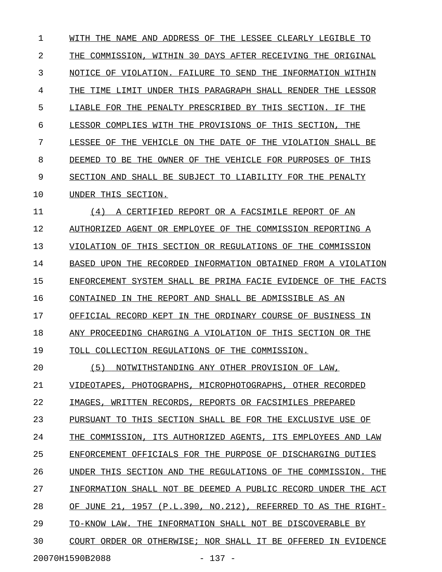1 WITH THE NAME AND ADDRESS OF THE LESSEE CLEARLY LEGIBLE TO 2 THE COMMISSION, WITHIN 30 DAYS AFTER RECEIVING THE ORIGINAL 3 NOTICE OF VIOLATION. FAILURE TO SEND THE INFORMATION WITHIN 4 THE TIME LIMIT UNDER THIS PARAGRAPH SHALL RENDER THE LESSOR 5 LIABLE FOR THE PENALTY PRESCRIBED BY THIS SECTION. IF THE 6 LESSOR COMPLIES WITH THE PROVISIONS OF THIS SECTION, THE 7 LESSEE OF THE VEHICLE ON THE DATE OF THE VIOLATION SHALL BE 8 DEEMED TO BE THE OWNER OF THE VEHICLE FOR PURPOSES OF THIS 9 SECTION AND SHALL BE SUBJECT TO LIABILITY FOR THE PENALTY 10 UNDER THIS SECTION. 11 (4) A CERTIFIED REPORT OR A FACSIMILE REPORT OF AN 12 AUTHORIZED AGENT OR EMPLOYEE OF THE COMMISSION REPORTING A 13 VIOLATION OF THIS SECTION OR REGULATIONS OF THE COMMISSION 14 BASED UPON THE RECORDED INFORMATION OBTAINED FROM A VIOLATION 15 ENFORCEMENT SYSTEM SHALL BE PRIMA FACIE EVIDENCE OF THE FACTS 16 CONTAINED IN THE REPORT AND SHALL BE ADMISSIBLE AS AN 17 OFFICIAL RECORD KEPT IN THE ORDINARY COURSE OF BUSINESS IN 18 ANY PROCEEDING CHARGING A VIOLATION OF THIS SECTION OR THE 19 TOLL COLLECTION REGULATIONS OF THE COMMISSION. 20  $(5)$  NOTWITHSTANDING ANY OTHER PROVISION OF LAW, 21 VIDEOTAPES, PHOTOGRAPHS, MICROPHOTOGRAPHS, OTHER RECORDED 22 IMAGES, WRITTEN RECORDS, REPORTS OR FACSIMILES PREPARED 23 PURSUANT TO THIS SECTION SHALL BE FOR THE EXCLUSIVE USE OF 24 THE COMMISSION, ITS AUTHORIZED AGENTS, ITS EMPLOYEES AND LAW 25 ENFORCEMENT OFFICIALS FOR THE PURPOSE OF DISCHARGING DUTIES 26 UNDER THIS SECTION AND THE REGULATIONS OF THE COMMISSION. THE 27 INFORMATION SHALL NOT BE DEEMED A PUBLIC RECORD UNDER THE ACT 28 OF JUNE 21, 1957 (P.L.390, NO.212), REFERRED TO AS THE RIGHT-29 TO-KNOW LAW. THE INFORMATION SHALL NOT BE DISCOVERABLE BY 30 COURT ORDER OR OTHERWISE; NOR SHALL IT BE OFFERED IN EVIDENCE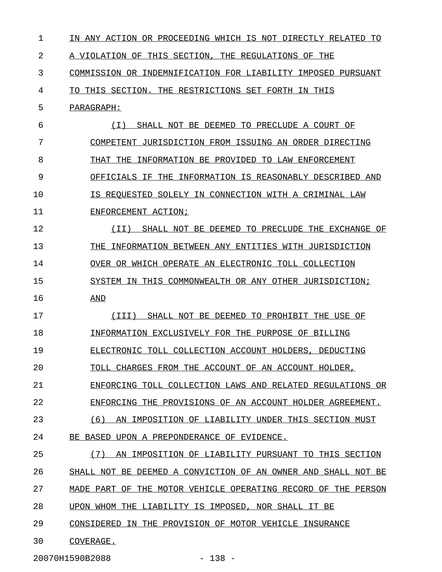| 1  | IN ANY ACTION OR PROCEEDING WHICH IS NOT DIRECTLY RELATED<br>TО |
|----|-----------------------------------------------------------------|
| 2  | A VIOLATION OF THIS SECTION, THE REGULATIONS OF THE             |
| 3  | COMMISSION OR INDEMNIFICATION FOR LIABILITY IMPOSED PURSUANT    |
| 4  | TO THIS SECTION. THE RESTRICTIONS SET FORTH IN THIS             |
| 5  | PARAGRAPH:                                                      |
| 6  | ( I )<br>SHALL NOT BE DEEMED TO PRECLUDE A COURT OF             |
| 7  | COMPETENT JURISDICTION FROM ISSUING AN ORDER DIRECTING          |
| 8  | THAT THE INFORMATION BE PROVIDED TO LAW ENFORCEMENT             |
| 9  | OFFICIALS IF THE INFORMATION IS REASONABLY DESCRIBED AND        |
| 10 | IS REOUESTED SOLELY IN CONNECTION WITH A CRIMINAL LAW           |
| 11 | ENFORCEMENT ACTION;                                             |
| 12 | SHALL NOT BE DEEMED TO PRECLUDE THE EXCHANGE OF<br>(II)         |
| 13 | THE INFORMATION BETWEEN ANY ENTITIES WITH JURISDICTION          |
| 14 | OVER OR WHICH OPERATE AN ELECTRONIC TOLL COLLECTION             |
| 15 | SYSTEM IN THIS COMMONWEALTH OR ANY OTHER JURISDICTION;          |
| 16 | <u>AND</u>                                                      |
| 17 | SHALL NOT BE DEEMED TO PROHIBIT THE USE OF<br>(III)             |
| 18 | INFORMATION EXCLUSIVELY FOR THE PURPOSE OF BILLING              |
| 19 | ELECTRONIC TOLL COLLECTION ACCOUNT HOLDERS, DEDUCTING           |
| 20 | TOLL CHARGES FROM THE ACCOUNT OF AN ACCOUNT HOLDER,             |
| 21 | ENFORCING TOLL COLLECTION LAWS AND RELATED REGULATIONS OR       |
| 22 | ENFORCING THE PROVISIONS OF AN ACCOUNT HOLDER AGREEMENT.        |
| 23 | AN IMPOSITION OF LIABILITY UNDER THIS SECTION MUST<br>(6)       |
| 24 | BE BASED UPON A PREPONDERANCE OF EVIDENCE.                      |
| 25 | (7)<br>AN IMPOSITION OF LIABILITY PURSUANT TO THIS SECTION      |
| 26 | SHALL NOT BE DEEMED A CONVICTION OF AN OWNER AND SHALL NOT BE   |
| 27 | MADE PART OF THE MOTOR VEHICLE OPERATING RECORD OF THE PERSON   |
| 28 | UPON WHOM THE LIABILITY IS IMPOSED, NOR SHALL IT BE             |
| 29 | CONSIDERED IN THE PROVISION OF MOTOR VEHICLE INSURANCE          |
| 30 | COVERAGE.                                                       |
|    | $-138 -$<br>20070H1590B2088                                     |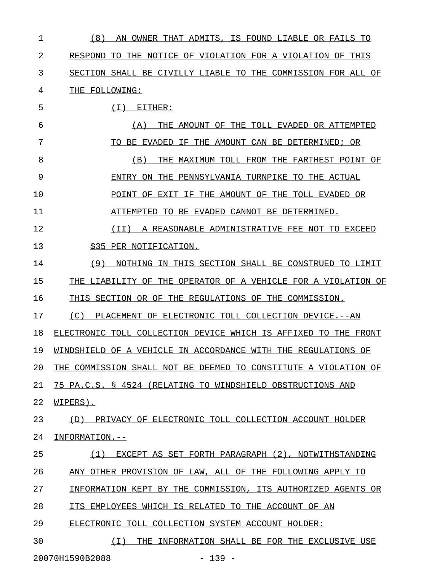| 1  | (8)<br>AN<br>OWNER THAT ADMITS, IS FOUND LIABLE OR FAILS TO        |
|----|--------------------------------------------------------------------|
| 2  | RESPOND TO THE NOTICE OF VIOLATION FOR A VIOLATION OF THIS         |
| 3  | SECTION SHALL BE CIVILLY LIABLE TO THE COMMISSION FOR ALL OF       |
| 4  | THE FOLLOWING:                                                     |
| 5  | EITHER:<br>( I )                                                   |
| 6  | THE AMOUNT OF THE TOLL EVADED OR ATTEMPTED<br>(A)                  |
| 7  | IF THE AMOUNT CAN BE DETERMINED; OR<br>BE EVADED<br>TО             |
| 8  | (B)<br>MAXIMUM TOLL FROM THE FARTHEST POINT OF<br>THE              |
| 9  | ON THE PENNSYLVANIA TURNPIKE TO THE ACTUAL<br>ENTRY                |
| 10 | POINT OF EXIT IF THE AMOUNT OF THE TOLL EVADED OR                  |
| 11 | ATTEMPTED TO BE EVADED CANNOT BE DETERMINED.                       |
| 12 | A REASONABLE ADMINISTRATIVE FEE NOT TO EXCEED<br>( I I )           |
| 13 | \$35 PER NOTIFICATION.                                             |
| 14 | (9)<br>NOTHING IN THIS SECTION SHALL BE CONSTRUED TO LIMIT         |
| 15 | THE LIABILITY OF THE OPERATOR OF A VEHICLE FOR A VIOLATION OF      |
| 16 | THIS SECTION OR OF THE REGULATIONS OF THE COMMISSION.              |
| 17 | (C)<br>PLACEMENT OF ELECTRONIC TOLL COLLECTION DEVICE.--AN         |
| 18 | ELECTRONIC TOLL COLLECTION DEVICE WHICH IS AFFIXED<br>TO THE FRONT |
| 19 | WINDSHIELD OF A VEHICLE IN ACCORDANCE WITH THE REGULATIONS OF      |
| 20 | THE COMMISSION SHALL NOT BE DEEMED TO CONSTITUTE A VIOLATION OF    |
| 21 | 75 PA.C.S. § 4524 (RELATING TO WINDSHIELD OBSTRUCTIONS AND         |
| 22 | WIPERS).                                                           |
| 23 | PRIVACY OF ELECTRONIC TOLL COLLECTION ACCOUNT HOLDER<br>(D)        |
| 24 | INFORMATION.--                                                     |
| 25 | EXCEPT AS SET FORTH PARAGRAPH (2), NOTWITHSTANDING<br>(1)          |
| 26 | ANY OTHER PROVISION OF LAW, ALL OF THE FOLLOWING APPLY TO          |
| 27 | INFORMATION KEPT BY THE COMMISSION, ITS AUTHORIZED AGENTS OR       |
| 28 | ITS EMPLOYEES WHICH IS RELATED TO THE ACCOUNT OF AN                |
| 29 | ELECTRONIC TOLL COLLECTION SYSTEM ACCOUNT HOLDER:                  |
| 30 | (T)<br>THE INFORMATION SHALL BE FOR THE EXCLUSIVE USE              |

20070H1590B2088 - 139 -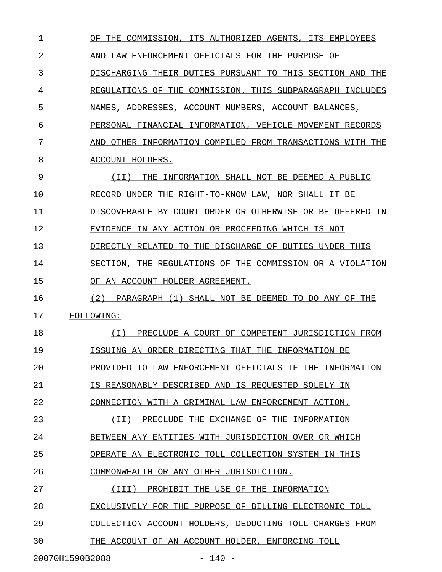1 OF THE COMMISSION, ITS AUTHORIZED AGENTS, ITS EMPLOYEES 2 AND LAW ENFORCEMENT OFFICIALS FOR THE PURPOSE OF 3 DISCHARGING THEIR DUTIES PURSUANT TO THIS SECTION AND THE 4 REGULATIONS OF THE COMMISSION. THIS SUBPARAGRAPH INCLUDES 5 NAMES, ADDRESSES, ACCOUNT NUMBERS, ACCOUNT BALANCES, 6 PERSONAL FINANCIAL INFORMATION, VEHICLE MOVEMENT RECORDS 7 AND OTHER INFORMATION COMPILED FROM TRANSACTIONS WITH THE 8 ACCOUNT HOLDERS. 9 (II) THE INFORMATION SHALL NOT BE DEEMED A PUBLIC 10 RECORD UNDER THE RIGHT-TO-KNOW LAW, NOR SHALL IT BE 11 DISCOVERABLE BY COURT ORDER OR OTHERWISE OR BE OFFERED IN 12 EVIDENCE IN ANY ACTION OR PROCEEDING WHICH IS NOT 13 DIRECTLY RELATED TO THE DISCHARGE OF DUTIES UNDER THIS 14 SECTION, THE REGULATIONS OF THE COMMISSION OR A VIOLATION 15 OF AN ACCOUNT HOLDER AGREEMENT. 16 (2) PARAGRAPH (1) SHALL NOT BE DEEMED TO DO ANY OF THE 17 FOLLOWING: 18 (I) PRECLUDE A COURT OF COMPETENT JURISDICTION FROM \_\_\_\_\_\_\_\_\_\_\_\_\_\_\_\_\_\_\_\_\_\_\_\_\_\_\_\_\_\_\_\_\_\_\_\_\_\_\_\_\_\_\_\_\_\_\_\_\_\_\_\_ 19 **ISSUING AN ORDER DIRECTING THAT THE INFORMATION BE** 20 PROVIDED TO LAW ENFORCEMENT OFFICIALS IF THE INFORMATION 21 IS REASONABLY DESCRIBED AND IS REQUESTED SOLELY IN 22 CONNECTION WITH A CRIMINAL LAW ENFORCEMENT ACTION. 23 (II) PRECLUDE THE EXCHANGE OF THE INFORMATION \_\_\_\_\_\_\_\_\_\_\_\_\_\_\_\_\_\_\_\_\_\_\_\_\_\_\_\_\_\_\_\_\_\_\_\_\_\_\_\_\_\_\_\_\_\_ 24 BETWEEN ANY ENTITIES WITH JURISDICTION OVER OR WHICH 25 OPERATE AN ELECTRONIC TOLL COLLECTION SYSTEM IN THIS 26 COMMONWEALTH OR ANY OTHER JURISDICTION. 27 (III) PROHIBIT THE USE OF THE INFORMATION 28 EXCLUSIVELY FOR THE PURPOSE OF BILLING ELECTRONIC TOLL 29 COLLECTION ACCOUNT HOLDERS, DEDUCTING TOLL CHARGES FROM 30 THE ACCOUNT OF AN ACCOUNT HOLDER, ENFORCING TOLL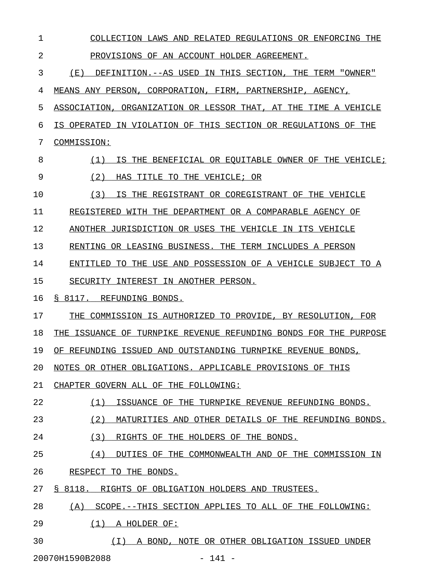1 COLLECTION LAWS AND RELATED REGULATIONS OR ENFORCING THE 2 PROVISIONS OF AN ACCOUNT HOLDER AGREEMENT. 3 (E) DEFINITION.--AS USED IN THIS SECTION, THE TERM "OWNER" 4 MEANS ANY PERSON, CORPORATION, FIRM, PARTNERSHIP, AGENCY, 5 ASSOCIATION, ORGANIZATION OR LESSOR THAT, AT THE TIME A VEHICLE 6 IS OPERATED IN VIOLATION OF THIS SECTION OR REGULATIONS OF THE 7 COMMISSION: 8 (1) IS THE BENEFICIAL OR EQUITABLE OWNER OF THE VEHICLE; 9 (2) HAS TITLE TO THE VEHICLE; OR 10 (3) IS THE REGISTRANT OR COREGISTRANT OF THE VEHICLE 11 REGISTERED WITH THE DEPARTMENT OR A COMPARABLE AGENCY OF 12 ANOTHER JURISDICTION OR USES THE VEHICLE IN ITS VEHICLE 13 RENTING OR LEASING BUSINESS. THE TERM INCLUDES A PERSON 14 ENTITLED TO THE USE AND POSSESSION OF A VEHICLE SUBJECT TO A 15 SECURITY INTEREST IN ANOTHER PERSON. 16 § 8117. REFUNDING BONDS. 17 THE COMMISSION IS AUTHORIZED TO PROVIDE, BY RESOLUTION, FOR 18 THE ISSUANCE OF TURNPIKE REVENUE REFUNDING BONDS FOR THE PURPOSE 19 OF REFUNDING ISSUED AND OUTSTANDING TURNPIKE REVENUE BONDS, 20 NOTES OR OTHER OBLIGATIONS. APPLICABLE PROVISIONS OF THIS 21 CHAPTER GOVERN ALL OF THE FOLLOWING: 22 (1) ISSUANCE OF THE TURNPIKE REVENUE REFUNDING BONDS. 23 (2) MATURITIES AND OTHER DETAILS OF THE REFUNDING BONDS. 24 (3) RIGHTS OF THE HOLDERS OF THE BONDS. 25 (4) DUTIES OF THE COMMONWEALTH AND OF THE COMMISSION IN 26 RESPECT TO THE BONDS. 27 § 8118. RIGHTS OF OBLIGATION HOLDERS AND TRUSTEES. 28 (A) SCOPE.--THIS SECTION APPLIES TO ALL OF THE FOLLOWING: 29 (1) A HOLDER OF: 30  $(I)$  A BOND, NOTE OR OTHER OBLIGATION ISSUED UNDER

20070H1590B2088 - 141 -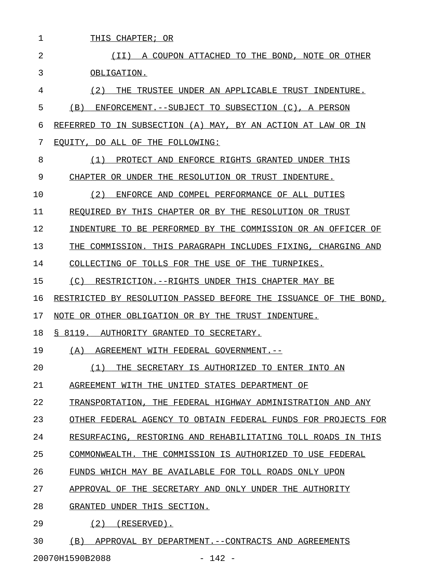| 1  | THIS CHAPTER; OR                                                 |
|----|------------------------------------------------------------------|
| 2  | (TT)<br>A COUPON ATTACHED TO THE BOND.<br>NOTE OR OTHER          |
| 3  | OBLIGATION.                                                      |
| 4  | (2)<br>THE<br>TRUSTEE UNDER AN APPLICABLE TRUST INDENTURE.       |
| 5  | (B)<br>ENFORCEMENT. --SUBJECT TO SUBSECTION (C), A PERSON        |
| 6  | TO IN SUBSECTION (A) MAY, BY AN ACTION AT LAW OR IN<br>REFERRED  |
| 7  | EOUITY, DO ALL OF THE FOLLOWING:                                 |
| 8  | (1)<br>PROTECT AND<br>ENFORCE RIGHTS GRANTED UNDER THIS          |
| 9  | CHAPTER OR UNDER THE RESOLUTION OR TRUST INDENTURE.              |
| 10 | (2)<br>ENFORCE AND COMPEL PERFORMANCE OF ALL DUTIES              |
| 11 | REOUIRED BY THIS CHAPTER OR BY THE RESOLUTION OR TRUST           |
| 12 | INDENTURE TO BE PERFORMED BY THE COMMISSION OR AN OFFICER OF     |
| 13 | THE COMMISSION.<br>THIS PARAGRAPH INCLUDES FIXING, CHARGING AND  |
| 14 | COLLECTING OF TOLLS FOR THE USE OF THE TURNPIKES.                |
| 15 | (C)<br>RESTRICTION.--RIGHTS UNDER THIS CHAPTER MAY BE            |
| 16 | RESTRICTED BY RESOLUTION PASSED BEFORE THE ISSUANCE OF THE BOND, |
| 17 | NOTE OR OTHER OBLIGATION OR BY THE TRUST INDENTURE.              |
| 18 | S 8119.<br>AUTHORITY GRANTED TO SECRETARY.                       |
| 19 | (A)<br>AGREEMENT WITH FEDERAL GOVERNMENT.--                      |
| 20 | (1)<br>THE SECRETARY IS AUTHORIZED TO ENTER INTO AN              |
| 21 | AGREEMENT WITH THE UNITED STATES DEPARTMENT OF                   |
| 22 | TRANSPORTATION, THE FEDERAL HIGHWAY ADMINISTRATION AND ANY       |
| 23 | OTHER FEDERAL AGENCY TO OBTAIN FEDERAL FUNDS FOR PROJECTS FOR    |
| 24 | RESURFACING, RESTORING AND REHABILITATING TOLL ROADS IN THIS     |
| 25 | COMMONWEALTH. THE COMMISSION IS AUTHORIZED TO USE FEDERAL        |
| 26 | FUNDS WHICH MAY BE AVAILABLE FOR TOLL ROADS ONLY UPON            |
| 27 | APPROVAL OF THE SECRETARY AND ONLY UNDER THE AUTHORITY           |
| 28 | GRANTED UNDER THIS SECTION.                                      |
| 29 | $(2)$ (RESERVED).                                                |
|    |                                                                  |

20070H1590B2088 - 142 -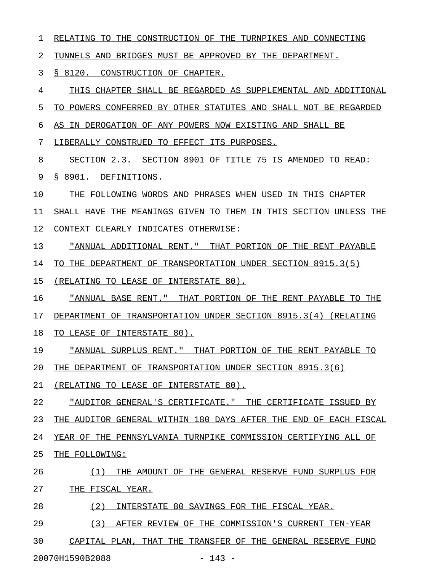1 RELATING TO THE CONSTRUCTION OF THE TURNPIKES AND CONNECTING

2 TUNNELS AND BRIDGES MUST BE APPROVED BY THE DEPARTMENT.

3 § 8120. CONSTRUCTION OF CHAPTER.

4 THIS CHAPTER SHALL BE REGARDED AS SUPPLEMENTAL AND ADDITIONAL 5 TO POWERS CONFERRED BY OTHER STATUTES AND SHALL NOT BE REGARDED 6 AS IN DEROGATION OF ANY POWERS NOW EXISTING AND SHALL BE 7 LIBERALLY CONSTRUED TO EFFECT ITS PURPOSES. 8 SECTION 2.3. SECTION 8901 OF TITLE 75 IS AMENDED TO READ: 9 § 8901. DEFINITIONS.

10 THE FOLLOWING WORDS AND PHRASES WHEN USED IN THIS CHAPTER 11 SHALL HAVE THE MEANINGS GIVEN TO THEM IN THIS SECTION UNLESS THE 12 CONTEXT CLEARLY INDICATES OTHERWISE:

13 <u>"ANNUAL ADDITIONAL RENT." THAT PORTION OF THE RENT PAYABLE</u>

14 TO THE DEPARTMENT OF TRANSPORTATION UNDER SECTION 8915.3(5)

15 (RELATING TO LEASE OF INTERSTATE 80).

16 "ANNUAL BASE RENT." THAT PORTION OF THE RENT PAYABLE TO THE

17 DEPARTMENT OF TRANSPORTATION UNDER SECTION 8915.3(4) (RELATING

18 TO LEASE OF INTERSTATE 80).

19 <u>"ANNUAL SURPLUS RENT." THAT PORTION OF THE RENT PAYABLE TO</u> 20 THE DEPARTMENT OF TRANSPORTATION UNDER SECTION 8915.3(6)

21 (RELATING TO LEASE OF INTERSTATE 80).

22 "AUDITOR GENERAL'S CERTIFICATE." THE CERTIFICATE ISSUED BY 23 THE AUDITOR GENERAL WITHIN 180 DAYS AFTER THE END OF EACH FISCAL 24 YEAR OF THE PENNSYLVANIA TURNPIKE COMMISSION CERTIFYING ALL OF 25 THE FOLLOWING:

26 (1) THE AMOUNT OF THE GENERAL RESERVE FUND SURPLUS FOR \_\_\_\_\_\_\_\_\_\_\_\_\_\_\_\_\_\_\_\_\_\_\_\_\_\_\_\_\_\_\_\_\_\_\_\_\_\_\_\_\_\_\_\_\_\_\_\_\_\_\_\_\_\_\_

27 THE FISCAL YEAR.

28 (2) INTERSTATE 80 SAVINGS FOR THE FISCAL YEAR.

29 (3) AFTER REVIEW OF THE COMMISSION'S CURRENT TEN-YEAR

30 CAPITAL PLAN, THAT THE TRANSFER OF THE GENERAL RESERVE FUND

20070H1590B2088 - 143 -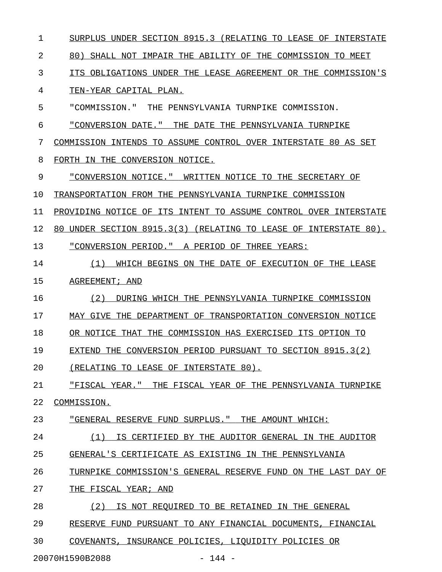| 1  | SURPLUS UNDER SECTION 8915.3 (RELATING TO LEASE OF<br>INTERSTATE    |
|----|---------------------------------------------------------------------|
| 2  | SHALL NOT IMPAIR THE ABILITY OF THE COMMISSION TO<br>80)<br>MEET    |
| 3  | ITS OBLIGATIONS UNDER THE LEASE AGREEMENT OR THE COMMISSION'S       |
| 4  | TEN-YEAR CAPITAL PLAN.                                              |
| 5  | "COMMISSION."<br>THE PENNSYLVANIA TURNPIKE COMMISSION.              |
| 6  | "CONVERSION DATE." THE DATE THE PENNSYLVANIA TURNPIKE               |
| 7  | COMMISSION INTENDS TO ASSUME CONTROL OVER INTERSTATE 80 AS SET      |
| 8  | FORTH IN THE CONVERSION NOTICE.                                     |
| 9  | "CONVERSION NOTICE." WRITTEN NOTICE TO THE SECRETARY OF             |
| 10 | TRANSPORTATION FROM THE PENNSYLVANIA TURNPIKE COMMISSION            |
| 11 | PROVIDING NOTICE OF ITS INTENT TO ASSUME CONTROL OVER INTERSTATE    |
| 12 | UNDER SECTION 8915.3(3) (RELATING TO LEASE OF INTERSTATE 80).<br>80 |
| 13 | "CONVERSION PERIOD." A PERIOD OF THREE YEARS:                       |
| 14 | (1)<br>WHICH BEGINS ON THE DATE OF EXECUTION OF THE LEASE           |
| 15 | AGREEMENT; AND                                                      |
| 16 | (2)<br>DURING WHICH THE PENNSYLVANIA TURNPIKE COMMISSION            |
| 17 | MAY GIVE THE DEPARTMENT OF TRANSPORTATION CONVERSION NOTICE         |
| 18 | OR NOTICE THAT THE COMMISSION HAS EXERCISED ITS OPTION TO           |
| 19 | EXTEND THE CONVERSION PERIOD PURSUANT TO SECTION 8915.3(2)          |
| 20 | (RELATING TO LEASE OF INTERSTATE 80).                               |
| 21 | <u> "FISCAL YEAR." THE FISCAL YEAR OF THE PENNSYLVANIA TURNPIKE</u> |
| 22 | COMMISSION.                                                         |
| 23 | "GENERAL RESERVE FUND SURPLUS." THE AMOUNT WHICH:                   |
| 24 | (1) IS CERTIFIED BY THE AUDITOR GENERAL IN THE AUDITOR              |
| 25 | GENERAL'S CERTIFICATE AS EXISTING IN THE PENNSYLVANIA               |
| 26 | TURNPIKE COMMISSION'S GENERAL RESERVE FUND ON THE LAST DAY OF       |
| 27 | THE FISCAL YEAR; AND                                                |
| 28 | IS NOT REQUIRED TO BE RETAINED IN THE GENERAL<br>(2)                |
| 29 | RESERVE FUND PURSUANT TO ANY FINANCIAL DOCUMENTS, FINANCIAL         |
| 30 | COVENANTS, INSURANCE POLICIES, LIQUIDITY POLICIES OR                |
|    | 20070H1590B2088<br>$-144 -$                                         |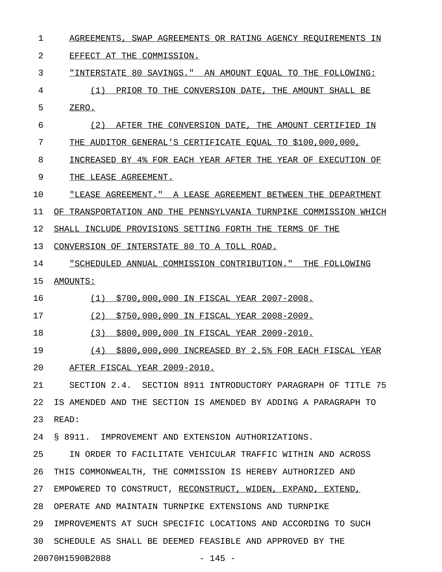1 AGREEMENTS, SWAP AGREEMENTS OR RATING AGENCY REQUIREMENTS IN 2 EFFECT AT THE COMMISSION. 3 "INTERSTATE 80 SAVINGS." AN AMOUNT EQUAL TO THE FOLLOWING: 4 (1) PRIOR TO THE CONVERSION DATE, THE AMOUNT SHALL BE 5 ZERO. 6 (2) AFTER THE CONVERSION DATE, THE AMOUNT CERTIFIED IN \_\_\_\_\_\_\_\_\_\_\_\_\_\_\_\_\_\_\_\_\_\_\_\_\_\_\_\_\_\_\_\_\_\_\_\_\_\_\_\_\_\_\_\_\_\_\_\_\_\_\_\_\_\_\_ 7 THE AUDITOR GENERAL'S CERTIFICATE EQUAL TO \$100,000,000, 8 INCREASED BY 4% FOR EACH YEAR AFTER THE YEAR OF EXECUTION OF 9 THE LEASE AGREEMENT. 10 **WEASE AGREEMENT."** A LEASE AGREEMENT BETWEEN THE DEPARTMENT 11 OF TRANSPORTATION AND THE PENNSYLVANIA TURNPIKE COMMISSION WHICH 12 SHALL INCLUDE PROVISIONS SETTING FORTH THE TERMS OF THE 13 CONVERSION OF INTERSTATE 80 TO A TOLL ROAD. 14 "SCHEDULED ANNUAL COMMISSION CONTRIBUTION." THE FOLLOWING 15 AMOUNTS: \_\_\_\_\_\_\_\_ 16 (1) \$700,000,000 IN FISCAL YEAR 2007-2008. 17 (2) \$750,000,000 IN FISCAL YEAR 2008-2009. 18 (3) \$800,000,000 IN FISCAL YEAR 2009-2010. 19 (4)  $$800,000,000$  INCREASED BY 2.5% FOR EACH FISCAL YEAR 20 AFTER FISCAL YEAR 2009-2010. 21 SECTION 2.4. SECTION 8911 INTRODUCTORY PARAGRAPH OF TITLE 75 22 IS AMENDED AND THE SECTION IS AMENDED BY ADDING A PARAGRAPH TO 23 READ: 24 § 8911. IMPROVEMENT AND EXTENSION AUTHORIZATIONS. 25 IN ORDER TO FACILITATE VEHICULAR TRAFFIC WITHIN AND ACROSS 26 THIS COMMONWEALTH, THE COMMISSION IS HEREBY AUTHORIZED AND 27 EMPOWERED TO CONSTRUCT, RECONSTRUCT, WIDEN, EXPAND, EXTEND, 28 OPERATE AND MAINTAIN TURNPIKE EXTENSIONS AND TURNPIKE 29 IMPROVEMENTS AT SUCH SPECIFIC LOCATIONS AND ACCORDING TO SUCH 30 SCHEDULE AS SHALL BE DEEMED FEASIBLE AND APPROVED BY THE

20070H1590B2088 - 145 -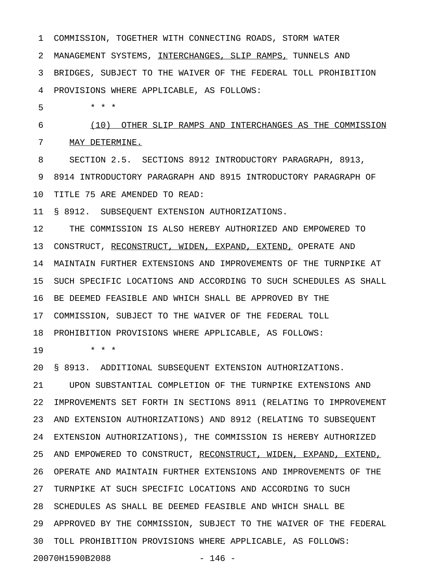1 COMMISSION, TOGETHER WITH CONNECTING ROADS, STORM WATER 2 MANAGEMENT SYSTEMS, INTERCHANGES, SLIP RAMPS, TUNNELS AND 3 BRIDGES, SUBJECT TO THE WAIVER OF THE FEDERAL TOLL PROHIBITION 4 PROVISIONS WHERE APPLICABLE, AS FOLLOWS: 5 \* \* \* 6 (10) OTHER SLIP RAMPS AND INTERCHANGES AS THE COMMISSION \_\_\_\_\_\_\_\_\_\_\_\_\_\_\_\_\_\_\_\_\_\_\_\_\_\_\_\_\_\_\_\_\_\_\_\_\_\_\_\_\_\_\_\_\_\_\_\_\_\_\_\_\_\_\_\_\_ 7 MAY DETERMINE. 8 SECTION 2.5. SECTIONS 8912 INTRODUCTORY PARAGRAPH, 8913, 9 8914 INTRODUCTORY PARAGRAPH AND 8915 INTRODUCTORY PARAGRAPH OF 10 TITLE 75 ARE AMENDED TO READ: 11 § 8912. SUBSEQUENT EXTENSION AUTHORIZATIONS. 12 THE COMMISSION IS ALSO HEREBY AUTHORIZED AND EMPOWERED TO 13 CONSTRUCT, RECONSTRUCT, WIDEN, EXPAND, EXTEND, OPERATE AND 14 MAINTAIN FURTHER EXTENSIONS AND IMPROVEMENTS OF THE TURNPIKE AT 15 SUCH SPECIFIC LOCATIONS AND ACCORDING TO SUCH SCHEDULES AS SHALL 16 BE DEEMED FEASIBLE AND WHICH SHALL BE APPROVED BY THE 17 COMMISSION, SUBJECT TO THE WAIVER OF THE FEDERAL TOLL 18 PROHIBITION PROVISIONS WHERE APPLICABLE, AS FOLLOWS: 19 \* \* \* 20 § 8913. ADDITIONAL SUBSEQUENT EXTENSION AUTHORIZATIONS. 21 UPON SUBSTANTIAL COMPLETION OF THE TURNPIKE EXTENSIONS AND 22 IMPROVEMENTS SET FORTH IN SECTIONS 8911 (RELATING TO IMPROVEMENT 23 AND EXTENSION AUTHORIZATIONS) AND 8912 (RELATING TO SUBSEQUENT 24 EXTENSION AUTHORIZATIONS), THE COMMISSION IS HEREBY AUTHORIZED 25 AND EMPOWERED TO CONSTRUCT, RECONSTRUCT, WIDEN, EXPAND, EXTEND, 26 OPERATE AND MAINTAIN FURTHER EXTENSIONS AND IMPROVEMENTS OF THE 27 TURNPIKE AT SUCH SPECIFIC LOCATIONS AND ACCORDING TO SUCH 28 SCHEDULES AS SHALL BE DEEMED FEASIBLE AND WHICH SHALL BE

29 APPROVED BY THE COMMISSION, SUBJECT TO THE WAIVER OF THE FEDERAL

30 TOLL PROHIBITION PROVISIONS WHERE APPLICABLE, AS FOLLOWS:

20070H1590B2088 - 146 -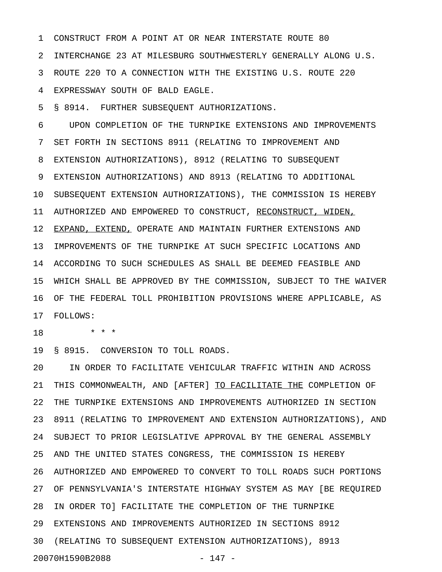1 CONSTRUCT FROM A POINT AT OR NEAR INTERSTATE ROUTE 80 2 INTERCHANGE 23 AT MILESBURG SOUTHWESTERLY GENERALLY ALONG U.S. 3 ROUTE 220 TO A CONNECTION WITH THE EXISTING U.S. ROUTE 220 4 EXPRESSWAY SOUTH OF BALD EAGLE.

5 § 8914. FURTHER SUBSEQUENT AUTHORIZATIONS.

6 UPON COMPLETION OF THE TURNPIKE EXTENSIONS AND IMPROVEMENTS 7 SET FORTH IN SECTIONS 8911 (RELATING TO IMPROVEMENT AND 8 EXTENSION AUTHORIZATIONS), 8912 (RELATING TO SUBSEQUENT 9 EXTENSION AUTHORIZATIONS) AND 8913 (RELATING TO ADDITIONAL 10 SUBSEQUENT EXTENSION AUTHORIZATIONS), THE COMMISSION IS HEREBY 11 AUTHORIZED AND EMPOWERED TO CONSTRUCT, RECONSTRUCT, WIDEN, 12 EXPAND, EXTEND, OPERATE AND MAINTAIN FURTHER EXTENSIONS AND 13 IMPROVEMENTS OF THE TURNPIKE AT SUCH SPECIFIC LOCATIONS AND 14 ACCORDING TO SUCH SCHEDULES AS SHALL BE DEEMED FEASIBLE AND 15 WHICH SHALL BE APPROVED BY THE COMMISSION, SUBJECT TO THE WAIVER 16 OF THE FEDERAL TOLL PROHIBITION PROVISIONS WHERE APPLICABLE, AS 17 FOLLOWS:

18 \* \* \*

19 § 8915. CONVERSION TO TOLL ROADS.

20 IN ORDER TO FACILITATE VEHICULAR TRAFFIC WITHIN AND ACROSS 21 THIS COMMONWEALTH, AND [AFTER] TO FACILITATE THE COMPLETION OF 22 THE TURNPIKE EXTENSIONS AND IMPROVEMENTS AUTHORIZED IN SECTION 23 8911 (RELATING TO IMPROVEMENT AND EXTENSION AUTHORIZATIONS), AND 24 SUBJECT TO PRIOR LEGISLATIVE APPROVAL BY THE GENERAL ASSEMBLY 25 AND THE UNITED STATES CONGRESS, THE COMMISSION IS HEREBY 26 AUTHORIZED AND EMPOWERED TO CONVERT TO TOLL ROADS SUCH PORTIONS 27 OF PENNSYLVANIA'S INTERSTATE HIGHWAY SYSTEM AS MAY [BE REQUIRED 28 IN ORDER TO] FACILITATE THE COMPLETION OF THE TURNPIKE 29 EXTENSIONS AND IMPROVEMENTS AUTHORIZED IN SECTIONS 8912 30 (RELATING TO SUBSEQUENT EXTENSION AUTHORIZATIONS), 8913 20070H1590B2088 - 147 -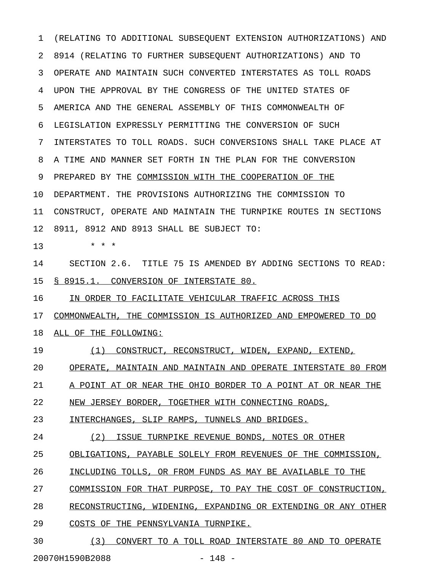1 (RELATING TO ADDITIONAL SUBSEQUENT EXTENSION AUTHORIZATIONS) AND 2 8914 (RELATING TO FURTHER SUBSEQUENT AUTHORIZATIONS) AND TO 3 OPERATE AND MAINTAIN SUCH CONVERTED INTERSTATES AS TOLL ROADS 4 UPON THE APPROVAL BY THE CONGRESS OF THE UNITED STATES OF 5 AMERICA AND THE GENERAL ASSEMBLY OF THIS COMMONWEALTH OF 6 LEGISLATION EXPRESSLY PERMITTING THE CONVERSION OF SUCH 7 INTERSTATES TO TOLL ROADS. SUCH CONVERSIONS SHALL TAKE PLACE AT 8 A TIME AND MANNER SET FORTH IN THE PLAN FOR THE CONVERSION 9 PREPARED BY THE COMMISSION WITH THE COOPERATION OF THE 10 DEPARTMENT. THE PROVISIONS AUTHORIZING THE COMMISSION TO 11 CONSTRUCT, OPERATE AND MAINTAIN THE TURNPIKE ROUTES IN SECTIONS 12 8911, 8912 AND 8913 SHALL BE SUBJECT TO: 13 \* \* \* 14 SECTION 2.6. TITLE 75 IS AMENDED BY ADDING SECTIONS TO READ: 15 § 8915.1. CONVERSION OF INTERSTATE 80. 16 IN ORDER TO FACILITATE VEHICULAR TRAFFIC ACROSS THIS 17 COMMONWEALTH, THE COMMISSION IS AUTHORIZED AND EMPOWERED TO DO 18 ALL OF THE FOLLOWING: 19 (1) CONSTRUCT, RECONSTRUCT, WIDEN, EXPAND, EXTEND, 20 OPERATE, MAINTAIN AND MAINTAIN AND OPERATE INTERSTATE 80 FROM 21 A POINT AT OR NEAR THE OHIO BORDER TO A POINT AT OR NEAR THE 22 NEW JERSEY BORDER, TOGETHER WITH CONNECTING ROADS, 23 INTERCHANGES, SLIP RAMPS, TUNNELS AND BRIDGES. 24 (2) ISSUE TURNPIKE REVENUE BONDS, NOTES OR OTHER 25 OBLIGATIONS, PAYABLE SOLELY FROM REVENUES OF THE COMMISSION, 26 INCLUDING TOLLS, OR FROM FUNDS AS MAY BE AVAILABLE TO THE 27 COMMISSION FOR THAT PURPOSE, TO PAY THE COST OF CONSTRUCTION, 28 RECONSTRUCTING, WIDENING, EXPANDING OR EXTENDING OR ANY OTHER 29 COSTS OF THE PENNSYLVANIA TURNPIKE. 30 (3) CONVERT TO A TOLL ROAD INTERSTATE 80 AND TO OPERATE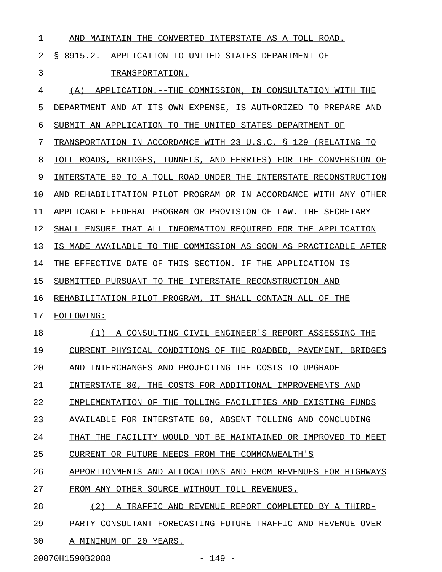| 1  | AND MAINTAIN THE CONVERTED INTERSTATE AS A TOLL ROAD.               |
|----|---------------------------------------------------------------------|
| 2  | S 8915.2.<br>APPLICATION TO UNITED STATES DEPARTMENT OF             |
| 3  | TRANSPORTATION.                                                     |
| 4  | APPLICATION. -- THE COMMISSION, IN CONSULTATION WITH THE<br>(A)     |
| 5  | DEPARTMENT AND AT ITS OWN EXPENSE, IS AUTHORIZED TO PREPARE AND     |
| 6  | SUBMIT AN APPLICATION TO THE UNITED STATES DEPARTMENT OF            |
| 7  | TRANSPORTATION IN ACCORDANCE WITH 23 U.S.C. § 129 (RELATING TO      |
| 8  | TOLL ROADS, BRIDGES, TUNNELS, AND FERRIES) FOR THE CONVERSION OF    |
| 9  | INTERSTATE 80 TO A TOLL ROAD UNDER THE INTERSTATE RECONSTRUCTION    |
| 10 | REHABILITATION PILOT PROGRAM OR IN ACCORDANCE WITH ANY OTHER<br>AND |
| 11 | APPLICABLE FEDERAL PROGRAM OR PROVISION OF LAW. THE SECRETARY       |
| 12 | SHALL ENSURE THAT ALL INFORMATION REQUIRED FOR THE APPLICATION      |
| 13 | IS MADE AVAILABLE TO THE COMMISSION AS SOON AS PRACTICABLE AFTER    |
| 14 | THE EFFECTIVE DATE OF THIS SECTION. IF THE APPLICATION IS           |
| 15 | SUBMITTED PURSUANT TO THE INTERSTATE RECONSTRUCTION AND             |
| 16 | REHABILITATION PILOT PROGRAM, IT SHALL CONTAIN ALL OF THE           |
| 17 | <b>FOLLOWING:</b>                                                   |
| 18 | A CONSULTING CIVIL ENGINEER'S REPORT ASSESSING THE<br>(1)           |
| 19 | CURRENT PHYSICAL CONDITIONS OF THE ROADBED, PAVEMENT, BRIDGES       |
| 20 | AND INTERCHANGES AND PROJECTING THE COSTS TO UPGRADE                |
| 21 | INTERSTATE 80, THE COSTS FOR ADDITIONAL IMPROVEMENTS AND            |
| 22 | IMPLEMENTATION OF THE TOLLING FACILITIES AND EXISTING FUNDS         |
| 23 | AVAILABLE FOR INTERSTATE 80, ABSENT TOLLING AND CONCLUDING          |
| 24 | THAT THE FACILITY WOULD NOT BE MAINTAINED OR IMPROVED TO MEET       |
| 25 | CURRENT OR FUTURE NEEDS FROM THE COMMONWEALTH'S                     |
| 26 | APPORTIONMENTS AND ALLOCATIONS AND FROM REVENUES FOR HIGHWAYS       |
| 27 | FROM ANY OTHER SOURCE WITHOUT TOLL REVENUES.                        |
| 28 | (2) A TRAFFIC AND REVENUE REPORT COMPLETED BY A THIRD-              |
| 29 | PARTY CONSULTANT FORECASTING FUTURE TRAFFIC AND REVENUE OVER        |
| 30 | A MINIMUM OF 20 YEARS.                                              |

20070H1590B2088 - 149 -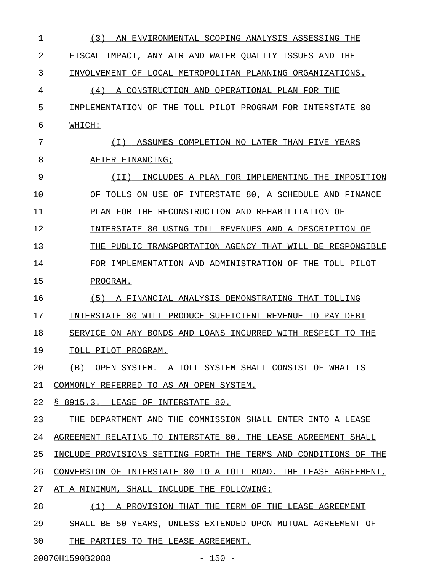| 1  | (3)<br>AN<br>ENVIRONMENTAL SCOPING ANALYSIS ASSESSING THE        |
|----|------------------------------------------------------------------|
| 2  | FISCAL IMPACT, ANY AIR AND WATER OUALITY ISSUES AND THE          |
| 3  | INVOLVEMENT OF LOCAL METROPOLITAN PLANNING ORGANIZATIONS.        |
| 4  | (4)<br>A CONSTRUCTION AND OPERATIONAL PLAN FOR THE               |
| 5  | IMPLEMENTATION OF THE<br>TOLL PILOT PROGRAM FOR INTERSTATE 80    |
| 6  | WHICH:                                                           |
| 7  | (T)<br>ASSUMES COMPLETION NO LATER THAN FIVE YEARS               |
| 8  | AFTER FINANCING;                                                 |
| 9  | (TT)<br>INCLUDES A PLAN FOR IMPLEMENTING THE<br>IMPOSITION       |
| 10 | OF TOLLS ON USE OF INTERSTATE 80, A SCHEDULE AND<br>FINANCE      |
| 11 | PLAN FOR THE RECONSTRUCTION AND REHABILITATION OF                |
| 12 | INTERSTATE 80 USING TOLL REVENUES AND A DESCRIPTION OF           |
| 13 | THE PUBLIC TRANSPORTATION AGENCY THAT WILL BE RESPONSIBLE        |
| 14 | FOR IMPLEMENTATION AND ADMINISTRATION OF THE<br>TOLL PILOT       |
| 15 | PROGRAM.                                                         |
| 16 | (5)<br>A FINANCIAL ANALYSIS DEMONSTRATING THAT TOLLING           |
| 17 | INTERSTATE 80 WILL PRODUCE SUFFICIENT REVENUE<br>TO PAY DEBT     |
| 18 | SERVICE ON ANY BONDS AND LOANS INCURRED WITH RESPECT TO THE      |
| 19 | TOLL PILOT PROGRAM.                                              |
| 20 | (B) OPEN SYSTEM.--A TOLL SYSTEM SHALL CONSIST OF WHAT IS         |
| 21 | COMMONLY REFERRED TO AS AN OPEN SYSTEM.                          |
| 22 | § 8915.3. LEASE OF INTERSTATE 80.                                |
| 23 | THE DEPARTMENT AND THE COMMISSION SHALL ENTER INTO A LEASE       |
| 24 | AGREEMENT RELATING TO INTERSTATE 80. THE LEASE AGREEMENT SHALL   |
| 25 | INCLUDE PROVISIONS SETTING FORTH THE TERMS AND CONDITIONS OF THE |
| 26 | CONVERSION OF INTERSTATE 80 TO A TOLL ROAD. THE LEASE AGREEMENT, |
| 27 | AT A MINIMUM, SHALL INCLUDE THE FOLLOWING:                       |
| 28 | (1) A PROVISION THAT THE TERM OF THE LEASE AGREEMENT             |
| 29 | SHALL BE 50 YEARS, UNLESS EXTENDED UPON MUTUAL AGREEMENT OF      |
| 30 | THE PARTIES TO THE LEASE AGREEMENT.                              |

20070H1590B2088 - 150 -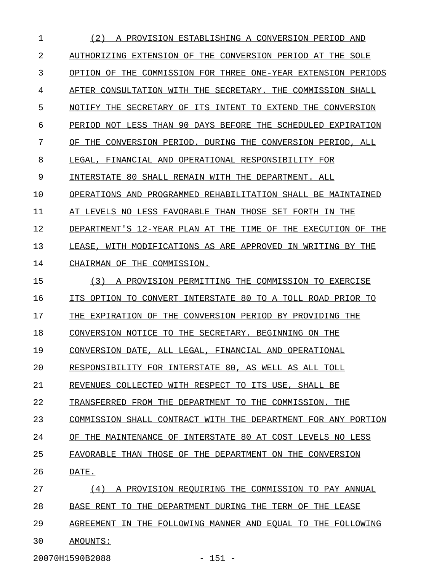1 (2) A PROVISION ESTABLISHING A CONVERSION PERIOD AND 2 AUTHORIZING EXTENSION OF THE CONVERSION PERIOD AT THE SOLE 3 OPTION OF THE COMMISSION FOR THREE ONE-YEAR EXTENSION PERIODS 4 AFTER CONSULTATION WITH THE SECRETARY. THE COMMISSION SHALL 5 NOTIFY THE SECRETARY OF ITS INTENT TO EXTEND THE CONVERSION 6 PERIOD NOT LESS THAN 90 DAYS BEFORE THE SCHEDULED EXPIRATION 7 OF THE CONVERSION PERIOD. DURING THE CONVERSION PERIOD, ALL 8 LEGAL, FINANCIAL AND OPERATIONAL RESPONSIBILITY FOR 9 INTERSTATE 80 SHALL REMAIN WITH THE DEPARTMENT. ALL 10 OPERATIONS AND PROGRAMMED REHABILITATION SHALL BE MAINTAINED 11 AT LEVELS NO LESS FAVORABLE THAN THOSE SET FORTH IN THE 12 DEPARTMENT'S 12-YEAR PLAN AT THE TIME OF THE EXECUTION OF THE 13 LEASE, WITH MODIFICATIONS AS ARE APPROVED IN WRITING BY THE 14 CHAIRMAN OF THE COMMISSION. 15 (3) A PROVISION PERMITTING THE COMMISSION TO EXERCISE 16 ITS OPTION TO CONVERT INTERSTATE 80 TO A TOLL ROAD PRIOR TO 17 THE EXPIRATION OF THE CONVERSION PERIOD BY PROVIDING THE 18 CONVERSION NOTICE TO THE SECRETARY. BEGINNING ON THE 19 CONVERSION DATE, ALL LEGAL, FINANCIAL AND OPERATIONAL 20 RESPONSIBILITY FOR INTERSTATE 80, AS WELL AS ALL TOLL 21 REVENUES COLLECTED WITH RESPECT TO ITS USE, SHALL BE 22 TRANSFERRED FROM THE DEPARTMENT TO THE COMMISSION. THE 23 COMMISSION SHALL CONTRACT WITH THE DEPARTMENT FOR ANY PORTION 24 OF THE MAINTENANCE OF INTERSTATE 80 AT COST LEVELS NO LESS 25 FAVORABLE THAN THOSE OF THE DEPARTMENT ON THE CONVERSION 26 DATE. \_\_\_\_\_ 27 (4) A PROVISION REQUIRING THE COMMISSION TO PAY ANNUAL 28 BASE RENT TO THE DEPARTMENT DURING THE TERM OF THE LEASE 29 AGREEMENT IN THE FOLLOWING MANNER AND EQUAL TO THE FOLLOWING 30 AMOUNTS: \_\_\_\_\_\_\_\_

20070H1590B2088 - 151 -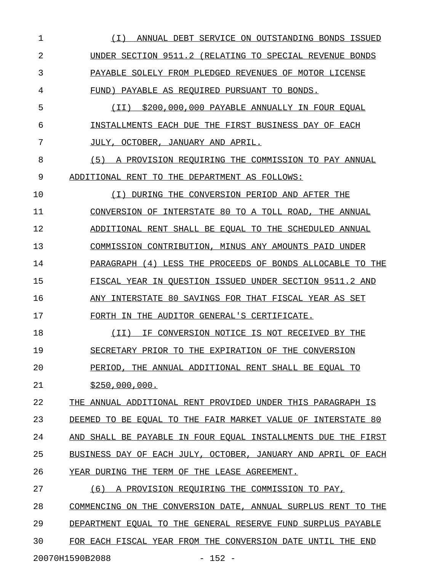1 (I) ANNUAL DEBT SERVICE ON OUTSTANDING BONDS ISSUED \_\_\_\_\_\_\_\_\_\_\_\_\_\_\_\_\_\_\_\_\_\_\_\_\_\_\_\_\_\_\_\_\_\_\_\_\_\_\_\_\_\_\_\_\_\_\_\_\_\_\_\_ 2 UNDER SECTION 9511.2 (RELATING TO SPECIAL REVENUE BONDS 3 PAYABLE SOLELY FROM PLEDGED REVENUES OF MOTOR LICENSE 4 FUND) PAYABLE AS REQUIRED PURSUANT TO BONDS. 5 (II) \$200,000,000 PAYABLE ANNUALLY IN FOUR EQUAL 6 INSTALLMENTS EACH DUE THE FIRST BUSINESS DAY OF EACH 7 JULY, OCTOBER, JANUARY AND APRIL. 8 (5) A PROVISION REQUIRING THE COMMISSION TO PAY ANNUAL 9 ADDITIONAL RENT TO THE DEPARTMENT AS FOLLOWS: 10 (I) DURING THE CONVERSION PERIOD AND AFTER THE \_\_\_\_\_\_\_\_\_\_\_\_\_\_\_\_\_\_\_\_\_\_\_\_\_\_\_\_\_\_\_\_\_\_\_\_\_\_\_\_\_\_\_\_\_\_ 11 CONVERSION OF INTERSTATE 80 TO A TOLL ROAD, THE ANNUAL 12 ADDITIONAL RENT SHALL BE EQUAL TO THE SCHEDULED ANNUAL 13 COMMISSION CONTRIBUTION, MINUS ANY AMOUNTS PAID UNDER 14 PARAGRAPH (4) LESS THE PROCEEDS OF BONDS ALLOCABLE TO THE 15 FISCAL YEAR IN QUESTION ISSUED UNDER SECTION 9511.2 AND 16 ANY INTERSTATE 80 SAVINGS FOR THAT FISCAL YEAR AS SET 17 FORTH IN THE AUDITOR GENERAL'S CERTIFICATE. 18 (II) IF CONVERSION NOTICE IS NOT RECEIVED BY THE \_\_\_\_\_\_\_\_\_\_\_\_\_\_\_\_\_\_\_\_\_\_\_\_\_\_\_\_\_\_\_\_\_\_\_\_\_\_\_\_\_\_\_\_\_\_\_\_\_ 19 SECRETARY PRIOR TO THE EXPIRATION OF THE CONVERSION 20 PERIOD, THE ANNUAL ADDITIONAL RENT SHALL BE EQUAL TO 21 \$250,000,000. 22 THE ANNUAL ADDITIONAL RENT PROVIDED UNDER THIS PARAGRAPH IS 23 DEEMED TO BE EQUAL TO THE FAIR MARKET VALUE OF INTERSTATE 80 24 AND SHALL BE PAYABLE IN FOUR EQUAL INSTALLMENTS DUE THE FIRST 25 BUSINESS DAY OF EACH JULY, OCTOBER, JANUARY AND APRIL OF EACH 26 YEAR DURING THE TERM OF THE LEASE AGREEMENT. 27 (6) A PROVISION REQUIRING THE COMMISSION TO PAY, 28 COMMENCING ON THE CONVERSION DATE, ANNUAL SURPLUS RENT TO THE 29 DEPARTMENT EQUAL TO THE GENERAL RESERVE FUND SURPLUS PAYABLE 30 FOR EACH FISCAL YEAR FROM THE CONVERSION DATE UNTIL THE END

20070H1590B2088 - 152 -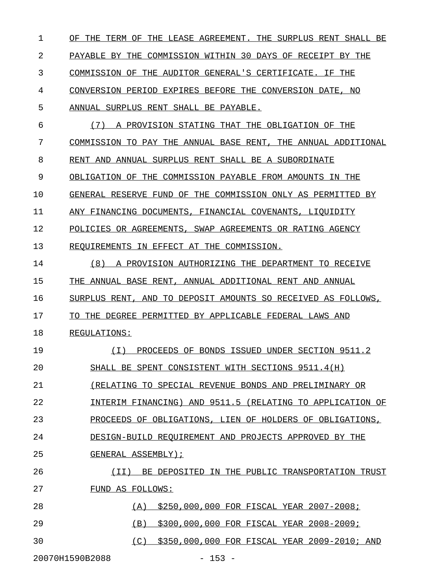1 OF THE TERM OF THE LEASE AGREEMENT. THE SURPLUS RENT SHALL BE 2 PAYABLE BY THE COMMISSION WITHIN 30 DAYS OF RECEIPT BY THE 3 COMMISSION OF THE AUDITOR GENERAL'S CERTIFICATE. IF THE 4 CONVERSION PERIOD EXPIRES BEFORE THE CONVERSION DATE, NO 5 ANNUAL SURPLUS RENT SHALL BE PAYABLE. 6  $(7)$  A PROVISION STATING THAT THE OBLIGATION OF THE 7 COMMISSION TO PAY THE ANNUAL BASE RENT, THE ANNUAL ADDITIONAL 8 RENT AND ANNUAL SURPLUS RENT SHALL BE A SUBORDINATE 9 OBLIGATION OF THE COMMISSION PAYABLE FROM AMOUNTS IN THE 10 GENERAL RESERVE FUND OF THE COMMISSION ONLY AS PERMITTED BY 11 ANY FINANCING DOCUMENTS, FINANCIAL COVENANTS, LIQUIDITY 12 POLICIES OR AGREEMENTS, SWAP AGREEMENTS OR RATING AGENCY 13 REQUIREMENTS IN EFFECT AT THE COMMISSION. 14 (8) A PROVISION AUTHORIZING THE DEPARTMENT TO RECEIVE 15 THE ANNUAL BASE RENT, ANNUAL ADDITIONAL RENT AND ANNUAL 16 SURPLUS RENT, AND TO DEPOSIT AMOUNTS SO RECEIVED AS FOLLOWS, 17 TO THE DEGREE PERMITTED BY APPLICABLE FEDERAL LAWS AND 18 REGULATIONS: 19 (I) PROCEEDS OF BONDS ISSUED UNDER SECTION 9511.2 \_\_\_\_\_\_\_\_\_\_\_\_\_\_\_\_\_\_\_\_\_\_\_\_\_\_\_\_\_\_\_\_\_\_\_\_\_\_\_\_\_\_\_\_\_\_\_\_\_\_ 20 SHALL BE SPENT CONSISTENT WITH SECTIONS 9511.4(H) 21 (RELATING TO SPECIAL REVENUE BONDS AND PRELIMINARY OR 22 INTERIM FINANCING) AND 9511.5 (RELATING TO APPLICATION OF 23 PROCEEDS OF OBLIGATIONS, LIEN OF HOLDERS OF OBLIGATIONS, 24 DESIGN-BUILD REQUIREMENT AND PROJECTS APPROVED BY THE 25 GENERAL ASSEMBLY); 26 (II) BE DEPOSITED IN THE PUBLIC TRANSPORTATION TRUST \_\_\_\_\_\_\_\_\_\_\_\_\_\_\_\_\_\_\_\_\_\_\_\_\_\_\_\_\_\_\_\_\_\_\_\_\_\_\_\_\_\_\_\_\_\_\_\_\_\_\_\_\_ 27 FUND AS FOLLOWS: 28 (A) \$250,000,000 FOR FISCAL YEAR 2007-2008; 29 (B) \$300,000,000 FOR FISCAL YEAR 2008-2009; \_\_\_\_\_\_\_\_\_\_\_\_\_\_\_\_\_\_\_\_\_\_\_\_\_\_\_\_\_\_\_\_\_\_\_\_\_\_\_\_\_\_\_\_ 30 (C) \$350,000,000 FOR FISCAL YEAR 2009-2010; AND 20070H1590B2088 - 153 -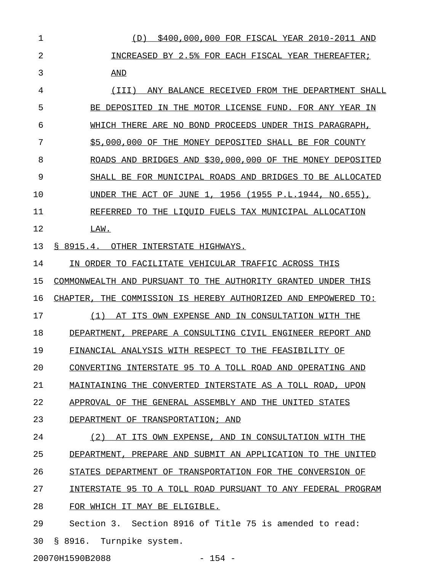1 (D) \$400,000,000 FOR FISCAL YEAR 2010-2011 AND \_\_\_\_\_\_\_\_\_\_\_\_\_\_\_\_\_\_\_\_\_\_\_\_\_\_\_\_\_\_\_\_\_\_\_\_\_\_\_\_\_\_\_\_\_\_\_ 2 INCREASED BY 2.5% FOR EACH FISCAL YEAR THEREAFTER; 3 AND \_\_\_ 4 (III) ANY BALANCE RECEIVED FROM THE DEPARTMENT SHALL 5 BE DEPOSITED IN THE MOTOR LICENSE FUND. FOR ANY YEAR IN 6 WHICH THERE ARE NO BOND PROCEEDS UNDER THIS PARAGRAPH, 7 \$5,000,000 OF THE MONEY DEPOSITED SHALL BE FOR COUNTY 8 ROADS AND BRIDGES AND \$30,000,000 OF THE MONEY DEPOSITED 9 SHALL BE FOR MUNICIPAL ROADS AND BRIDGES TO BE ALLOCATED 10 UNDER THE ACT OF JUNE 1, 1956 (1955 P.L.1944, NO.655), 11 REFERRED TO THE LIQUID FUELS TAX MUNICIPAL ALLOCATION 12 LAW. 13 § 8915.4. OTHER INTERSTATE HIGHWAYS. 14 IN ORDER TO FACILITATE VEHICULAR TRAFFIC ACROSS THIS 15 COMMONWEALTH AND PURSUANT TO THE AUTHORITY GRANTED UNDER THIS 16 CHAPTER, THE COMMISSION IS HEREBY AUTHORIZED AND EMPOWERED TO: 17 (1) AT ITS OWN EXPENSE AND IN CONSULTATION WITH THE 18 DEPARTMENT, PREPARE A CONSULTING CIVIL ENGINEER REPORT AND 19 FINANCIAL ANALYSIS WITH RESPECT TO THE FEASIBILITY OF 20 CONVERTING INTERSTATE 95 TO A TOLL ROAD AND OPERATING AND 21 MAINTAINING THE CONVERTED INTERSTATE AS A TOLL ROAD, UPON 22 APPROVAL OF THE GENERAL ASSEMBLY AND THE UNITED STATES 23 DEPARTMENT OF TRANSPORTATION; AND 24 (2) AT ITS OWN EXPENSE, AND IN CONSULTATION WITH THE 25 DEPARTMENT, PREPARE AND SUBMIT AN APPLICATION TO THE UNITED 26 STATES DEPARTMENT OF TRANSPORTATION FOR THE CONVERSION OF 27 INTERSTATE 95 TO A TOLL ROAD PURSUANT TO ANY FEDERAL PROGRAM 28 FOR WHICH IT MAY BE ELIGIBLE. 29 Section 3. Section 8916 of Title 75 is amended to read: 30 § 8916. Turnpike system.

20070H1590B2088 - 154 -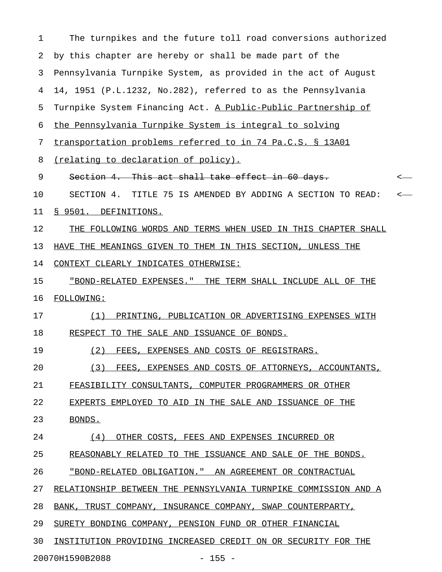1 The turnpikes and the future toll road conversions authorized 2 by this chapter are hereby or shall be made part of the 3 Pennsylvania Turnpike System, as provided in the act of August 4 14, 1951 (P.L.1232, No.282), referred to as the Pennsylvania 5 Turnpike System Financing Act. A Public-Public Partnership of 6 the Pennsylvania Turnpike System is integral to solving 7 transportation problems referred to in 74 Pa.C.S. § 13A01 8 (relating to declaration of policy). 9 Section 4. This act shall take effect in 60 days. 10 SECTION 4. TITLE 75 IS AMENDED BY ADDING A SECTION TO READ: < 11 § 9501. DEFINITIONS. 12 THE FOLLOWING WORDS AND TERMS WHEN USED IN THIS CHAPTER SHALL 13 HAVE THE MEANINGS GIVEN TO THEM IN THIS SECTION, UNLESS THE 14 CONTEXT CLEARLY INDICATES OTHERWISE: 15 "BOND-RELATED EXPENSES." THE TERM SHALL INCLUDE ALL OF THE 16 FOLLOWING: 17 (1) PRINTING, PUBLICATION OR ADVERTISING EXPENSES WITH 18 RESPECT TO THE SALE AND ISSUANCE OF BONDS. 19 (2) FEES, EXPENSES AND COSTS OF REGISTRARS. 20 (3) FEES, EXPENSES AND COSTS OF ATTORNEYS, ACCOUNTANTS, \_\_\_\_\_\_\_\_\_\_\_\_\_\_\_\_\_\_\_\_\_\_\_\_\_\_\_\_\_\_\_\_\_\_\_\_\_\_\_\_\_\_\_\_\_\_\_\_\_\_\_\_\_\_\_\_ 21 FEASIBILITY CONSULTANTS, COMPUTER PROGRAMMERS OR OTHER 22 EXPERTS EMPLOYED TO AID IN THE SALE AND ISSUANCE OF THE 23 BONDS. 24 (4) OTHER COSTS, FEES AND EXPENSES INCURRED OR 25 REASONABLY RELATED TO THE ISSUANCE AND SALE OF THE BONDS. 26 "BOND-RELATED OBLIGATION." AN AGREEMENT OR CONTRACTUAL 27 RELATIONSHIP BETWEEN THE PENNSYLVANIA TURNPIKE COMMISSION AND A 28 BANK, TRUST COMPANY, INSURANCE COMPANY, SWAP COUNTERPARTY, 29 SURETY BONDING COMPANY, PENSION FUND OR OTHER FINANCIAL 30 INSTITUTION PROVIDING INCREASED CREDIT ON OR SECURITY FOR THE 20070H1590B2088 - 155 -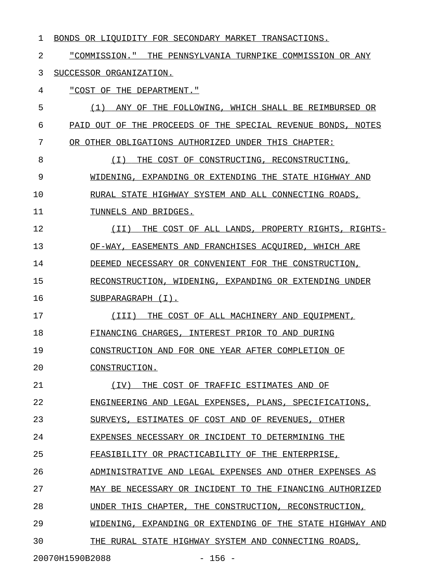|  |  |  | BONDS OR LIQUIDITY FOR SECONDARY MARKET TRANSACTIONS. |  |
|--|--|--|-------------------------------------------------------|--|
|  |  |  |                                                       |  |

2 "COMMISSION." THE PENNSYLVANIA TURNPIKE COMMISSION OR ANY 3 SUCCESSOR ORGANIZATION.

4 "COST OF THE DEPARTMENT."

5 (1) ANY OF THE FOLLOWING, WHICH SHALL BE REIMBURSED OR 6 PAID OUT OF THE PROCEEDS OF THE SPECIAL REVENUE BONDS, NOTES 7 OR OTHER OBLIGATIONS AUTHORIZED UNDER THIS CHAPTER: 8 (I) THE COST OF CONSTRUCTING, RECONSTRUCTING, \_\_\_\_\_\_\_\_\_\_\_\_\_\_\_\_\_\_\_\_\_\_\_\_\_\_\_\_\_\_\_\_\_\_\_\_\_\_\_\_\_\_\_\_\_\_ 9 WIDENING, EXPANDING OR EXTENDING THE STATE HIGHWAY AND 10 RURAL STATE HIGHWAY SYSTEM AND ALL CONNECTING ROADS, 11 TUNNELS AND BRIDGES. 12 (II) THE COST OF ALL LANDS, PROPERTY RIGHTS, RIGHTS- \_\_\_\_\_\_\_\_\_\_\_\_\_\_\_\_\_\_\_\_\_\_\_\_\_\_\_\_\_\_\_\_\_\_\_\_\_\_\_\_\_\_\_\_\_\_\_\_\_\_\_\_\_ 13 OF-WAY, EASEMENTS AND FRANCHISES ACQUIRED, WHICH ARE 14 DEEMED NECESSARY OR CONVENIENT FOR THE CONSTRUCTION, 15 RECONSTRUCTION, WIDENING, EXPANDING OR EXTENDING UNDER 16 SUBPARAGRAPH (I). 17 (III) THE COST OF ALL MACHINERY AND EQUIPMENT, 18 FINANCING CHARGES, INTEREST PRIOR TO AND DURING 19 CONSTRUCTION AND FOR ONE YEAR AFTER COMPLETION OF 20 CONSTRUCTION. 21 (IV) THE COST OF TRAFFIC ESTIMATES AND OF 22 ENGINEERING AND LEGAL EXPENSES, PLANS, SPECIFICATIONS, 23 SURVEYS, ESTIMATES OF COST AND OF REVENUES, OTHER 24 EXPENSES NECESSARY OR INCIDENT TO DETERMINING THE 25 FEASIBILITY OR PRACTICABILITY OF THE ENTERPRISE, 26 ADMINISTRATIVE AND LEGAL EXPENSES AND OTHER EXPENSES AS 27 MAY BE NECESSARY OR INCIDENT TO THE FINANCING AUTHORIZED 28 UNDER THIS CHAPTER, THE CONSTRUCTION, RECONSTRUCTION, 29 WIDENING, EXPANDING OR EXTENDING OF THE STATE HIGHWAY AND 30 THE RURAL STATE HIGHWAY SYSTEM AND CONNECTING ROADS,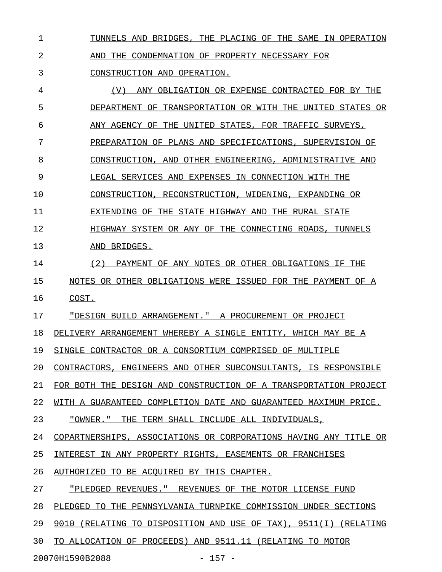1 TUNNELS AND BRIDGES, THE PLACING OF THE SAME IN OPERATION

2 AND THE CONDEMNATION OF PROPERTY NECESSARY FOR

3 CONSTRUCTION AND OPERATION.

4 (V) ANY OBLIGATION OR EXPENSE CONTRACTED FOR BY THE 5 DEPARTMENT OF TRANSPORTATION OR WITH THE UNITED STATES OR 6 ANY AGENCY OF THE UNITED STATES, FOR TRAFFIC SURVEYS, 7 PREPARATION OF PLANS AND SPECIFICATIONS, SUPERVISION OF 8 CONSTRUCTION, AND OTHER ENGINEERING, ADMINISTRATIVE AND 9 LEGAL SERVICES AND EXPENSES IN CONNECTION WITH THE 10 CONSTRUCTION, RECONSTRUCTION, WIDENING, EXPANDING OR 11 EXTENDING OF THE STATE HIGHWAY AND THE RURAL STATE 12 **HIGHWAY SYSTEM OR ANY OF THE CONNECTING ROADS, TUNNELS** 13 AND BRIDGES. 14 (2) PAYMENT OF ANY NOTES OR OTHER OBLIGATIONS IF THE 15 NOTES OR OTHER OBLIGATIONS WERE ISSUED FOR THE PAYMENT OF A 16 COST. 17 "DESIGN BUILD ARRANGEMENT." A PROCUREMENT OR PROJECT 18 DELIVERY ARRANGEMENT WHEREBY A SINGLE ENTITY, WHICH MAY BE A 19 SINGLE CONTRACTOR OR A CONSORTIUM COMPRISED OF MULTIPLE 20 CONTRACTORS, ENGINEERS AND OTHER SUBCONSULTANTS, IS RESPONSIBLE 21 FOR BOTH THE DESIGN AND CONSTRUCTION OF A TRANSPORTATION PROJECT 22 WITH A GUARANTEED COMPLETION DATE AND GUARANTEED MAXIMUM PRICE. 23 "OWNER." THE TERM SHALL INCLUDE ALL INDIVIDUALS, 24 COPARTNERSHIPS, ASSOCIATIONS OR CORPORATIONS HAVING ANY TITLE OR 25 INTEREST IN ANY PROPERTY RIGHTS, EASEMENTS OR FRANCHISES 26 AUTHORIZED TO BE ACQUIRED BY THIS CHAPTER. 27 "PLEDGED REVENUES." REVENUES OF THE MOTOR LICENSE FUND 28 PLEDGED TO THE PENNSYLVANIA TURNPIKE COMMISSION UNDER SECTIONS 29 9010 (RELATING TO DISPOSITION AND USE OF TAX), 9511(I) (RELATING 30 TO ALLOCATION OF PROCEEDS) AND 9511.11 (RELATING TO MOTOR 20070H1590B2088 - 157 -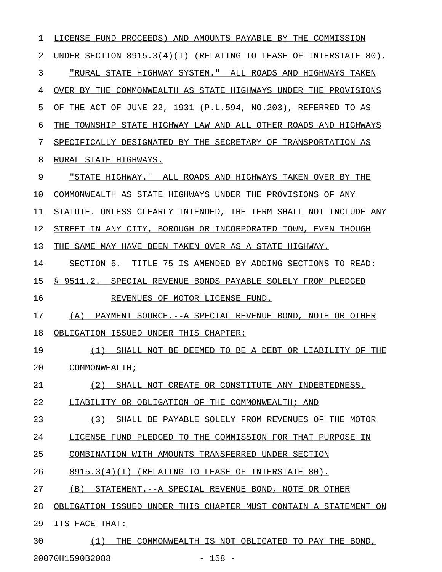1 LICENSE FUND PROCEEDS) AND AMOUNTS PAYABLE BY THE COMMISSION 2 UNDER SECTION 8915.3(4)(I) (RELATING TO LEASE OF INTERSTATE 80). 3 "RURAL STATE HIGHWAY SYSTEM." ALL ROADS AND HIGHWAYS TAKEN 4 OVER BY THE COMMONWEALTH AS STATE HIGHWAYS UNDER THE PROVISIONS 5 OF THE ACT OF JUNE 22, 1931 (P.L.594, NO.203), REFERRED TO AS 6 THE TOWNSHIP STATE HIGHWAY LAW AND ALL OTHER ROADS AND HIGHWAYS 7 SPECIFICALLY DESIGNATED BY THE SECRETARY OF TRANSPORTATION AS 8 RURAL STATE HIGHWAYS. 9 "STATE HIGHWAY." ALL ROADS AND HIGHWAYS TAKEN OVER BY THE 10 COMMONWEALTH AS STATE HIGHWAYS UNDER THE PROVISIONS OF ANY 11 STATUTE. UNLESS CLEARLY INTENDED, THE TERM SHALL NOT INCLUDE ANY 12 STREET IN ANY CITY, BOROUGH OR INCORPORATED TOWN, EVEN THOUGH 13 THE SAME MAY HAVE BEEN TAKEN OVER AS A STATE HIGHWAY. 14 SECTION 5. TITLE 75 IS AMENDED BY ADDING SECTIONS TO READ: 15 § 9511.2. SPECIAL REVENUE BONDS PAYABLE SOLELY FROM PLEDGED 16 REVENUES OF MOTOR LICENSE FUND. 17 (A) PAYMENT SOURCE.--A SPECIAL REVENUE BOND, NOTE OR OTHER 18 OBLIGATION ISSUED UNDER THIS CHAPTER: 19 (1) SHALL NOT BE DEEMED TO BE A DEBT OR LIABILITY OF THE \_\_\_\_\_\_\_\_\_\_\_\_\_\_\_\_\_\_\_\_\_\_\_\_\_\_\_\_\_\_\_\_\_\_\_\_\_\_\_\_\_\_\_\_\_\_\_\_\_\_\_\_\_\_\_\_\_ 20 COMMONWEALTH; 21 (2) SHALL NOT CREATE OR CONSTITUTE ANY INDEBTEDNESS, 22 LIABILITY OR OBLIGATION OF THE COMMONWEALTH; AND 23 (3) SHALL BE PAYABLE SOLELY FROM REVENUES OF THE MOTOR 24 LICENSE FUND PLEDGED TO THE COMMISSION FOR THAT PURPOSE IN 25 COMBINATION WITH AMOUNTS TRANSFERRED UNDER SECTION 26 8915.3(4)(I) (RELATING TO LEASE OF INTERSTATE 80). 27 (B) STATEMENT.--A SPECIAL REVENUE BOND, NOTE OR OTHER 28 OBLIGATION ISSUED UNDER THIS CHAPTER MUST CONTAIN A STATEMENT ON 29 ITS FACE THAT:

30  $(1)$  THE COMMONWEALTH IS NOT OBLIGATED TO PAY THE BOND,

20070H1590B2088 - 158 -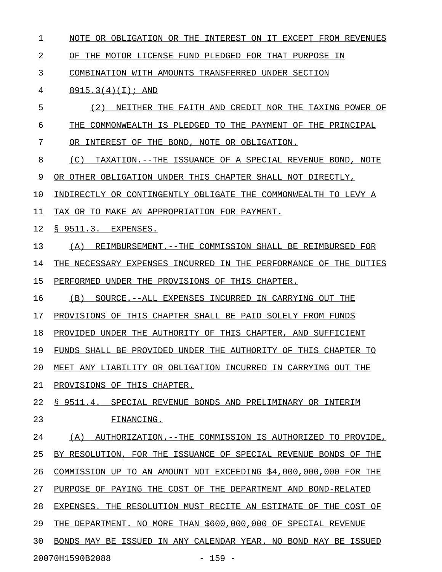1 NOTE OR OBLIGATION OR THE INTEREST ON IT EXCEPT FROM REVENUES 2 OF THE MOTOR LICENSE FUND PLEDGED FOR THAT PURPOSE IN 3 COMBINATION WITH AMOUNTS TRANSFERRED UNDER SECTION 4 8915.3(4)(I); AND \_\_\_\_\_\_\_\_\_\_\_\_\_\_\_\_\_ 5 (2) NEITHER THE FAITH AND CREDIT NOR THE TAXING POWER OF 6 THE COMMONWEALTH IS PLEDGED TO THE PAYMENT OF THE PRINCIPAL 7 OR INTEREST OF THE BOND, NOTE OR OBLIGATION. 8 (C) TAXATION.--THE ISSUANCE OF A SPECIAL REVENUE BOND, NOTE 9 OR OTHER OBLIGATION UNDER THIS CHAPTER SHALL NOT DIRECTLY, 10 INDIRECTLY OR CONTINGENTLY OBLIGATE THE COMMONWEALTH TO LEVY A 11 TAX OR TO MAKE AN APPROPRIATION FOR PAYMENT. 12 <u>§ 9511.3. EXPENSES.</u> 13 (A) REIMBURSEMENT. --THE COMMISSION SHALL BE REIMBURSED FOR 14 THE NECESSARY EXPENSES INCURRED IN THE PERFORMANCE OF THE DUTIES 15 PERFORMED UNDER THE PROVISIONS OF THIS CHAPTER. 16 (B) SOURCE.--ALL EXPENSES INCURRED IN CARRYING OUT THE 17 PROVISIONS OF THIS CHAPTER SHALL BE PAID SOLELY FROM FUNDS 18 PROVIDED UNDER THE AUTHORITY OF THIS CHAPTER, AND SUFFICIENT 19 FUNDS SHALL BE PROVIDED UNDER THE AUTHORITY OF THIS CHAPTER TO 20 MEET ANY LIABILITY OR OBLIGATION INCURRED IN CARRYING OUT THE 21 PROVISIONS OF THIS CHAPTER. 22 § 9511.4. SPECIAL REVENUE BONDS AND PRELIMINARY OR INTERIM 23 FINANCING. 24 (A) AUTHORIZATION.--THE COMMISSION IS AUTHORIZED TO PROVIDE, 25 BY RESOLUTION, FOR THE ISSUANCE OF SPECIAL REVENUE BONDS OF THE 26 COMMISSION UP TO AN AMOUNT NOT EXCEEDING \$4,000,000,000 FOR THE 27 PURPOSE OF PAYING THE COST OF THE DEPARTMENT AND BOND-RELATED 28 EXPENSES. THE RESOLUTION MUST RECITE AN ESTIMATE OF THE COST OF 29 THE DEPARTMENT. NO MORE THAN \$600,000,000 OF SPECIAL REVENUE 30 BONDS MAY BE ISSUED IN ANY CALENDAR YEAR. NO BOND MAY BE ISSUED 20070H1590B2088 - 159 -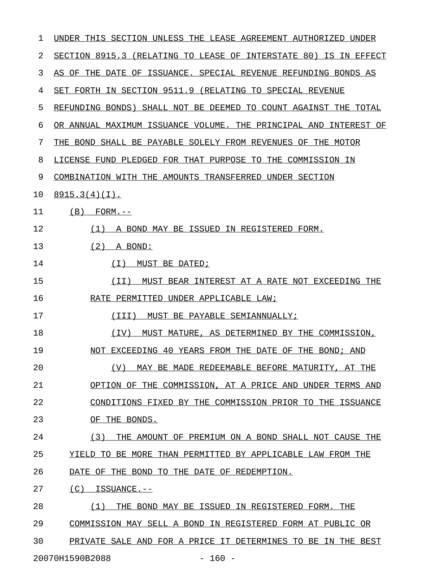| 1  | UNDER THIS SECTION UNLESS THE LEASE AGREEMENT AUTHORIZED UNDER      |
|----|---------------------------------------------------------------------|
| 2  | SECTION 8915.3 (RELATING TO LEASE OF INTERSTATE 80) IS IN EFFECT    |
| 3  | AS OF THE DATE OF ISSUANCE. SPECIAL REVENUE REFUNDING BONDS AS      |
| 4  | SET FORTH IN SECTION 9511.9 (RELATING TO SPECIAL REVENUE            |
| 5  | REFUNDING BONDS) SHALL NOT BE DEEMED TO COUNT AGAINST THE TOTAL     |
| 6  | OR ANNUAL MAXIMUM ISSUANCE VOLUME. THE PRINCIPAL AND<br>INTEREST OF |
| 7  | THE BOND SHALL BE PAYABLE SOLELY FROM REVENUES OF THE MOTOR         |
| 8  | LICENSE FUND PLEDGED FOR THAT PURPOSE TO THE COMMISSION IN          |
| 9  | COMBINATION WITH THE AMOUNTS TRANSFERRED UNDER SECTION              |
| 10 | 8915.3(4)(I).                                                       |
| 11 | (B)<br>$FORM. --$                                                   |
| 12 | (1)<br>A BOND MAY BE ISSUED IN REGISTERED FORM.                     |
| 13 | (2)<br>A BOND:                                                      |
| 14 | ( I )<br>MUST BE DATED;                                             |
| 15 | (II)<br>MUST BEAR INTEREST AT A RATE NOT EXCEEDING THE              |
| 16 | RATE PERMITTED UNDER APPLICABLE LAW;                                |
| 17 | (TTT)<br>MUST BE PAYABLE SEMIANNUALLY;                              |
| 18 | (TV)<br>MUST MATURE, AS DETERMINED BY THE COMMISSION,               |
| 19 | NOT EXCEEDING 40 YEARS FROM THE DATE OF THE BOND; AND               |
| 20 | MAY BE MADE REDEEMABLE BEFORE MATURITY, AT THE<br>(V)               |
| 21 | OPTION OF THE COMMISSION, AT A PRICE AND UNDER TERMS AND            |
| 22 | CONDITIONS FIXED BY THE COMMISSION PRIOR TO THE ISSUANCE            |
| 23 | OF THE BONDS.                                                       |
| 24 | (3)<br>THE AMOUNT OF PREMIUM ON A BOND SHALL NOT CAUSE THE          |
| 25 | YIELD TO BE MORE THAN PERMITTED BY APPLICABLE LAW FROM THE          |
| 26 | DATE OF THE BOND TO THE DATE OF REDEMPTION.                         |
| 27 | $(C)$ ISSUANCE.--                                                   |
| 28 | (1)<br>THE BOND MAY BE ISSUED IN REGISTERED FORM. THE               |
| 29 | COMMISSION MAY SELL A BOND IN REGISTERED FORM AT PUBLIC OR          |
| 30 | PRIVATE SALE AND FOR A PRICE IT DETERMINES TO BE IN THE BEST        |
|    | 20070H1590B2088<br>$-160 -$                                         |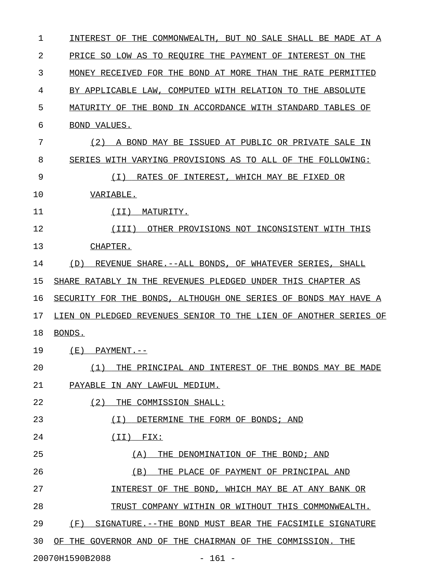| 1  | INTEREST OF THE COMMONWEALTH, BUT NO SALE SHALL BE MADE AT A     |
|----|------------------------------------------------------------------|
| 2  | PRICE SO LOW AS TO REOUIRE THE PAYMENT OF INTEREST ON THE        |
| 3  | MONEY RECEIVED FOR THE BOND AT MORE THAN THE RATE PERMITTED      |
| 4  | BY APPLICABLE LAW, COMPUTED WITH RELATION TO THE ABSOLUTE        |
| 5  | MATURITY OF THE BOND IN ACCORDANCE WITH STANDARD TABLES OF       |
| 6  | BOND VALUES.                                                     |
| 7  | A BOND MAY BE ISSUED AT PUBLIC OR PRIVATE SALE IN<br>(2)         |
| 8  | SERIES WITH VARYING PROVISIONS AS TO ALL OF THE FOLLOWING:       |
| 9  | RATES OF INTEREST, WHICH MAY BE FIXED OR<br>(T)                  |
| 10 | VARIABLE.                                                        |
| 11 | MATURITY.<br>( I I )                                             |
| 12 | OTHER PROVISIONS NOT INCONSISTENT WITH THIS<br>(III)             |
| 13 | CHAPTER.                                                         |
| 14 | REVENUE SHARE. -- ALL BONDS, OF WHATEVER SERIES, SHALL<br>(D)    |
| 15 | SHARE RATABLY IN THE REVENUES PLEDGED UNDER THIS CHAPTER AS      |
| 16 | SECURITY FOR THE BONDS, ALTHOUGH ONE SERIES OF BONDS MAY HAVE A  |
| 17 | LIEN ON PLEDGED REVENUES SENIOR TO THE LIEN OF ANOTHER SERIES OF |
| 18 | BONDS.                                                           |
| 19 | (E)<br>$PAYMENT. --$                                             |
| 20 | (1)<br>THE PRINCIPAL AND INTEREST OF THE BONDS MAY BE MADE       |
| 21 | PAYABLE IN ANY LAWFUL MEDIUM.                                    |
| 22 | (2)<br>THE COMMISSION SHALL:                                     |
| 23 | ( I )<br>DETERMINE THE FORM OF BONDS; AND                        |
| 24 | $(II)$ FIX:                                                      |
| 25 | (A)<br>THE DENOMINATION OF THE BOND; AND                         |
| 26 | (B)<br>THE PLACE OF PAYMENT OF PRINCIPAL AND                     |
| 27 | INTEREST OF THE BOND, WHICH MAY BE AT ANY BANK OR                |
| 28 | TRUST COMPANY WITHIN OR WITHOUT THIS COMMONWEALTH.               |
| 29 | (F)<br>SIGNATURE. -- THE BOND MUST BEAR THE FACSIMILE SIGNATURE  |
| 30 | OF THE GOVERNOR AND OF THE CHAIRMAN OF THE COMMISSION. THE       |
|    | 20070H1590B2088<br>$-161 -$                                      |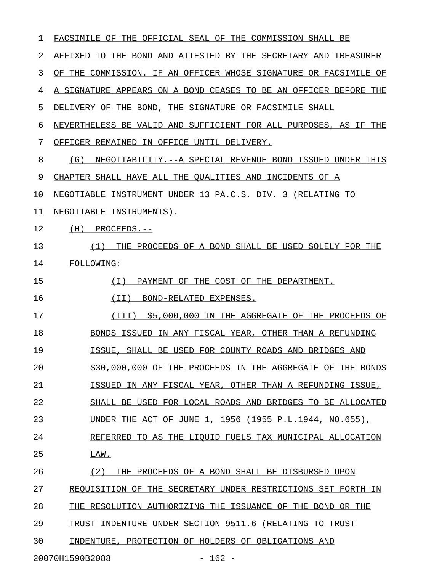| ı  | FACSIMILE OF THE OFFICIAL SEAL OF THE COMMISSION SHALL BE         |  |  |
|----|-------------------------------------------------------------------|--|--|
| 2  | AFFIXED TO THE BOND AND ATTESTED BY THE SECRETARY AND TREASURER   |  |  |
| 3  | OF THE COMMISSION. IF AN OFFICER WHOSE SIGNATURE OR FACSIMILE OF  |  |  |
| 4  | A SIGNATURE APPEARS ON A BOND CEASES TO BE AN OFFICER BEFORE THE  |  |  |
| 5  | DELIVERY OF THE BOND, THE SIGNATURE OR FACSIMILE SHALL            |  |  |
| 6  | NEVERTHELESS BE VALID AND SUFFICIENT FOR ALL PURPOSES, AS IF THE  |  |  |
| 7  | OFFICER REMAINED IN OFFICE UNTIL DELIVERY.                        |  |  |
| 8  | NEGOTIABILITY. -- A SPECIAL REVENUE BOND ISSUED UNDER THIS<br>(G) |  |  |
| 9  | CHAPTER SHALL HAVE ALL THE QUALITIES AND INCIDENTS OF A           |  |  |
| 10 | NEGOTIABLE INSTRUMENT UNDER 13 PA.C.S. DIV. 3 (RELATING TO        |  |  |
| 11 | NEGOTIABLE INSTRUMENTS).                                          |  |  |
| 12 | $(H)$ PROCEEDS.--                                                 |  |  |
| 13 | THE PROCEEDS OF A BOND SHALL BE USED SOLELY FOR THE<br>(1)        |  |  |
| 14 | FOLLOWING:                                                        |  |  |
| 15 | PAYMENT OF THE COST OF THE DEPARTMENT.<br>( I )                   |  |  |
| 16 | (II) BOND-RELATED EXPENSES.                                       |  |  |
| 17 | \$5,000,000 IN THE AGGREGATE OF THE PROCEEDS OF<br>(III)          |  |  |
| 18 | BONDS ISSUED IN ANY FISCAL YEAR, OTHER THAN A REFUNDING           |  |  |
| 19 | ISSUE, SHALL BE USED FOR COUNTY ROADS AND BRIDGES AND             |  |  |
| 20 | \$30,000,000 OF THE PROCEEDS IN THE AGGREGATE OF THE BONDS        |  |  |
| 21 | ISSUED IN ANY FISCAL YEAR, OTHER THAN A REFUNDING ISSUE,          |  |  |
| 22 | SHALL BE USED FOR LOCAL ROADS AND BRIDGES TO BE ALLOCATED         |  |  |
| 23 | UNDER THE ACT OF JUNE 1, 1956 (1955 P.L.1944, NO.655),            |  |  |
| 24 | REFERRED TO AS THE LIQUID FUELS TAX MUNICIPAL ALLOCATION          |  |  |
| 25 | LAW.                                                              |  |  |
| 26 | (2)<br>THE PROCEEDS OF A BOND SHALL BE DISBURSED UPON             |  |  |
| 27 | REQUISITION OF THE SECRETARY UNDER RESTRICTIONS SET FORTH IN      |  |  |
| 28 | THE RESOLUTION AUTHORIZING THE ISSUANCE OF THE BOND OR THE        |  |  |
| 29 | TRUST INDENTURE UNDER SECTION 9511.6 (RELATING TO TRUST           |  |  |
| 30 | INDENTURE, PROTECTION OF HOLDERS OF OBLIGATIONS AND               |  |  |
|    | 20070H1590B2088<br>$-162 -$                                       |  |  |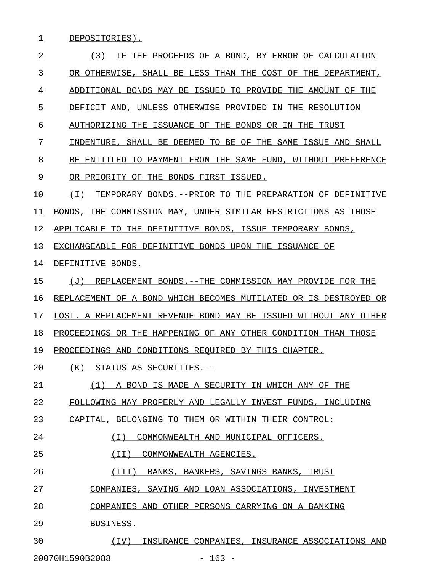1 DEPOSITORIES).

| $\overline{2}$ | (3)<br>THE PROCEEDS OF A BOND, BY ERROR OF CALCULATION<br>TF.        |
|----------------|----------------------------------------------------------------------|
| 3              | OR OTHERWISE, SHALL BE LESS THAN THE COST OF THE DEPARTMENT,         |
| 4              | ADDITIONAL BONDS MAY BE ISSUED TO PROVIDE THE AMOUNT OF THE          |
| 5              | DEFICIT AND, UNLESS OTHERWISE PROVIDED IN THE RESOLUTION             |
| 6              | AUTHORIZING THE ISSUANCE OF THE BONDS OR IN THE<br>TRUST             |
| 7              | INDENTURE, SHALL BE DEEMED TO BE OF THE SAME ISSUE AND<br>SHALL      |
| 8              | BE ENTITLED TO PAYMENT FROM THE SAME FUND, WITHOUT PREFERENCE        |
| 9              | OR PRIORITY OF THE BONDS FIRST ISSUED.                               |
| 10             | ( I )<br>TEMPORARY BONDS.--PRIOR TO THE PREPARATION OF DEFINITIVE    |
| 11             | BONDS, THE COMMISSION MAY, UNDER SIMILAR RESTRICTIONS AS THOSE       |
| 12             | APPLICABLE TO THE DEFINITIVE BONDS, ISSUE TEMPORARY BONDS,           |
| 13             | EXCHANGEABLE FOR DEFINITIVE BONDS UPON THE ISSUANCE OF               |
| 14             | DEFINITIVE BONDS.                                                    |
| 15             | REPLACEMENT BONDS.--THE COMMISSION MAY PROVIDE FOR THE<br>(J)        |
| 16             | REPLACEMENT OF A BOND WHICH BECOMES MUTILATED OR IS DESTROYED<br>OR. |
| 17             | LOST. A REPLACEMENT REVENUE BOND MAY BE ISSUED WITHOUT ANY OTHER     |
| 18             | PROCEEDINGS OR THE HAPPENING OF ANY OTHER CONDITION THAN THOSE       |
| 19             | PROCEEDINGS AND CONDITIONS REQUIRED BY THIS CHAPTER.                 |
| 20             | (K)<br>STATUS AS SECURITIES.--                                       |
| 21             | (1) A BOND IS MADE A SECURITY IN WHICH ANY OF THE                    |
| 22             | FOLLOWING MAY PROPERLY AND LEGALLY INVEST FUNDS, INCLUDING           |
| 23             | CAPITAL, BELONGING TO THEM OR WITHIN THEIR CONTROL:                  |
| 24             | (I) COMMONWEALTH AND MUNICIPAL OFFICERS.                             |
| 25             | (II) COMMONWEALTH AGENCIES.                                          |
| 26             | (III) BANKS, BANKERS, SAVINGS BANKS, TRUST                           |
| 27             | COMPANIES, SAVING AND LOAN ASSOCIATIONS, INVESTMENT                  |
| 28             | COMPANIES AND OTHER PERSONS CARRYING ON A BANKING                    |
| 29             | BUSINESS.                                                            |
| 30             | (IV) INSURANCE COMPANIES, INSURANCE ASSOCIATIONS AND                 |

20070H1590B2088 - 163 -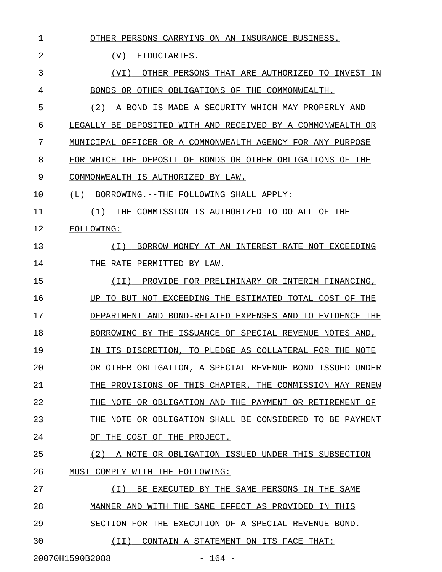| 1  | OTHER PERSONS CARRYING ON AN INSURANCE BUSINESS.            |
|----|-------------------------------------------------------------|
| 2  | (V)<br>FIDUCIARIES.                                         |
| 3  | OTHER PERSONS THAT ARE AUTHORIZED TO INVEST<br>(VI)<br>ΙN   |
| 4  | BONDS OR OTHER OBLIGATIONS OF THE COMMONWEALTH.             |
| 5  | (2)<br>A BOND IS MADE A SECURITY WHICH MAY PROPERLY AND     |
| 6  | LEGALLY BE DEPOSITED WITH AND RECEIVED BY A COMMONWEALTH OR |
| 7  | MUNICIPAL OFFICER OR A COMMONWEALTH AGENCY FOR ANY PURPOSE  |
| 8  | FOR WHICH THE DEPOSIT OF BONDS OR OTHER OBLIGATIONS OF THE  |
| 9  | COMMONWEALTH IS AUTHORIZED BY LAW.                          |
| 10 | BORROWING. -- THE FOLLOWING SHALL APPLY:<br>(L)             |
| 11 | THE COMMISSION IS AUTHORIZED TO DO ALL OF THE<br>(1)        |
| 12 | FOLLOWING:                                                  |
| 13 | BORROW MONEY AT AN INTEREST RATE NOT EXCEEDING<br>( I )     |
| 14 | THE RATE PERMITTED BY LAW.                                  |
| 15 | (TT)<br>PROVIDE FOR PRELIMINARY OR INTERIM FINANCING,       |
| 16 | UP TO BUT NOT EXCEEDING THE ESTIMATED TOTAL COST OF THE     |
| 17 | DEPARTMENT AND BOND-RELATED EXPENSES AND TO EVIDENCE THE    |
| 18 | BORROWING BY THE ISSUANCE OF SPECIAL REVENUE NOTES AND,     |
| 19 | IN ITS DISCRETION, TO PLEDGE AS COLLATERAL FOR THE NOTE     |
| 20 | OR OTHER OBLIGATION, A SPECIAL REVENUE BOND ISSUED UNDER    |
| 21 | THE PROVISIONS OF THIS CHAPTER. THE COMMISSION MAY RENEW    |
| 22 | THE NOTE OR OBLIGATION AND THE PAYMENT OR RETIREMENT OF     |
| 23 | THE NOTE OR OBLIGATION SHALL BE CONSIDERED TO BE PAYMENT    |
| 24 | OF THE COST OF THE PROJECT.                                 |
| 25 | (2) A NOTE OR OBLIGATION ISSUED UNDER THIS SUBSECTION       |
| 26 | MUST COMPLY WITH THE FOLLOWING:                             |
| 27 | BE EXECUTED BY THE SAME PERSONS IN THE SAME<br>( I )        |
| 28 | MANNER AND WITH THE SAME EFFECT AS PROVIDED IN THIS         |
| 29 | SECTION FOR THE EXECUTION OF A SPECIAL REVENUE BOND.        |
| 30 | (II)<br>CONTAIN A STATEMENT ON ITS FACE THAT:               |
|    |                                                             |

20070H1590B2088 - 164 -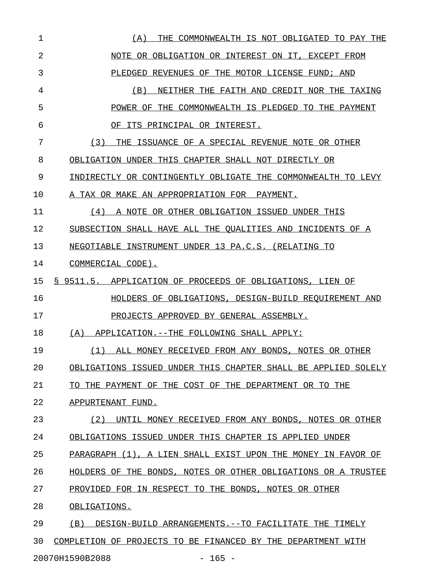| 1  | THE COMMONWEALTH IS NOT OBLIGATED TO PAY THE<br>(A)           |
|----|---------------------------------------------------------------|
| 2  | NOTE OR OBLIGATION OR INTEREST ON IT, EXCEPT FROM             |
| 3  | PLEDGED REVENUES OF THE MOTOR LICENSE FUND; AND               |
| 4  | NEITHER THE FAITH AND CREDIT NOR THE TAXING<br>(B)            |
| 5  | POWER OF THE COMMONWEALTH IS PLEDGED TO THE PAYMENT           |
| 6  | OF ITS PRINCIPAL OR INTEREST.                                 |
| 7  | THE ISSUANCE OF A SPECIAL REVENUE NOTE OR OTHER<br>(3)        |
| 8  | OBLIGATION UNDER THIS CHAPTER SHALL NOT DIRECTLY OR           |
| 9  | INDIRECTLY OR CONTINGENTLY OBLIGATE THE COMMONWEALTH TO LEVY  |
| 10 | A TAX OR MAKE AN APPROPRIATION FOR PAYMENT.                   |
| 11 | A NOTE OR OTHER OBLIGATION ISSUED UNDER THIS<br>(4)           |
| 12 | SUBSECTION SHALL HAVE ALL THE QUALITIES AND INCIDENTS OF A    |
| 13 | NEGOTIABLE INSTRUMENT UNDER 13 PA.C.S. (RELATING TO           |
| 14 | COMMERCIAL CODE).                                             |
| 15 | § 9511.5. APPLICATION OF PROCEEDS OF OBLIGATIONS, LIEN OF     |
| 16 | HOLDERS OF OBLIGATIONS, DESIGN-BUILD REQUIREMENT AND          |
| 17 | PROJECTS APPROVED BY GENERAL ASSEMBLY.                        |
| 18 | (A) APPLICATION. -- THE FOLLOWING SHALL APPLY:                |
| 19 | (1) ALL MONEY RECEIVED FROM ANY BONDS, NOTES OR OTHER         |
| 20 | OBLIGATIONS ISSUED UNDER THIS CHAPTER SHALL BE APPLIED SOLELY |
| 21 | TO THE PAYMENT OF THE COST OF THE DEPARTMENT OR TO THE        |
| 22 | APPURTENANT FUND.                                             |
| 23 | (2)<br>UNTIL MONEY RECEIVED FROM ANY BONDS, NOTES OR OTHER    |
| 24 | OBLIGATIONS ISSUED UNDER THIS CHAPTER IS APPLIED UNDER        |
| 25 | PARAGRAPH (1), A LIEN SHALL EXIST UPON THE MONEY IN FAVOR OF  |
| 26 | HOLDERS OF THE BONDS, NOTES OR OTHER OBLIGATIONS OR A TRUSTEE |
| 27 | PROVIDED FOR IN RESPECT TO THE BONDS, NOTES OR OTHER          |
| 28 | OBLIGATIONS.                                                  |
| 29 | (B)<br>DESIGN-BUILD ARRANGEMENTS.--TO FACILITATE THE TIMELY   |
|    |                                                               |
| 30 | COMPLETION OF PROJECTS TO BE FINANCED BY THE DEPARTMENT WITH  |

20070H1590B2088 - 165 -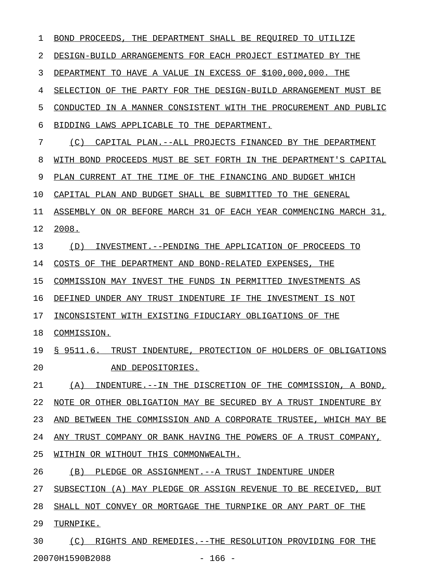| 1  | THE DEPARTMENT SHALL BE REOUIRED TO UTILIZE<br>BOND PROCEEDS.      |
|----|--------------------------------------------------------------------|
| 2  | DESIGN-BUILD ARRANGEMENTS FOR EACH PROJECT ESTIMATED BY THE        |
| 3  | DEPARTMENT TO HAVE A VALUE IN EXCESS OF \$100,000,000. THE         |
| 4  | SELECTION OF THE PARTY FOR THE DESIGN-BUILD ARRANGEMENT MUST BE    |
| 5  | CONDUCTED IN A MANNER CONSISTENT WITH THE PROCUREMENT AND PUBLIC   |
| 6  | BIDDING LAWS APPLICABLE TO THE DEPARTMENT.                         |
| 7  | (C)<br>CAPITAL PLAN.--ALL PROJECTS FINANCED BY THE DEPARTMENT      |
| 8  | WITH BOND PROCEEDS MUST BE SET FORTH IN THE DEPARTMENT'S CAPITAL   |
| 9  | PLAN CURRENT AT THE TIME OF THE FINANCING AND BUDGET WHICH         |
| 10 | CAPITAL PLAN AND BUDGET SHALL BE SUBMITTED TO THE GENERAL          |
| 11 | ASSEMBLY ON OR BEFORE MARCH 31 OF EACH YEAR COMMENCING MARCH 31,   |
| 12 | 2008.                                                              |
| 13 | INVESTMENT. -- PENDING THE APPLICATION OF PROCEEDS TO<br>(D)       |
| 14 | COSTS OF THE DEPARTMENT AND BOND-RELATED EXPENSES, THE             |
| 15 | COMMISSION MAY INVEST THE FUNDS IN PERMITTED INVESTMENTS AS        |
| 16 | DEFINED UNDER ANY TRUST INDENTURE IF THE INVESTMENT IS NOT         |
| 17 | INCONSISTENT WITH EXISTING FIDUCIARY OBLIGATIONS OF THE            |
| 18 | COMMISSION.                                                        |
| 19 | S 9511.6.<br>TRUST INDENTURE, PROTECTION OF HOLDERS OF OBLIGATIONS |
| 20 | AND DEPOSITORIES.                                                  |
| 21 | (A) INDENTURE. --IN THE DISCRETION OF THE COMMISSION, A BOND,      |
| 22 | NOTE OR OTHER OBLIGATION MAY BE SECURED BY A TRUST INDENTURE BY    |
| 23 | AND BETWEEN THE COMMISSION AND A CORPORATE TRUSTEE, WHICH MAY BE   |
| 24 | ANY TRUST COMPANY OR BANK HAVING THE POWERS OF A TRUST COMPANY,    |
| 25 | WITHIN OR WITHOUT THIS COMMONWEALTH.                               |
| 26 | (B) PLEDGE OR ASSIGNMENT. -- A TRUST INDENTURE UNDER               |
| 27 | SUBSECTION (A) MAY PLEDGE OR ASSIGN REVENUE TO BE RECEIVED, BUT    |
| 28 | SHALL NOT CONVEY OR MORTGAGE THE TURNPIKE OR ANY PART OF THE       |
| 29 | TURNPIKE.                                                          |
| 30 | (C) RIGHTS AND REMEDIES. -- THE RESOLUTION PROVIDING FOR THE       |

20070H1590B2088 - 166 -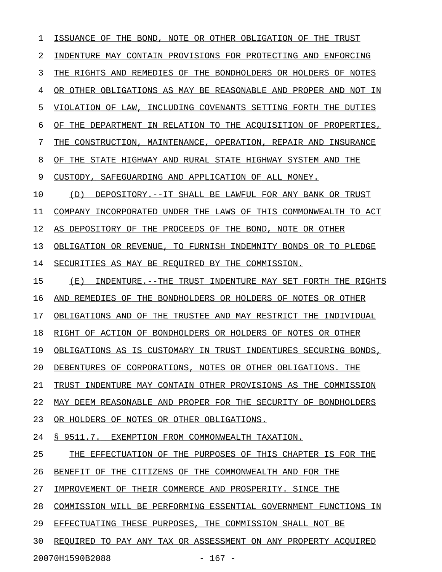1 ISSUANCE OF THE BOND, NOTE OR OTHER OBLIGATION OF THE TRUST 2 INDENTURE MAY CONTAIN PROVISIONS FOR PROTECTING AND ENFORCING 3 THE RIGHTS AND REMEDIES OF THE BONDHOLDERS OR HOLDERS OF NOTES 4 OR OTHER OBLIGATIONS AS MAY BE REASONABLE AND PROPER AND NOT IN 5 VIOLATION OF LAW, INCLUDING COVENANTS SETTING FORTH THE DUTIES 6 OF THE DEPARTMENT IN RELATION TO THE ACOUISITION OF PROPERTIES, 7 THE CONSTRUCTION, MAINTENANCE, OPERATION, REPAIR AND INSURANCE 8 OF THE STATE HIGHWAY AND RURAL STATE HIGHWAY SYSTEM AND THE 9 CUSTODY, SAFEGUARDING AND APPLICATION OF ALL MONEY. 10  $(D)$  DEPOSITORY.--IT SHALL BE LAWFUL FOR ANY BANK OR TRUST 11 COMPANY INCORPORATED UNDER THE LAWS OF THIS COMMONWEALTH TO ACT 12 AS DEPOSITORY OF THE PROCEEDS OF THE BOND, NOTE OR OTHER 13 OBLIGATION OR REVENUE, TO FURNISH INDEMNITY BONDS OR TO PLEDGE 14 SECURITIES AS MAY BE REQUIRED BY THE COMMISSION. 15 (E) INDENTURE.--THE TRUST INDENTURE MAY SET FORTH THE RIGHTS 16 AND REMEDIES OF THE BONDHOLDERS OR HOLDERS OF NOTES OR OTHER 17 OBLIGATIONS AND OF THE TRUSTEE AND MAY RESTRICT THE INDIVIDUAL 18 RIGHT OF ACTION OF BONDHOLDERS OR HOLDERS OF NOTES OR OTHER 19 OBLIGATIONS AS IS CUSTOMARY IN TRUST INDENTURES SECURING BONDS, 20 DEBENTURES OF CORPORATIONS, NOTES OR OTHER OBLIGATIONS. THE 21 TRUST INDENTURE MAY CONTAIN OTHER PROVISIONS AS THE COMMISSION 22 MAY DEEM REASONABLE AND PROPER FOR THE SECURITY OF BONDHOLDERS 23 OR HOLDERS OF NOTES OR OTHER OBLIGATIONS. 24 § 9511.7. EXEMPTION FROM COMMONWEALTH TAXATION. 25 THE EFFECTUATION OF THE PURPOSES OF THIS CHAPTER IS FOR THE 26 BENEFIT OF THE CITIZENS OF THE COMMONWEALTH AND FOR THE 27 IMPROVEMENT OF THEIR COMMERCE AND PROSPERITY. SINCE THE 28 COMMISSION WILL BE PERFORMING ESSENTIAL GOVERNMENT FUNCTIONS IN 29 EFFECTUATING THESE PURPOSES, THE COMMISSION SHALL NOT BE 30 REOUIRED TO PAY ANY TAX OR ASSESSMENT ON ANY PROPERTY ACOUIRED 20070H1590B2088 - 167 -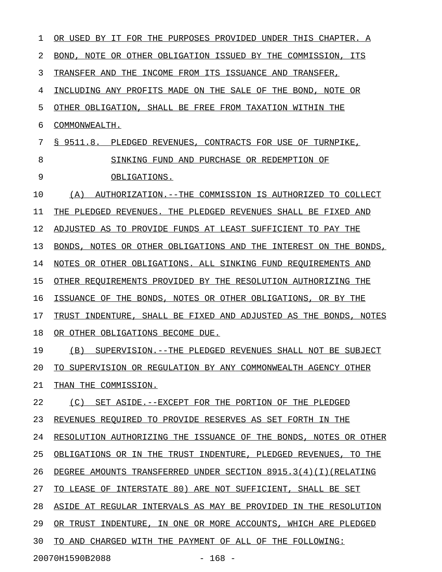1 OR USED BY IT FOR THE PURPOSES PROVIDED UNDER THIS CHAPTER. A 2 BOND, NOTE OR OTHER OBLIGATION ISSUED BY THE COMMISSION, ITS 3 TRANSFER AND THE INCOME FROM ITS ISSUANCE AND TRANSFER, 4 INCLUDING ANY PROFITS MADE ON THE SALE OF THE BOND, NOTE OR 5 OTHER OBLIGATION, SHALL BE FREE FROM TAXATION WITHIN THE 6 COMMONWEALTH. 7 § 9511.8. PLEDGED REVENUES, CONTRACTS FOR USE OF TURNPIKE, 8 SINKING FUND AND PURCHASE OR REDEMPTION OF 9 OBLIGATIONS. 10 (A) AUTHORIZATION.--THE COMMISSION IS AUTHORIZED TO COLLECT 11 THE PLEDGED REVENUES. THE PLEDGED REVENUES SHALL BE FIXED AND 12 ADJUSTED AS TO PROVIDE FUNDS AT LEAST SUFFICIENT TO PAY THE 13 BONDS, NOTES OR OTHER OBLIGATIONS AND THE INTEREST ON THE BONDS, 14 NOTES OR OTHER OBLIGATIONS. ALL SINKING FUND REQUIREMENTS AND 15 OTHER REQUIREMENTS PROVIDED BY THE RESOLUTION AUTHORIZING THE 16 ISSUANCE OF THE BONDS, NOTES OR OTHER OBLIGATIONS, OR BY THE 17 TRUST INDENTURE, SHALL BE FIXED AND ADJUSTED AS THE BONDS, NOTES 18 OR OTHER OBLIGATIONS BECOME DUE. 19 (B) SUPERVISION.--THE PLEDGED REVENUES SHALL NOT BE SUBJECT 20 TO SUPERVISION OR REGULATION BY ANY COMMONWEALTH AGENCY OTHER 21 THAN THE COMMISSION. 22 (C) SET ASIDE.--EXCEPT FOR THE PORTION OF THE PLEDGED 23 REVENUES REQUIRED TO PROVIDE RESERVES AS SET FORTH IN THE 24 RESOLUTION AUTHORIZING THE ISSUANCE OF THE BONDS, NOTES OR OTHER 25 OBLIGATIONS OR IN THE TRUST INDENTURE, PLEDGED REVENUES, TO THE 26 DEGREE AMOUNTS TRANSFERRED UNDER SECTION 8915.3(4)(I)(RELATING 27 TO LEASE OF INTERSTATE 80) ARE NOT SUFFICIENT, SHALL BE SET 28 ASIDE AT REGULAR INTERVALS AS MAY BE PROVIDED IN THE RESOLUTION 29 OR TRUST INDENTURE, IN ONE OR MORE ACCOUNTS, WHICH ARE PLEDGED 30 TO AND CHARGED WITH THE PAYMENT OF ALL OF THE FOLLOWING: 20070H1590B2088 - 168 -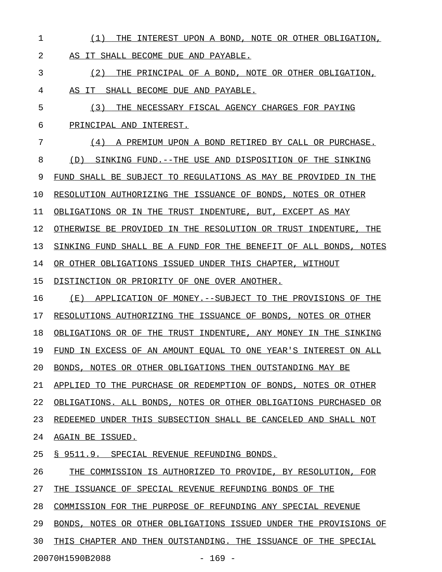1 (1) THE INTEREST UPON A BOND, NOTE OR OTHER OBLIGATION, 2 AS IT SHALL BECOME DUE AND PAYABLE. 3 THE PRINCIPAL OF A BOND, NOTE OR OTHER OBLIGATION, 4 AS IT SHALL BECOME DUE AND PAYABLE. 5 (3) THE NECESSARY FISCAL AGENCY CHARGES FOR PAYING 6 PRINCIPAL AND INTEREST. 7 6 (4) A PREMIUM UPON A BOND RETIRED BY CALL OR PURCHASE. 8 (D) SINKING FUND.--THE USE AND DISPOSITION OF THE SINKING 9 FUND SHALL BE SUBJECT TO REGULATIONS AS MAY BE PROVIDED IN THE 10 RESOLUTION AUTHORIZING THE ISSUANCE OF BONDS, NOTES OR OTHER 11 OBLIGATIONS OR IN THE TRUST INDENTURE, BUT, EXCEPT AS MAY 12 OTHERWISE BE PROVIDED IN THE RESOLUTION OR TRUST INDENTURE, THE 13 SINKING FUND SHALL BE A FUND FOR THE BENEFIT OF ALL BONDS, NOTES 14 OR OTHER OBLIGATIONS ISSUED UNDER THIS CHAPTER, WITHOUT 15 DISTINCTION OR PRIORITY OF ONE OVER ANOTHER. 16 (E) APPLICATION OF MONEY.--SUBJECT TO THE PROVISIONS OF THE 17 RESOLUTIONS AUTHORIZING THE ISSUANCE OF BONDS, NOTES OR OTHER 18 OBLIGATIONS OR OF THE TRUST INDENTURE, ANY MONEY IN THE SINKING 19 FUND IN EXCESS OF AN AMOUNT EQUAL TO ONE YEAR'S INTEREST ON ALL 20 BONDS, NOTES OR OTHER OBLIGATIONS THEN OUTSTANDING MAY BE 21 APPLIED TO THE PURCHASE OR REDEMPTION OF BONDS, NOTES OR OTHER 22 OBLIGATIONS. ALL BONDS, NOTES OR OTHER OBLIGATIONS PURCHASED OR 23 REDEEMED UNDER THIS SUBSECTION SHALL BE CANCELED AND SHALL NOT 24 AGAIN BE ISSUED. 25 § 9511.9. SPECIAL REVENUE REFUNDING BONDS. 26 THE COMMISSION IS AUTHORIZED TO PROVIDE, BY RESOLUTION, FOR 27 THE ISSUANCE OF SPECIAL REVENUE REFUNDING BONDS OF THE 28 COMMISSION FOR THE PURPOSE OF REFUNDING ANY SPECIAL REVENUE 29 BONDS, NOTES OR OTHER OBLIGATIONS ISSUED UNDER THE PROVISIONS OF 30 THIS CHAPTER AND THEN OUTSTANDING. THE ISSUANCE OF THE SPECIAL 20070H1590B2088 - 169 -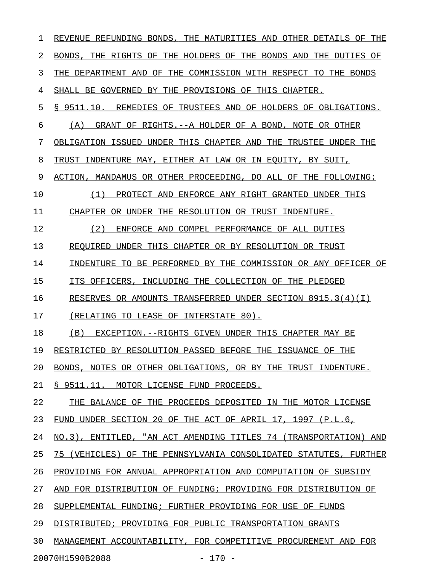1 REVENUE REFUNDING BONDS, THE MATURITIES AND OTHER DETAILS OF THE 2 BONDS, THE RIGHTS OF THE HOLDERS OF THE BONDS AND THE DUTIES OF 3 THE DEPARTMENT AND OF THE COMMISSION WITH RESPECT TO THE BONDS 4 SHALL BE GOVERNED BY THE PROVISIONS OF THIS CHAPTER. 5 § 9511.10. REMEDIES OF TRUSTEES AND OF HOLDERS OF OBLIGATIONS. 6 (A) GRANT OF RIGHTS.--A HOLDER OF A BOND, NOTE OR OTHER 7 OBLIGATION ISSUED UNDER THIS CHAPTER AND THE TRUSTEE UNDER THE 8 TRUST INDENTURE MAY, EITHER AT LAW OR IN EQUITY, BY SUIT, 9 ACTION, MANDAMUS OR OTHER PROCEEDING, DO ALL OF THE FOLLOWING: 10 (1) PROTECT AND ENFORCE ANY RIGHT GRANTED UNDER THIS \_\_\_\_\_\_\_\_\_\_\_\_\_\_\_\_\_\_\_\_\_\_\_\_\_\_\_\_\_\_\_\_\_\_\_\_\_\_\_\_\_\_\_\_\_\_\_\_\_\_\_\_\_ 11 CHAPTER OR UNDER THE RESOLUTION OR TRUST INDENTURE. 12 (2) ENFORCE AND COMPEL PERFORMANCE OF ALL DUTIES 13 REQUIRED UNDER THIS CHAPTER OR BY RESOLUTION OR TRUST 14 INDENTURE TO BE PERFORMED BY THE COMMISSION OR ANY OFFICER OF 15 ITS OFFICERS, INCLUDING THE COLLECTION OF THE PLEDGED 16 RESERVES OR AMOUNTS TRANSFERRED UNDER SECTION 8915.3(4)(I) 17 (RELATING TO LEASE OF INTERSTATE 80). 18 (B) EXCEPTION.--RIGHTS GIVEN UNDER THIS CHAPTER MAY BE 19 RESTRICTED BY RESOLUTION PASSED BEFORE THE ISSUANCE OF THE 20 BONDS, NOTES OR OTHER OBLIGATIONS, OR BY THE TRUST INDENTURE. 21 § 9511.11. MOTOR LICENSE FUND PROCEEDS. 22 THE BALANCE OF THE PROCEEDS DEPOSITED IN THE MOTOR LICENSE 23 FUND UNDER SECTION 20 OF THE ACT OF APRIL 17, 1997 (P.L.6, 24 NO.3), ENTITLED, "AN ACT AMENDING TITLES 74 (TRANSPORTATION) AND 25 75 (VEHICLES) OF THE PENNSYLVANIA CONSOLIDATED STATUTES, FURTHER 26 PROVIDING FOR ANNUAL APPROPRIATION AND COMPUTATION OF SUBSIDY 27 AND FOR DISTRIBUTION OF FUNDING; PROVIDING FOR DISTRIBUTION OF 28 SUPPLEMENTAL FUNDING; FURTHER PROVIDING FOR USE OF FUNDS 29 DISTRIBUTED; PROVIDING FOR PUBLIC TRANSPORTATION GRANTS 30 MANAGEMENT ACCOUNTABILITY, FOR COMPETITIVE PROCUREMENT AND FOR

20070H1590B2088 - 170 -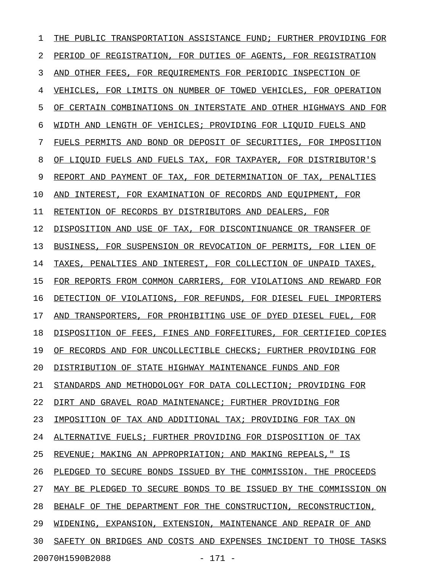1 THE PUBLIC TRANSPORTATION ASSISTANCE FUND; FURTHER PROVIDING FOR 2 PERIOD OF REGISTRATION, FOR DUTIES OF AGENTS, FOR REGISTRATION 3 AND OTHER FEES, FOR REQUIREMENTS FOR PERIODIC INSPECTION OF 4 VEHICLES, FOR LIMITS ON NUMBER OF TOWED VEHICLES, FOR OPERATION 5 OF CERTAIN COMBINATIONS ON INTERSTATE AND OTHER HIGHWAYS AND FOR 6 WIDTH AND LENGTH OF VEHICLES; PROVIDING FOR LIQUID FUELS AND 7 FUELS PERMITS AND BOND OR DEPOSIT OF SECURITIES, FOR IMPOSITION 8 OF LIQUID FUELS AND FUELS TAX, FOR TAXPAYER, FOR DISTRIBUTOR'S 9 REPORT AND PAYMENT OF TAX, FOR DETERMINATION OF TAX, PENALTIES 10 AND INTEREST, FOR EXAMINATION OF RECORDS AND EQUIPMENT, FOR 11 RETENTION OF RECORDS BY DISTRIBUTORS AND DEALERS, FOR 12 DISPOSITION AND USE OF TAX, FOR DISCONTINUANCE OR TRANSFER OF 13 BUSINESS, FOR SUSPENSION OR REVOCATION OF PERMITS, FOR LIEN OF 14 TAXES, PENALTIES AND INTEREST, FOR COLLECTION OF UNPAID TAXES, 15 FOR REPORTS FROM COMMON CARRIERS, FOR VIOLATIONS AND REWARD FOR 16 DETECTION OF VIOLATIONS, FOR REFUNDS, FOR DIESEL FUEL IMPORTERS 17 AND TRANSPORTERS, FOR PROHIBITING USE OF DYED DIESEL FUEL, FOR 18 DISPOSITION OF FEES, FINES AND FORFEITURES, FOR CERTIFIED COPIES 19 OF RECORDS AND FOR UNCOLLECTIBLE CHECKS; FURTHER PROVIDING FOR 20 DISTRIBUTION OF STATE HIGHWAY MAINTENANCE FUNDS AND FOR 21 STANDARDS AND METHODOLOGY FOR DATA COLLECTION; PROVIDING FOR 22 DIRT AND GRAVEL ROAD MAINTENANCE; FURTHER PROVIDING FOR 23 IMPOSITION OF TAX AND ADDITIONAL TAX; PROVIDING FOR TAX ON 24 ALTERNATIVE FUELS; FURTHER PROVIDING FOR DISPOSITION OF TAX 25 REVENUE; MAKING AN APPROPRIATION; AND MAKING REPEALS, " IS 26 PLEDGED TO SECURE BONDS ISSUED BY THE COMMISSION. THE PROCEEDS 27 MAY BE PLEDGED TO SECURE BONDS TO BE ISSUED BY THE COMMISSION ON 28 BEHALF OF THE DEPARTMENT FOR THE CONSTRUCTION, RECONSTRUCTION, 29 WIDENING, EXPANSION, EXTENSION, MAINTENANCE AND REPAIR OF AND 30 SAFETY ON BRIDGES AND COSTS AND EXPENSES INCIDENT TO THOSE TASKS 20070H1590B2088 - 171 -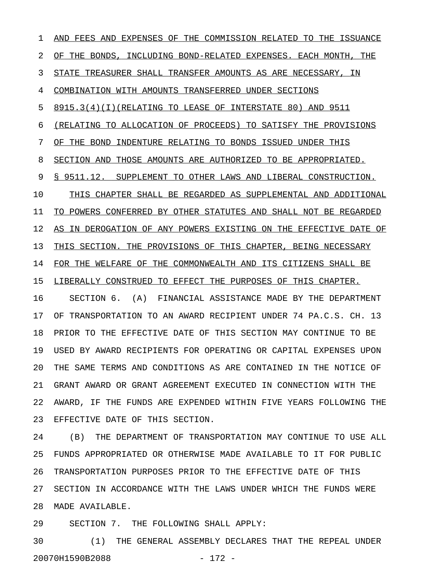1 AND FEES AND EXPENSES OF THE COMMISSION RELATED TO THE ISSUANCE 2 OF THE BONDS, INCLUDING BOND-RELATED EXPENSES. EACH MONTH, THE 3 STATE TREASURER SHALL TRANSFER AMOUNTS AS ARE NECESSARY, IN 4 COMBINATION WITH AMOUNTS TRANSFERRED UNDER SECTIONS  $5$  8915.3(4)(I)(RELATING TO LEASE OF INTERSTATE 80) AND 9511 6 (RELATING TO ALLOCATION OF PROCEEDS) TO SATISFY THE PROVISIONS 7 OF THE BOND INDENTURE RELATING TO BONDS ISSUED UNDER THIS 8 SECTION AND THOSE AMOUNTS ARE AUTHORIZED TO BE APPROPRIATED. 9 § 9511.12. SUPPLEMENT TO OTHER LAWS AND LIBERAL CONSTRUCTION. 10 THIS CHAPTER SHALL BE REGARDED AS SUPPLEMENTAL AND ADDITIONAL 11 TO POWERS CONFERRED BY OTHER STATUTES AND SHALL NOT BE REGARDED 12 AS IN DEROGATION OF ANY POWERS EXISTING ON THE EFFECTIVE DATE OF 13 THIS SECTION. THE PROVISIONS OF THIS CHAPTER, BEING NECESSARY 14 FOR THE WELFARE OF THE COMMONWEALTH AND ITS CITIZENS SHALL BE 15 LIBERALLY CONSTRUED TO EFFECT THE PURPOSES OF THIS CHAPTER. 16 SECTION 6. (A) FINANCIAL ASSISTANCE MADE BY THE DEPARTMENT 17 OF TRANSPORTATION TO AN AWARD RECIPIENT UNDER 74 PA.C.S. CH. 13 18 PRIOR TO THE EFFECTIVE DATE OF THIS SECTION MAY CONTINUE TO BE 19 USED BY AWARD RECIPIENTS FOR OPERATING OR CAPITAL EXPENSES UPON 20 THE SAME TERMS AND CONDITIONS AS ARE CONTAINED IN THE NOTICE OF 21 GRANT AWARD OR GRANT AGREEMENT EXECUTED IN CONNECTION WITH THE 22 AWARD, IF THE FUNDS ARE EXPENDED WITHIN FIVE YEARS FOLLOWING THE 23 EFFECTIVE DATE OF THIS SECTION.

24 (B) THE DEPARTMENT OF TRANSPORTATION MAY CONTINUE TO USE ALL 25 FUNDS APPROPRIATED OR OTHERWISE MADE AVAILABLE TO IT FOR PUBLIC 26 TRANSPORTATION PURPOSES PRIOR TO THE EFFECTIVE DATE OF THIS 27 SECTION IN ACCORDANCE WITH THE LAWS UNDER WHICH THE FUNDS WERE 28 MADE AVAILABLE.

29 SECTION 7. THE FOLLOWING SHALL APPLY:

30 (1) THE GENERAL ASSEMBLY DECLARES THAT THE REPEAL UNDER 20070H1590B2088 - 172 -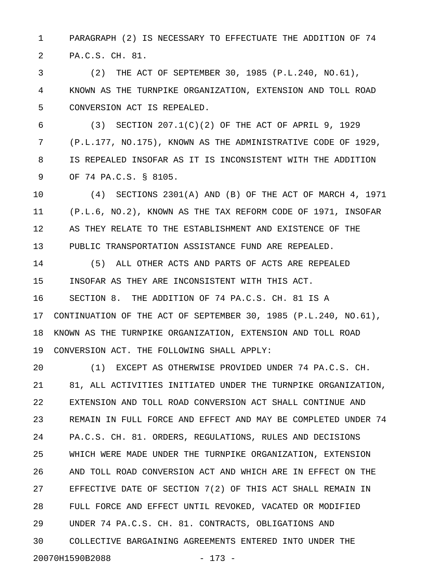1 PARAGRAPH (2) IS NECESSARY TO EFFECTUATE THE ADDITION OF 74 2 PA.C.S. CH. 81.

3 (2) THE ACT OF SEPTEMBER 30, 1985 (P.L.240, NO.61), 4 KNOWN AS THE TURNPIKE ORGANIZATION, EXTENSION AND TOLL ROAD 5 CONVERSION ACT IS REPEALED.

6 (3) SECTION 207.1(C)(2) OF THE ACT OF APRIL 9, 1929 7 (P.L.177, NO.175), KNOWN AS THE ADMINISTRATIVE CODE OF 1929, 8 IS REPEALED INSOFAR AS IT IS INCONSISTENT WITH THE ADDITION 9 OF 74 PA.C.S. § 8105.

10 (4) SECTIONS 2301(A) AND (B) OF THE ACT OF MARCH 4, 1971 11 (P.L.6, NO.2), KNOWN AS THE TAX REFORM CODE OF 1971, INSOFAR 12 AS THEY RELATE TO THE ESTABLISHMENT AND EXISTENCE OF THE 13 PUBLIC TRANSPORTATION ASSISTANCE FUND ARE REPEALED.

14 (5) ALL OTHER ACTS AND PARTS OF ACTS ARE REPEALED 15 INSOFAR AS THEY ARE INCONSISTENT WITH THIS ACT. 16 SECTION 8. THE ADDITION OF 74 PA.C.S. CH. 81 IS A 17 CONTINUATION OF THE ACT OF SEPTEMBER 30, 1985 (P.L.240, NO.61), 18 KNOWN AS THE TURNPIKE ORGANIZATION, EXTENSION AND TOLL ROAD 19 CONVERSION ACT. THE FOLLOWING SHALL APPLY:

20 (1) EXCEPT AS OTHERWISE PROVIDED UNDER 74 PA.C.S. CH. 21 81, ALL ACTIVITIES INITIATED UNDER THE TURNPIKE ORGANIZATION, 22 EXTENSION AND TOLL ROAD CONVERSION ACT SHALL CONTINUE AND 23 REMAIN IN FULL FORCE AND EFFECT AND MAY BE COMPLETED UNDER 74 24 PA.C.S. CH. 81. ORDERS, REGULATIONS, RULES AND DECISIONS 25 WHICH WERE MADE UNDER THE TURNPIKE ORGANIZATION, EXTENSION 26 AND TOLL ROAD CONVERSION ACT AND WHICH ARE IN EFFECT ON THE 27 EFFECTIVE DATE OF SECTION 7(2) OF THIS ACT SHALL REMAIN IN 28 FULL FORCE AND EFFECT UNTIL REVOKED, VACATED OR MODIFIED 29 UNDER 74 PA.C.S. CH. 81. CONTRACTS, OBLIGATIONS AND 30 COLLECTIVE BARGAINING AGREEMENTS ENTERED INTO UNDER THE 20070H1590B2088 - 173 -